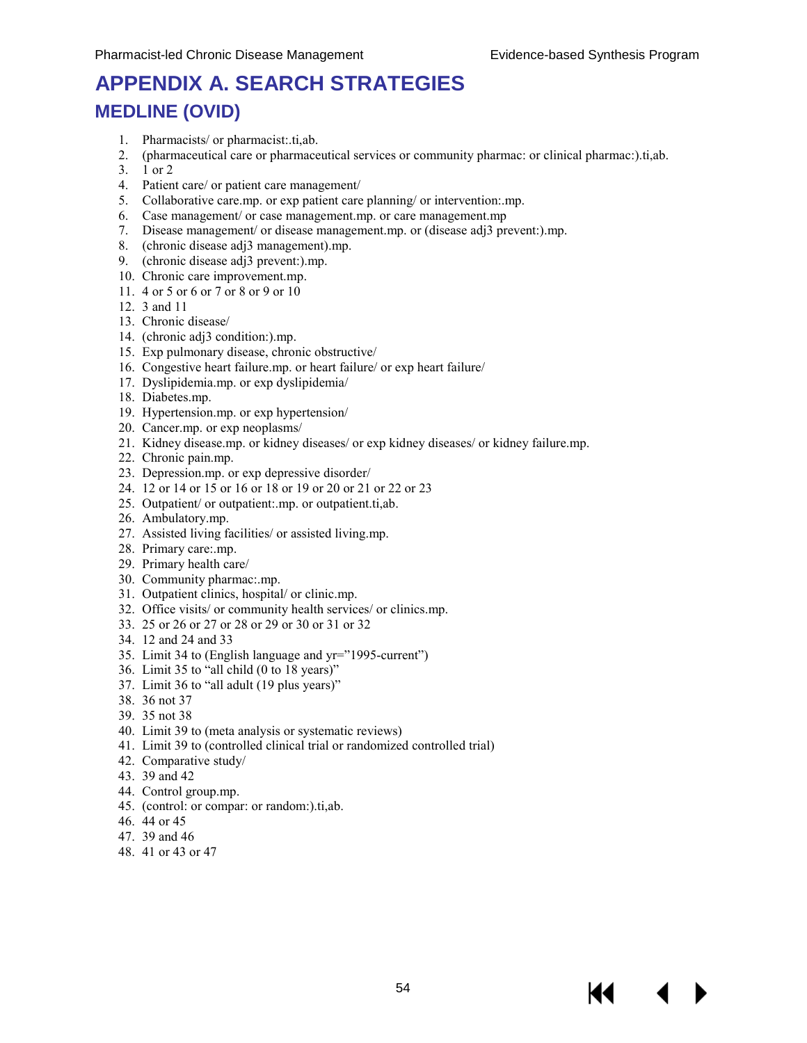# **APPENDIX A. SEARCH STRATEGIES MEDLINE (OVID)**

- 1. Pharmacists/ or pharmacist:.ti,ab.
- 2. (pharmaceutical care or pharmaceutical services or community pharmac: or clinical pharmac:).ti,ab.
- 3. 1 or 2
- 4. Patient care/ or patient care management/
- 5. Collaborative care.mp. or exp patient care planning/ or intervention:.mp.
- 6. Case management/ or case management.mp. or care management.mp
- 7. Disease management/ or disease management.mp. or (disease adj3 prevent:).mp.
- 8. (chronic disease adj3 management).mp.
- 9. (chronic disease adj3 prevent:).mp.
- 10. Chronic care improvement.mp.
- 11. 4 or 5 or 6 or 7 or 8 or 9 or 10
- 12. 3 and 11
- 13. Chronic disease/
- 14. (chronic adj3 condition:).mp.
- 15. Exp pulmonary disease, chronic obstructive/
- 16. Congestive heart failure.mp. or heart failure/ or exp heart failure/
- 17. Dyslipidemia.mp. or exp dyslipidemia/
- 18. Diabetes.mp.
- 19. Hypertension.mp. or exp hypertension/
- 20. Cancer.mp. or exp neoplasms/
- 21. Kidney disease.mp. or kidney diseases/ or exp kidney diseases/ or kidney failure.mp.
- 22. Chronic pain.mp.
- 23. Depression.mp. or exp depressive disorder/
- 24. 12 or 14 or 15 or 16 or 18 or 19 or 20 or 21 or 22 or 23
- 25. Outpatient/ or outpatient:.mp. or outpatient.ti,ab.
- 26. Ambulatory.mp.
- 27. Assisted living facilities/ or assisted living.mp.
- 28. Primary care:.mp.
- 29. Primary health care/
- 30. Community pharmac:.mp.
- 31. Outpatient clinics, hospital/ or clinic.mp.
- 32. Office visits/ or community health services/ or clinics.mp.
- 33. 25 or 26 or 27 or 28 or 29 or 30 or 31 or 32
- 34. 12 and 24 and 33
- 35. Limit 34 to (English language and yr="1995-current")
- 36. Limit 35 to "all child (0 to 18 years)"
- 37. Limit 36 to "all adult (19 plus years)"
- 38. 36 not 37
- 39. 35 not 38
- 40. Limit 39 to (meta analysis or systematic reviews)
- 41. Limit 39 to (controlled clinical trial or randomized controlled trial)
- 42. Comparative study/
- 43. 39 and 42
- 44. Control group.mp.
- 45. (control: or compar: or random:).ti,ab.
- 46. 44 or 45
- 47. 39 and 46
- 48. 41 or 43 or 47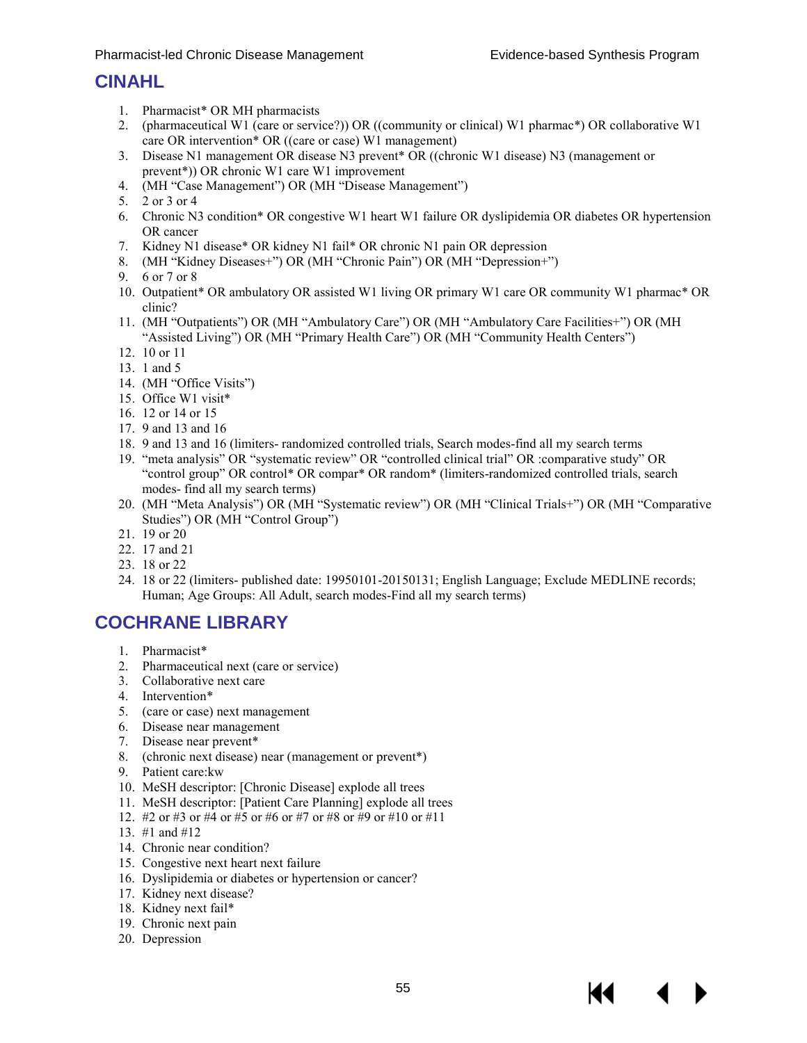## **CINAHL**

- 1. Pharmacist\* OR MH pharmacists
- 2. (pharmaceutical W1 (care or service?)) OR ((community or clinical) W1 pharmac\*) OR collaborative W1 care OR intervention\* OR ((care or case) W1 management)
- 3. Disease N1 management OR disease N3 prevent\* OR ((chronic W1 disease) N3 (management or prevent\*)) OR chronic W1 care W1 improvement
- 4. (MH "Case Management") OR (MH "Disease Management")
- 5.  $2 \text{ or } 3 \text{ or } 4$
- 6. Chronic N3 condition\* OR congestive W1 heart W1 failure OR dyslipidemia OR diabetes OR hypertension OR cancer
- 7. Kidney N1 disease\* OR kidney N1 fail\* OR chronic N1 pain OR depression
- 8. (MH "Kidney Diseases+") OR (MH "Chronic Pain") OR (MH "Depression+")
- 9. 6 or 7 or 8
- 10. Outpatient\* OR ambulatory OR assisted W1 living OR primary W1 care OR community W1 pharmac\* OR clinic?
- 11. (MH "Outpatients") OR (MH "Ambulatory Care") OR (MH "Ambulatory Care Facilities+") OR (MH "Assisted Living") OR (MH "Primary Health Care") OR (MH "Community Health Centers")
- 12. 10 or 11
- 13. 1 and 5
- 14. (MH "Office Visits")
- 15. Office W1 visit\*
- 16. 12 or 14 or 15
- 17. 9 and 13 and 16
- 18. 9 and 13 and 16 (limiters- randomized controlled trials, Search modes-find all my search terms
- 19. "meta analysis" OR "systematic review" OR "controlled clinical trial" OR :comparative study" OR "control group" OR control\* OR compar\* OR random\* (limiters-randomized controlled trials, search modes- find all my search terms)
- 20. (MH "Meta Analysis") OR (MH "Systematic review") OR (MH "Clinical Trials+") OR (MH "Comparative Studies") OR (MH "Control Group")
- 21. 19 or 20
- 22. 17 and 21
- 23. 18 or 22
- 24. 18 or 22 (limiters- published date: 19950101-20150131; English Language; Exclude MEDLINE records; Human; Age Groups: All Adult, search modes-Find all my search terms)

## **COCHRANE LIBRARY**

- 1. Pharmacist\*
- 2. Pharmaceutical next (care or service)
- 3. Collaborative next care
- 4. Intervention\*
- 5. (care or case) next management
- 6. Disease near management
- 7. Disease near prevent\*
- 8. (chronic next disease) near (management or prevent\*)
- 9. Patient care:kw
- 10. MeSH descriptor: [Chronic Disease] explode all trees
- 11. MeSH descriptor: [Patient Care Planning] explode all trees
- 12. #2 or #3 or #4 or #5 or #6 or #7 or #8 or #9 or #10 or #11
- 13. #1 and #12
- 14. Chronic near condition?
- 15. Congestive next heart next failure
- 16. Dyslipidemia or diabetes or hypertension or cancer?
- 17. Kidney next disease?
- 18. Kidney next fail\*
- 19. Chronic next pain
- 20. Depression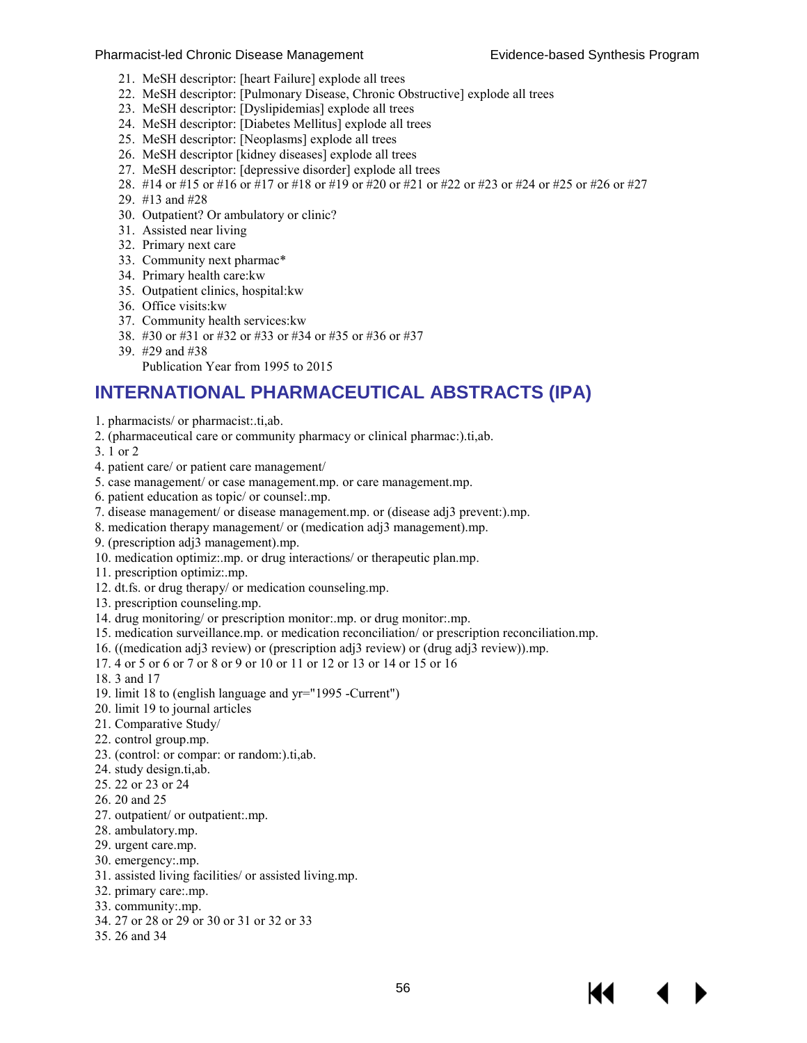- 21. MeSH descriptor: [heart Failure] explode all trees
- 22. MeSH descriptor: [Pulmonary Disease, Chronic Obstructive] explode all trees
- 23. MeSH descriptor: [Dyslipidemias] explode all trees
- 24. MeSH descriptor: [Diabetes Mellitus] explode all trees
- 25. MeSH descriptor: [Neoplasms] explode all trees
- 26. MeSH descriptor [kidney diseases] explode all trees
- 27. MeSH descriptor: [depressive disorder] explode all trees
- 28. #14 or #15 or #16 or #17 or #18 or #19 or #20 or #21 or #22 or #23 or #24 or #25 or #26 or #27
- 29. #13 and #28
- 30. Outpatient? Or ambulatory or clinic?
- 31. Assisted near living
- 32. Primary next care
- 33. Community next pharmac\*
- 34. Primary health care:kw
- 35. Outpatient clinics, hospital:kw
- 36. Office visits:kw
- 37. Community health services:kw
- 38. #30 or #31 or #32 or #33 or #34 or #35 or #36 or #37
- 39. #29 and #38
	- Publication Year from 1995 to 2015

## **INTERNATIONAL PHARMACEUTICAL ABSTRACTS (IPA)**

- 1. pharmacists/ or pharmacist:.ti,ab.
- 2. (pharmaceutical care or community pharmacy or clinical pharmac:).ti,ab.

3. 1 or 2

- 4. patient care/ or patient care management/
- 5. case management/ or case management.mp. or care management.mp.
- 6. patient education as topic/ or counsel:.mp.
- 7. disease management/ or disease management.mp. or (disease adj3 prevent:).mp.
- 8. medication therapy management/ or (medication adj3 management).mp.
- 9. (prescription adj3 management).mp.
- 10. medication optimiz:.mp. or drug interactions/ or therapeutic plan.mp.
- 11. prescription optimiz:.mp.
- 12. dt.fs. or drug therapy/ or medication counseling.mp.
- 13. prescription counseling.mp.
- 14. drug monitoring/ or prescription monitor:.mp. or drug monitor:.mp.
- 15. medication surveillance.mp. or medication reconciliation/ or prescription reconciliation.mp.
- 16. ((medication adj3 review) or (prescription adj3 review) or (drug adj3 review)).mp.
- 17. 4 or 5 or 6 or 7 or 8 or 9 or 10 or 11 or 12 or 13 or 14 or 15 or 16
- 18. 3 and 17
- 19. limit 18 to (english language and yr="1995 -Current")
- 20. limit 19 to journal articles
- 21. Comparative Study/
- 22. control group.mp.
- 23. (control: or compar: or random:).ti,ab.
- 24. study design.ti,ab.
- 25. 22 or 23 or 24
- 26. 20 and 25
- 27. outpatient/ or outpatient:.mp.
- 28. ambulatory.mp.
- 29. urgent care.mp.
- 30. emergency:.mp.
- 31. assisted living facilities/ or assisted living.mp.
- 32. primary care:.mp.
- 33. community:.mp.
- 34. 27 or 28 or 29 or 30 or 31 or 32 or 33
- 35. 26 and 34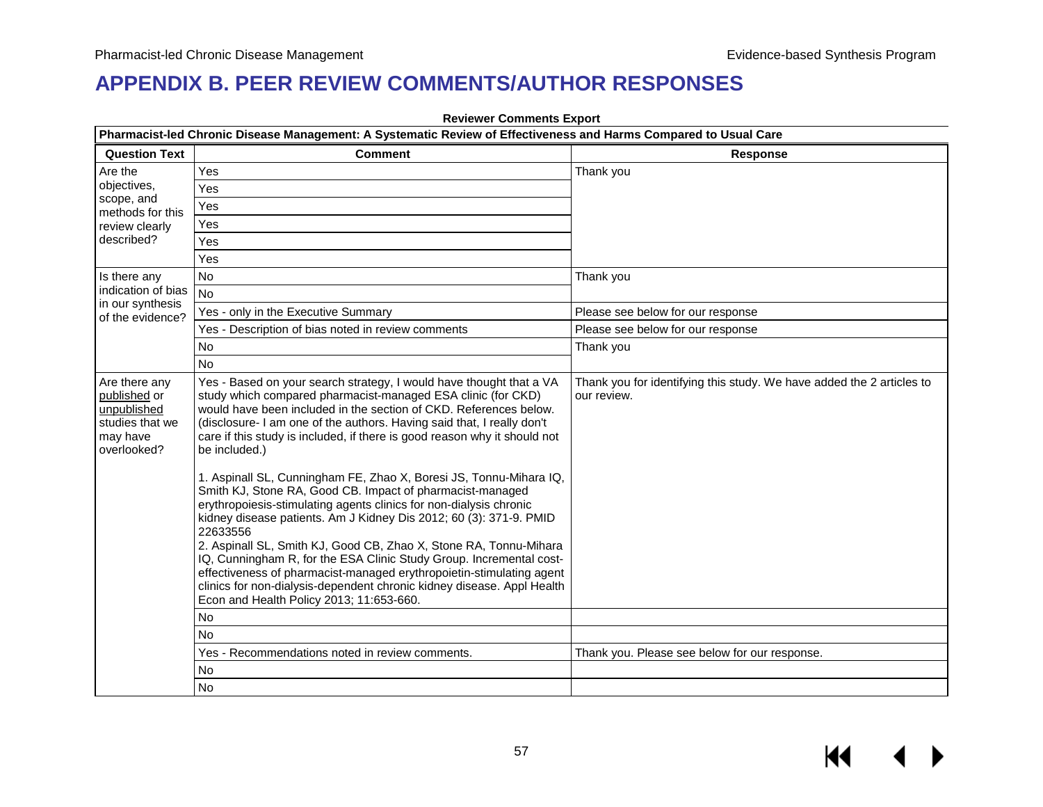## **APPENDIX B. PEER REVIEW COMMENTS/AUTHOR RESPONSES**

|                                                                                            | Pharmacist-led Chronic Disease Management: A Systematic Review of Effectiveness and Harms Compared to Usual Care                                                                                                                                                                                                                                                                                                                                                                                                                                                                                                                                                                                                                                                                                                                                                                                                                                                                                                      |                                                                                      |  |  |  |
|--------------------------------------------------------------------------------------------|-----------------------------------------------------------------------------------------------------------------------------------------------------------------------------------------------------------------------------------------------------------------------------------------------------------------------------------------------------------------------------------------------------------------------------------------------------------------------------------------------------------------------------------------------------------------------------------------------------------------------------------------------------------------------------------------------------------------------------------------------------------------------------------------------------------------------------------------------------------------------------------------------------------------------------------------------------------------------------------------------------------------------|--------------------------------------------------------------------------------------|--|--|--|
| <b>Question Text</b>                                                                       | <b>Comment</b>                                                                                                                                                                                                                                                                                                                                                                                                                                                                                                                                                                                                                                                                                                                                                                                                                                                                                                                                                                                                        | <b>Response</b>                                                                      |  |  |  |
| Are the                                                                                    | Yes                                                                                                                                                                                                                                                                                                                                                                                                                                                                                                                                                                                                                                                                                                                                                                                                                                                                                                                                                                                                                   | Thank you                                                                            |  |  |  |
| objectives,                                                                                | Yes                                                                                                                                                                                                                                                                                                                                                                                                                                                                                                                                                                                                                                                                                                                                                                                                                                                                                                                                                                                                                   |                                                                                      |  |  |  |
| scope, and<br>methods for this                                                             | Yes                                                                                                                                                                                                                                                                                                                                                                                                                                                                                                                                                                                                                                                                                                                                                                                                                                                                                                                                                                                                                   |                                                                                      |  |  |  |
| review clearly                                                                             | Yes                                                                                                                                                                                                                                                                                                                                                                                                                                                                                                                                                                                                                                                                                                                                                                                                                                                                                                                                                                                                                   |                                                                                      |  |  |  |
| described?                                                                                 | Yes                                                                                                                                                                                                                                                                                                                                                                                                                                                                                                                                                                                                                                                                                                                                                                                                                                                                                                                                                                                                                   |                                                                                      |  |  |  |
|                                                                                            | Yes                                                                                                                                                                                                                                                                                                                                                                                                                                                                                                                                                                                                                                                                                                                                                                                                                                                                                                                                                                                                                   |                                                                                      |  |  |  |
| Is there any                                                                               | No                                                                                                                                                                                                                                                                                                                                                                                                                                                                                                                                                                                                                                                                                                                                                                                                                                                                                                                                                                                                                    | Thank you                                                                            |  |  |  |
| indication of bias                                                                         | <b>No</b>                                                                                                                                                                                                                                                                                                                                                                                                                                                                                                                                                                                                                                                                                                                                                                                                                                                                                                                                                                                                             |                                                                                      |  |  |  |
| in our synthesis<br>of the evidence?                                                       | Yes - only in the Executive Summary                                                                                                                                                                                                                                                                                                                                                                                                                                                                                                                                                                                                                                                                                                                                                                                                                                                                                                                                                                                   | Please see below for our response                                                    |  |  |  |
|                                                                                            | Yes - Description of bias noted in review comments                                                                                                                                                                                                                                                                                                                                                                                                                                                                                                                                                                                                                                                                                                                                                                                                                                                                                                                                                                    | Please see below for our response                                                    |  |  |  |
|                                                                                            | No                                                                                                                                                                                                                                                                                                                                                                                                                                                                                                                                                                                                                                                                                                                                                                                                                                                                                                                                                                                                                    | Thank you                                                                            |  |  |  |
|                                                                                            | <b>No</b>                                                                                                                                                                                                                                                                                                                                                                                                                                                                                                                                                                                                                                                                                                                                                                                                                                                                                                                                                                                                             |                                                                                      |  |  |  |
| Are there any<br>published or<br>unpublished<br>studies that we<br>may have<br>overlooked? | Yes - Based on your search strategy, I would have thought that a VA<br>study which compared pharmacist-managed ESA clinic (for CKD)<br>would have been included in the section of CKD. References below.<br>(disclosure- I am one of the authors. Having said that, I really don't<br>care if this study is included, if there is good reason why it should not<br>be included.)<br>1. Aspinall SL, Cunningham FE, Zhao X, Boresi JS, Tonnu-Mihara IQ,<br>Smith KJ, Stone RA, Good CB. Impact of pharmacist-managed<br>erythropoiesis-stimulating agents clinics for non-dialysis chronic<br>kidney disease patients. Am J Kidney Dis 2012; 60 (3): 371-9. PMID<br>22633556<br>2. Aspinall SL, Smith KJ, Good CB, Zhao X, Stone RA, Tonnu-Mihara<br>IQ, Cunningham R, for the ESA Clinic Study Group. Incremental cost-<br>effectiveness of pharmacist-managed erythropoietin-stimulating agent<br>clinics for non-dialysis-dependent chronic kidney disease. Appl Health<br>Econ and Health Policy 2013; 11:653-660. | Thank you for identifying this study. We have added the 2 articles to<br>our review. |  |  |  |
|                                                                                            | <b>No</b>                                                                                                                                                                                                                                                                                                                                                                                                                                                                                                                                                                                                                                                                                                                                                                                                                                                                                                                                                                                                             |                                                                                      |  |  |  |
|                                                                                            | No                                                                                                                                                                                                                                                                                                                                                                                                                                                                                                                                                                                                                                                                                                                                                                                                                                                                                                                                                                                                                    |                                                                                      |  |  |  |
|                                                                                            | Yes - Recommendations noted in review comments.                                                                                                                                                                                                                                                                                                                                                                                                                                                                                                                                                                                                                                                                                                                                                                                                                                                                                                                                                                       | Thank you. Please see below for our response.                                        |  |  |  |
|                                                                                            | No                                                                                                                                                                                                                                                                                                                                                                                                                                                                                                                                                                                                                                                                                                                                                                                                                                                                                                                                                                                                                    |                                                                                      |  |  |  |
|                                                                                            | No                                                                                                                                                                                                                                                                                                                                                                                                                                                                                                                                                                                                                                                                                                                                                                                                                                                                                                                                                                                                                    |                                                                                      |  |  |  |

**Reviewer Comments Export**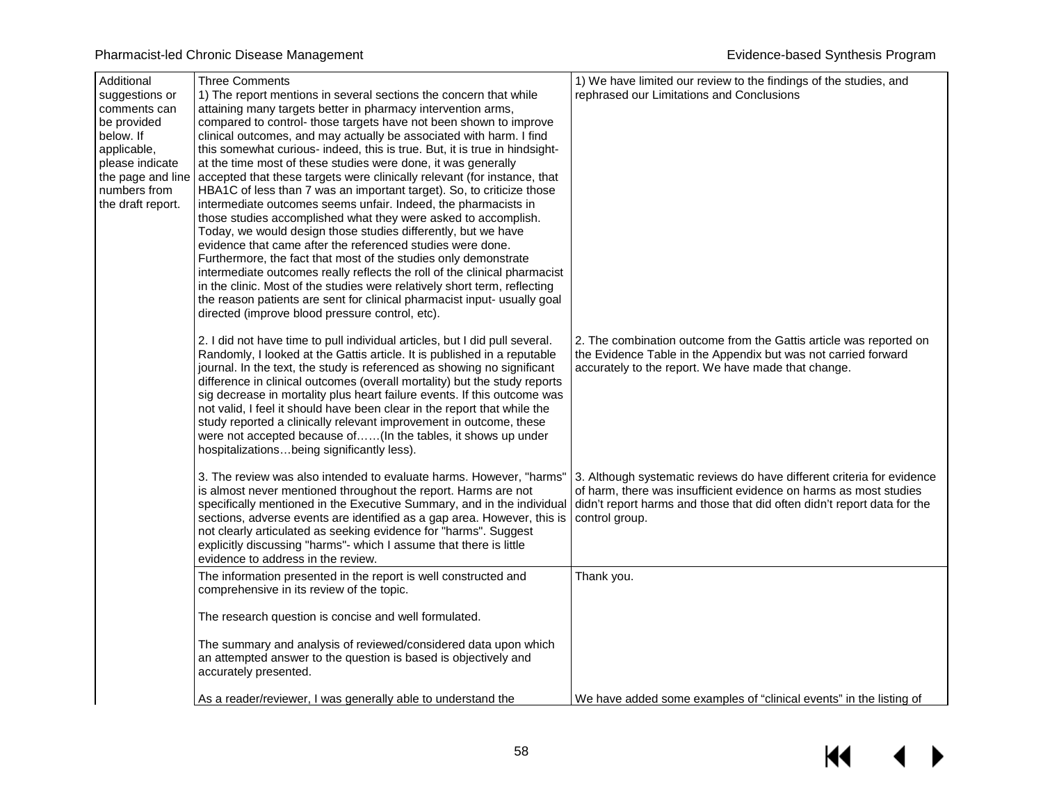| Additional<br>suggestions or<br>comments can<br>be provided<br>below. If<br>applicable,<br>please indicate<br>the page and line<br>numbers from<br>the draft report. | <b>Three Comments</b><br>1) The report mentions in several sections the concern that while<br>attaining many targets better in pharmacy intervention arms,<br>compared to control- those targets have not been shown to improve<br>clinical outcomes, and may actually be associated with harm. I find<br>this somewhat curious- indeed, this is true. But, it is true in hindsight-<br>at the time most of these studies were done, it was generally<br>accepted that these targets were clinically relevant (for instance, that<br>HBA1C of less than 7 was an important target). So, to criticize those<br>intermediate outcomes seems unfair. Indeed, the pharmacists in<br>those studies accomplished what they were asked to accomplish.<br>Today, we would design those studies differently, but we have<br>evidence that came after the referenced studies were done.<br>Furthermore, the fact that most of the studies only demonstrate<br>intermediate outcomes really reflects the roll of the clinical pharmacist<br>in the clinic. Most of the studies were relatively short term, reflecting<br>the reason patients are sent for clinical pharmacist input- usually goal<br>directed (improve blood pressure control, etc). | 1) We have limited our review to the findings of the studies, and<br>rephrased our Limitations and Conclusions                                                                                                                           |
|----------------------------------------------------------------------------------------------------------------------------------------------------------------------|-------------------------------------------------------------------------------------------------------------------------------------------------------------------------------------------------------------------------------------------------------------------------------------------------------------------------------------------------------------------------------------------------------------------------------------------------------------------------------------------------------------------------------------------------------------------------------------------------------------------------------------------------------------------------------------------------------------------------------------------------------------------------------------------------------------------------------------------------------------------------------------------------------------------------------------------------------------------------------------------------------------------------------------------------------------------------------------------------------------------------------------------------------------------------------------------------------------------------------------------|------------------------------------------------------------------------------------------------------------------------------------------------------------------------------------------------------------------------------------------|
|                                                                                                                                                                      | 2. I did not have time to pull individual articles, but I did pull several.<br>Randomly, I looked at the Gattis article. It is published in a reputable<br>journal. In the text, the study is referenced as showing no significant<br>difference in clinical outcomes (overall mortality) but the study reports<br>sig decrease in mortality plus heart failure events. If this outcome was<br>not valid, I feel it should have been clear in the report that while the<br>study reported a clinically relevant improvement in outcome, these<br>were not accepted because of(In the tables, it shows up under<br>hospitalizationsbeing significantly less).                                                                                                                                                                                                                                                                                                                                                                                                                                                                                                                                                                              | 2. The combination outcome from the Gattis article was reported on<br>the Evidence Table in the Appendix but was not carried forward<br>accurately to the report. We have made that change.                                              |
|                                                                                                                                                                      | 3. The review was also intended to evaluate harms. However, "harms"<br>is almost never mentioned throughout the report. Harms are not<br>specifically mentioned in the Executive Summary, and in the individual<br>sections, adverse events are identified as a gap area. However, this is<br>not clearly articulated as seeking evidence for "harms". Suggest<br>explicitly discussing "harms"- which I assume that there is little<br>evidence to address in the review.                                                                                                                                                                                                                                                                                                                                                                                                                                                                                                                                                                                                                                                                                                                                                                | 3. Although systematic reviews do have different criteria for evidence<br>of harm, there was insufficient evidence on harms as most studies<br>didn't report harms and those that did often didn't report data for the<br>control group. |
|                                                                                                                                                                      | The information presented in the report is well constructed and<br>comprehensive in its review of the topic.                                                                                                                                                                                                                                                                                                                                                                                                                                                                                                                                                                                                                                                                                                                                                                                                                                                                                                                                                                                                                                                                                                                              | Thank you.                                                                                                                                                                                                                               |
|                                                                                                                                                                      | The research question is concise and well formulated.                                                                                                                                                                                                                                                                                                                                                                                                                                                                                                                                                                                                                                                                                                                                                                                                                                                                                                                                                                                                                                                                                                                                                                                     |                                                                                                                                                                                                                                          |
|                                                                                                                                                                      | The summary and analysis of reviewed/considered data upon which<br>an attempted answer to the question is based is objectively and<br>accurately presented.                                                                                                                                                                                                                                                                                                                                                                                                                                                                                                                                                                                                                                                                                                                                                                                                                                                                                                                                                                                                                                                                               |                                                                                                                                                                                                                                          |
|                                                                                                                                                                      | As a reader/reviewer, I was generally able to understand the                                                                                                                                                                                                                                                                                                                                                                                                                                                                                                                                                                                                                                                                                                                                                                                                                                                                                                                                                                                                                                                                                                                                                                              | We have added some examples of "clinical events" in the listing of                                                                                                                                                                       |

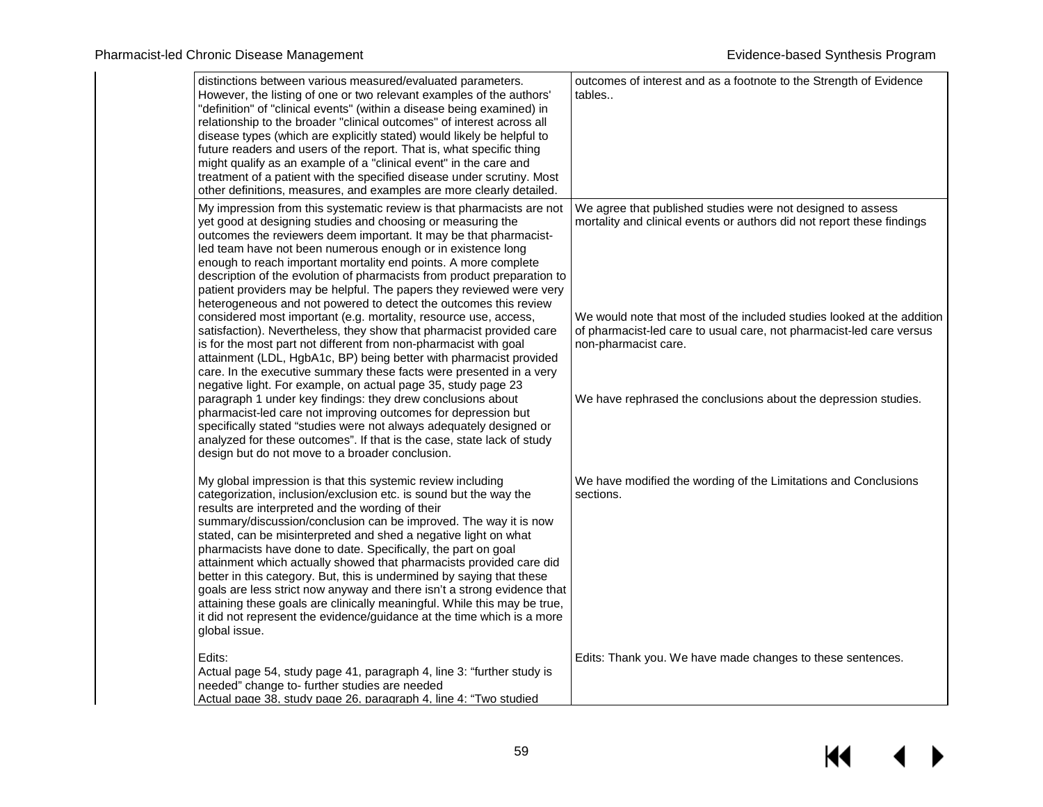| distinctions between various measured/evaluated parameters.<br>However, the listing of one or two relevant examples of the authors'<br>"definition" of "clinical events" (within a disease being examined) in<br>relationship to the broader "clinical outcomes" of interest across all<br>disease types (which are explicitly stated) would likely be helpful to<br>future readers and users of the report. That is, what specific thing<br>might qualify as an example of a "clinical event" in the care and<br>treatment of a patient with the specified disease under scrutiny. Most<br>other definitions, measures, and examples are more clearly detailed.                                                                                                                               | outcomes of interest and as a footnote to the Strength of Evidence<br>tables                                                                                           |
|------------------------------------------------------------------------------------------------------------------------------------------------------------------------------------------------------------------------------------------------------------------------------------------------------------------------------------------------------------------------------------------------------------------------------------------------------------------------------------------------------------------------------------------------------------------------------------------------------------------------------------------------------------------------------------------------------------------------------------------------------------------------------------------------|------------------------------------------------------------------------------------------------------------------------------------------------------------------------|
| My impression from this systematic review is that pharmacists are not<br>yet good at designing studies and choosing or measuring the<br>outcomes the reviewers deem important. It may be that pharmacist-<br>led team have not been numerous enough or in existence long<br>enough to reach important mortality end points. A more complete<br>description of the evolution of pharmacists from product preparation to<br>patient providers may be helpful. The papers they reviewed were very<br>heterogeneous and not powered to detect the outcomes this review                                                                                                                                                                                                                             | We agree that published studies were not designed to assess<br>mortality and clinical events or authors did not report these findings                                  |
| considered most important (e.g. mortality, resource use, access,<br>satisfaction). Nevertheless, they show that pharmacist provided care<br>is for the most part not different from non-pharmacist with goal<br>attainment (LDL, HgbA1c, BP) being better with pharmacist provided<br>care. In the executive summary these facts were presented in a very<br>negative light. For example, on actual page 35, study page 23                                                                                                                                                                                                                                                                                                                                                                     | We would note that most of the included studies looked at the addition<br>of pharmacist-led care to usual care, not pharmacist-led care versus<br>non-pharmacist care. |
| paragraph 1 under key findings: they drew conclusions about<br>pharmacist-led care not improving outcomes for depression but<br>specifically stated "studies were not always adequately designed or<br>analyzed for these outcomes". If that is the case, state lack of study<br>design but do not move to a broader conclusion.                                                                                                                                                                                                                                                                                                                                                                                                                                                               | We have rephrased the conclusions about the depression studies.                                                                                                        |
| My global impression is that this systemic review including<br>categorization, inclusion/exclusion etc. is sound but the way the<br>results are interpreted and the wording of their<br>summary/discussion/conclusion can be improved. The way it is now<br>stated, can be misinterpreted and shed a negative light on what<br>pharmacists have done to date. Specifically, the part on goal<br>attainment which actually showed that pharmacists provided care did<br>better in this category. But, this is undermined by saying that these<br>goals are less strict now anyway and there isn't a strong evidence that<br>attaining these goals are clinically meaningful. While this may be true,<br>it did not represent the evidence/guidance at the time which is a more<br>global issue. | We have modified the wording of the Limitations and Conclusions<br>sections.                                                                                           |
| Edits:<br>Actual page 54, study page 41, paragraph 4, line 3: "further study is<br>needed" change to- further studies are needed<br>Actual page 38, study page 26, paragraph 4, line 4: "Two studied                                                                                                                                                                                                                                                                                                                                                                                                                                                                                                                                                                                           | Edits: Thank you. We have made changes to these sentences.                                                                                                             |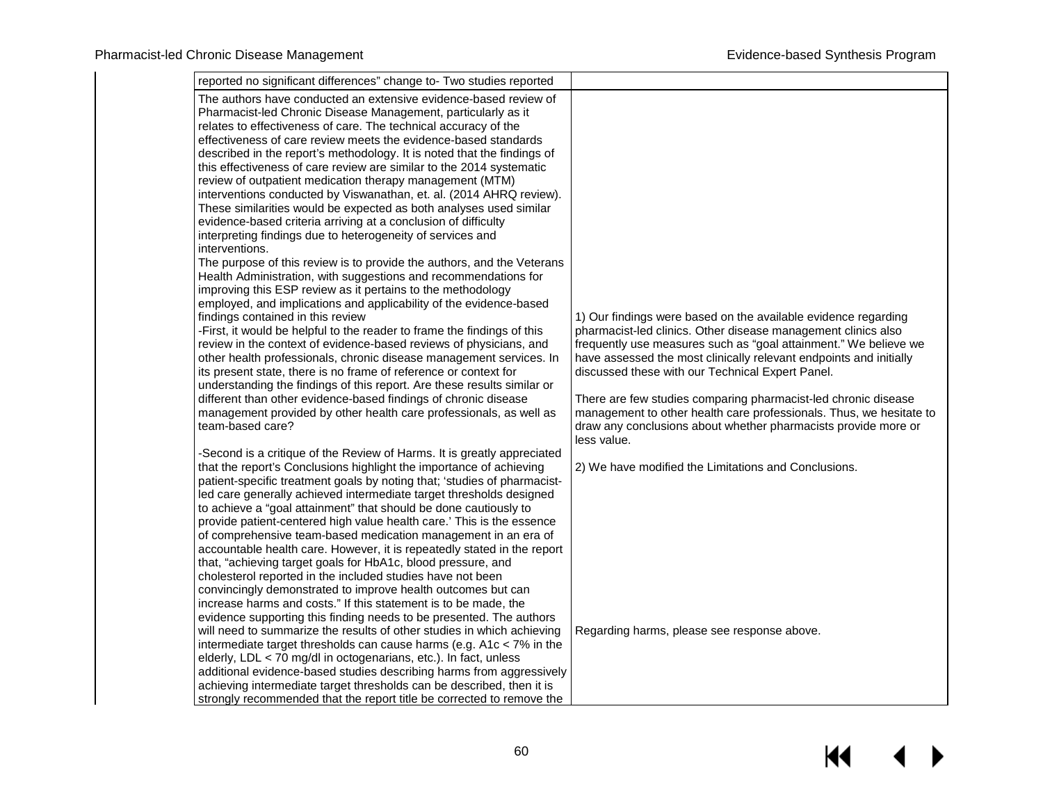| reported no significant differences" change to- Two studies reported                                                                                                                                                                                                                                                                                                                                                                                                                                                                                                                                                                                                                                                                                                                                                                                                                                                                                                                                                                                                                                                                                                                                                                                                                                                                                                                                                                                                                                                                                                                                                                             |                                                                                                                                                                                                                                                                                                                                                                                                                                                                                                                                                         |
|--------------------------------------------------------------------------------------------------------------------------------------------------------------------------------------------------------------------------------------------------------------------------------------------------------------------------------------------------------------------------------------------------------------------------------------------------------------------------------------------------------------------------------------------------------------------------------------------------------------------------------------------------------------------------------------------------------------------------------------------------------------------------------------------------------------------------------------------------------------------------------------------------------------------------------------------------------------------------------------------------------------------------------------------------------------------------------------------------------------------------------------------------------------------------------------------------------------------------------------------------------------------------------------------------------------------------------------------------------------------------------------------------------------------------------------------------------------------------------------------------------------------------------------------------------------------------------------------------------------------------------------------------|---------------------------------------------------------------------------------------------------------------------------------------------------------------------------------------------------------------------------------------------------------------------------------------------------------------------------------------------------------------------------------------------------------------------------------------------------------------------------------------------------------------------------------------------------------|
| The authors have conducted an extensive evidence-based review of<br>Pharmacist-led Chronic Disease Management, particularly as it<br>relates to effectiveness of care. The technical accuracy of the<br>effectiveness of care review meets the evidence-based standards<br>described in the report's methodology. It is noted that the findings of<br>this effectiveness of care review are similar to the 2014 systematic<br>review of outpatient medication therapy management (MTM)<br>interventions conducted by Viswanathan, et. al. (2014 AHRQ review).<br>These similarities would be expected as both analyses used similar<br>evidence-based criteria arriving at a conclusion of difficulty<br>interpreting findings due to heterogeneity of services and<br>interventions.<br>The purpose of this review is to provide the authors, and the Veterans<br>Health Administration, with suggestions and recommendations for<br>improving this ESP review as it pertains to the methodology<br>employed, and implications and applicability of the evidence-based<br>findings contained in this review<br>-First, it would be helpful to the reader to frame the findings of this<br>review in the context of evidence-based reviews of physicians, and<br>other health professionals, chronic disease management services. In<br>its present state, there is no frame of reference or context for<br>understanding the findings of this report. Are these results similar or<br>different than other evidence-based findings of chronic disease<br>management provided by other health care professionals, as well as<br>team-based care? | 1) Our findings were based on the available evidence regarding<br>pharmacist-led clinics. Other disease management clinics also<br>frequently use measures such as "goal attainment." We believe we<br>have assessed the most clinically relevant endpoints and initially<br>discussed these with our Technical Expert Panel.<br>There are few studies comparing pharmacist-led chronic disease<br>management to other health care professionals. Thus, we hesitate to<br>draw any conclusions about whether pharmacists provide more or<br>less value. |
| -Second is a critique of the Review of Harms. It is greatly appreciated<br>that the report's Conclusions highlight the importance of achieving<br>patient-specific treatment goals by noting that; 'studies of pharmacist-<br>led care generally achieved intermediate target thresholds designed<br>to achieve a "goal attainment" that should be done cautiously to<br>provide patient-centered high value health care.' This is the essence<br>of comprehensive team-based medication management in an era of<br>accountable health care. However, it is repeatedly stated in the report<br>that, "achieving target goals for HbA1c, blood pressure, and<br>cholesterol reported in the included studies have not been<br>convincingly demonstrated to improve health outcomes but can<br>increase harms and costs." If this statement is to be made, the<br>evidence supporting this finding needs to be presented. The authors<br>will need to summarize the results of other studies in which achieving<br>intermediate target thresholds can cause harms (e.g. $A1c < 7\%$ in the<br>elderly, LDL < 70 mg/dl in octogenarians, etc.). In fact, unless<br>additional evidence-based studies describing harms from aggressively<br>achieving intermediate target thresholds can be described, then it is<br>strongly recommended that the report title be corrected to remove the                                                                                                                                                                                                                                                           | 2) We have modified the Limitations and Conclusions.<br>Regarding harms, please see response above.                                                                                                                                                                                                                                                                                                                                                                                                                                                     |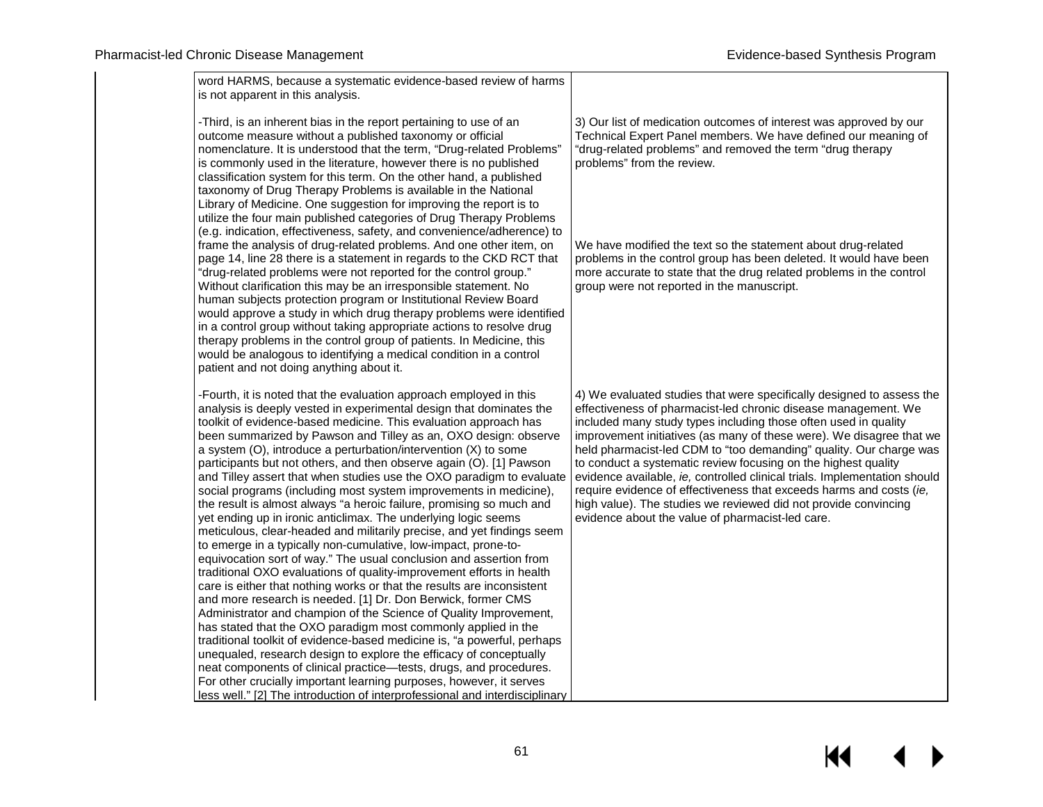| word HARMS, because a systematic evidence-based review of harms<br>is not apparent in this analysis.                                                                                                                                                                                                                                                                                                                                                                                                                                                                                                                                                                                                                                                                                                                                                                                                                                                                                                                                                                                                                                                                                                                                                                                                                                                                                                                                                                                                                                                                                                                                                                     |                                                                                                                                                                                                                                                                                                                                                                                                                                                                                                                                                                                                                                                                                                       |
|--------------------------------------------------------------------------------------------------------------------------------------------------------------------------------------------------------------------------------------------------------------------------------------------------------------------------------------------------------------------------------------------------------------------------------------------------------------------------------------------------------------------------------------------------------------------------------------------------------------------------------------------------------------------------------------------------------------------------------------------------------------------------------------------------------------------------------------------------------------------------------------------------------------------------------------------------------------------------------------------------------------------------------------------------------------------------------------------------------------------------------------------------------------------------------------------------------------------------------------------------------------------------------------------------------------------------------------------------------------------------------------------------------------------------------------------------------------------------------------------------------------------------------------------------------------------------------------------------------------------------------------------------------------------------|-------------------------------------------------------------------------------------------------------------------------------------------------------------------------------------------------------------------------------------------------------------------------------------------------------------------------------------------------------------------------------------------------------------------------------------------------------------------------------------------------------------------------------------------------------------------------------------------------------------------------------------------------------------------------------------------------------|
| -Third, is an inherent bias in the report pertaining to use of an<br>outcome measure without a published taxonomy or official<br>nomenclature. It is understood that the term, "Drug-related Problems"<br>is commonly used in the literature, however there is no published<br>classification system for this term. On the other hand, a published<br>taxonomy of Drug Therapy Problems is available in the National<br>Library of Medicine. One suggestion for improving the report is to                                                                                                                                                                                                                                                                                                                                                                                                                                                                                                                                                                                                                                                                                                                                                                                                                                                                                                                                                                                                                                                                                                                                                                               | 3) Our list of medication outcomes of interest was approved by our<br>Technical Expert Panel members. We have defined our meaning of<br>"drug-related problems" and removed the term "drug therapy<br>problems" from the review.                                                                                                                                                                                                                                                                                                                                                                                                                                                                      |
| utilize the four main published categories of Drug Therapy Problems<br>(e.g. indication, effectiveness, safety, and convenience/adherence) to<br>frame the analysis of drug-related problems. And one other item, on<br>page 14, line 28 there is a statement in regards to the CKD RCT that<br>"drug-related problems were not reported for the control group."<br>Without clarification this may be an irresponsible statement. No<br>human subjects protection program or Institutional Review Board<br>would approve a study in which drug therapy problems were identified<br>in a control group without taking appropriate actions to resolve drug<br>therapy problems in the control group of patients. In Medicine, this<br>would be analogous to identifying a medical condition in a control<br>patient and not doing anything about it.                                                                                                                                                                                                                                                                                                                                                                                                                                                                                                                                                                                                                                                                                                                                                                                                                       | We have modified the text so the statement about drug-related<br>problems in the control group has been deleted. It would have been<br>more accurate to state that the drug related problems in the control<br>group were not reported in the manuscript.                                                                                                                                                                                                                                                                                                                                                                                                                                             |
| -Fourth, it is noted that the evaluation approach employed in this<br>analysis is deeply vested in experimental design that dominates the<br>toolkit of evidence-based medicine. This evaluation approach has<br>been summarized by Pawson and Tilley as an, OXO design: observe<br>a system (O), introduce a perturbation/intervention (X) to some<br>participants but not others, and then observe again (O). [1] Pawson<br>and Tilley assert that when studies use the OXO paradigm to evaluate<br>social programs (including most system improvements in medicine),<br>the result is almost always "a heroic failure, promising so much and<br>yet ending up in ironic anticlimax. The underlying logic seems<br>meticulous, clear-headed and militarily precise, and yet findings seem<br>to emerge in a typically non-cumulative, low-impact, prone-to-<br>equivocation sort of way." The usual conclusion and assertion from<br>traditional OXO evaluations of quality-improvement efforts in health<br>care is either that nothing works or that the results are inconsistent<br>and more research is needed. [1] Dr. Don Berwick, former CMS<br>Administrator and champion of the Science of Quality Improvement,<br>has stated that the OXO paradigm most commonly applied in the<br>traditional toolkit of evidence-based medicine is, "a powerful, perhaps<br>unequaled, research design to explore the efficacy of conceptually<br>neat components of clinical practice-tests, drugs, and procedures.<br>For other crucially important learning purposes, however, it serves<br>less well." [2] The introduction of interprofessional and interdisciplinary | 4) We evaluated studies that were specifically designed to assess the<br>effectiveness of pharmacist-led chronic disease management. We<br>included many study types including those often used in quality<br>improvement initiatives (as many of these were). We disagree that we<br>held pharmacist-led CDM to "too demanding" quality. Our charge was<br>to conduct a systematic review focusing on the highest quality<br>evidence available, ie, controlled clinical trials. Implementation should<br>require evidence of effectiveness that exceeds harms and costs (ie,<br>high value). The studies we reviewed did not provide convincing<br>evidence about the value of pharmacist-led care. |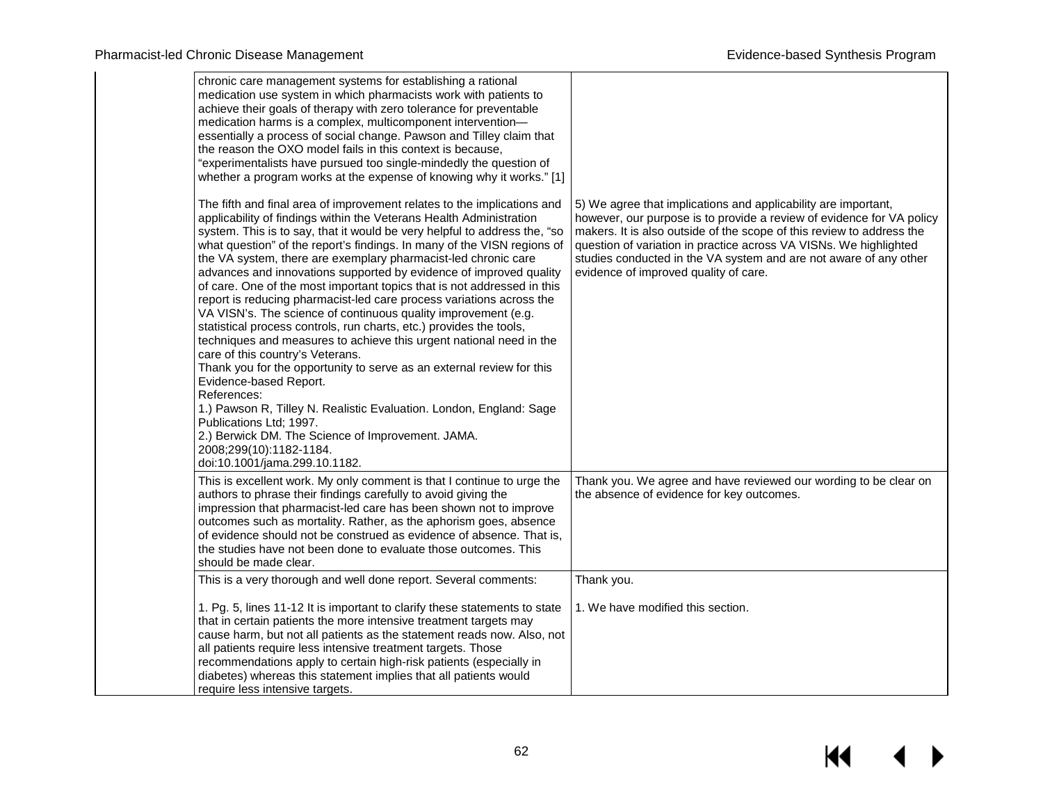| chronic care management systems for establishing a rational<br>medication use system in which pharmacists work with patients to<br>achieve their goals of therapy with zero tolerance for preventable<br>medication harms is a complex, multicomponent intervention-<br>essentially a process of social change. Pawson and Tilley claim that<br>the reason the OXO model fails in this context is because,<br>"experimentalists have pursued too single-mindedly the question of<br>whether a program works at the expense of knowing why it works." [1]                                                                                                                                                                                                                                                                                                                                                                                                                                                                                                                                                                                                                                   |                                                                                                                                                                                                                                                                                                                                                                                                     |
|--------------------------------------------------------------------------------------------------------------------------------------------------------------------------------------------------------------------------------------------------------------------------------------------------------------------------------------------------------------------------------------------------------------------------------------------------------------------------------------------------------------------------------------------------------------------------------------------------------------------------------------------------------------------------------------------------------------------------------------------------------------------------------------------------------------------------------------------------------------------------------------------------------------------------------------------------------------------------------------------------------------------------------------------------------------------------------------------------------------------------------------------------------------------------------------------|-----------------------------------------------------------------------------------------------------------------------------------------------------------------------------------------------------------------------------------------------------------------------------------------------------------------------------------------------------------------------------------------------------|
| The fifth and final area of improvement relates to the implications and<br>applicability of findings within the Veterans Health Administration<br>system. This is to say, that it would be very helpful to address the, "so<br>what question" of the report's findings. In many of the VISN regions of<br>the VA system, there are exemplary pharmacist-led chronic care<br>advances and innovations supported by evidence of improved quality<br>of care. One of the most important topics that is not addressed in this<br>report is reducing pharmacist-led care process variations across the<br>VA VISN's. The science of continuous quality improvement (e.g.<br>statistical process controls, run charts, etc.) provides the tools,<br>techniques and measures to achieve this urgent national need in the<br>care of this country's Veterans.<br>Thank you for the opportunity to serve as an external review for this<br>Evidence-based Report.<br>References:<br>1.) Pawson R, Tilley N. Realistic Evaluation. London, England: Sage<br>Publications Ltd; 1997.<br>2.) Berwick DM. The Science of Improvement. JAMA.<br>2008;299(10):1182-1184.<br>doi:10.1001/jama.299.10.1182. | 5) We agree that implications and applicability are important,<br>however, our purpose is to provide a review of evidence for VA policy<br>makers. It is also outside of the scope of this review to address the<br>question of variation in practice across VA VISNs. We highlighted<br>studies conducted in the VA system and are not aware of any other<br>evidence of improved quality of care. |
| This is excellent work. My only comment is that I continue to urge the<br>authors to phrase their findings carefully to avoid giving the<br>impression that pharmacist-led care has been shown not to improve<br>outcomes such as mortality. Rather, as the aphorism goes, absence<br>of evidence should not be construed as evidence of absence. That is,<br>the studies have not been done to evaluate those outcomes. This<br>should be made clear.                                                                                                                                                                                                                                                                                                                                                                                                                                                                                                                                                                                                                                                                                                                                     | Thank you. We agree and have reviewed our wording to be clear on<br>the absence of evidence for key outcomes.                                                                                                                                                                                                                                                                                       |
| This is a very thorough and well done report. Several comments:                                                                                                                                                                                                                                                                                                                                                                                                                                                                                                                                                                                                                                                                                                                                                                                                                                                                                                                                                                                                                                                                                                                            | Thank you.                                                                                                                                                                                                                                                                                                                                                                                          |
| 1. Pg. 5, lines 11-12 It is important to clarify these statements to state<br>that in certain patients the more intensive treatment targets may<br>cause harm, but not all patients as the statement reads now. Also, not<br>all patients require less intensive treatment targets. Those<br>recommendations apply to certain high-risk patients (especially in<br>diabetes) whereas this statement implies that all patients would<br>require less intensive targets.                                                                                                                                                                                                                                                                                                                                                                                                                                                                                                                                                                                                                                                                                                                     | 1. We have modified this section.                                                                                                                                                                                                                                                                                                                                                                   |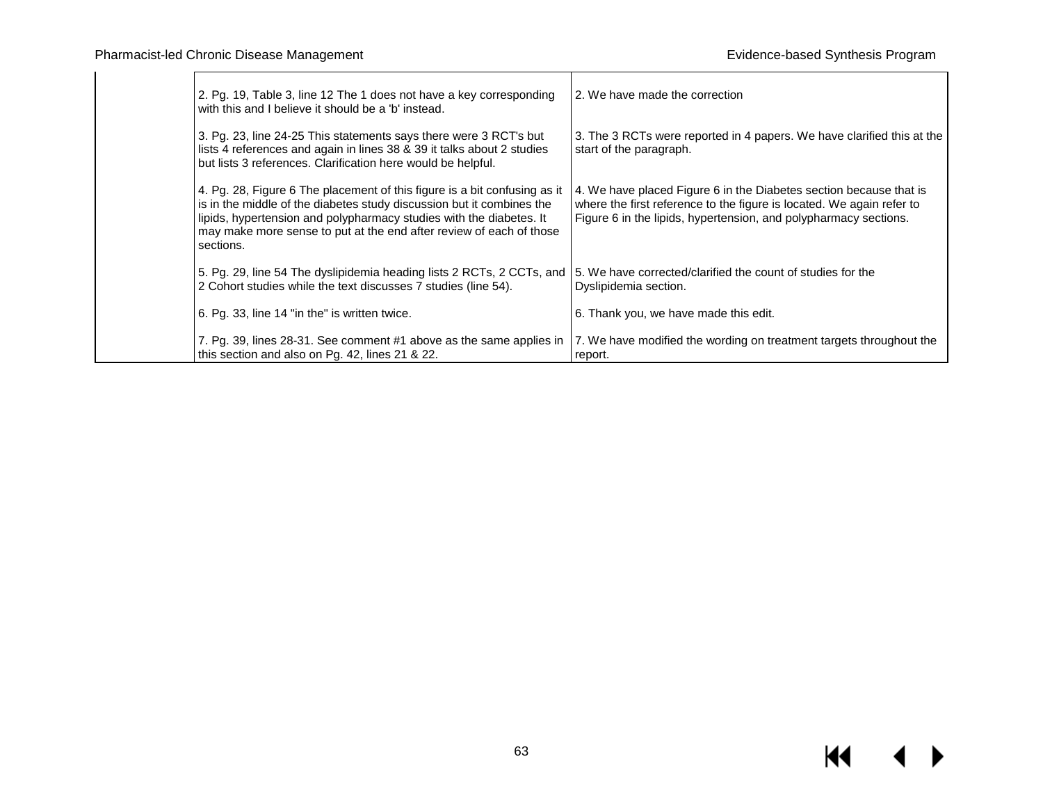| 2. Pg. 19, Table 3, line 12 The 1 does not have a key corresponding<br>with this and I believe it should be a 'b' instead.                                                                                                                                                                                    | 2. We have made the correction                                                                                                                                                                                  |
|---------------------------------------------------------------------------------------------------------------------------------------------------------------------------------------------------------------------------------------------------------------------------------------------------------------|-----------------------------------------------------------------------------------------------------------------------------------------------------------------------------------------------------------------|
| 3. Pg. 23, line 24-25 This statements says there were 3 RCT's but<br>lists 4 references and again in lines 38 & 39 it talks about 2 studies<br>but lists 3 references. Clarification here would be helpful.                                                                                                   | 3. The 3 RCTs were reported in 4 papers. We have clarified this at the<br>start of the paragraph.                                                                                                               |
| 4. Pg. 28, Figure 6 The placement of this figure is a bit confusing as it<br>is in the middle of the diabetes study discussion but it combines the<br>lipids, hypertension and polypharmacy studies with the diabetes. It<br>may make more sense to put at the end after review of each of those<br>sections. | 4. We have placed Figure 6 in the Diabetes section because that is<br>where the first reference to the figure is located. We again refer to<br>Figure 6 in the lipids, hypertension, and polypharmacy sections. |
| 5. Pg. 29, line 54 The dyslipidemia heading lists 2 RCTs, 2 CCTs, and<br>2 Cohort studies while the text discusses 7 studies (line 54).                                                                                                                                                                       | 5. We have corrected/clarified the count of studies for the<br>Dyslipidemia section.                                                                                                                            |
| 6. Pg. 33, line 14 "in the" is written twice.                                                                                                                                                                                                                                                                 | 6. Thank you, we have made this edit.                                                                                                                                                                           |
| 7. Pg. 39, lines 28-31. See comment #1 above as the same applies in<br>this section and also on Pg. 42, lines 21 & 22.                                                                                                                                                                                        | 7. We have modified the wording on treatment targets throughout the<br>report.                                                                                                                                  |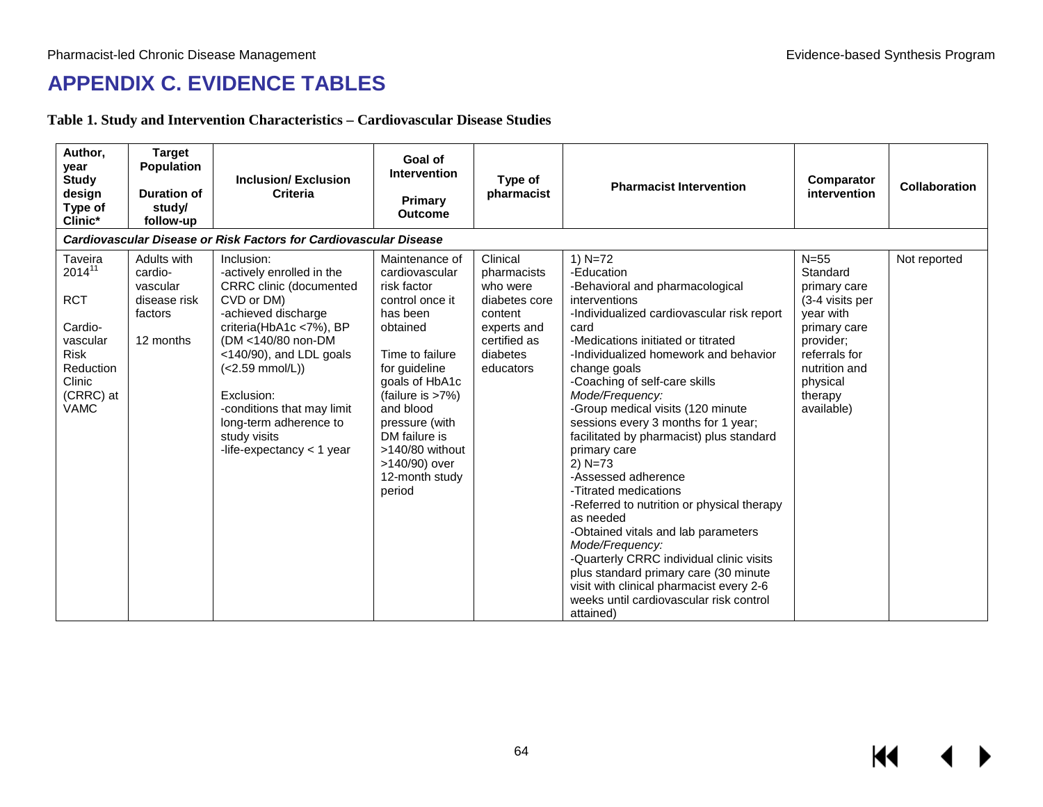# **APPENDIX C. EVIDENCE TABLES**

**Table 1. Study and Intervention Characteristics – Cardiovascular Disease Studies**

| Author,<br>year<br><b>Study</b><br>design<br>Type of<br>Clinic*                                                               | <b>Target</b><br><b>Population</b><br><b>Duration of</b><br>study/<br>follow-up | <b>Inclusion/Exclusion</b><br><b>Criteria</b>                                                                                                                                                                                                                                                                                        | Goal of<br>Intervention<br>Primary<br><b>Outcome</b>                                                                                                                                                                                                                                   | Type of<br>pharmacist                                                                                                   | <b>Pharmacist Intervention</b>                                                                                                                                                                                                                                                                                                                                                                                                                                                                                                                                                                                                                                                                                                                                                                          | Comparator<br>intervention                                                                                                                                             | <b>Collaboration</b> |  |  |
|-------------------------------------------------------------------------------------------------------------------------------|---------------------------------------------------------------------------------|--------------------------------------------------------------------------------------------------------------------------------------------------------------------------------------------------------------------------------------------------------------------------------------------------------------------------------------|----------------------------------------------------------------------------------------------------------------------------------------------------------------------------------------------------------------------------------------------------------------------------------------|-------------------------------------------------------------------------------------------------------------------------|---------------------------------------------------------------------------------------------------------------------------------------------------------------------------------------------------------------------------------------------------------------------------------------------------------------------------------------------------------------------------------------------------------------------------------------------------------------------------------------------------------------------------------------------------------------------------------------------------------------------------------------------------------------------------------------------------------------------------------------------------------------------------------------------------------|------------------------------------------------------------------------------------------------------------------------------------------------------------------------|----------------------|--|--|
|                                                                                                                               | Cardiovascular Disease or Risk Factors for Cardiovascular Disease               |                                                                                                                                                                                                                                                                                                                                      |                                                                                                                                                                                                                                                                                        |                                                                                                                         |                                                                                                                                                                                                                                                                                                                                                                                                                                                                                                                                                                                                                                                                                                                                                                                                         |                                                                                                                                                                        |                      |  |  |
| Taveira<br>$2014^{11}$<br><b>RCT</b><br>Cardio-<br>vascular<br><b>Risk</b><br>Reduction<br>Clinic<br>(CRRC) at<br><b>VAMC</b> | Adults with<br>cardio-<br>vascular<br>disease risk<br>factors<br>12 months      | Inclusion:<br>-actively enrolled in the<br><b>CRRC</b> clinic (documented<br>CVD or DM)<br>-achieved discharge<br>criteria(HbA1c <7%), BP<br>(DM <140/80 non-DM<br><140/90), and LDL goals<br>$(<2.59$ mmol/L))<br>Exclusion:<br>-conditions that may limit<br>long-term adherence to<br>study visits<br>-life-expectancy $<$ 1 year | Maintenance of<br>cardiovascular<br>risk factor<br>control once it<br>has been<br>obtained<br>Time to failure<br>for guideline<br>goals of HbA1c<br>(failure is >7%)<br>and blood<br>pressure (with<br>DM failure is<br>$>140/80$ without<br>>140/90) over<br>12-month study<br>period | Clinical<br>pharmacists<br>who were<br>diabetes core<br>content<br>experts and<br>certified as<br>diabetes<br>educators | 1) $N=72$<br>-Education<br>-Behavioral and pharmacological<br>interventions<br>-Individualized cardiovascular risk report<br>card<br>-Medications initiated or titrated<br>-Individualized homework and behavior<br>change goals<br>-Coaching of self-care skills<br>Mode/Frequency:<br>-Group medical visits (120 minute<br>sessions every 3 months for 1 year;<br>facilitated by pharmacist) plus standard<br>primary care<br>$2)$ N=73<br>-Assessed adherence<br>-Titrated medications<br>-Referred to nutrition or physical therapy<br>as needed<br>-Obtained vitals and lab parameters<br>Mode/Frequency:<br>-Quarterly CRRC individual clinic visits<br>plus standard primary care (30 minute<br>visit with clinical pharmacist every 2-6<br>weeks until cardiovascular risk control<br>attained) | $N=55$<br>Standard<br>primary care<br>(3-4 visits per<br>year with<br>primary care<br>provider;<br>referrals for<br>nutrition and<br>physical<br>therapy<br>available) | Not reported         |  |  |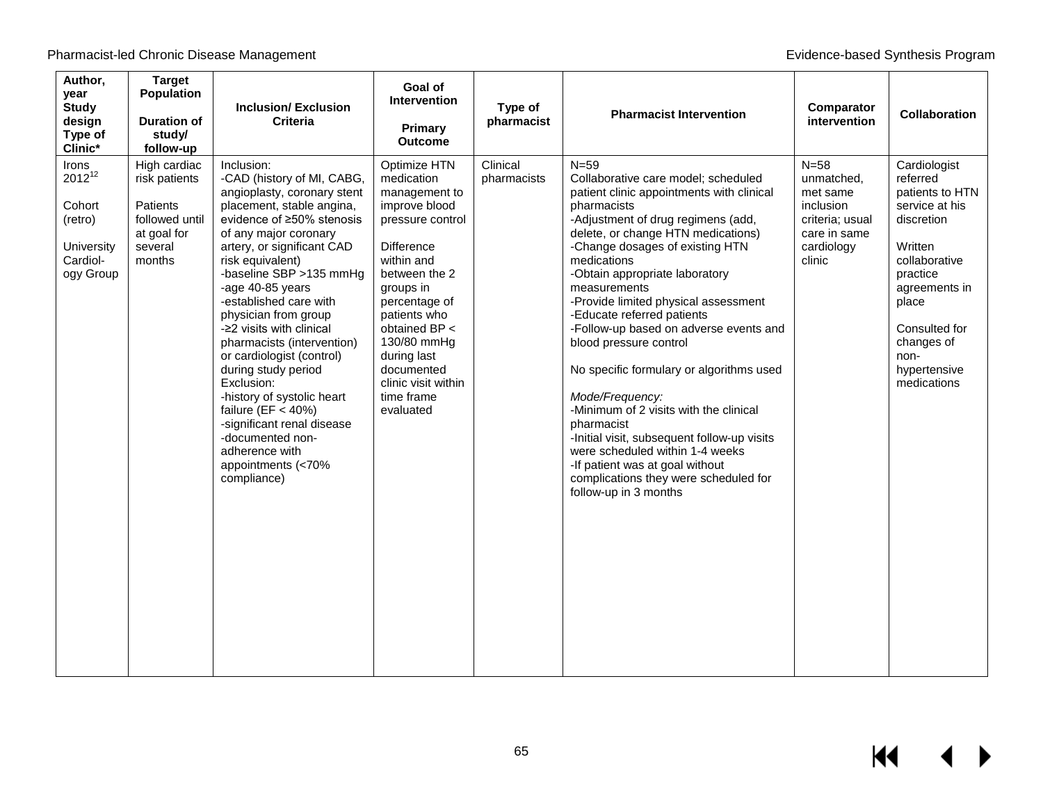| Author,<br>year<br><b>Study</b><br>design<br>Type of<br>Clinic*                  | <b>Target</b><br><b>Population</b><br><b>Duration of</b><br>study/<br>follow-up                 | <b>Inclusion/Exclusion</b><br><b>Criteria</b>                                                                                                                                                                                                                                                                                                                                                                                                                                                                                                                                                               | Goal of<br><b>Intervention</b><br>Primary<br><b>Outcome</b>                                                                                                                                                                                                                                       | Type of<br>pharmacist   | <b>Pharmacist Intervention</b>                                                                                                                                                                                                                                                                                                                                                                                                                                                                                                                                                                                                                                                                                                                      | Comparator<br>intervention                                                                               | <b>Collaboration</b>                                                                                                                                                                                                |
|----------------------------------------------------------------------------------|-------------------------------------------------------------------------------------------------|-------------------------------------------------------------------------------------------------------------------------------------------------------------------------------------------------------------------------------------------------------------------------------------------------------------------------------------------------------------------------------------------------------------------------------------------------------------------------------------------------------------------------------------------------------------------------------------------------------------|---------------------------------------------------------------------------------------------------------------------------------------------------------------------------------------------------------------------------------------------------------------------------------------------------|-------------------------|-----------------------------------------------------------------------------------------------------------------------------------------------------------------------------------------------------------------------------------------------------------------------------------------------------------------------------------------------------------------------------------------------------------------------------------------------------------------------------------------------------------------------------------------------------------------------------------------------------------------------------------------------------------------------------------------------------------------------------------------------------|----------------------------------------------------------------------------------------------------------|---------------------------------------------------------------------------------------------------------------------------------------------------------------------------------------------------------------------|
| Irons<br>$2012^{12}$<br>Cohort<br>(retro)<br>University<br>Cardiol-<br>ogy Group | High cardiac<br>risk patients<br>Patients<br>followed until<br>at goal for<br>several<br>months | Inclusion:<br>-CAD (history of MI, CABG,<br>angioplasty, coronary stent<br>placement, stable angina,<br>evidence of ≥50% stenosis<br>of any major coronary<br>artery, or significant CAD<br>risk equivalent)<br>-baseline SBP >135 mmHg<br>-age 40-85 years<br>-established care with<br>physician from group<br>-22 visits with clinical<br>pharmacists (intervention)<br>or cardiologist (control)<br>during study period<br>Exclusion:<br>-history of systolic heart<br>failure ( $EF < 40\%$ )<br>-significant renal disease<br>-documented non-<br>adherence with<br>appointments (<70%<br>compliance) | Optimize HTN<br>medication<br>management to<br>improve blood<br>pressure control<br><b>Difference</b><br>within and<br>between the 2<br>groups in<br>percentage of<br>patients who<br>obtained BP <<br>130/80 mmHg<br>during last<br>documented<br>clinic visit within<br>time frame<br>evaluated | Clinical<br>pharmacists | $N = 59$<br>Collaborative care model; scheduled<br>patient clinic appointments with clinical<br>pharmacists<br>-Adjustment of drug regimens (add,<br>delete, or change HTN medications)<br>-Change dosages of existing HTN<br>medications<br>-Obtain appropriate laboratory<br>measurements<br>-Provide limited physical assessment<br>-Educate referred patients<br>-Follow-up based on adverse events and<br>blood pressure control<br>No specific formulary or algorithms used<br>Mode/Frequency:<br>-Minimum of 2 visits with the clinical<br>pharmacist<br>-Initial visit, subsequent follow-up visits<br>were scheduled within 1-4 weeks<br>-If patient was at goal without<br>complications they were scheduled for<br>follow-up in 3 months | $N=58$<br>unmatched,<br>met same<br>inclusion<br>criteria; usual<br>care in same<br>cardiology<br>clinic | Cardiologist<br>referred<br>patients to HTN<br>service at his<br>discretion<br>Written<br>collaborative<br>practice<br>agreements in<br>place<br>Consulted for<br>changes of<br>non-<br>hypertensive<br>medications |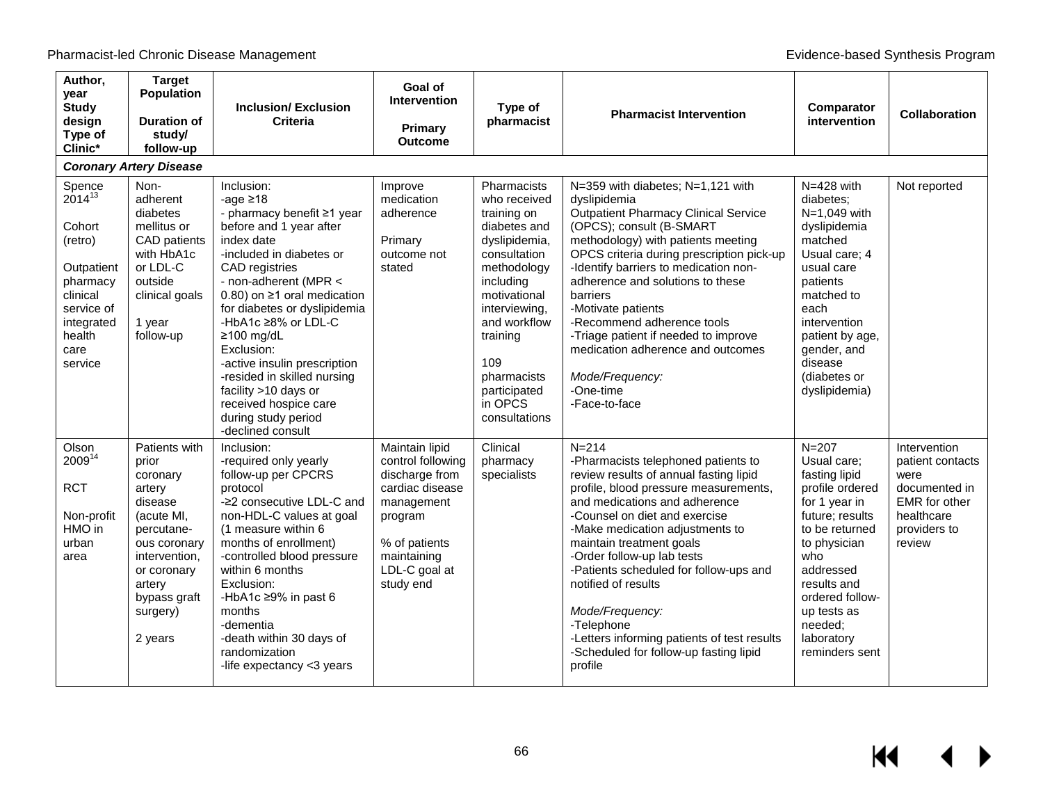$M$ 

 $\blacktriangleright$ 

| Author,<br>year<br><b>Study</b><br>design<br>Type of<br>Clinic*                                                                           | <b>Target</b><br><b>Population</b><br><b>Duration of</b><br>study/<br>follow-up                                                                                                      | <b>Inclusion/Exclusion</b><br><b>Criteria</b>                                                                                                                                                                                                                                                                                                                                                                                                                        | Goal of<br><b>Intervention</b><br><b>Primary</b><br><b>Outcome</b>                                                                                              | Type of<br>pharmacist                                                                                                                                                                                                                                  | <b>Pharmacist Intervention</b>                                                                                                                                                                                                                                                                                                                                                                                                                                                                           | Comparator<br>intervention                                                                                                                                                                                                                         | Collaboration                                                                                                             |
|-------------------------------------------------------------------------------------------------------------------------------------------|--------------------------------------------------------------------------------------------------------------------------------------------------------------------------------------|----------------------------------------------------------------------------------------------------------------------------------------------------------------------------------------------------------------------------------------------------------------------------------------------------------------------------------------------------------------------------------------------------------------------------------------------------------------------|-----------------------------------------------------------------------------------------------------------------------------------------------------------------|--------------------------------------------------------------------------------------------------------------------------------------------------------------------------------------------------------------------------------------------------------|----------------------------------------------------------------------------------------------------------------------------------------------------------------------------------------------------------------------------------------------------------------------------------------------------------------------------------------------------------------------------------------------------------------------------------------------------------------------------------------------------------|----------------------------------------------------------------------------------------------------------------------------------------------------------------------------------------------------------------------------------------------------|---------------------------------------------------------------------------------------------------------------------------|
|                                                                                                                                           | <b>Coronary Artery Disease</b>                                                                                                                                                       |                                                                                                                                                                                                                                                                                                                                                                                                                                                                      |                                                                                                                                                                 |                                                                                                                                                                                                                                                        |                                                                                                                                                                                                                                                                                                                                                                                                                                                                                                          |                                                                                                                                                                                                                                                    |                                                                                                                           |
| Spence<br>$2014^{13}$<br>Cohort<br>(retro)<br>Outpatient<br>pharmacy<br>clinical<br>service of<br>integrated<br>health<br>care<br>service | Non-<br>adherent<br>diabetes<br>mellitus or<br>CAD patients<br>with HbA1c<br>or LDL-C<br>outside<br>clinical goals<br>1 year<br>follow-up                                            | Inclusion:<br>-age $\geq$ 18<br>- pharmacy benefit ≥1 year<br>before and 1 year after<br>index date<br>-included in diabetes or<br>CAD registries<br>- non-adherent (MPR <<br>0.80) on $\geq$ 1 oral medication<br>for diabetes or dyslipidemia<br>-HbA1c ≥8% or LDL-C<br>$\geq$ 100 mg/dL<br>Exclusion:<br>-active insulin prescription<br>-resided in skilled nursing<br>facility >10 days or<br>received hospice care<br>during study period<br>-declined consult | Improve<br>medication<br>adherence<br>Primary<br>outcome not<br>stated                                                                                          | Pharmacists<br>who received<br>training on<br>diabetes and<br>dyslipidemia,<br>consultation<br>methodology<br>including<br>motivational<br>interviewing,<br>and workflow<br>training<br>109<br>pharmacists<br>participated<br>in OPCS<br>consultations | N=359 with diabetes; N=1,121 with<br>dyslipidemia<br><b>Outpatient Pharmacy Clinical Service</b><br>(OPCS); consult (B-SMART<br>methodology) with patients meeting<br>OPCS criteria during prescription pick-up<br>-Identify barriers to medication non-<br>adherence and solutions to these<br>barriers<br>-Motivate patients<br>-Recommend adherence tools<br>-Triage patient if needed to improve<br>medication adherence and outcomes<br>Mode/Frequency:<br>-One-time<br>-Face-to-face               | N=428 with<br>diabetes;<br>N=1,049 with<br>dyslipidemia<br>matched<br>Usual care; 4<br>usual care<br>patients<br>matched to<br>each<br>intervention<br>patient by age,<br>gender, and<br>disease<br>(diabetes or<br>dyslipidemia)                  | Not reported                                                                                                              |
| Olson<br>200914<br><b>RCT</b><br>Non-profit<br>HMO in<br>urban<br>area                                                                    | Patients with<br>prior<br>coronary<br>artery<br>disease<br>(acute MI.<br>percutane-<br>ous coronary<br>intervention.<br>or coronary<br>artery<br>bypass graft<br>surgery)<br>2 years | Inclusion:<br>-required only yearly<br>follow-up per CPCRS<br>protocol<br>-≥2 consecutive LDL-C and<br>non-HDL-C values at goal<br>(1 measure within 6<br>months of enrollment)<br>-controlled blood pressure<br>within 6 months<br>Exclusion:<br>-HbA1c $\geq$ 9% in past 6<br>months<br>-dementia<br>-death within 30 days of<br>randomization<br>-life expectancy <3 years                                                                                        | Maintain lipid<br>control following<br>discharge from<br>cardiac disease<br>management<br>program<br>% of patients<br>maintaining<br>LDL-C goal at<br>study end | Clinical<br>pharmacy<br>specialists                                                                                                                                                                                                                    | $N = 214$<br>-Pharmacists telephoned patients to<br>review results of annual fasting lipid<br>profile, blood pressure measurements,<br>and medications and adherence<br>-Counsel on diet and exercise<br>-Make medication adjustments to<br>maintain treatment goals<br>-Order follow-up lab tests<br>-Patients scheduled for follow-ups and<br>notified of results<br>Mode/Frequency:<br>-Telephone<br>-Letters informing patients of test results<br>-Scheduled for follow-up fasting lipid<br>profile | $N = 207$<br>Usual care;<br>fasting lipid<br>profile ordered<br>for 1 year in<br>future: results<br>to be returned<br>to physician<br>who<br>addressed<br>results and<br>ordered follow-<br>up tests as<br>needed;<br>laboratory<br>reminders sent | Intervention<br>patient contacts<br>were<br>documented in<br><b>EMR</b> for other<br>healthcare<br>providers to<br>review |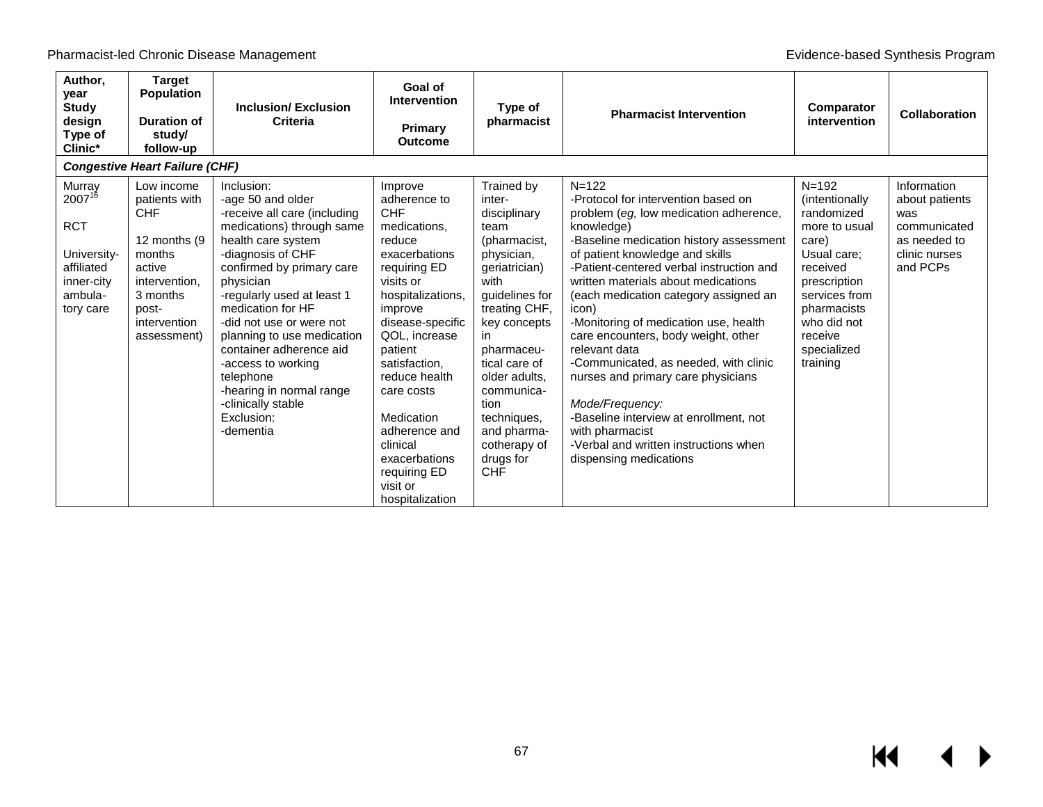| Author,<br>year<br><b>Study</b><br>design<br>Type of<br>Clinic*                                               | <b>Target</b><br><b>Population</b><br><b>Duration of</b><br>study/<br>follow-up                                                                     | <b>Inclusion/Exclusion</b><br>Criteria                                                                                                                                                                                                                                                                                                                                                                                                    | Goal of<br><b>Intervention</b><br>Primary<br><b>Outcome</b>                                                                                                                                                                                                                                                                                              | Type of<br>pharmacist                                                                                                                                                                                                                                                                                        | <b>Pharmacist Intervention</b>                                                                                                                                                                                                                                                                                                                                                                                                                                                                                                                                                                                                                                 | Comparator<br>intervention                                                                                                                                                                          | <b>Collaboration</b>                                                                              |
|---------------------------------------------------------------------------------------------------------------|-----------------------------------------------------------------------------------------------------------------------------------------------------|-------------------------------------------------------------------------------------------------------------------------------------------------------------------------------------------------------------------------------------------------------------------------------------------------------------------------------------------------------------------------------------------------------------------------------------------|----------------------------------------------------------------------------------------------------------------------------------------------------------------------------------------------------------------------------------------------------------------------------------------------------------------------------------------------------------|--------------------------------------------------------------------------------------------------------------------------------------------------------------------------------------------------------------------------------------------------------------------------------------------------------------|----------------------------------------------------------------------------------------------------------------------------------------------------------------------------------------------------------------------------------------------------------------------------------------------------------------------------------------------------------------------------------------------------------------------------------------------------------------------------------------------------------------------------------------------------------------------------------------------------------------------------------------------------------------|-----------------------------------------------------------------------------------------------------------------------------------------------------------------------------------------------------|---------------------------------------------------------------------------------------------------|
|                                                                                                               | <b>Congestive Heart Failure (CHF)</b>                                                                                                               |                                                                                                                                                                                                                                                                                                                                                                                                                                           |                                                                                                                                                                                                                                                                                                                                                          |                                                                                                                                                                                                                                                                                                              |                                                                                                                                                                                                                                                                                                                                                                                                                                                                                                                                                                                                                                                                |                                                                                                                                                                                                     |                                                                                                   |
| Murray<br>2007 <sup>16</sup><br><b>RCT</b><br>University-<br>affiliated<br>inner-city<br>ambula-<br>tory care | Low income<br>patients with<br><b>CHF</b><br>12 months (9)<br>months<br>active<br>intervention.<br>3 months<br>post-<br>intervention<br>assessment) | Inclusion:<br>-age 50 and older<br>-receive all care (including<br>medications) through same<br>health care system<br>-diagnosis of CHF<br>confirmed by primary care<br>physician<br>-regularly used at least 1<br>medication for HF<br>-did not use or were not<br>planning to use medication<br>container adherence aid<br>-access to working<br>telephone<br>-hearing in normal range<br>-clinically stable<br>Exclusion:<br>-dementia | Improve<br>adherence to<br><b>CHF</b><br>medications,<br>reduce<br>exacerbations<br>requiring ED<br>visits or<br>hospitalizations,<br>improve<br>disease-specific<br>QOL, increase<br>patient<br>satisfaction,<br>reduce health<br>care costs<br>Medication<br>adherence and<br>clinical<br>exacerbations<br>requiring ED<br>visit or<br>hospitalization | Trained by<br>inter-<br>disciplinary<br>team<br>(pharmacist,<br>physician,<br>geriatrician)<br>with<br>guidelines for<br>treating CHF,<br>key concepts<br>in.<br>pharmaceu-<br>tical care of<br>older adults.<br>communica-<br>tion<br>techniques,<br>and pharma-<br>cotherapy of<br>drugs for<br><b>CHF</b> | $N = 122$<br>-Protocol for intervention based on<br>problem (eg, low medication adherence,<br>knowledge)<br>-Baseline medication history assessment<br>of patient knowledge and skills<br>-Patient-centered verbal instruction and<br>written materials about medications<br>(each medication category assigned an<br>icon)<br>-Monitoring of medication use, health<br>care encounters, body weight, other<br>relevant data<br>-Communicated, as needed, with clinic<br>nurses and primary care physicians<br>Mode/Frequency:<br>-Baseline interview at enrollment, not<br>with pharmacist<br>-Verbal and written instructions when<br>dispensing medications | $N = 192$<br>(intentionally<br>randomized<br>more to usual<br>care)<br>Usual care;<br>received<br>prescription<br>services from<br>pharmacists<br>who did not<br>receive<br>specialized<br>training | Information<br>about patients<br>was<br>communicated<br>as needed to<br>clinic nurses<br>and PCPs |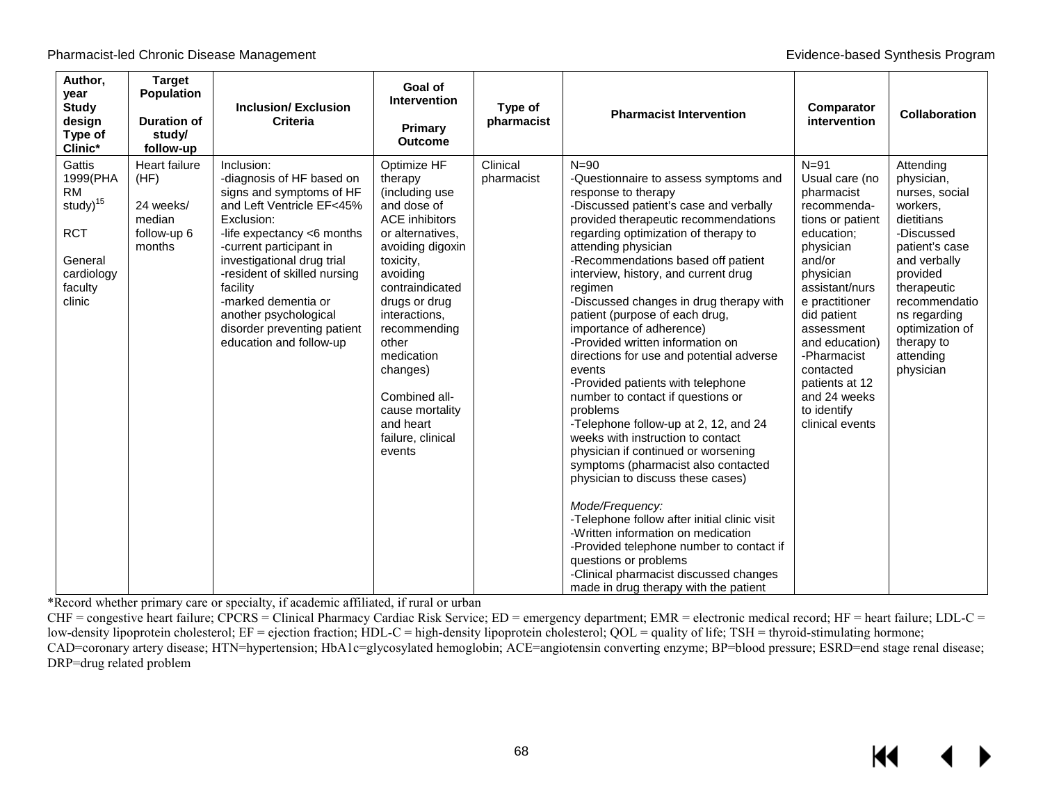KI

| Author,<br>year<br><b>Study</b><br>design<br>Type of<br>Clinic*                                                     | <b>Target</b><br><b>Population</b><br><b>Duration of</b><br>study/<br>follow-up | <b>Inclusion/Exclusion</b><br><b>Criteria</b>                                                                                                                                                                                                                                                                                                               | Goal of<br>Intervention<br>Primary<br><b>Outcome</b>                                                                                                                                                                                                                                                                                      | Type of<br>pharmacist  | <b>Pharmacist Intervention</b>                                                                                                                                                                                                                                                                                                                                                                                                                                                                                                                                                                                                                                                                                                                                                                                                                                                                                                                                                                                                                                                | Comparator<br>intervention                                                                                                                                                                                                                                                                                       | <b>Collaboration</b>                                                                                                                                                                                                                       |
|---------------------------------------------------------------------------------------------------------------------|---------------------------------------------------------------------------------|-------------------------------------------------------------------------------------------------------------------------------------------------------------------------------------------------------------------------------------------------------------------------------------------------------------------------------------------------------------|-------------------------------------------------------------------------------------------------------------------------------------------------------------------------------------------------------------------------------------------------------------------------------------------------------------------------------------------|------------------------|-------------------------------------------------------------------------------------------------------------------------------------------------------------------------------------------------------------------------------------------------------------------------------------------------------------------------------------------------------------------------------------------------------------------------------------------------------------------------------------------------------------------------------------------------------------------------------------------------------------------------------------------------------------------------------------------------------------------------------------------------------------------------------------------------------------------------------------------------------------------------------------------------------------------------------------------------------------------------------------------------------------------------------------------------------------------------------|------------------------------------------------------------------------------------------------------------------------------------------------------------------------------------------------------------------------------------------------------------------------------------------------------------------|--------------------------------------------------------------------------------------------------------------------------------------------------------------------------------------------------------------------------------------------|
| Gattis<br>1999(PHA<br><b>RM</b><br>study) <sup>15</sup><br><b>RCT</b><br>General<br>cardiology<br>faculty<br>clinic | Heart failure<br>(HF)<br>24 weeks/<br>median<br>follow-up 6<br>months           | Inclusion:<br>-diagnosis of HF based on<br>signs and symptoms of HF<br>and Left Ventricle EF<45%<br>Exclusion:<br>-life expectancy <6 months<br>-current participant in<br>investigational drug trial<br>-resident of skilled nursing<br>facility<br>-marked dementia or<br>another psychological<br>disorder preventing patient<br>education and follow-up | Optimize HF<br>therapy<br>(including use<br>and dose of<br><b>ACE</b> inhibitors<br>or alternatives,<br>avoiding digoxin<br>toxicity,<br>avoiding<br>contraindicated<br>drugs or drug<br>interactions,<br>recommending<br>other<br>medication<br>changes)<br>Combined all-<br>cause mortality<br>and heart<br>failure, clinical<br>events | Clinical<br>pharmacist | $N = 90$<br>-Questionnaire to assess symptoms and<br>response to therapy<br>-Discussed patient's case and verbally<br>provided therapeutic recommendations<br>regarding optimization of therapy to<br>attending physician<br>-Recommendations based off patient<br>interview, history, and current drug<br>regimen<br>-Discussed changes in drug therapy with<br>patient (purpose of each drug,<br>importance of adherence)<br>-Provided written information on<br>directions for use and potential adverse<br>events<br>-Provided patients with telephone<br>number to contact if questions or<br>problems<br>-Telephone follow-up at 2, 12, and 24<br>weeks with instruction to contact<br>physician if continued or worsening<br>symptoms (pharmacist also contacted<br>physician to discuss these cases)<br>Mode/Frequency:<br>-Telephone follow after initial clinic visit<br>-Written information on medication<br>-Provided telephone number to contact if<br>questions or problems<br>-Clinical pharmacist discussed changes<br>made in drug therapy with the patient | $N = 91$<br>Usual care (no<br>pharmacist<br>recommenda-<br>tions or patient<br>education;<br>physician<br>and/or<br>physician<br>assistant/nurs<br>e practitioner<br>did patient<br>assessment<br>and education)<br>-Pharmacist<br>contacted<br>patients at 12<br>and 24 weeks<br>to identify<br>clinical events | Attending<br>physician,<br>nurses, social<br>workers,<br>dietitians<br>-Discussed<br>patient's case<br>and verbally<br>provided<br>therapeutic<br>recommendatio<br>ns regarding<br>optimization of<br>therapy to<br>attending<br>physician |

\*Record whether primary care or specialty, if academic affiliated, if rural or urban

CHF = congestive heart failure; CPCRS = Clinical Pharmacy Cardiac Risk Service; ED = emergency department; EMR = electronic medical record; HF = heart failure; LDL-C = low-density lipoprotein cholesterol; EF = ejection fraction; HDL-C = high-density lipoprotein cholesterol; QOL = quality of life; TSH = thyroid-stimulating hormone; CAD=coronary artery disease; HTN=hypertension; HbA1c=glycosylated hemoglobin; ACE=angiotensin converting enzyme; BP=blood pressure; ESRD=end stage renal disease;

DRP=drug related problem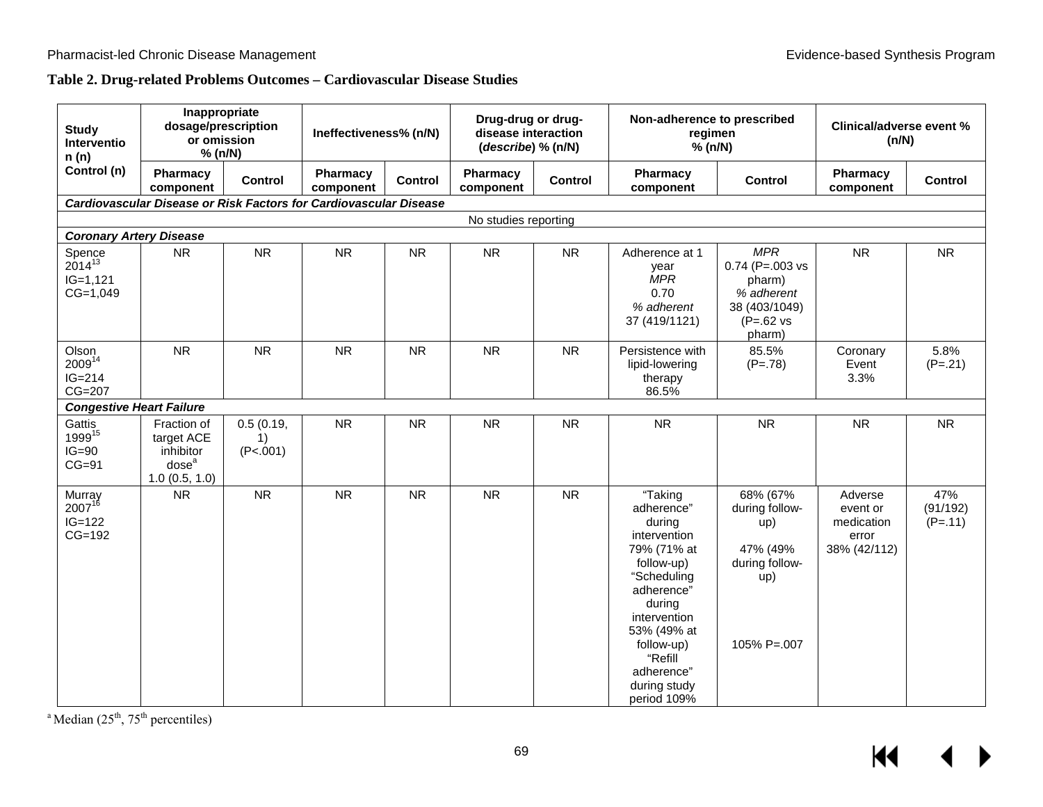## **Table 2. Drug-related Problems Outcomes – Cardiovascular Disease Studies**

| <b>Study</b><br>Interventio<br>n(n)                | Inappropriate<br>dosage/prescription<br>or omission<br>% (n/N)               |                             | Ineffectiveness% (n/N) |           | Drug-drug or drug-<br>disease interaction<br>(describe) % (n/N) |           | Non-adherence to prescribed<br>regimen<br>% (n/N)                                                                                                                                                                        |                                                                                                            | <b>Clinical/adverse event %</b><br>(n/N)                   |                              |
|----------------------------------------------------|------------------------------------------------------------------------------|-----------------------------|------------------------|-----------|-----------------------------------------------------------------|-----------|--------------------------------------------------------------------------------------------------------------------------------------------------------------------------------------------------------------------------|------------------------------------------------------------------------------------------------------------|------------------------------------------------------------|------------------------------|
| Control (n)                                        | Pharmacy<br>component                                                        | <b>Control</b>              | Pharmacy<br>component  | Control   | Pharmacy<br>component                                           | Control   | Pharmacy<br>component                                                                                                                                                                                                    | <b>Control</b>                                                                                             | Pharmacy<br>component                                      | <b>Control</b>               |
|                                                    | <b>Cardiovascular Disease or Risk Factors for Cardiovascular Disease</b>     |                             |                        |           |                                                                 |           |                                                                                                                                                                                                                          |                                                                                                            |                                                            |                              |
|                                                    |                                                                              |                             |                        |           | No studies reporting                                            |           |                                                                                                                                                                                                                          |                                                                                                            |                                                            |                              |
| <b>Coronary Artery Disease</b>                     |                                                                              |                             |                        |           |                                                                 |           |                                                                                                                                                                                                                          |                                                                                                            |                                                            |                              |
| Spence<br>$2014^{13}$<br>$IG=1,121$<br>$CG=1,049$  | <b>NR</b>                                                                    | <b>NR</b>                   | <b>NR</b>              | <b>NR</b> | <b>NR</b>                                                       | <b>NR</b> | Adherence at 1<br>year<br><b>MPR</b><br>0.70<br>% adherent<br>37 (419/1121)                                                                                                                                              | <b>MPR</b><br>$0.74$ (P=.003 vs<br>pharm)<br>% adherent<br>38 (403/1049)<br>$(P=.62 \text{ vs }$<br>pharm) | <b>NR</b>                                                  | <b>NR</b>                    |
| Olson<br>200914<br>$IG=214$<br>$CG=207$            | <b>NR</b>                                                                    | <b>NR</b>                   | <b>NR</b>              | <b>NR</b> | <b>NR</b>                                                       | <b>NR</b> | Persistence with<br>lipid-lowering<br>therapy<br>86.5%                                                                                                                                                                   | 85.5%<br>$(P=.78)$                                                                                         | Coronary<br>Event<br>3.3%                                  | 5.8%<br>$(P=.21)$            |
| <b>Congestive Heart Failure</b>                    |                                                                              |                             |                        |           |                                                                 |           |                                                                                                                                                                                                                          |                                                                                                            |                                                            |                              |
| Gattis<br>1999 <sup>15</sup><br>$IG=90$<br>$CG=91$ | Fraction of<br>target ACE<br>inhibitor<br>dose <sup>a</sup><br>1.0(0.5, 1.0) | 0.5(0.19,<br>1)<br>(P<.001) | <b>NR</b>              | <b>NR</b> | <b>NR</b>                                                       | <b>NR</b> | <b>NR</b>                                                                                                                                                                                                                | <b>NR</b>                                                                                                  | <b>NR</b>                                                  | <b>NR</b>                    |
| Murray<br>$2007^{16}$<br>$IG=122$<br>$CG=192$      | <b>NR</b>                                                                    | <b>NR</b>                   | <b>NR</b>              | <b>NR</b> | <b>NR</b>                                                       | <b>NR</b> | "Taking<br>adherence"<br>during<br>intervention<br>79% (71% at<br>follow-up)<br>"Scheduling<br>adherence"<br>during<br>intervention<br>53% (49% at<br>follow-up)<br>"Refill<br>adherence"<br>during study<br>period 109% | 68% (67%<br>during follow-<br>up)<br>47% (49%<br>during follow-<br>up)<br>$105\%$ P=.007                   | Adverse<br>event or<br>medication<br>error<br>38% (42/112) | 47%<br>(91/192)<br>$(P=.11)$ |

<sup>a</sup> Median  $(25<sup>th</sup>, 75<sup>th</sup>$  percentiles)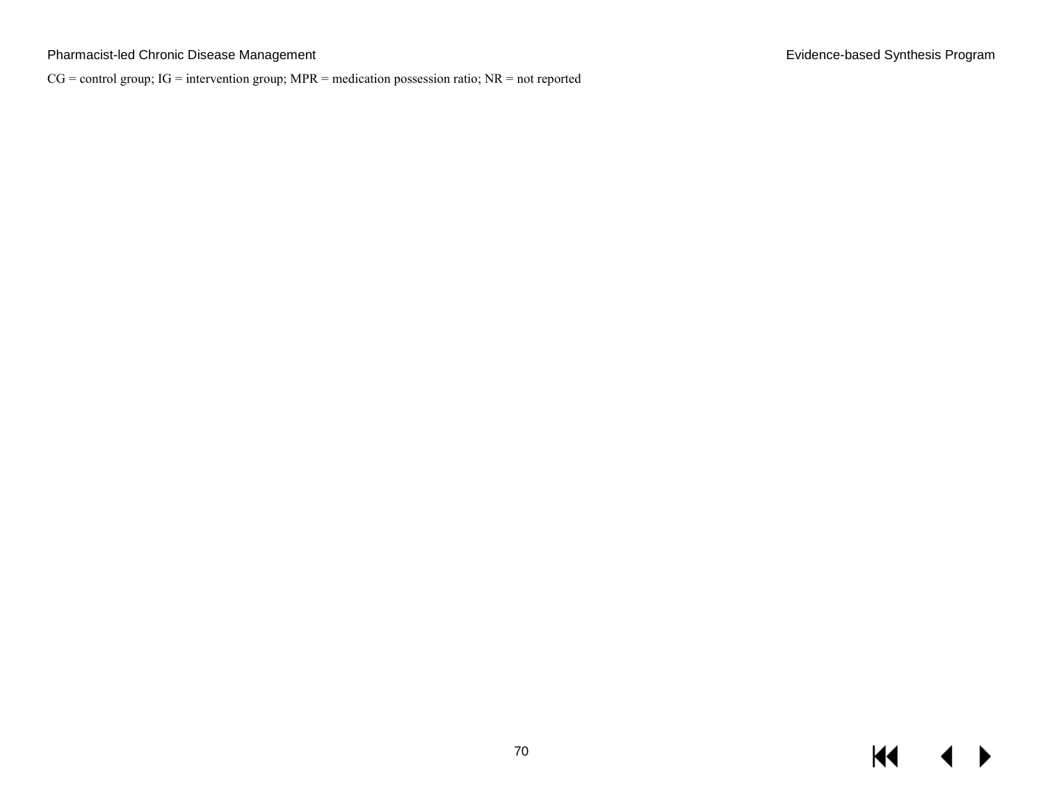## Pharmacist-led Chronic Disease Management **Evidence-based Synthesis Program** Evidence-based Synthesis Program

CG = control group; IG = intervention group; MPR = medication possession ratio; NR = not reported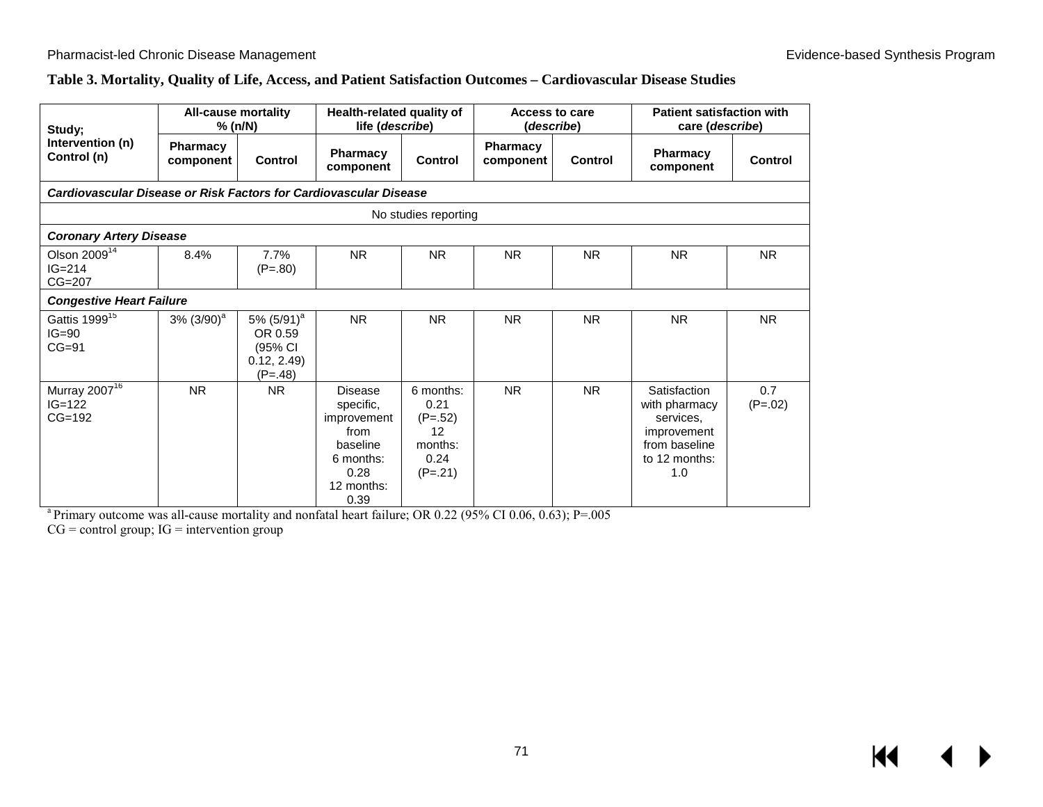## **Table 3. Mortality, Quality of Life, Access, and Patient Satisfaction Outcomes – Cardiovascular Disease Studies**

| Study;                                            |                                                                   | <b>All-cause mortality</b><br>% (n/N)                                   | Health-related quality of<br>life (describe)                                                       |                                                                      | Access to care<br>(describe) |                | <b>Patient satisfaction with</b><br>care (describe)                                                |                  |  |  |
|---------------------------------------------------|-------------------------------------------------------------------|-------------------------------------------------------------------------|----------------------------------------------------------------------------------------------------|----------------------------------------------------------------------|------------------------------|----------------|----------------------------------------------------------------------------------------------------|------------------|--|--|
| Intervention (n)<br>Control (n)                   | <b>Pharmacy</b><br>component                                      | <b>Control</b>                                                          | <b>Pharmacy</b><br>component                                                                       | Control                                                              | <b>Pharmacy</b><br>component | <b>Control</b> | <b>Pharmacy</b><br>component                                                                       | Control          |  |  |
|                                                   | Cardiovascular Disease or Risk Factors for Cardiovascular Disease |                                                                         |                                                                                                    |                                                                      |                              |                |                                                                                                    |                  |  |  |
| No studies reporting                              |                                                                   |                                                                         |                                                                                                    |                                                                      |                              |                |                                                                                                    |                  |  |  |
| <b>Coronary Artery Disease</b>                    |                                                                   |                                                                         |                                                                                                    |                                                                      |                              |                |                                                                                                    |                  |  |  |
| Olson $200914$<br>$IG = 214$<br>$CG=207$          | 8.4%                                                              | 7.7%<br>$(P=.80)$                                                       | <b>NR</b>                                                                                          | <b>NR</b>                                                            | <b>NR</b>                    | <b>NR</b>      | <b>NR</b>                                                                                          | <b>NR</b>        |  |  |
| <b>Congestive Heart Failure</b>                   |                                                                   |                                                                         |                                                                                                    |                                                                      |                              |                |                                                                                                    |                  |  |  |
| Gattis 1999 <sup>15</sup><br>$IG=90$<br>$CG=91$   | $3\%$ (3/90) <sup>a</sup>                                         | 5% (5/91) <sup>a</sup><br>OR 0.59<br>(95% CI<br>0.12, 2.49<br>$(P=.48)$ | <b>NR</b>                                                                                          | <b>NR</b>                                                            | <b>NR</b>                    | <b>NR</b>      | <b>NR</b>                                                                                          | <b>NR</b>        |  |  |
| Murray 2007 <sup>16</sup><br>$IG=122$<br>$CG=192$ | <b>NR</b>                                                         | <b>NR</b>                                                               | Disease<br>specific,<br>improvement<br>from<br>baseline<br>6 months:<br>0.28<br>12 months:<br>0.39 | 6 months:<br>0.21<br>$(P=.52)$<br>12<br>months:<br>0.24<br>$(P=.21)$ | <b>NR</b>                    | <b>NR</b>      | Satisfaction<br>with pharmacy<br>services.<br>improvement<br>from baseline<br>to 12 months:<br>1.0 | 0.7<br>$(P=.02)$ |  |  |

<sup>a</sup> Primary outcome was all-cause mortality and nonfatal heart failure; OR 0.22 (95% CI 0.06, 0.63); P=.005

 $CG = control group$ ;  $IG = intervention group$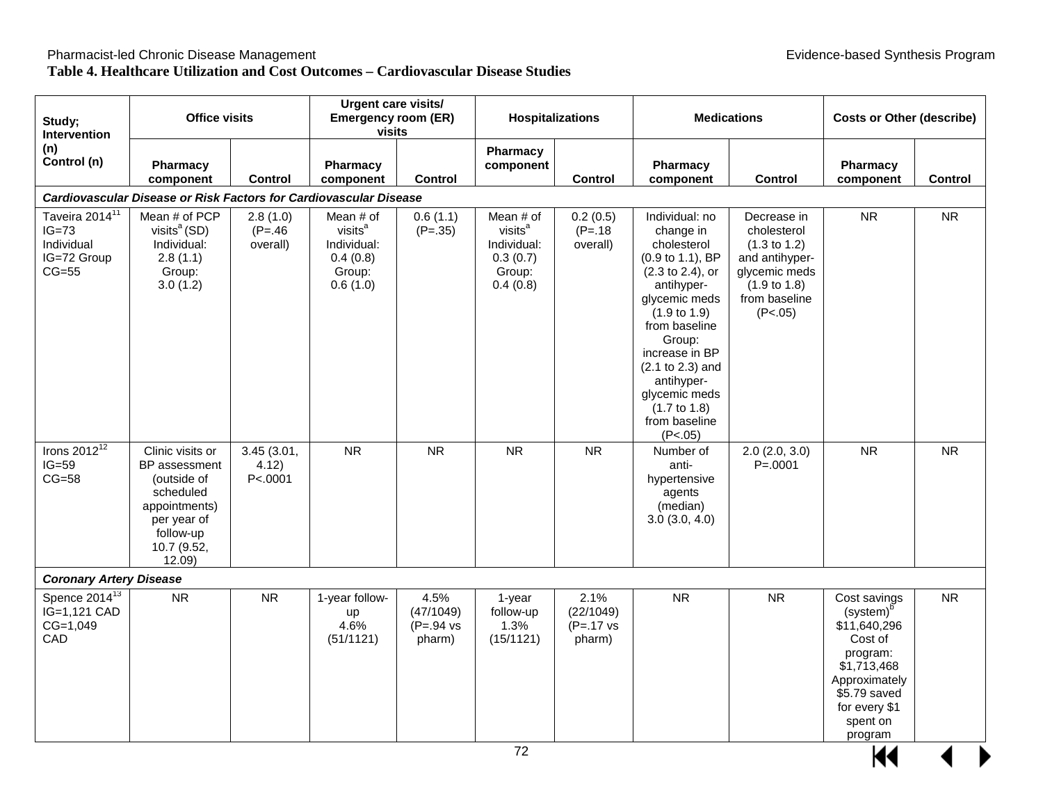## **Table 4. Healthcare Utilization and Cost Outcomes – Cardiovascular Disease Studies**

| Study;<br><b>Intervention</b>                                                 | <b>Office visits</b>                                                                                                               |                                    | <b>Urgent care visits/</b><br><b>Emergency room (ER)</b><br><b>visits</b>         |                                                     | <b>Hospitalizations</b>                                                           |                                                      |                                                                                                                                                                                                                                                                                                     | <b>Medications</b>                                                                                                                              | <b>Costs or Other (describe)</b>                                                                                                                                     |           |
|-------------------------------------------------------------------------------|------------------------------------------------------------------------------------------------------------------------------------|------------------------------------|-----------------------------------------------------------------------------------|-----------------------------------------------------|-----------------------------------------------------------------------------------|------------------------------------------------------|-----------------------------------------------------------------------------------------------------------------------------------------------------------------------------------------------------------------------------------------------------------------------------------------------------|-------------------------------------------------------------------------------------------------------------------------------------------------|----------------------------------------------------------------------------------------------------------------------------------------------------------------------|-----------|
| (n)<br>Control (n)                                                            | Pharmacy<br>component                                                                                                              | <b>Control</b>                     | Pharmacy<br>component                                                             | <b>Control</b>                                      | Pharmacy<br>component                                                             | <b>Control</b>                                       | Pharmacy<br>component                                                                                                                                                                                                                                                                               | <b>Control</b>                                                                                                                                  | Pharmacy<br>component                                                                                                                                                | Control   |
|                                                                               | Cardiovascular Disease or Risk Factors for Cardiovascular Disease                                                                  |                                    |                                                                                   |                                                     |                                                                                   |                                                      |                                                                                                                                                                                                                                                                                                     |                                                                                                                                                 |                                                                                                                                                                      |           |
| Taveira 2014 <sup>11</sup><br>$IG=73$<br>Individual<br>IG=72 Group<br>$CG=55$ | Mean # of PCP<br>visits $a$ (SD)<br>Individual:<br>2.8(1.1)<br>Group:<br>3.0(1.2)                                                  | 2.8(1.0)<br>$(P = 46)$<br>overall) | Mean # of<br>visits <sup>a</sup><br>Individual:<br>0.4(0.8)<br>Group:<br>0.6(1.0) | 0.6(1.1)<br>$(P=.35)$                               | Mean # of<br>visits <sup>a</sup><br>Individual:<br>0.3(0.7)<br>Group:<br>0.4(0.8) | 0.2(0.5)<br>$(P=.18)$<br>overall)                    | Individual: no<br>change in<br>cholesterol<br>(0.9 to 1.1), BP<br>(2.3 to 2.4), or<br>antihyper-<br>glycemic meds<br>$(1.9 \text{ to } 1.9)$<br>from baseline<br>Group:<br>increase in BP<br>(2.1 to 2.3) and<br>antihyper-<br>glycemic meds<br>$(1.7 \text{ to } 1.8)$<br>from baseline<br>(P<.05) | Decrease in<br>cholesterol<br>$(1.3 \text{ to } 1.2)$<br>and antihyper-<br>glycemic meds<br>$(1.9 \text{ to } 1.8)$<br>from baseline<br>(P<.05) | <b>NR</b>                                                                                                                                                            | <b>NR</b> |
| Irons $2012^{12}$<br>$IG=59$<br>$CG=58$                                       | Clinic visits or<br>BP assessment<br>(outside of<br>scheduled<br>appointments)<br>per year of<br>follow-up<br>10.7 (9.52,<br>12.09 | 3.45 (3.01,<br>4.12)<br>P<.0001    | <b>NR</b>                                                                         | <b>NR</b>                                           | ${\sf NR}$                                                                        | <b>NR</b>                                            | Number of<br>anti-<br>hypertensive<br>agents<br>(median)<br>3.0(3.0, 4.0)                                                                                                                                                                                                                           | 2.0(2.0, 3.0)<br>$P = 0001$                                                                                                                     | <b>NR</b>                                                                                                                                                            | <b>NR</b> |
| <b>Coronary Artery Disease</b>                                                |                                                                                                                                    |                                    |                                                                                   |                                                     |                                                                                   |                                                      |                                                                                                                                                                                                                                                                                                     |                                                                                                                                                 |                                                                                                                                                                      |           |
| Spence $2014^{13}$<br>IG=1,121 CAD<br>CG=1,049<br>CAD                         | <b>NR</b>                                                                                                                          | <b>NR</b>                          | 1-year follow-<br>up<br>4.6%<br>(51/1121)                                         | 4.5%<br>(47/1049)<br>$(P=.94 \text{ vs }$<br>pharm) | 1-year<br>follow-up<br>1.3%<br>(15/1121)                                          | 2.1%<br>(22/1049)<br>$(P=.17 \text{ vs. }$<br>pharm) | <b>NR</b>                                                                                                                                                                                                                                                                                           | <b>NR</b>                                                                                                                                       | Cost savings<br>(system) <sup>b</sup><br>\$11,640,296<br>Cost of<br>program:<br>\$1,713,468<br>Approximately<br>\$5.79 saved<br>for every \$1<br>spent on<br>program | <b>NR</b> |
|                                                                               |                                                                                                                                    |                                    |                                                                                   |                                                     | 72                                                                                |                                                      |                                                                                                                                                                                                                                                                                                     |                                                                                                                                                 |                                                                                                                                                                      |           |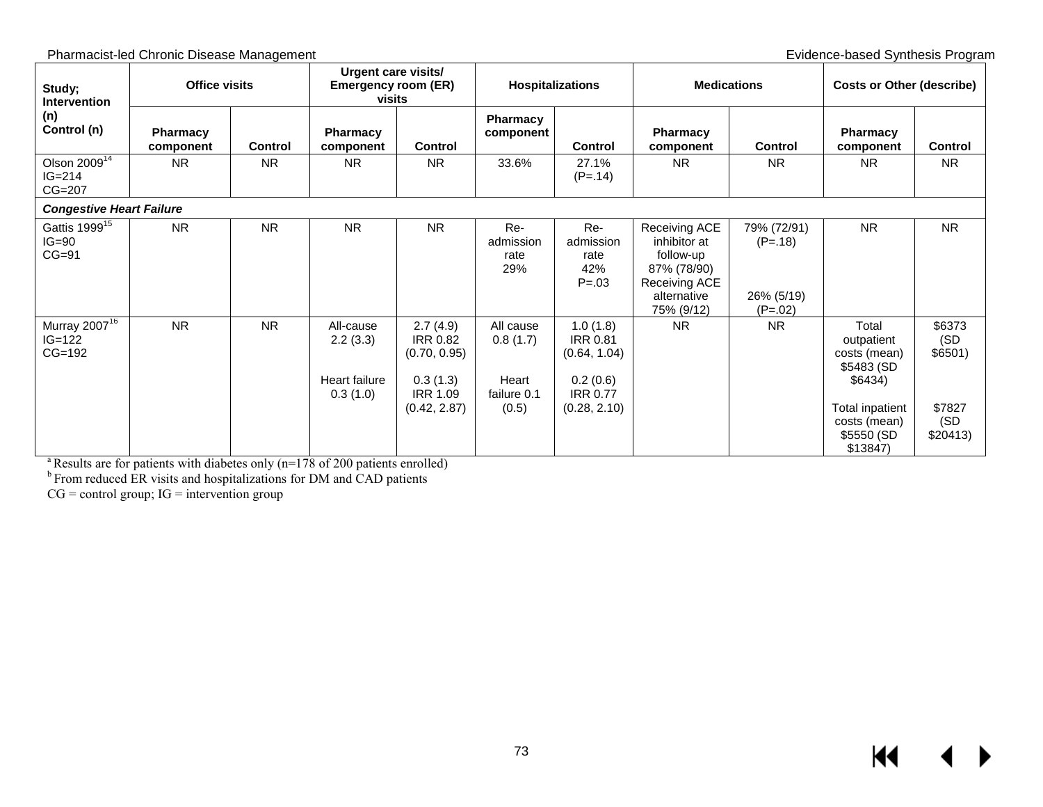| Study;<br><b>Intervention</b>                     | <b>Office visits</b>         |                | Urgent care visits/<br><b>Emergency room (ER)</b><br>visits |                                                                            | <b>Hospitalizations</b>                       |                                                                            | <b>Medications</b>                                                                                      |                                                     | <b>Costs or Other (describe)</b>                                   |                           |
|---------------------------------------------------|------------------------------|----------------|-------------------------------------------------------------|----------------------------------------------------------------------------|-----------------------------------------------|----------------------------------------------------------------------------|---------------------------------------------------------------------------------------------------------|-----------------------------------------------------|--------------------------------------------------------------------|---------------------------|
| (n)<br>Control (n)                                | <b>Pharmacy</b><br>component | <b>Control</b> | <b>Pharmacy</b><br>component                                | <b>Control</b>                                                             | <b>Pharmacy</b><br>component                  | <b>Control</b>                                                             | <b>Pharmacy</b><br>component                                                                            | <b>Control</b>                                      | <b>Pharmacy</b><br>component                                       | Control                   |
| Olson $2009^{14}$<br>$IG = 214$<br>CG=207         | <b>NR</b>                    | <b>NR</b>      | <b>NR</b>                                                   | <b>NR</b>                                                                  | 33.6%                                         | 27.1%<br>$(P=.14)$                                                         | <b>NR</b>                                                                                               | <b>NR</b>                                           | N <sub>R</sub>                                                     | <b>NR</b>                 |
| <b>Congestive Heart Failure</b>                   |                              |                |                                                             |                                                                            |                                               |                                                                            |                                                                                                         |                                                     |                                                                    |                           |
| Gattis 1999 <sup>15</sup><br>$IG=90$<br>$CG=91$   | <b>NR</b>                    | <b>NR</b>      | <b>NR</b>                                                   | <b>NR</b>                                                                  | Re-<br>admission<br>rate<br>29%               | Re-<br>admission<br>rate<br>42%<br>$P = .03$                               | Receiving ACE<br>inhibitor at<br>follow-up<br>87% (78/90)<br>Receiving ACE<br>alternative<br>75% (9/12) | 79% (72/91)<br>$(P=.18)$<br>26% (5/19)<br>$(P=.02)$ | <b>NR</b>                                                          | <b>NR</b>                 |
| Murray 2007 <sup>16</sup><br>$IG=122$<br>$CG=192$ | <b>NR</b>                    | <b>NR</b>      | All-cause<br>2.2(3.3)<br>Heart failure<br>0.3(1.0)          | 2.7(4.9)<br><b>IRR 0.82</b><br>(0.70, 0.95)<br>0.3(1.3)<br><b>IRR 1.09</b> | All cause<br>0.8(1.7)<br>Heart<br>failure 0.1 | 1.0(1.8)<br><b>IRR 0.81</b><br>(0.64, 1.04)<br>0.2(0.6)<br><b>IRR 0.77</b> | <b>NR</b>                                                                                               | <b>NR</b>                                           | Total<br>outpatient<br>costs (mean)<br>\$5483 (SD<br>\$6434)       | \$6373<br>(SD<br>\$6501)  |
|                                                   |                              |                |                                                             | (0.42, 2.87)                                                               | (0.5)                                         | (0.28, 2.10)                                                               |                                                                                                         |                                                     | <b>Total inpatient</b><br>costs (mean)<br>\$5550 (SD<br>$$13847$ ) | \$7827<br>(SD<br>\$20413) |

 $a<sup>a</sup>$  Results are for patients with diabetes only (n=178 of 200 patients enrolled)

<sup>b</sup> From reduced ER visits and hospitalizations for DM and CAD patients

 $CG = control group$ ;  $IG = intervention group$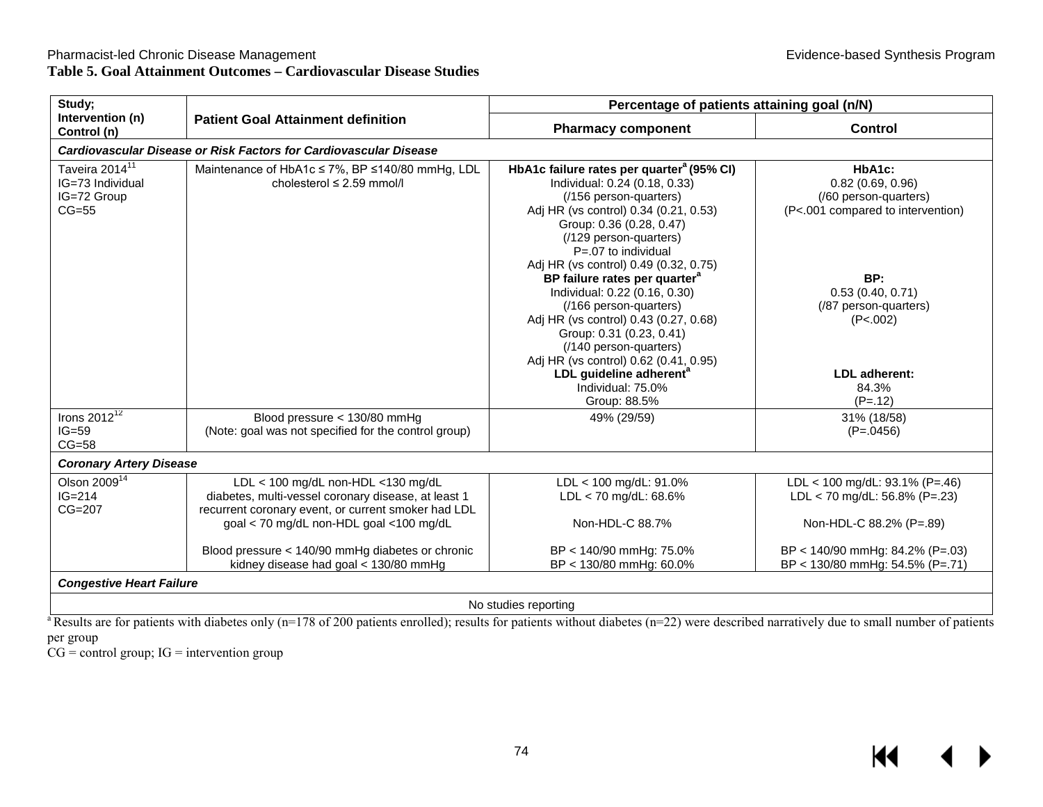$M \cdot 1$ 

 $\blacktriangleright$ 

| Study;                                                                   |                                                                                                                                                  | Percentage of patients attaining goal (n/N)                                                                                                                                                                                                                                                                                                                                                 |                                                                                                            |
|--------------------------------------------------------------------------|--------------------------------------------------------------------------------------------------------------------------------------------------|---------------------------------------------------------------------------------------------------------------------------------------------------------------------------------------------------------------------------------------------------------------------------------------------------------------------------------------------------------------------------------------------|------------------------------------------------------------------------------------------------------------|
| Intervention (n)<br>Control (n)                                          | <b>Patient Goal Attainment definition</b>                                                                                                        | <b>Pharmacy component</b>                                                                                                                                                                                                                                                                                                                                                                   | Control                                                                                                    |
|                                                                          | Cardiovascular Disease or Risk Factors for Cardiovascular Disease                                                                                |                                                                                                                                                                                                                                                                                                                                                                                             |                                                                                                            |
| Taveira 2014 <sup>11</sup><br>IG=73 Individual<br>IG=72 Group<br>$CG=55$ | Maintenance of HbA1c ≤ 7%, BP ≤140/80 mmHg, LDL<br>cholesterol $\leq$ 2.59 mmol/l                                                                | HbA1c failure rates per quarter <sup>a</sup> (95% CI)<br>Individual: 0.24 (0.18, 0.33)<br>(/156 person-quarters)<br>Adj HR (vs control) 0.34 (0.21, 0.53)<br>Group: 0.36 (0.28, 0.47)<br>(/129 person-quarters)                                                                                                                                                                             | HbA1c:<br>$0.82$ (0.69, 0.96)<br>(/60 person-quarters)<br>(P<.001 compared to intervention)                |
|                                                                          |                                                                                                                                                  | $P = 07$ to individual<br>Adj HR (vs control) 0.49 (0.32, 0.75)<br>BP failure rates per quarter <sup>a</sup><br>Individual: 0.22 (0.16, 0.30)<br>(/166 person-quarters)<br>Adj HR (vs control) 0.43 (0.27, 0.68)<br>Group: 0.31 (0.23, 0.41)<br>(/140 person-quarters)<br>Adj HR (vs control) 0.62 (0.41, 0.95)<br>LDL guideline adherent <sup>a</sup><br>Individual: 75.0%<br>Group: 88.5% | BP:<br>0.53(0.40, 0.71)<br>(/87 person-quarters)<br>(P<.002)<br><b>LDL</b> adherent:<br>84.3%<br>$(P=.12)$ |
| Irons $2012^{12}$<br>$IG=59$<br>$CG=58$                                  | Blood pressure < 130/80 mmHg<br>(Note: goal was not specified for the control group)                                                             | 49% (29/59)                                                                                                                                                                                                                                                                                                                                                                                 | 31% (18/58)<br>$(P=.0456)$                                                                                 |
| <b>Coronary Artery Disease</b>                                           |                                                                                                                                                  |                                                                                                                                                                                                                                                                                                                                                                                             |                                                                                                            |
| Olson 2009 <sup>14</sup><br>$IG=214$<br>$CG=207$                         | LDL < 100 mg/dL non-HDL <130 mg/dL<br>diabetes, multi-vessel coronary disease, at least 1<br>recurrent coronary event, or current smoker had LDL | LDL < 100 mg/dL: 91.0%<br>LDL < 70 mg/dL: 68.6%                                                                                                                                                                                                                                                                                                                                             | LDL < 100 mg/dL: 93.1% (P=.46)<br>LDL < 70 mg/dL: 56.8% (P=.23)                                            |
|                                                                          | goal < 70 mg/dL non-HDL goal <100 mg/dL                                                                                                          | Non-HDL-C 88.7%                                                                                                                                                                                                                                                                                                                                                                             | Non-HDL-C 88.2% (P=.89)                                                                                    |
|                                                                          | Blood pressure < 140/90 mmHg diabetes or chronic<br>kidney disease had goal < 130/80 mmHg                                                        | BP < 140/90 mmHg: 75.0%<br>BP < 130/80 mmHg: 60.0%                                                                                                                                                                                                                                                                                                                                          | BP < 140/90 mmHg: 84.2% (P=.03)<br>BP < 130/80 mmHg: 54.5% (P=.71)                                         |
| <b>Congestive Heart Failure</b>                                          |                                                                                                                                                  |                                                                                                                                                                                                                                                                                                                                                                                             |                                                                                                            |
|                                                                          |                                                                                                                                                  | No studies reporting                                                                                                                                                                                                                                                                                                                                                                        |                                                                                                            |

<sup>a</sup> Results are for patients with diabetes only (n=178 of 200 patients enrolled); results for patients without diabetes (n=22) were described narratively due to small number of patients

per group

 $CG = control group$ ;  $IG = intervention group$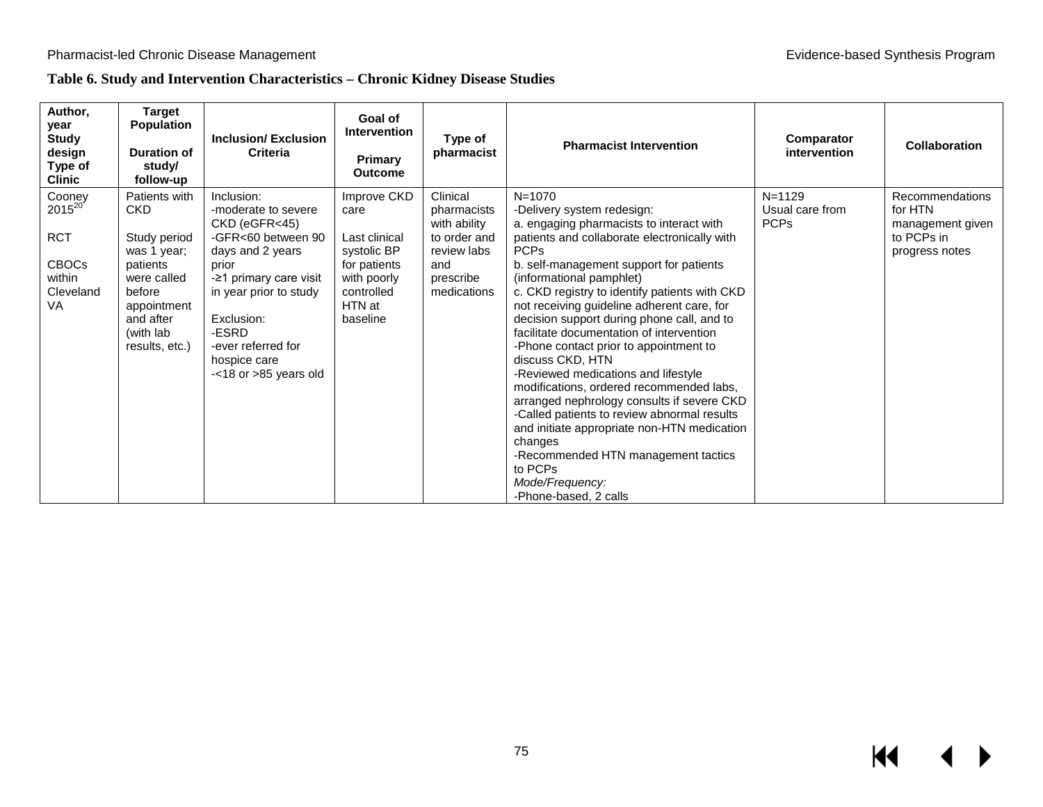## **Table 6. Study and Intervention Characteristics – Chronic Kidney Disease Studies**

| Author,<br>year<br><b>Study</b><br>design<br>Type of<br><b>Clinic</b>                          | <b>Target</b><br><b>Population</b><br><b>Duration of</b><br>study/<br>follow-up                                                                             | Inclusion/Exclusion<br><b>Criteria</b>                                                                                                                                                                                                                | Goal of<br><b>Intervention</b><br>Primary<br><b>Outcome</b>                                                            | Type of<br>pharmacist                                                                                     | <b>Pharmacist Intervention</b>                                                                                                                                                                                                                                                                                                                                                                                                                                                                                                                                                                                                                                                                                                                                                                                            | Comparator<br>intervention                   | <b>Collaboration</b>                                                           |
|------------------------------------------------------------------------------------------------|-------------------------------------------------------------------------------------------------------------------------------------------------------------|-------------------------------------------------------------------------------------------------------------------------------------------------------------------------------------------------------------------------------------------------------|------------------------------------------------------------------------------------------------------------------------|-----------------------------------------------------------------------------------------------------------|---------------------------------------------------------------------------------------------------------------------------------------------------------------------------------------------------------------------------------------------------------------------------------------------------------------------------------------------------------------------------------------------------------------------------------------------------------------------------------------------------------------------------------------------------------------------------------------------------------------------------------------------------------------------------------------------------------------------------------------------------------------------------------------------------------------------------|----------------------------------------------|--------------------------------------------------------------------------------|
| Cooney<br>2015 <sup>20</sup><br><b>RCT</b><br><b>CBOCs</b><br>within<br>Cleveland<br><b>VA</b> | Patients with<br><b>CKD</b><br>Study period<br>was 1 year;<br>patients<br>were called<br>before<br>appointment<br>and after<br>(with lab)<br>results, etc.) | Inclusion:<br>-moderate to severe<br>CKD (eGFR<45)<br>-GFR<60 between 90<br>days and 2 years<br>prior<br>-21 primary care visit<br>in year prior to study<br>Exclusion:<br>-ESRD<br>-ever referred for<br>hospice care<br>$-<$ 18 or $>$ 85 years old | Improve CKD<br>care<br>Last clinical<br>systolic BP<br>for patients<br>with poorly<br>controlled<br>HTN at<br>baseline | Clinical<br>pharmacists<br>with ability<br>to order and<br>review labs<br>and<br>prescribe<br>medications | $N = 1070$<br>-Delivery system redesign:<br>a. engaging pharmacists to interact with<br>patients and collaborate electronically with<br><b>PCPs</b><br>b. self-management support for patients<br>(informational pamphlet)<br>c. CKD registry to identify patients with CKD<br>not receiving guideline adherent care, for<br>decision support during phone call, and to<br>facilitate documentation of intervention<br>-Phone contact prior to appointment to<br>discuss CKD, HTN<br>-Reviewed medications and lifestyle<br>modifications, ordered recommended labs,<br>arranged nephrology consults if severe CKD<br>-Called patients to review abnormal results<br>and initiate appropriate non-HTN medication<br>changes<br>-Recommended HTN management tactics<br>to PCPs<br>Mode/Frequency:<br>-Phone-based, 2 calls | $N = 1129$<br>Usual care from<br><b>PCPs</b> | Recommendations<br>for HTN<br>management given<br>to PCPs in<br>progress notes |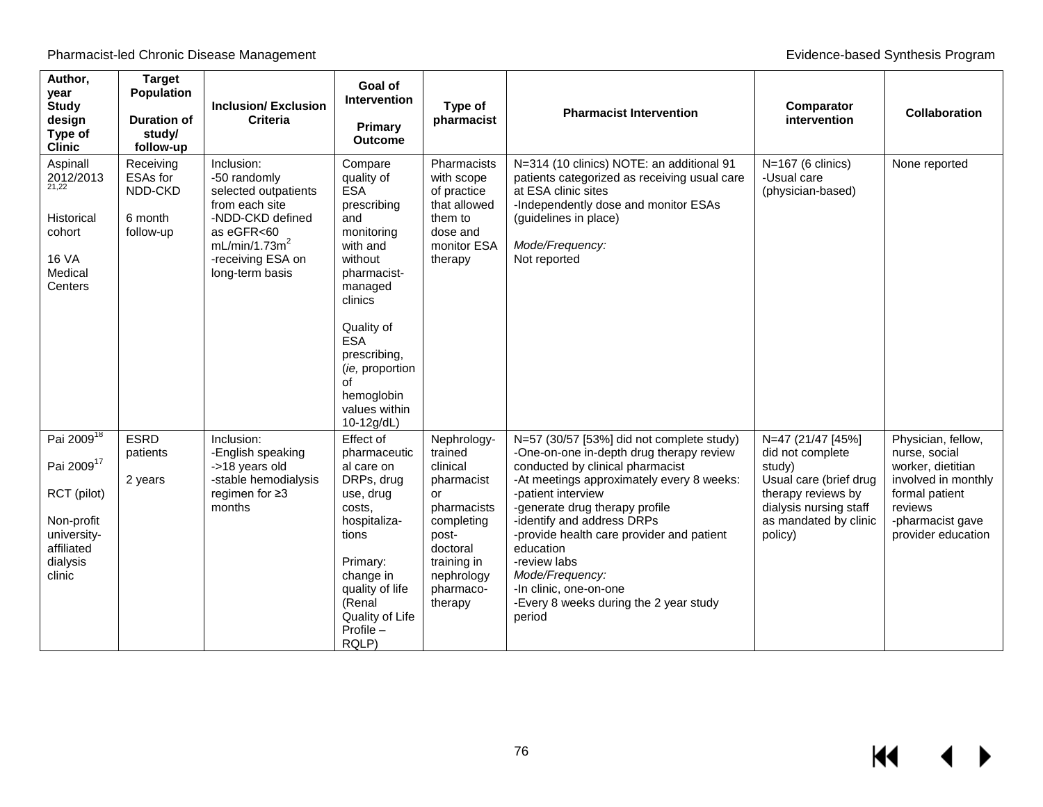| Author,<br>year<br><b>Study</b><br>design<br>Type of<br><b>Clinic</b>                                                            | <b>Target</b><br><b>Population</b><br><b>Duration of</b><br>study/<br>follow-up | <b>Inclusion/Exclusion</b><br><b>Criteria</b>                                                                                                                               | Goal of<br><b>Intervention</b><br>Primary<br><b>Outcome</b>                                                                                                                                                                                           | Type of<br>pharmacist                                                                                                                                         | <b>Pharmacist Intervention</b>                                                                                                                                                                                                                                                                                                                                                                                                          | Comparator<br>intervention                                                                                                                                    | <b>Collaboration</b>                                                                                                                                   |
|----------------------------------------------------------------------------------------------------------------------------------|---------------------------------------------------------------------------------|-----------------------------------------------------------------------------------------------------------------------------------------------------------------------------|-------------------------------------------------------------------------------------------------------------------------------------------------------------------------------------------------------------------------------------------------------|---------------------------------------------------------------------------------------------------------------------------------------------------------------|-----------------------------------------------------------------------------------------------------------------------------------------------------------------------------------------------------------------------------------------------------------------------------------------------------------------------------------------------------------------------------------------------------------------------------------------|---------------------------------------------------------------------------------------------------------------------------------------------------------------|--------------------------------------------------------------------------------------------------------------------------------------------------------|
| Aspinall<br>2012/2013<br>Historical<br>cohort<br><b>16 VA</b><br>Medical<br>Centers                                              | Receiving<br>ESAs for<br>NDD-CKD<br>6 month<br>follow-up                        | Inclusion:<br>-50 randomly<br>selected outpatients<br>from each site<br>-NDD-CKD defined<br>as eGFR<60<br>mL/min/1.73m <sup>2</sup><br>-receiving ESA on<br>long-term basis | Compare<br>quality of<br><b>ESA</b><br>prescribing<br>and<br>monitoring<br>with and<br>without<br>pharmacist-<br>managed<br>clinics<br>Quality of<br><b>ESA</b><br>prescribing,<br>(ie, proportion<br>of<br>hemoglobin<br>values within<br>10-12g/dL) | Pharmacists<br>with scope<br>of practice<br>that allowed<br>them to<br>dose and<br>monitor ESA<br>therapy                                                     | N=314 (10 clinics) NOTE: an additional 91<br>patients categorized as receiving usual care<br>at ESA clinic sites<br>-Independently dose and monitor ESAs<br>(guidelines in place)<br>Mode/Frequency:<br>Not reported                                                                                                                                                                                                                    | $N=167$ (6 clinics)<br>-Usual care<br>(physician-based)                                                                                                       | None reported                                                                                                                                          |
| Pai 2009 <sup>18</sup><br>Pai 2009 <sup>17</sup><br>RCT (pilot)<br>Non-profit<br>university-<br>affiliated<br>dialysis<br>clinic | <b>ESRD</b><br>patients<br>2 years                                              | Inclusion:<br>-English speaking<br>->18 years old<br>-stable hemodialysis<br>regimen for $\geq 3$<br>months                                                                 | Effect of<br>pharmaceutic<br>al care on<br>DRPs, drug<br>use, drug<br>costs.<br>hospitaliza-<br>tions<br>Primary:<br>change in<br>quality of life<br>(Renal<br>Quality of Life<br>$Profile -$<br>RQLP)                                                | Nephrology-<br>trained<br>clinical<br>pharmacist<br>or<br>pharmacists<br>completing<br>post-<br>doctoral<br>training in<br>nephrology<br>pharmaco-<br>therapy | N=57 (30/57 [53%] did not complete study)<br>-One-on-one in-depth drug therapy review<br>conducted by clinical pharmacist<br>-At meetings approximately every 8 weeks:<br>-patient interview<br>-generate drug therapy profile<br>-identify and address DRPs<br>-provide health care provider and patient<br>education<br>-review labs<br>Mode/Frequency:<br>-In clinic, one-on-one<br>-Every 8 weeks during the 2 year study<br>period | N=47 (21/47 [45%]<br>did not complete<br>study)<br>Usual care (brief drug<br>therapy reviews by<br>dialysis nursing staff<br>as mandated by clinic<br>policy) | Physician, fellow,<br>nurse, social<br>worker, dietitian<br>involved in monthly<br>formal patient<br>reviews<br>-pharmacist gave<br>provider education |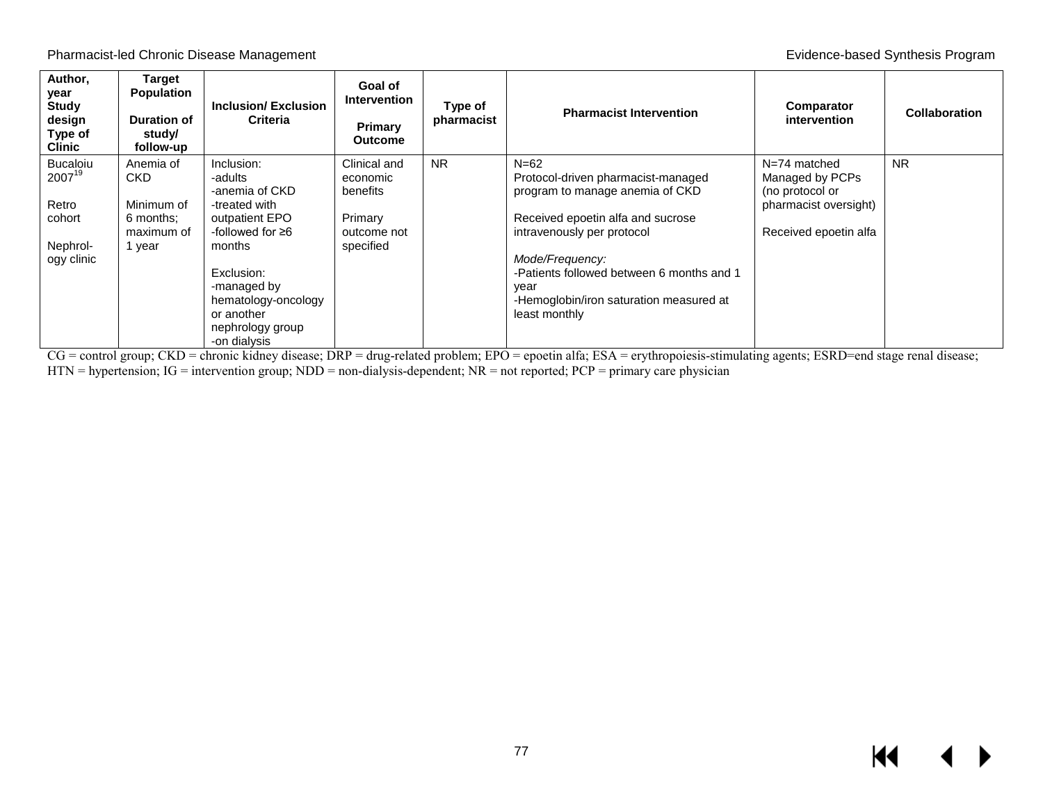| Author,<br>year<br><b>Study</b><br>design<br>Type of<br><b>Clinic</b>  | <b>Target</b><br><b>Population</b><br><b>Duration of</b><br>study/<br>follow-up | <b>Inclusion/Exclusion</b><br><b>Criteria</b>                                                                                                                                                                  | Goal of<br><b>Intervention</b><br><b>Primary</b><br><b>Outcome</b>          | Type of<br>pharmacist | <b>Pharmacist Intervention</b>                                                                                                                                                                                                                                                         | <b>Comparator</b><br>intervention                                                                      | Collaboration |
|------------------------------------------------------------------------|---------------------------------------------------------------------------------|----------------------------------------------------------------------------------------------------------------------------------------------------------------------------------------------------------------|-----------------------------------------------------------------------------|-----------------------|----------------------------------------------------------------------------------------------------------------------------------------------------------------------------------------------------------------------------------------------------------------------------------------|--------------------------------------------------------------------------------------------------------|---------------|
| <b>Bucaloiu</b><br>200719<br>Retro<br>cohort<br>Nephrol-<br>ogy clinic | Anemia of<br>CKD.<br>Minimum of<br>6 months:<br>maximum of<br>1 year            | Inclusion:<br>-adults<br>-anemia of CKD<br>-treated with<br>outpatient EPO<br>-followed for ≥6<br>months<br>Exclusion:<br>-managed by<br>hematology-oncology<br>or another<br>nephrology group<br>-on dialysis | Clinical and<br>economic<br>benefits<br>Primary<br>outcome not<br>specified | <b>NR</b>             | $N=62$<br>Protocol-driven pharmacist-managed<br>program to manage anemia of CKD<br>Received epoetin alfa and sucrose<br>intravenously per protocol<br>Mode/Frequency:<br>-Patients followed between 6 months and 1<br>year<br>-Hemoglobin/iron saturation measured at<br>least monthly | $N=74$ matched<br>Managed by PCPs<br>(no protocol or<br>pharmacist oversight)<br>Received epoetin alfa | <b>NR</b>     |

CG = control group; CKD = chronic kidney disease; DRP = drug-related problem; EPO = epoetin alfa; ESA = erythropoiesis-stimulating agents; ESRD=end stage renal disease; HTN = hypertension; IG = intervention group; NDD = non-dialysis-dependent; NR = not reported; PCP = primary care physician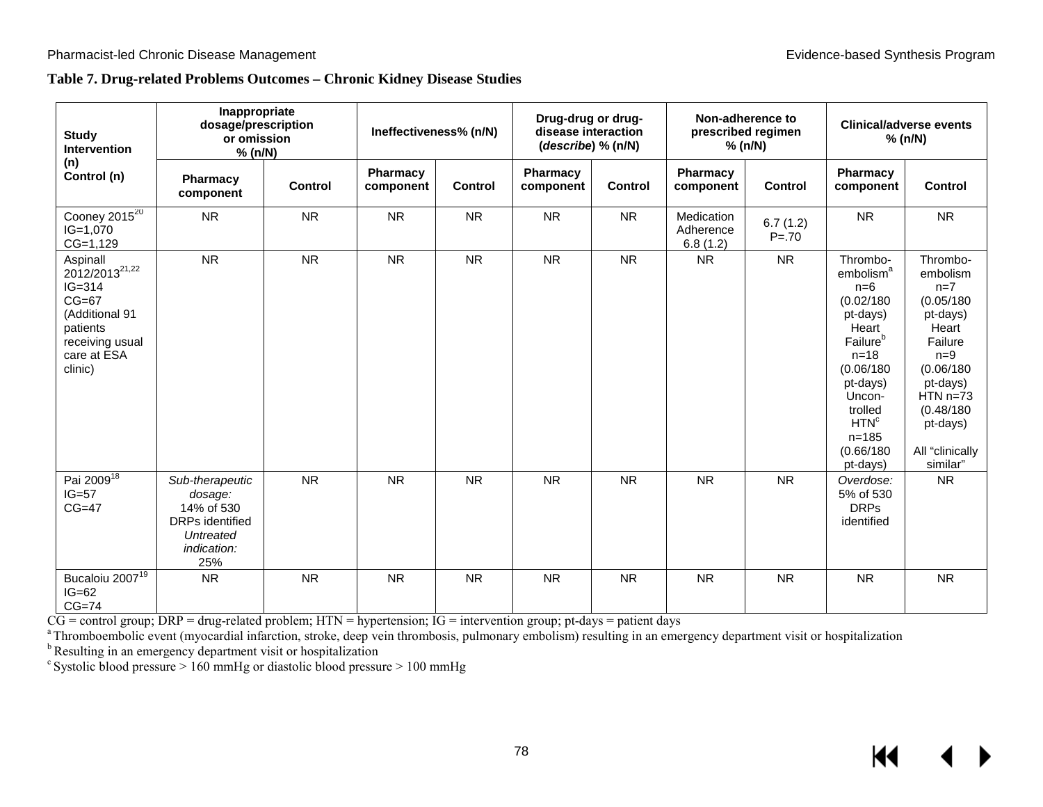#### **Table 7. Drug-related Problems Outcomes – Chronic Kidney Disease Studies**

| <b>Study</b><br><b>Intervention</b>                                                                                                        | Inappropriate<br>dosage/prescription<br>or omission<br>% (n/N)                                        |           | Ineffectiveness% (n/N) |                | Drug-drug or drug-<br>disease interaction<br>(describe) % (n/N) |           |                                     | Non-adherence to<br>prescribed regimen<br>% (n/N) | <b>Clinical/adverse events</b><br>% (n/N)                                                                                                                                                                                   |                                                                                                                                                                                       |
|--------------------------------------------------------------------------------------------------------------------------------------------|-------------------------------------------------------------------------------------------------------|-----------|------------------------|----------------|-----------------------------------------------------------------|-----------|-------------------------------------|---------------------------------------------------|-----------------------------------------------------------------------------------------------------------------------------------------------------------------------------------------------------------------------------|---------------------------------------------------------------------------------------------------------------------------------------------------------------------------------------|
| (n)<br>Control (n)                                                                                                                         | Pharmacy<br>component                                                                                 | Control   | Pharmacy<br>component  | <b>Control</b> | Pharmacy<br>component                                           | Control   | Pharmacy<br>component               | <b>Control</b>                                    | Pharmacy<br>component                                                                                                                                                                                                       | <b>Control</b>                                                                                                                                                                        |
| Cooney $20\overline{15^{20}}$<br>$IG=1,070$<br>$CG=1,129$                                                                                  | <b>NR</b>                                                                                             | <b>NR</b> | <b>NR</b>              | <b>NR</b>      | <b>NR</b>                                                       | <b>NR</b> | Medication<br>Adherence<br>6.8(1.2) | 6.7(1.2)<br>$P = 70$                              | <b>NR</b>                                                                                                                                                                                                                   | <b>NR</b>                                                                                                                                                                             |
| Aspinall<br>2012/2013 <sup>21,22</sup><br>$IG = 314$<br>$CG=67$<br>(Additional 91<br>patients<br>receiving usual<br>care at ESA<br>clinic) | <b>NR</b>                                                                                             | <b>NR</b> | <b>NR</b>              | <b>NR</b>      | <b>NR</b>                                                       | <b>NR</b> | <b>NR</b>                           | <b>NR</b>                                         | Thrombo-<br>embolism <sup>a</sup><br>$n=6$<br>(0.02/180)<br>pt-days)<br>Heart<br>Failure <sup>b</sup><br>$n = 18$<br>(0.06/180)<br>pt-days)<br>Uncon-<br>trolled<br>HTN <sup>c</sup><br>$n = 185$<br>(0.66/180)<br>pt-days) | Thrombo-<br>embolism<br>$n=7$<br>(0.05/180)<br>pt-days)<br>Heart<br>Failure<br>$n=9$<br>(0.06/180)<br>pt-days)<br>$HTN n=73$<br>(0.48/180)<br>pt-days)<br>All "clinically<br>similar" |
| Pai 2009 <sup>18</sup><br>$IG=57$<br>$CG=47$                                                                                               | Sub-therapeutic<br>dosage:<br>14% of 530<br><b>DRPs</b> identified<br>Untreated<br>indication:<br>25% | <b>NR</b> | <b>NR</b>              | <b>NR</b>      | <b>NR</b>                                                       | <b>NR</b> | <b>NR</b>                           | <b>NR</b>                                         | Overdose:<br>5% of 530<br><b>DRPs</b><br>identified                                                                                                                                                                         | <b>NR</b>                                                                                                                                                                             |
| Bucaloiu 2007 <sup>19</sup><br>$IG=62$<br>$CG=74$                                                                                          | <b>NR</b>                                                                                             | <b>NR</b> | <b>NR</b>              | <b>NR</b>      | <b>NR</b>                                                       | <b>NR</b> | <b>NR</b>                           | <b>NR</b>                                         | <b>NR</b>                                                                                                                                                                                                                   | <b>NR</b>                                                                                                                                                                             |

CG = control group; DRP = drug-related problem; HTN = hypertension; IG = intervention group; pt-days = patient days<br><sup>a</sup> Thromboembolic event (myocardial infarction, stroke, deep vein thrombosis, pulmonary embolism) resulti

<sup>b</sup> Resulting in an emergency department visit or hospitalization

 $\textdegree$  Systolic blood pressure > 160 mmHg or diastolic blood pressure > 100 mmHg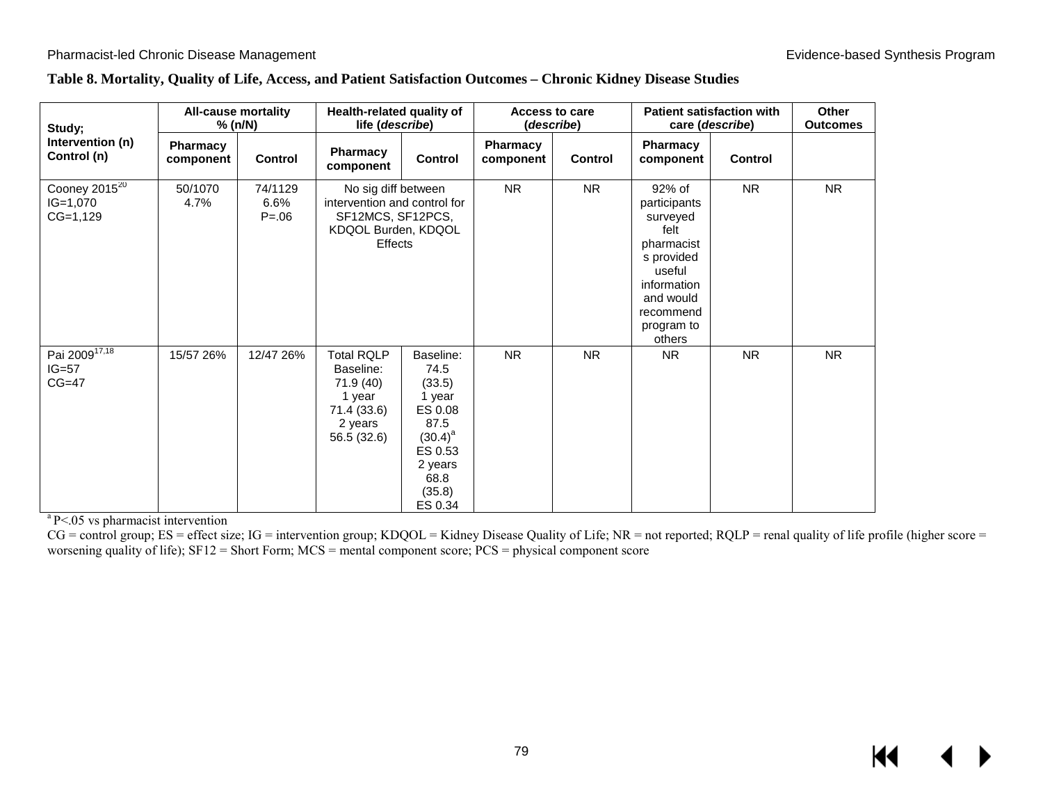| Table 8. Mortality, Quality of Life, Access, and Patient Satisfaction Outcomes - Chronic Kidney Disease Studies |  |  |  |
|-----------------------------------------------------------------------------------------------------------------|--|--|--|
|                                                                                                                 |  |  |  |

| Study;                                          | <b>All-cause mortality</b><br>% (n/N) |                              |                                                                                                            | Health-related quality of<br>life (describe)                                                                                |                       | <b>Access to care</b><br>(describe) |                                                                                                                                                   | <b>Patient satisfaction with</b><br>care (describe) |           |
|-------------------------------------------------|---------------------------------------|------------------------------|------------------------------------------------------------------------------------------------------------|-----------------------------------------------------------------------------------------------------------------------------|-----------------------|-------------------------------------|---------------------------------------------------------------------------------------------------------------------------------------------------|-----------------------------------------------------|-----------|
| Intervention (n)<br>Control (n)                 | Pharmacy<br>component                 | <b>Control</b>               | Pharmacy<br>component                                                                                      | Control                                                                                                                     | Pharmacy<br>component | <b>Control</b>                      | Pharmacy<br>component                                                                                                                             | <b>Control</b>                                      |           |
| Cooney $2015^{20}$<br>$IG=1,070$<br>$CG=1,129$  | 50/1070<br>4.7%                       | 74/1129<br>6.6%<br>$P = .06$ | No sig diff between<br>intervention and control for<br>SF12MCS, SF12PCS,<br>KDQOL Burden, KDQOL<br>Effects |                                                                                                                             | <b>NR</b>             | <b>NR</b>                           | 92% of<br>participants<br>surveyed<br>felt<br>pharmacist<br>s provided<br>useful<br>information<br>and would<br>recommend<br>program to<br>others | <b>NR</b>                                           | <b>NR</b> |
| Pai 2009 <sup>17,18</sup><br>$IG=57$<br>$CG=47$ | 15/57 26%                             | 12/47 26%                    | <b>Total RQLP</b><br>Baseline:<br>71.9 (40)<br>1 year<br>71.4 (33.6)<br>2 years<br>56.5 (32.6)             | Baseline:<br>74.5<br>(33.5)<br>1 year<br>ES 0.08<br>87.5<br>$(30.4)^{a}$<br>ES 0.53<br>2 years<br>68.8<br>(35.8)<br>ES 0.34 | <b>NR</b>             | <b>NR</b>                           | <b>NR</b>                                                                                                                                         | <b>NR</b>                                           | <b>NR</b> |

 $a$  P<.05 vs pharmacist intervention

 $CG =$  control group;  $ES =$  effect size;  $IG =$  intervention group;  $KDQOL =$  Kidney Disease Quality of Life;  $NR =$  not reported;  $RQLP =$  renal quality of life profile (higher score = worsening quality of life); SF12 = Short Form; MCS = mental component score; PCS = physical component score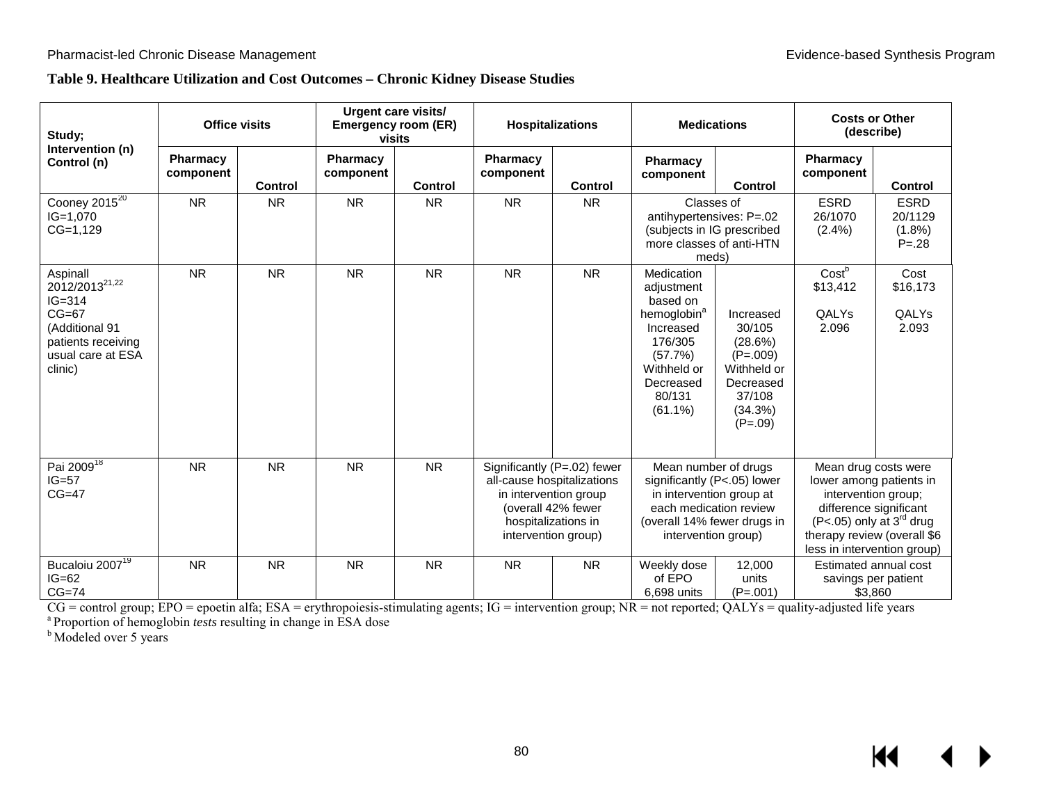## **Table 9. Healthcare Utilization and Cost Outcomes – Chronic Kidney Disease Studies**

| Study;                                                                                                                                  | <b>Office visits</b>  |                | <b>Urgent care visits/</b><br><b>Emergency room (ER)</b><br>visits |                |                       | <b>Hospitalizations</b>                                                                                                                                | <b>Medications</b>                                                                                                                                              |                                                                                                            | <b>Costs or Other</b><br>(describe)                                                                                                                                                                    |                                                  |
|-----------------------------------------------------------------------------------------------------------------------------------------|-----------------------|----------------|--------------------------------------------------------------------|----------------|-----------------------|--------------------------------------------------------------------------------------------------------------------------------------------------------|-----------------------------------------------------------------------------------------------------------------------------------------------------------------|------------------------------------------------------------------------------------------------------------|--------------------------------------------------------------------------------------------------------------------------------------------------------------------------------------------------------|--------------------------------------------------|
| Intervention (n)<br>Control (n)                                                                                                         | Pharmacy<br>component | <b>Control</b> | <b>Pharmacy</b><br>component                                       | <b>Control</b> | Pharmacy<br>component | <b>Control</b>                                                                                                                                         | Pharmacy<br>component                                                                                                                                           | <b>Control</b>                                                                                             | Pharmacy<br>component                                                                                                                                                                                  | <b>Control</b>                                   |
| Cooney 2015 <sup>20</sup><br>$IG=1,070$<br>$CG=1,129$                                                                                   | <b>NR</b>             | <b>NR</b>      | <b>NR</b>                                                          | <b>NR</b>      | <b>NR</b>             | <b>NR</b>                                                                                                                                              | Classes of<br>antihypertensives: P=.02<br>(subjects in IG prescribed<br>more classes of anti-HTN<br>meds)                                                       |                                                                                                            | <b>ESRD</b><br>26/1070<br>(2.4%)                                                                                                                                                                       | <b>ESRD</b><br>20/1129<br>$(1.8\%)$<br>$P = .28$ |
| Aspinall<br>2012/2013 <sup>21,22</sup><br>$IG = 314$<br>$CG=67$<br>(Additional 91<br>patients receiving<br>usual care at ESA<br>clinic) | <b>NR</b>             | <b>NR</b>      | <b>NR</b>                                                          | <b>NR</b>      | <b>NR</b>             | <b>NR</b>                                                                                                                                              | Medication<br>adjustment<br>based on<br>hemoglobin <sup>a</sup><br>Increased<br>176/305<br>(57.7%)<br>Withheld or<br>Decreased<br>80/131<br>$(61.1\%)$          | Increased<br>30/105<br>(28.6%)<br>$(P=.009)$<br>Withheld or<br>Decreased<br>37/108<br>(34.3%)<br>$(P=.09)$ | Costb<br>\$13,412<br>QALYs<br>2.096                                                                                                                                                                    | Cost<br>\$16,173<br>QALYs<br>2.093               |
| Pai 2009 <sup>18</sup><br>$IG=57$<br>$CG=47$                                                                                            | <b>NR</b>             | <b>NR</b>      | <b>NR</b>                                                          | <b>NR</b>      |                       | Significantly (P=.02) fewer<br>all-cause hospitalizations<br>in intervention group<br>(overall 42% fewer<br>hospitalizations in<br>intervention group) | Mean number of drugs<br>significantly (P<.05) lower<br>in intervention group at<br>each medication review<br>(overall 14% fewer drugs in<br>intervention group) |                                                                                                            | Mean drug costs were<br>lower among patients in<br>intervention group;<br>difference significant<br>(P<.05) only at 3 <sup>rd</sup> drug<br>therapy review (overall \$6<br>less in intervention group) |                                                  |
| Bucaloiu 2007 <sup>19</sup><br>$IG=62$<br>$CG=74$                                                                                       | <b>NR</b>             | <b>NR</b>      | <b>NR</b>                                                          | <b>NR</b>      | <b>NR</b>             | <b>NR</b>                                                                                                                                              | Weekly dose<br>12,000<br>of EPO<br>units<br>6.698 units<br>$(P=.001)$                                                                                           |                                                                                                            | Estimated annual cost<br>savings per patient<br>\$3.860                                                                                                                                                |                                                  |

CG = control group; EPO = epoetin alfa; ESA = erythropoiesis-stimulating agents; IG = intervention group; NR = not reported; QALYs = quality-adjusted life years<br><sup>a</sup> Proportion of hemoglobin *tests* resulting in change in E

<sup>b</sup> Modeled over 5 years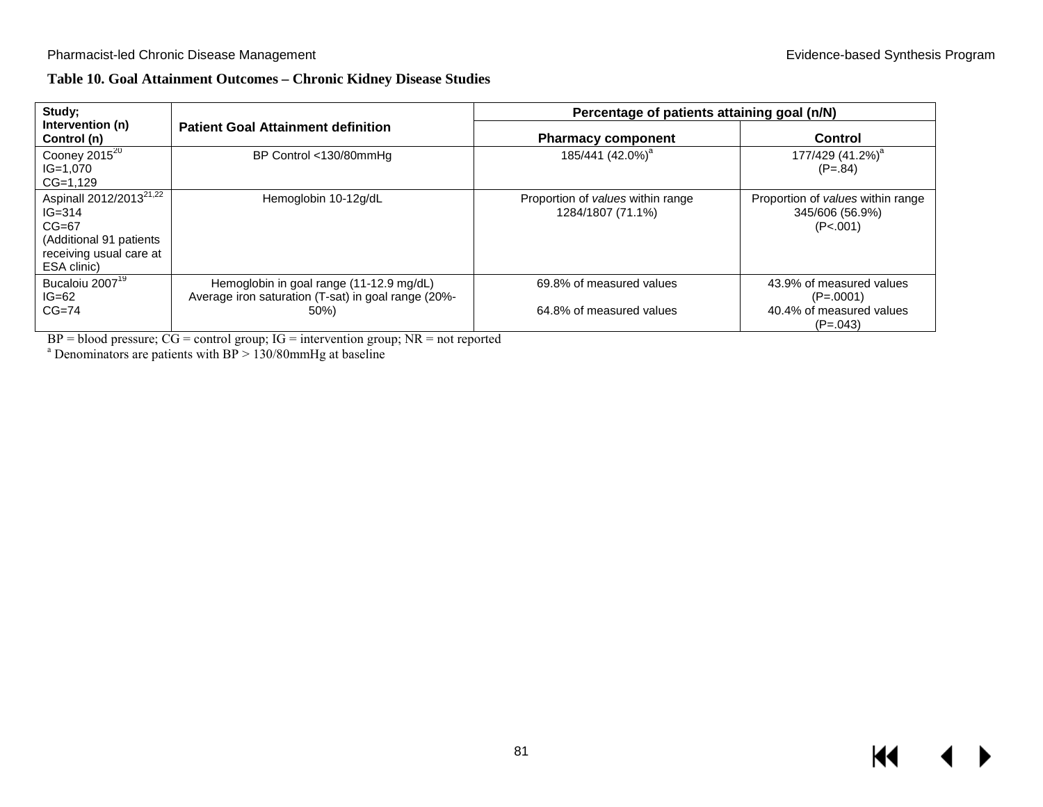## **Table 10. Goal Attainment Outcomes – Chronic Kidney Disease Studies**

| Study;                                                                                                                            |                                                                                                         | Percentage of patients attaining goal (n/N)            |                                                                                   |  |  |  |  |
|-----------------------------------------------------------------------------------------------------------------------------------|---------------------------------------------------------------------------------------------------------|--------------------------------------------------------|-----------------------------------------------------------------------------------|--|--|--|--|
| Intervention (n)<br>Control (n)                                                                                                   | <b>Patient Goal Attainment definition</b>                                                               | <b>Pharmacy component</b>                              | Control                                                                           |  |  |  |  |
| Cooney 2015 <sup>20</sup><br>$IG=1.070$<br>$CG=1,129$                                                                             | BP Control <130/80mmHg                                                                                  | 185/441 (42.0%) <sup>a</sup>                           | 177/429 (41.2%) <sup>a</sup><br>$(P=.84)$                                         |  |  |  |  |
| Aspinall 2012/2013 <sup>21,22</sup><br>$IG = 314$<br>$CG=67$<br>(Additional 91 patients<br>receiving usual care at<br>ESA clinic) | Hemoglobin 10-12g/dL                                                                                    | Proportion of values within range<br>1284/1807 (71.1%) | Proportion of <i>values</i> within range<br>345/606 (56.9%)<br>(P<.001)           |  |  |  |  |
| Bucaloiu 2007 <sup>19</sup><br>$IG=62$<br>$CG=74$                                                                                 | Hemoglobin in goal range (11-12.9 mg/dL)<br>Average iron saturation (T-sat) in goal range (20%-<br>50%) | 69.8% of measured values<br>64.8% of measured values   | 43.9% of measured values<br>$(P=.0001)$<br>40.4% of measured values<br>$(P=.043)$ |  |  |  |  |

BP = blood pressure;  $CG =$  control group;  $IG =$  intervention group;  $NR =$  not reported a Denominators are patients with BP > 130/80mmHg at baseline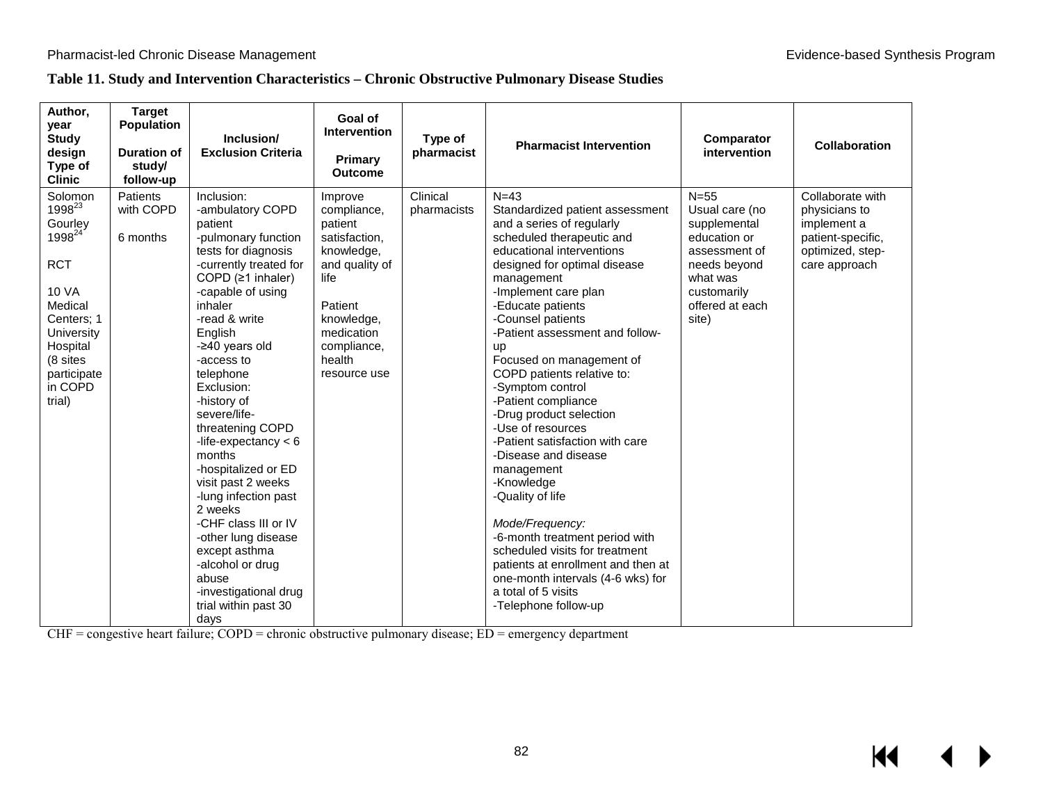## **Table 11. Study and Intervention Characteristics – Chronic Obstructive Pulmonary Disease Studies**

| Author,<br>year<br><b>Study</b><br>design<br>Type of<br><b>Clinic</b>                                                                                                                    | <b>Target</b><br><b>Population</b><br><b>Duration of</b><br>study/<br>follow-up | Inclusion/<br><b>Exclusion Criteria</b>                                                                                                                                                                                                                                                                                                                                                                                                                                                                                                                                                    | Goal of<br>Intervention<br>Primary<br><b>Outcome</b>                                                                                                                       | Type of<br>pharmacist   | <b>Pharmacist Intervention</b>                                                                                                                                                                                                                                                                                                                                                                                                                                                                                                                                                                                                                                                                                                                                               | <b>Comparator</b><br>intervention                                                                                                                | <b>Collaboration</b>                                                                                       |  |
|------------------------------------------------------------------------------------------------------------------------------------------------------------------------------------------|---------------------------------------------------------------------------------|--------------------------------------------------------------------------------------------------------------------------------------------------------------------------------------------------------------------------------------------------------------------------------------------------------------------------------------------------------------------------------------------------------------------------------------------------------------------------------------------------------------------------------------------------------------------------------------------|----------------------------------------------------------------------------------------------------------------------------------------------------------------------------|-------------------------|------------------------------------------------------------------------------------------------------------------------------------------------------------------------------------------------------------------------------------------------------------------------------------------------------------------------------------------------------------------------------------------------------------------------------------------------------------------------------------------------------------------------------------------------------------------------------------------------------------------------------------------------------------------------------------------------------------------------------------------------------------------------------|--------------------------------------------------------------------------------------------------------------------------------------------------|------------------------------------------------------------------------------------------------------------|--|
| Solomon<br>1998 <sup>23</sup><br>Gourley<br>1998 <sup>24</sup><br><b>RCT</b><br>10 VA<br>Medical<br>Centers; 1<br>University<br>Hospital<br>(8 sites<br>participate<br>in COPD<br>trial) | <b>Patients</b><br>with COPD<br>6 months                                        | Inclusion:<br>-ambulatory COPD<br>patient<br>-pulmonary function<br>tests for diagnosis<br>-currently treated for<br>COPD (≥1 inhaler)<br>-capable of using<br>inhaler<br>-read & write<br>English<br>-240 years old<br>-access to<br>telephone<br>Exclusion:<br>-history of<br>severe/life-<br>threatening COPD<br>-life-expectancy $< 6$<br>months<br>-hospitalized or ED<br>visit past 2 weeks<br>-lung infection past<br>2 weeks<br>-CHF class III or IV<br>-other lung disease<br>except asthma<br>-alcohol or drug<br>abuse<br>-investigational drug<br>trial within past 30<br>days | Improve<br>compliance,<br>patient<br>satisfaction,<br>knowledge,<br>and quality of<br>life<br>Patient<br>knowledge,<br>medication<br>compliance,<br>health<br>resource use | Clinical<br>pharmacists | $N = 43$<br>Standardized patient assessment<br>and a series of regularly<br>scheduled therapeutic and<br>educational interventions<br>designed for optimal disease<br>management<br>-Implement care plan<br>-Educate patients<br>-Counsel patients<br>-Patient assessment and follow-<br>up<br>Focused on management of<br>COPD patients relative to:<br>-Symptom control<br>-Patient compliance<br>-Drug product selection<br>-Use of resources<br>-Patient satisfaction with care<br>-Disease and disease<br>management<br>-Knowledge<br>-Quality of life<br>Mode/Frequency:<br>-6-month treatment period with<br>scheduled visits for treatment<br>patients at enrollment and then at<br>one-month intervals (4-6 wks) for<br>a total of 5 visits<br>-Telephone follow-up | $N=55$<br>Usual care (no<br>supplemental<br>education or<br>assessment of<br>needs beyond<br>what was<br>customarily<br>offered at each<br>site) | Collaborate with<br>physicians to<br>implement a<br>patient-specific,<br>optimized, step-<br>care approach |  |

CHF = congestive heart failure; COPD = chronic obstructive pulmonary disease; ED = emergency department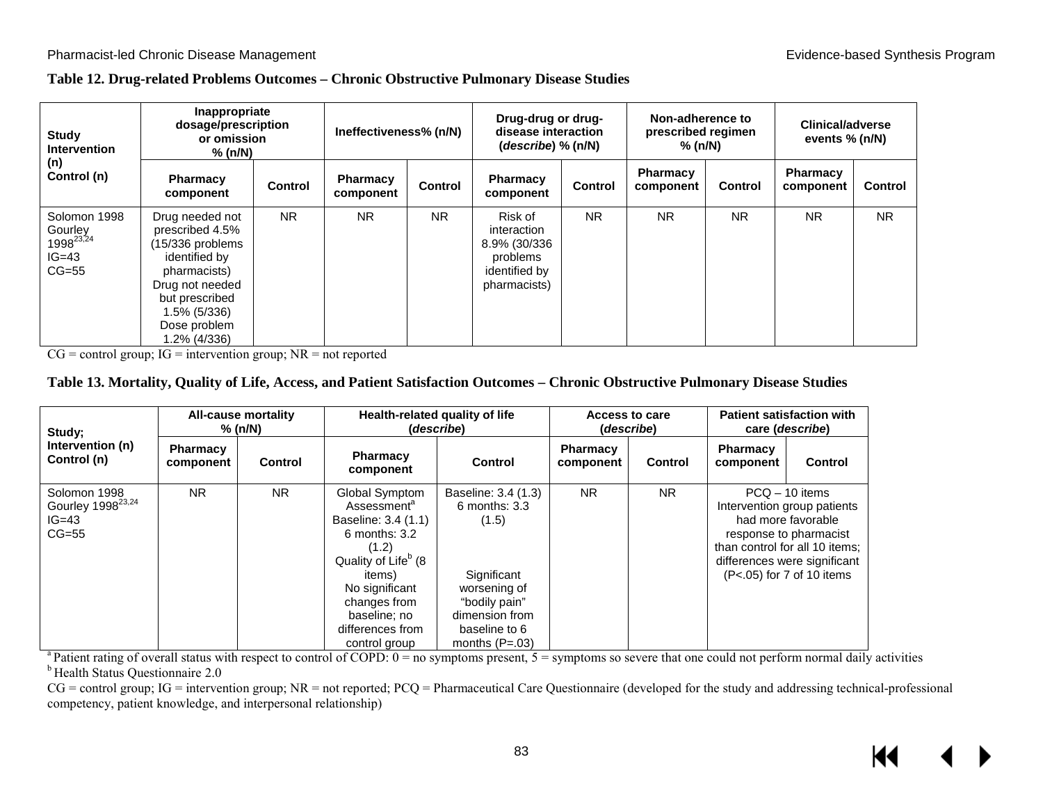#### **Table 12. Drug-related Problems Outcomes – Chronic Obstructive Pulmonary Disease Studies**

| Study<br><b>Intervention</b><br>(n)<br>Control (n)                     | Inappropriate<br>dosage/prescription<br>or omission<br>% (n/N)                                                                                                               |                | Ineffectiveness% (n/N) |                | Drug-drug or drug-<br>disease interaction<br>$(describe)$ % $(n/N)$                 |                | Non-adherence to<br>prescribed regimen<br>% (n/N) |                | Clinical/adverse<br>events $% (n/N)$ |                |
|------------------------------------------------------------------------|------------------------------------------------------------------------------------------------------------------------------------------------------------------------------|----------------|------------------------|----------------|-------------------------------------------------------------------------------------|----------------|---------------------------------------------------|----------------|--------------------------------------|----------------|
|                                                                        | Pharmacy<br>component                                                                                                                                                        | <b>Control</b> | Pharmacy<br>component  | <b>Control</b> | <b>Pharmacy</b><br>component                                                        | <b>Control</b> | Pharmacy<br>component                             | <b>Control</b> | <b>Pharmacy</b><br>component         | <b>Control</b> |
| Solomon 1998<br>Gourley<br>1998 <sup>23,24</sup><br>$IG=43$<br>$CG=55$ | Drug needed not<br>prescribed 4.5%<br>(15/336 problems<br>identified by<br>pharmacists)<br>Drug not needed<br>but prescribed<br>1.5% (5/336)<br>Dose problem<br>1.2% (4/336) | <b>NR</b>      | <b>NR</b>              | <b>NR</b>      | Risk of<br>interaction<br>8.9% (30/336<br>problems<br>identified by<br>pharmacists) | <b>NR</b>      | <b>NR</b>                                         | <b>NR</b>      | <b>NR</b>                            | <b>NR</b>      |

 $CG = control group$ ;  $IG = intervention group$ ;  $NR = not reported$ 

#### **Table 13. Mortality, Quality of Life, Access, and Patient Satisfaction Outcomes – Chronic Obstructive Pulmonary Disease Studies**

| Study;                                                              | All-cause mortality<br>% (n/N) |                |                                                                                                                                                                                                                                            | Health-related quality of life<br>(describe)                                                                                                             | <b>Access to care</b><br>(describe) |                | <b>Patient satisfaction with</b><br>care ( <i>describe</i> ) |                                                                                                                                                                                                |
|---------------------------------------------------------------------|--------------------------------|----------------|--------------------------------------------------------------------------------------------------------------------------------------------------------------------------------------------------------------------------------------------|----------------------------------------------------------------------------------------------------------------------------------------------------------|-------------------------------------|----------------|--------------------------------------------------------------|------------------------------------------------------------------------------------------------------------------------------------------------------------------------------------------------|
| Intervention (n)<br>Control (n)                                     | <b>Pharmacy</b><br>component   | <b>Control</b> | <b>Pharmacy</b><br>component                                                                                                                                                                                                               | Control                                                                                                                                                  | <b>Pharmacy</b><br>component        | <b>Control</b> | <b>Pharmacy</b><br>component                                 | Control                                                                                                                                                                                        |
| Solomon 1998<br>Gourley 1998 <sup>23,24</sup><br>$IG=43$<br>$CG=55$ | <b>NR</b>                      | <b>NR</b>      | Global Symptom<br>Assessment <sup>a</sup><br>Baseline: 3.4 (1.1)<br>$6$ months: $3.2$<br>(1.2)<br>Quality of Life <sup>b</sup> (8<br><i>items</i> )<br>No significant<br>changes from<br>baseline; no<br>differences from<br>control group | Baseline: 3.4 (1.3)<br>$6$ months: $3.3$<br>(1.5)<br>Significant<br>worsening of<br>"bodily pain"<br>dimension from<br>baseline to 6<br>months $(P=.03)$ | <b>NR</b>                           | <b>NR</b>      |                                                              | $PCQ - 10$ items<br>Intervention group patients<br>had more favorable<br>response to pharmacist<br>than control for all 10 items;<br>differences were significant<br>(P<.05) for 7 of 10 items |

<sup>a</sup> Patient rating of overall status with respect to control of COPD:  $0 =$  no symptoms present,  $5 =$  symptoms so severe that one could not perform normal daily activities <sup>b</sup> Health Status Questionnaire 2.0

 $CG =$  control group;  $IG =$  intervention group;  $NR =$  not reported;  $PCQ =$  Pharmaceutical Care Questionnaire (developed for the study and addressing technical-professional competency, patient knowledge, and interpersonal relationship)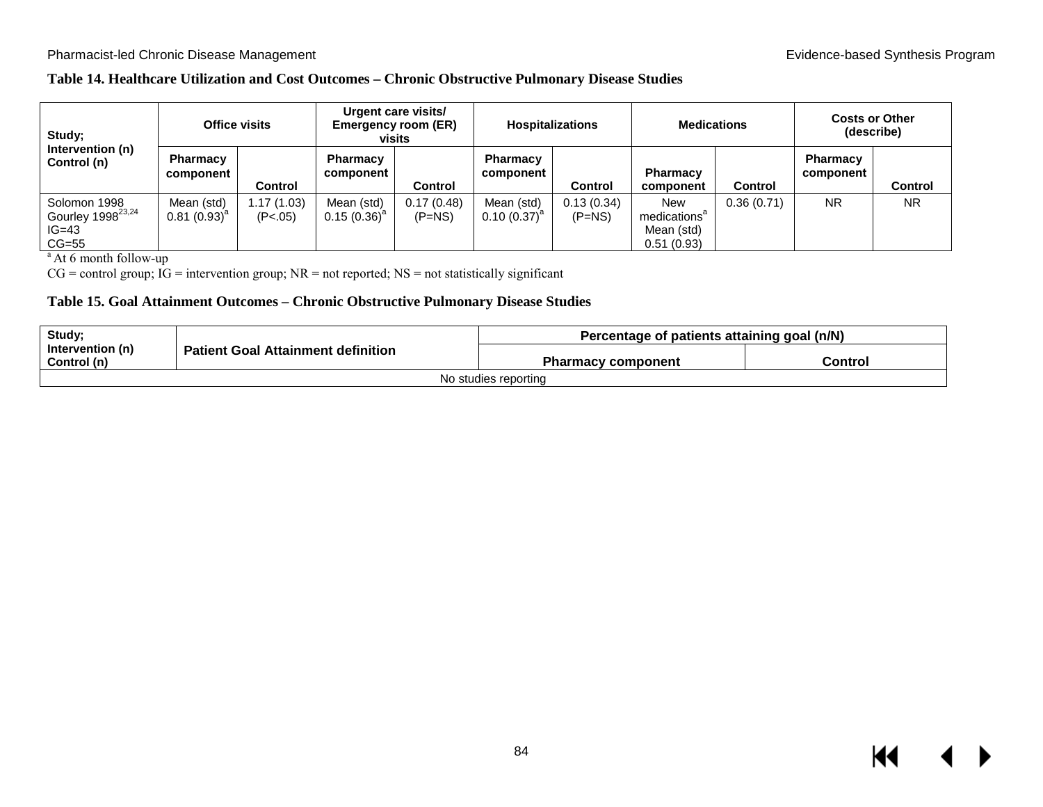## **Table 14. Healthcare Utilization and Cost Outcomes – Chronic Obstructive Pulmonary Disease Studies**

| Study;<br>Intervention (n)<br>Control (n)                           | <b>Office visits</b>           |                       | Urgent care visits/<br><b>Emergency room (ER)</b><br>visits |                        | <b>Hospitalizations</b>        |                        | <b>Medications</b>                                                 |                | <b>Costs or Other</b><br>(describe) |           |
|---------------------------------------------------------------------|--------------------------------|-----------------------|-------------------------------------------------------------|------------------------|--------------------------------|------------------------|--------------------------------------------------------------------|----------------|-------------------------------------|-----------|
|                                                                     | Pharmacy<br>component          | Control               | Pharmacy<br>component                                       | Control                | <b>Pharmacy</b><br>component   | <b>Control</b>         | Pharmacy<br>component                                              | <b>Control</b> | Pharmacy<br>component               | Control   |
| Solomon 1998<br>Gourley 1998 <sup>23,24</sup><br>$IG=43$<br>$CG=55$ | Mean (std)<br>$0.81(0.93)^{a}$ | 1.17(1.03)<br>(P<.05) | Mean (std)<br>$0.15(0.36)^{a}$                              | 0.17(0.48)<br>$(P=NS)$ | Mean (std)<br>$0.10(0.37)^{d}$ | 0.13(0.34)<br>$(P=NS)$ | <b>New</b><br>medications <sup>a</sup><br>Mean (std)<br>0.51(0.93) | 0.36(0.71)     | <b>NR</b>                           | <b>NR</b> |

<sup>a</sup> At 6 month follow-up

 $CG = control group$ ;  $IG = intervention group$ ;  $NR = not reported$ ;  $NS = not statistically significant$ 

#### **Table 15. Goal Attainment Outcomes – Chronic Obstructive Pulmonary Disease Studies**

| Study;                          |                                           | Percentage of patients attaining goal (n/N) |         |  |  |  |
|---------------------------------|-------------------------------------------|---------------------------------------------|---------|--|--|--|
| Intervention (n)<br>Control (n) | <b>Patient Goal Attainment definition</b> | <b>Pharmacy component</b>                   | Control |  |  |  |
|                                 |                                           | No studies reporting                        |         |  |  |  |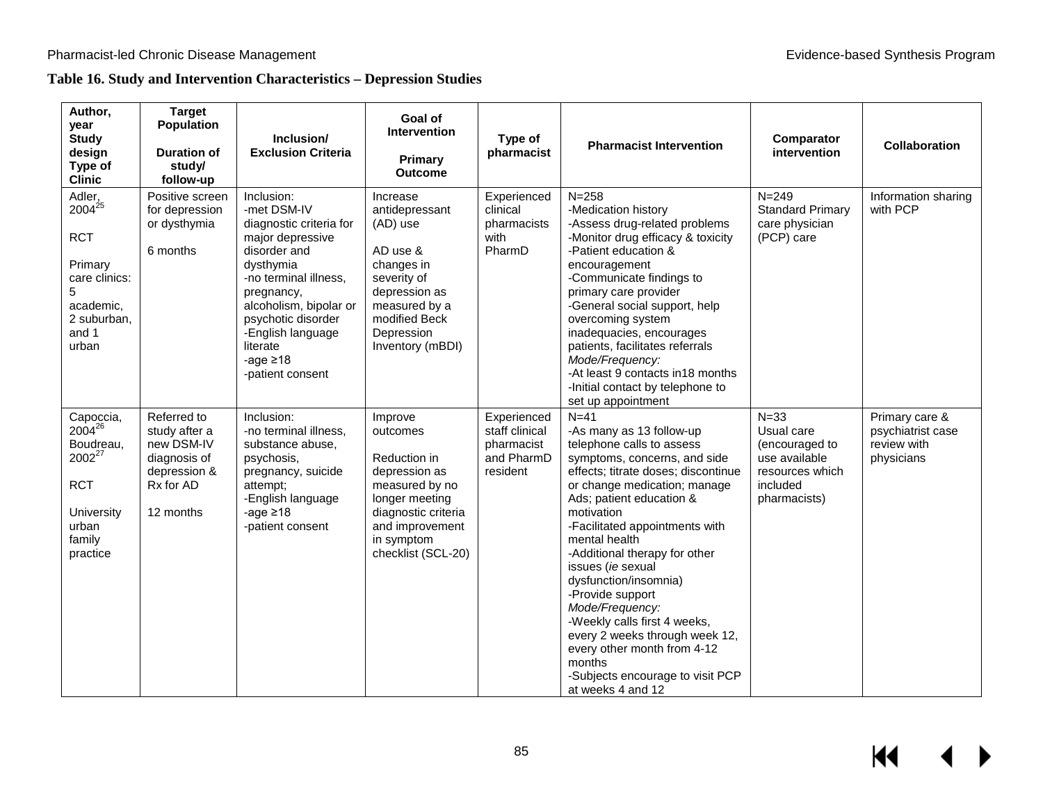## **Table 16. Study and Intervention Characteristics – Depression Studies**

| Author,<br>year<br><b>Study</b><br>design<br>Type of<br><b>Clinic</b>                                                         | <b>Target</b><br><b>Population</b><br><b>Duration of</b><br>study/<br>follow-up                      | Inclusion/<br><b>Exclusion Criteria</b>                                                                                                                                                                                                                             | Goal of<br><b>Intervention</b><br>Primary<br><b>Outcome</b>                                                                                                            | Type of<br>pharmacist                                                 | <b>Pharmacist Intervention</b>                                                                                                                                                                                                                                                                                                                                                                                                                                                                                                                                | Comparator<br>intervention                                                                               | <b>Collaboration</b>                                             |
|-------------------------------------------------------------------------------------------------------------------------------|------------------------------------------------------------------------------------------------------|---------------------------------------------------------------------------------------------------------------------------------------------------------------------------------------------------------------------------------------------------------------------|------------------------------------------------------------------------------------------------------------------------------------------------------------------------|-----------------------------------------------------------------------|---------------------------------------------------------------------------------------------------------------------------------------------------------------------------------------------------------------------------------------------------------------------------------------------------------------------------------------------------------------------------------------------------------------------------------------------------------------------------------------------------------------------------------------------------------------|----------------------------------------------------------------------------------------------------------|------------------------------------------------------------------|
| Adler,<br>$2004^{25}$<br><b>RCT</b><br>Primary<br>care clinics:<br>5<br>academic,<br>2 suburban,<br>and 1<br>urban            | Positive screen<br>for depression<br>or dysthymia<br>6 months                                        | Inclusion:<br>-met DSM-IV<br>diagnostic criteria for<br>major depressive<br>disorder and<br>dysthymia<br>-no terminal illness.<br>pregnancy,<br>alcoholism, bipolar or<br>psychotic disorder<br>-English language<br>literate<br>-age $\geq 18$<br>-patient consent | Increase<br>antidepressant<br>(AD) use<br>AD use &<br>changes in<br>severity of<br>depression as<br>measured by a<br>modified Beck<br>Depression<br>Inventory (mBDI)   | Experienced<br>clinical<br>pharmacists<br>with<br>PharmD              | $N = 258$<br>-Medication history<br>-Assess drug-related problems<br>-Monitor drug efficacy & toxicity<br>-Patient education &<br>encouragement<br>-Communicate findings to<br>primary care provider<br>-General social support, help<br>overcoming system<br>inadequacies, encourages<br>patients, facilitates referrals<br>Mode/Frequency:<br>-At least 9 contacts in 18 months<br>-Initial contact by telephone to<br>set up appointment                                                                                                                   | $N = 249$<br><b>Standard Primary</b><br>care physician<br>(PCP) care                                     | Information sharing<br>with PCP                                  |
| Capoccia,<br>$2004^{26}$<br>Boudreau,<br>2002 <sup>27</sup><br><b>RCT</b><br><b>University</b><br>urban<br>family<br>practice | Referred to<br>study after a<br>new DSM-IV<br>diagnosis of<br>depression &<br>Rx for AD<br>12 months | Inclusion:<br>-no terminal illness,<br>substance abuse,<br>psychosis,<br>pregnancy, suicide<br>attempt;<br>-English language<br>-age $\geq 18$<br>-patient consent                                                                                                  | Improve<br>outcomes<br>Reduction in<br>depression as<br>measured by no<br>longer meeting<br>diagnostic criteria<br>and improvement<br>in symptom<br>checklist (SCL-20) | Experienced<br>staff clinical<br>pharmacist<br>and PharmD<br>resident | $N=41$<br>-As many as 13 follow-up<br>telephone calls to assess<br>symptoms, concerns, and side<br>effects; titrate doses; discontinue<br>or change medication; manage<br>Ads; patient education &<br>motivation<br>-Facilitated appointments with<br>mental health<br>-Additional therapy for other<br>issues (ie sexual<br>dysfunction/insomnia)<br>-Provide support<br>Mode/Frequency:<br>-Weekly calls first 4 weeks,<br>every 2 weeks through week 12,<br>every other month from 4-12<br>months<br>-Subjects encourage to visit PCP<br>at weeks 4 and 12 | $N = 33$<br>Usual care<br>(encouraged to<br>use available<br>resources which<br>included<br>pharmacists) | Primary care &<br>psychiatrist case<br>review with<br>physicians |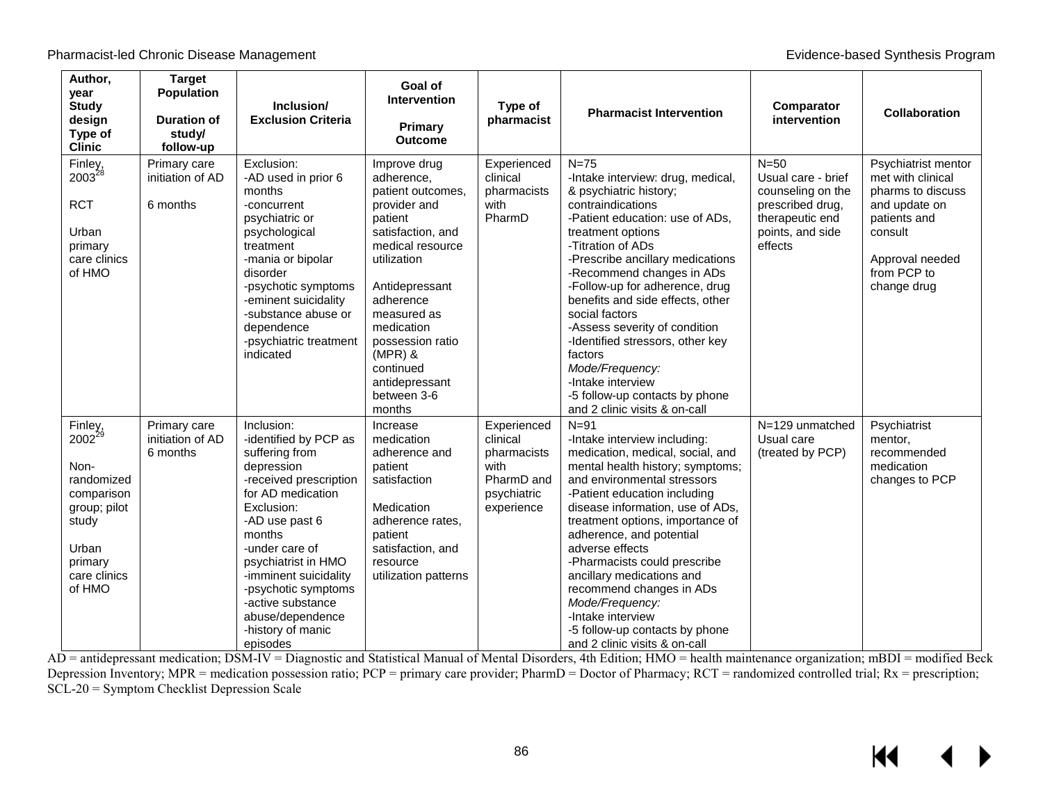| Author,<br>year<br><b>Study</b><br>design<br>Type of<br><b>Clinic</b>                                                                    | <b>Target</b><br><b>Population</b><br><b>Duration of</b><br>study/<br>follow-up | Inclusion/<br><b>Exclusion Criteria</b>                                                                                                                                                                                                                                                                                         | Goal of<br><b>Intervention</b><br>Primary<br><b>Outcome</b>                                                                                                                                                                                                                             | Type of<br>pharmacist                                                                     | <b>Pharmacist Intervention</b>                                                                                                                                                                                                                                                                                                                                                                                                                                                                                              | Comparator<br>intervention                                                                                              | <b>Collaboration</b>                                                                                                                                       |
|------------------------------------------------------------------------------------------------------------------------------------------|---------------------------------------------------------------------------------|---------------------------------------------------------------------------------------------------------------------------------------------------------------------------------------------------------------------------------------------------------------------------------------------------------------------------------|-----------------------------------------------------------------------------------------------------------------------------------------------------------------------------------------------------------------------------------------------------------------------------------------|-------------------------------------------------------------------------------------------|-----------------------------------------------------------------------------------------------------------------------------------------------------------------------------------------------------------------------------------------------------------------------------------------------------------------------------------------------------------------------------------------------------------------------------------------------------------------------------------------------------------------------------|-------------------------------------------------------------------------------------------------------------------------|------------------------------------------------------------------------------------------------------------------------------------------------------------|
| Finley,<br>2003 <sup>28</sup><br><b>RCT</b><br>Urban<br>primary<br>care clinics<br>of HMO                                                | Primary care<br>initiation of AD<br>6 months                                    | Exclusion:<br>-AD used in prior 6<br>months<br>-concurrent<br>psychiatric or<br>psychological<br>treatment<br>-mania or bipolar<br>disorder<br>-psychotic symptoms<br>-eminent suicidality<br>-substance abuse or<br>dependence<br>-psychiatric treatment<br>indicated                                                          | Improve drug<br>adherence,<br>patient outcomes.<br>provider and<br>patient<br>satisfaction, and<br>medical resource<br>utilization<br>Antidepressant<br>adherence<br>measured as<br>medication<br>possession ratio<br>$(MPR)$ &<br>continued<br>antidepressant<br>between 3-6<br>months | Experienced<br>clinical<br>pharmacists<br>with<br>PharmD                                  | $N=75$<br>-Intake interview: drug, medical,<br>& psychiatric history;<br>contraindications<br>-Patient education: use of ADs,<br>treatment options<br>-Titration of ADs<br>-Prescribe ancillary medications<br>-Recommend changes in ADs<br>-Follow-up for adherence, drug<br>benefits and side effects, other<br>social factors<br>-Assess severity of condition<br>-Identified stressors, other key<br>factors<br>Mode/Frequency:<br>-Intake interview<br>-5 follow-up contacts by phone<br>and 2 clinic visits & on-call | $N=50$<br>Usual care - brief<br>counseling on the<br>prescribed drug,<br>therapeutic end<br>points, and side<br>effects | Psychiatrist mentor<br>met with clinical<br>pharms to discuss<br>and update on<br>patients and<br>consult<br>Approval needed<br>from PCP to<br>change drug |
| Finley,<br>2002 <sup>29</sup><br>Non-<br>randomized<br>comparison<br>group; pilot<br>study<br>Urban<br>primary<br>care clinics<br>of HMO | Primary care<br>initiation of AD<br>6 months                                    | Inclusion:<br>-identified by PCP as<br>suffering from<br>depression<br>-received prescription<br>for AD medication<br>Exclusion:<br>-AD use past 6<br>months<br>-under care of<br>psychiatrist in HMO<br>-imminent suicidality<br>-psychotic symptoms<br>-active substance<br>abuse/dependence<br>-history of manic<br>episodes | Increase<br>medication<br>adherence and<br>patient<br>satisfaction<br>Medication<br>adherence rates,<br>patient<br>satisfaction, and<br>resource<br>utilization patterns                                                                                                                | Experienced<br>clinical<br>pharmacists<br>with<br>PharmD and<br>psychiatric<br>experience | $N=91$<br>-Intake interview including:<br>medication, medical, social, and<br>mental health history; symptoms;<br>and environmental stressors<br>-Patient education including<br>disease information, use of ADs,<br>treatment options, importance of<br>adherence, and potential<br>adverse effects<br>-Pharmacists could prescribe<br>ancillary medications and<br>recommend changes in ADs<br>Mode/Frequency:<br>-Intake interview<br>-5 follow-up contacts by phone<br>and 2 clinic visits & on-call                    | N=129 unmatched<br>Usual care<br>(treated by PCP)                                                                       | Psychiatrist<br>mentor,<br>recommended<br>medication<br>changes to PCP                                                                                     |

AD = antidepressant medication; DSM-IV = Diagnostic and Statistical Manual of Mental Disorders, 4th Edition; HMO = health maintenance organization; mBDI = modified Beck Depression Inventory; MPR = medication possession ratio; PCP = primary care provider; PharmD = Doctor of Pharmacy; RCT = randomized controlled trial; Rx = prescription; SCL-20 = Symptom Checklist Depression Scale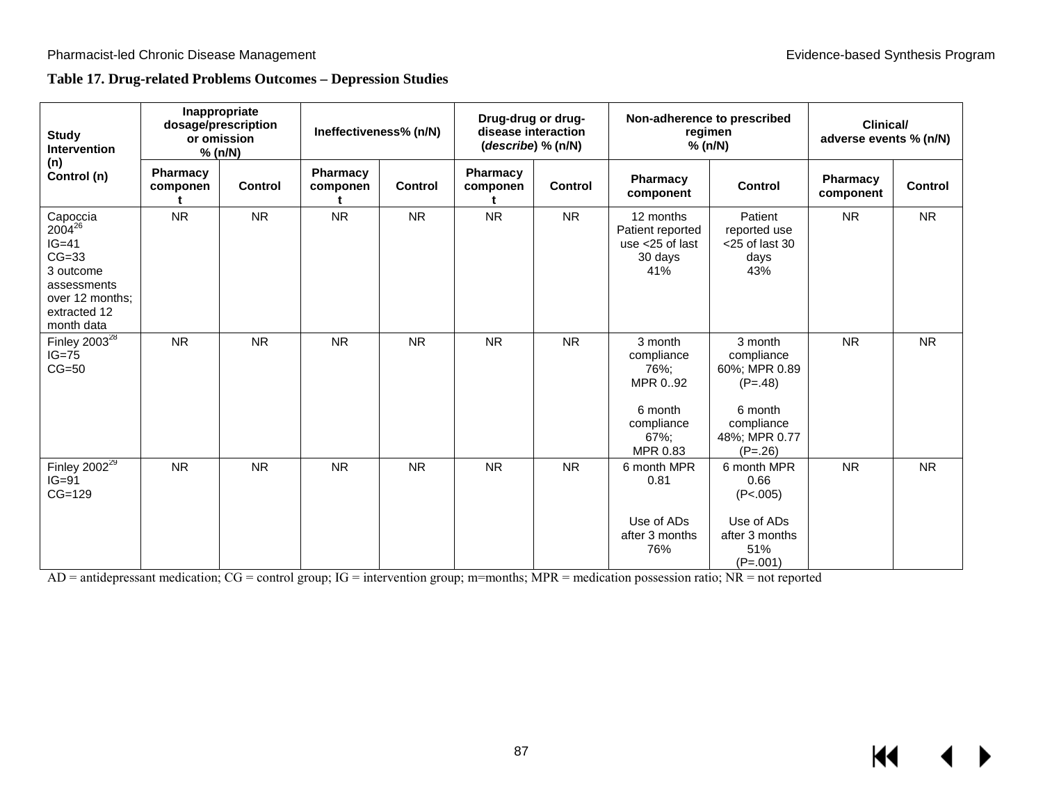## **Table 17. Drug-related Problems Outcomes – Depression Studies**

| <b>Study</b><br><b>Intervention</b>                                                                                               | Inappropriate<br>dosage/prescription<br>or omission<br>% (n/N) |                | Ineffectiveness% (n/N) |                | Drug-drug or drug-<br>disease interaction<br>(describe) % (n/N) |           | Non-adherence to prescribed<br>% (n/N)                                                 | regimen                                                                                                    | <b>Clinical/</b><br>adverse events % (n/N) |                |
|-----------------------------------------------------------------------------------------------------------------------------------|----------------------------------------------------------------|----------------|------------------------|----------------|-----------------------------------------------------------------|-----------|----------------------------------------------------------------------------------------|------------------------------------------------------------------------------------------------------------|--------------------------------------------|----------------|
| (n)<br>Control (n)                                                                                                                | <b>Pharmacy</b><br>componen                                    | <b>Control</b> | Pharmacy<br>componen   | <b>Control</b> | <b>Pharmacy</b><br>componen                                     | Control   | <b>Pharmacy</b><br>component                                                           | <b>Control</b>                                                                                             | <b>Pharmacy</b><br>component               | <b>Control</b> |
| Capoccia<br>2004 <sup>26</sup><br>$IG=41$<br>$CG=33$<br>3 outcome<br>assessments<br>over 12 months;<br>extracted 12<br>month data | <b>NR</b>                                                      | <b>NR</b>      | <b>NR</b>              | <b>NR</b>      | <b>NR</b>                                                       | <b>NR</b> | 12 months<br>Patient reported<br>use $<$ 25 of last<br>30 days<br>41%                  | Patient<br>reported use<br>$<$ 25 of last 30<br>days<br>43%                                                | <b>NR</b>                                  | <b>NR</b>      |
| Finley $2003^{28}$<br>$IG=75$<br>$CG=50$                                                                                          | <b>NR</b>                                                      | <b>NR</b>      | <b>NR</b>              | <b>NR</b>      | <b>NR</b>                                                       | <b>NR</b> | 3 month<br>compliance<br>76%;<br>MPR 0.92<br>6 month<br>compliance<br>67%:<br>MPR 0.83 | 3 month<br>compliance<br>60%; MPR 0.89<br>$(P=.48)$<br>6 month<br>compliance<br>48%; MPR 0.77<br>$(P=.26)$ | <b>NR</b>                                  | <b>NR</b>      |
| Finley $2002^{\overline{29}}$<br>$IG=91$<br>$CG=129$                                                                              | <b>NR</b>                                                      | <b>NR</b>      | <b>NR</b>              | <b>NR</b>      | <b>NR</b>                                                       | <b>NR</b> | 6 month MPR<br>0.81<br>Use of ADs<br>after 3 months<br>76%                             | 6 month MPR<br>0.66<br>(P<.005)<br>Use of ADs<br>after 3 months<br>51%<br>$(P=.001)$                       | <b>NR</b>                                  | <b>NR</b>      |

AD = antidepressant medication; CG = control group; IG = intervention group; m=months; MPR = medication possession ratio; NR = not reported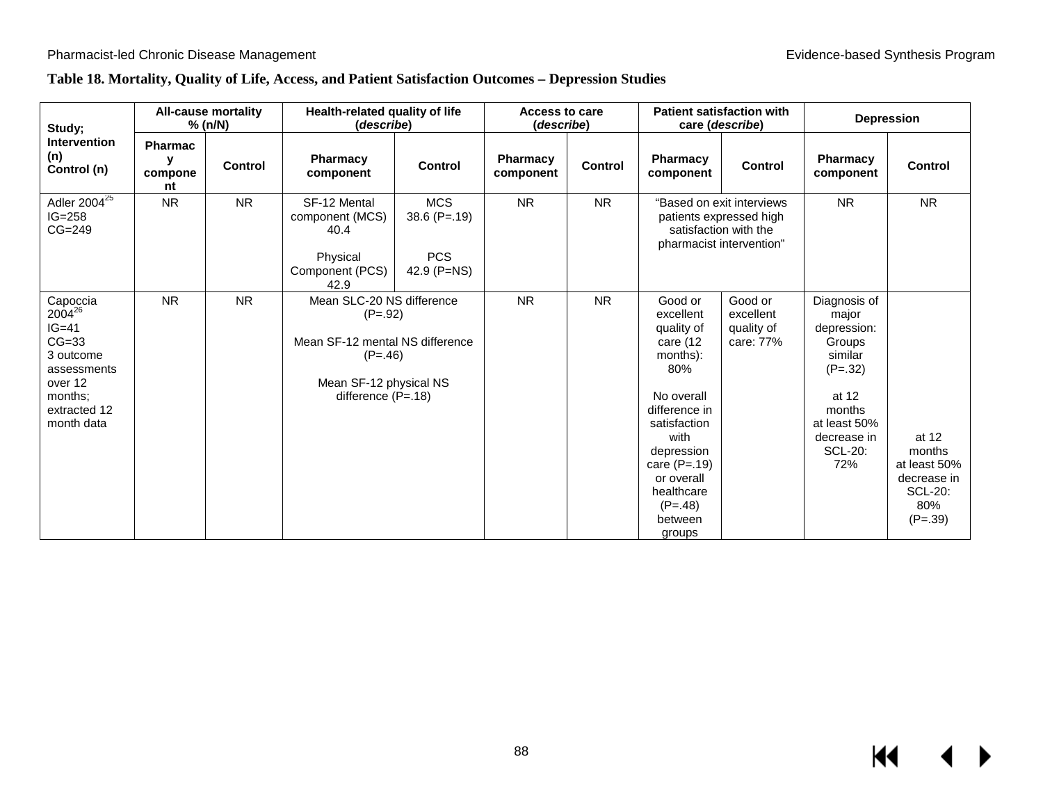## **Table 18. Mortality, Quality of Life, Access, and Patient Satisfaction Outcomes – Depression Studies**

| Study;                                                                                                                               | <b>All-cause mortality</b><br>$%$ (n/N) |                | Health-related quality of life<br>(describe)                                                                                             |                                                           | <b>Access to care</b><br>(describe) |                | <b>Patient satisfaction with</b><br>care (describe)                                                                                                                                                                    |                                                                                                           | <b>Depression</b>                                                                                                                                 |                                                                                      |
|--------------------------------------------------------------------------------------------------------------------------------------|-----------------------------------------|----------------|------------------------------------------------------------------------------------------------------------------------------------------|-----------------------------------------------------------|-------------------------------------|----------------|------------------------------------------------------------------------------------------------------------------------------------------------------------------------------------------------------------------------|-----------------------------------------------------------------------------------------------------------|---------------------------------------------------------------------------------------------------------------------------------------------------|--------------------------------------------------------------------------------------|
| <b>Intervention</b><br>(n)<br>Control (n)                                                                                            | <b>Pharmac</b><br>٧<br>compone<br>nt    | <b>Control</b> | <b>Pharmacy</b><br>component                                                                                                             | <b>Control</b>                                            | <b>Pharmacy</b><br>component        | <b>Control</b> | <b>Pharmacy</b><br>component                                                                                                                                                                                           | <b>Control</b>                                                                                            | <b>Pharmacy</b><br>component                                                                                                                      | <b>Control</b>                                                                       |
| Adler $2004^{25}$<br>$IG=258$<br>$CG=249$                                                                                            | <b>NR</b>                               | <b>NR</b>      | SF-12 Mental<br>component (MCS)<br>40.4<br>Physical<br>Component (PCS)<br>42.9                                                           | <b>MCS</b><br>$38.6$ (P=.19)<br><b>PCS</b><br>42.9 (P=NS) | N <sub>R</sub>                      | <b>NR</b>      |                                                                                                                                                                                                                        | "Based on exit interviews<br>patients expressed high<br>satisfaction with the<br>pharmacist intervention" | <b>NR</b>                                                                                                                                         | <b>NR</b>                                                                            |
| Capoccia<br>2004 <sup>26</sup><br>$IG=41$<br>$CG=33$<br>3 outcome<br>assessments<br>over 12<br>months:<br>extracted 12<br>month data | <b>NR</b>                               | <b>NR</b>      | Mean SLC-20 NS difference<br>$(P=.92)$<br>Mean SF-12 mental NS difference<br>$(P=.46)$<br>Mean SF-12 physical NS<br>difference $(P=.18)$ |                                                           | <b>NR</b>                           | <b>NR</b>      | Good or<br>excellent<br>quality of<br>care (12<br>months):<br>80%<br>No overall<br>difference in<br>satisfaction<br>with<br>depression<br>care $(P=.19)$<br>or overall<br>healthcare<br>$(P=.48)$<br>between<br>groups | Good or<br>excellent<br>quality of<br>care: 77%                                                           | Diagnosis of<br>major<br>depression:<br>Groups<br>similar<br>$(P=.32)$<br>at 12<br>months<br>at least 50%<br>decrease in<br><b>SCL-20:</b><br>72% | at 12<br>months<br>at least 50%<br>decrease in<br><b>SCL-20:</b><br>80%<br>$(P=.39)$ |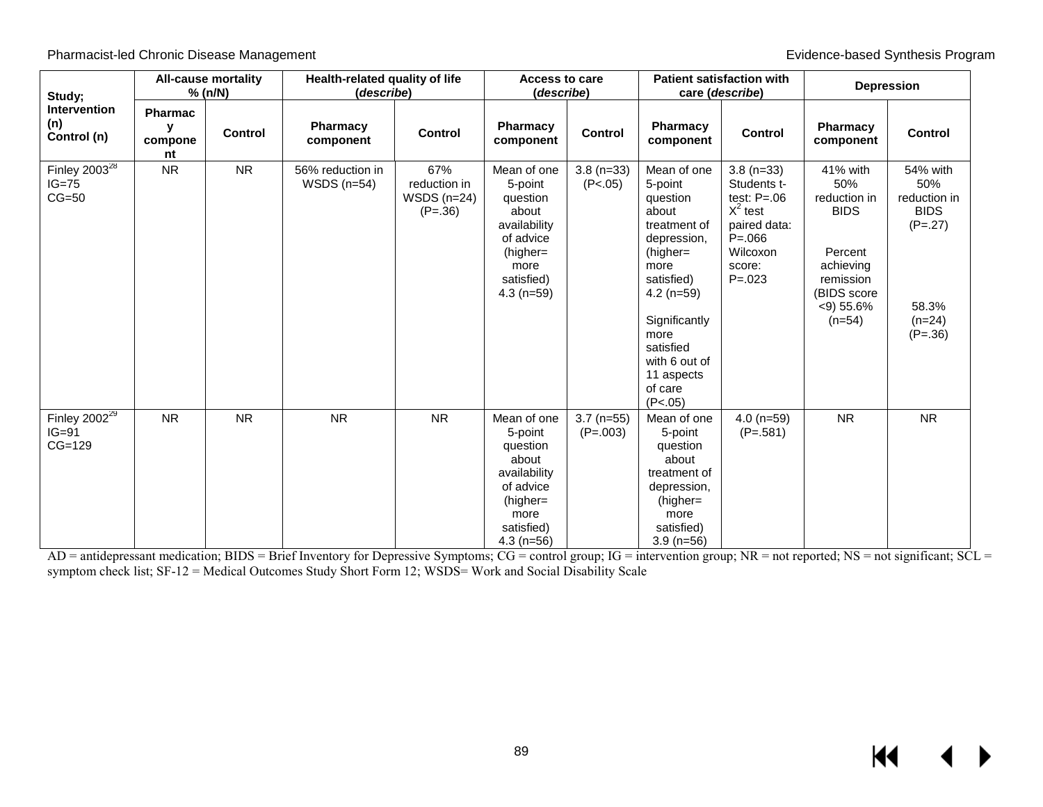| Study;                                    | <b>All-cause mortality</b><br>% (n/N) |                | Health-related quality of life<br>(describe) |                                                   | <b>Access to care</b><br>(describe)                                                                                           |                            | <b>Patient satisfaction with</b><br>care ( <i>describe</i> )                                                                                                                                                               |                                                                                                                             | <b>Depression</b>                                                                                                              |                                                                                               |
|-------------------------------------------|---------------------------------------|----------------|----------------------------------------------|---------------------------------------------------|-------------------------------------------------------------------------------------------------------------------------------|----------------------------|----------------------------------------------------------------------------------------------------------------------------------------------------------------------------------------------------------------------------|-----------------------------------------------------------------------------------------------------------------------------|--------------------------------------------------------------------------------------------------------------------------------|-----------------------------------------------------------------------------------------------|
| <b>Intervention</b><br>(n)<br>Control (n) | <b>Pharmac</b><br>y<br>compone<br>nt  | <b>Control</b> | Pharmacy<br>component                        | <b>Control</b>                                    | <b>Pharmacy</b><br>component                                                                                                  | <b>Control</b>             | Pharmacy<br>component                                                                                                                                                                                                      | Control                                                                                                                     | Pharmacy<br>component                                                                                                          | <b>Control</b>                                                                                |
| Finley $2003^{28}$<br>$IG=75$<br>$CG=50$  | <b>NR</b>                             | <b>NR</b>      | 56% reduction in<br>WSDS $(n=54)$            | 67%<br>reduction in<br>WSDS $(n=24)$<br>$(P=.36)$ | Mean of one<br>5-point<br>question<br>about<br>availability<br>of advice<br>$(higher =$<br>more<br>satisfied)<br>$4.3$ (n=59) | $3.8(n=33)$<br>(P<.05)     | Mean of one<br>5-point<br>question<br>about<br>treatment of<br>depression,<br>$(higher =$<br>more<br>satisfied)<br>$4.2$ (n=59)<br>Significantly<br>more<br>satisfied<br>with 6 out of<br>11 aspects<br>of care<br>(P<.05) | $3.8(n=33)$<br>Students t-<br>test: $P=.06$<br>$X^2$ test<br>paired data:<br>$P = 066$<br>Wilcoxon<br>score:<br>$P = 0.023$ | 41% with<br>50%<br>reduction in<br><b>BIDS</b><br>Percent<br>achieving<br>remission<br>(BIDS score<br>$<$ 9) 55.6%<br>$(n=54)$ | 54% with<br>50%<br>reduction in<br><b>BIDS</b><br>$(P=.27)$<br>58.3%<br>$(n=24)$<br>$(P=.36)$ |
| Finley $2002^{29}$<br>$IG=91$<br>$CG=129$ | <b>NR</b>                             | <b>NR</b>      | <b>NR</b>                                    | <b>NR</b>                                         | Mean of one<br>5-point<br>question<br>about<br>availability<br>of advice<br>(higher=<br>more<br>satisfied)<br>$4.3$ (n=56)    | $3.7$ (n=55)<br>$(P=.003)$ | Mean of one<br>5-point<br>question<br>about<br>treatment of<br>depression,<br>(higher=<br>more<br>satisfied)<br>$3.9$ (n=56)                                                                                               | $4.0$ (n=59)<br>$(P=.581)$                                                                                                  | <b>NR</b>                                                                                                                      | <b>NR</b>                                                                                     |

AD = antidepressant medication; BIDS = Brief Inventory for Depressive Symptoms; CG = control group; IG = intervention group; NR = not reported; NS = not significant; SCL = symptom check list; SF-12 = Medical Outcomes Study Short Form 12; WSDS= Work and Social Disability Scale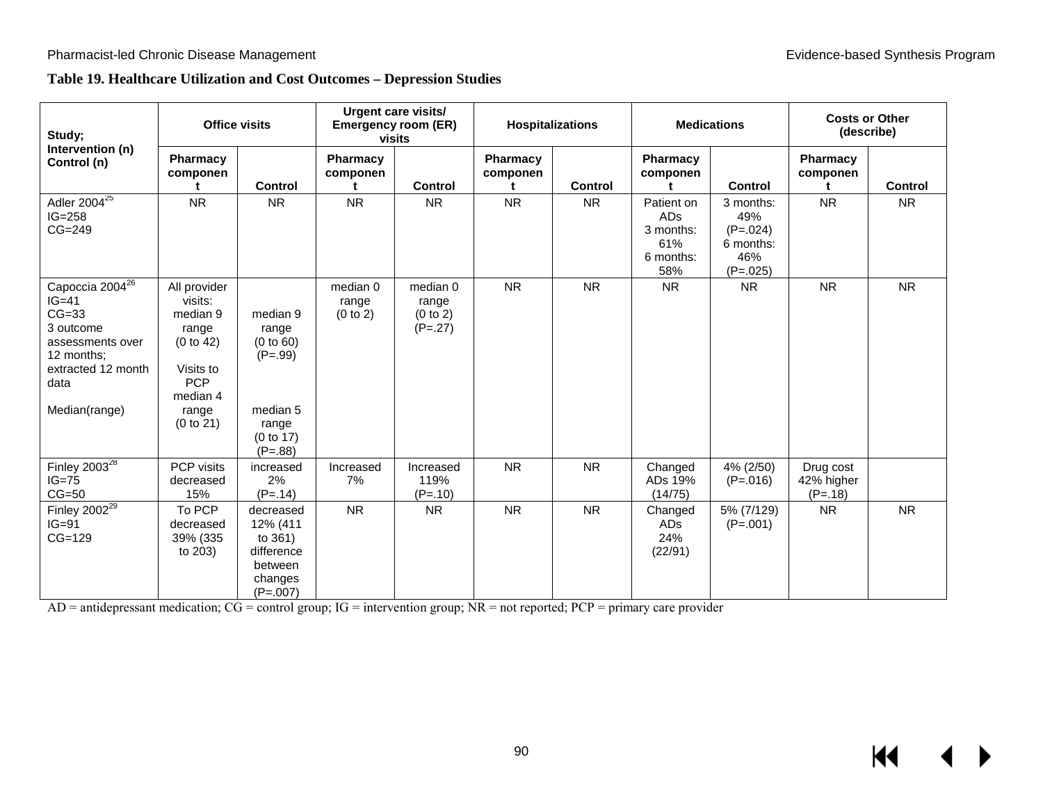## **Table 19. Healthcare Utilization and Cost Outcomes – Depression Studies**

| Study;                                                                                                                                          | <b>Office visits</b>                                                                                                   |                                                                                            | <b>Urgent care visits/</b><br><b>Emergency room (ER)</b><br>visits |                                            | <b>Hospitalizations</b>   |           | <b>Medications</b>                                               |                                                                  | <b>Costs or Other</b><br>(describe)  |           |
|-------------------------------------------------------------------------------------------------------------------------------------------------|------------------------------------------------------------------------------------------------------------------------|--------------------------------------------------------------------------------------------|--------------------------------------------------------------------|--------------------------------------------|---------------------------|-----------|------------------------------------------------------------------|------------------------------------------------------------------|--------------------------------------|-----------|
| Intervention (n)<br>Control (n)                                                                                                                 | Pharmacy<br>componen                                                                                                   | <b>Control</b>                                                                             | <b>Pharmacy</b><br>componen<br>t                                   | <b>Control</b>                             | Pharmacy<br>componen<br>t | Control   | Pharmacy<br>componen<br>t                                        | <b>Control</b>                                                   | <b>Pharmacy</b><br>componen          | Control   |
| Adler $2004^{25}$<br>$IG=258$<br>$CG=249$                                                                                                       | <b>NR</b>                                                                                                              | <b>NR</b>                                                                                  | <b>NR</b>                                                          | <b>NR</b>                                  | <b>NR</b>                 | <b>NR</b> | Patient on<br><b>ADs</b><br>3 months:<br>61%<br>6 months:<br>58% | 3 months:<br>49%<br>$(P=.024)$<br>6 months:<br>46%<br>$(P=.025)$ | <b>NR</b>                            | <b>NR</b> |
| Capoccia 2004 <sup>26</sup><br>$IG=41$<br>$CG=33$<br>3 outcome<br>assessments over<br>12 months:<br>extracted 12 month<br>data<br>Median(range) | All provider<br>visits:<br>median 9<br>range<br>(0 to 42)<br>Visits to<br><b>PCP</b><br>median 4<br>range<br>(0 to 21) | median 9<br>range<br>(0 to 60)<br>$(P=.99)$<br>median 5<br>range<br>(0 to 17)<br>$(P=.88)$ | median 0<br>range<br>(0 to 2)                                      | median 0<br>range<br>(0 to 2)<br>$(P=.27)$ | <b>NR</b>                 | <b>NR</b> | <b>NR</b>                                                        | <b>NR</b>                                                        | <b>NR</b>                            | <b>NR</b> |
| Finley $2003^{28}$<br>$IG=75$<br>$CG=50$                                                                                                        | PCP visits<br>decreased<br>15%                                                                                         | increased<br>2%<br>$(P=.14)$                                                               | Increased<br>7%                                                    | Increased<br>119%<br>$(P=.10)$             | <b>NR</b>                 | <b>NR</b> | Changed<br>ADs 19%<br>(14/75)                                    | 4% (2/50)<br>$(P=.016)$                                          | Drug cost<br>42% higher<br>$(P=.18)$ |           |
| Finley $2002^{\overline{29}}$<br>$IG=91$<br>$CG=129$                                                                                            | To PCP<br>decreased<br>39% (335<br>to 203)                                                                             | decreased<br>12% (411<br>to 361)<br>difference<br>between<br>changes<br>$(P=.007)$         | <b>NR</b>                                                          | <b>NR</b>                                  | <b>NR</b>                 | <b>NR</b> | Changed<br><b>ADs</b><br>24%<br>(22/91)                          | 5% (7/129)<br>$(P=.001)$                                         | <b>NR</b>                            | <b>NR</b> |

AD = antidepressant medication; CG = control group; IG = intervention group; NR = not reported; PCP = primary care provider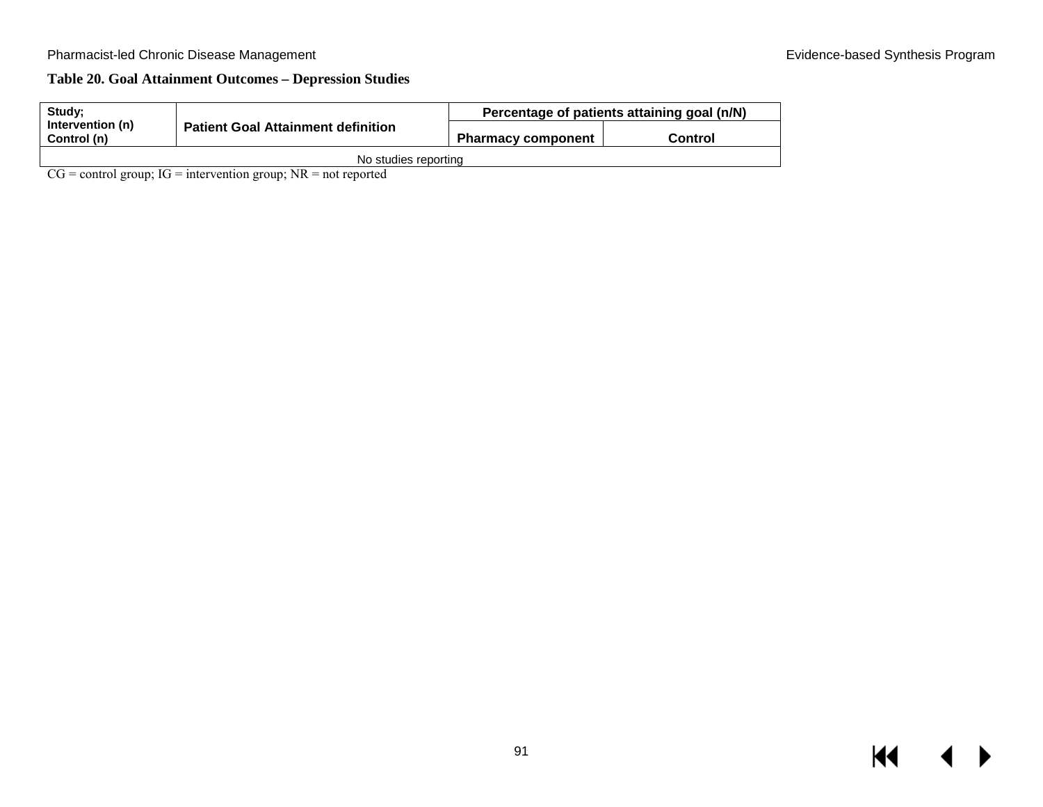## **Table 20. Goal Attainment Outcomes – Depression Studies**

| Study:                          |                                           | Percentage of patients attaining goal (n/N) |         |  |  |
|---------------------------------|-------------------------------------------|---------------------------------------------|---------|--|--|
| Intervention (n)<br>Control (n) | <b>Patient Goal Attainment definition</b> | <b>Pharmacy component</b>                   | Control |  |  |
|                                 | No studies reporting                      |                                             |         |  |  |

 $CG = control group$ ;  $IG = intervention group$ ;  $NR = not reported$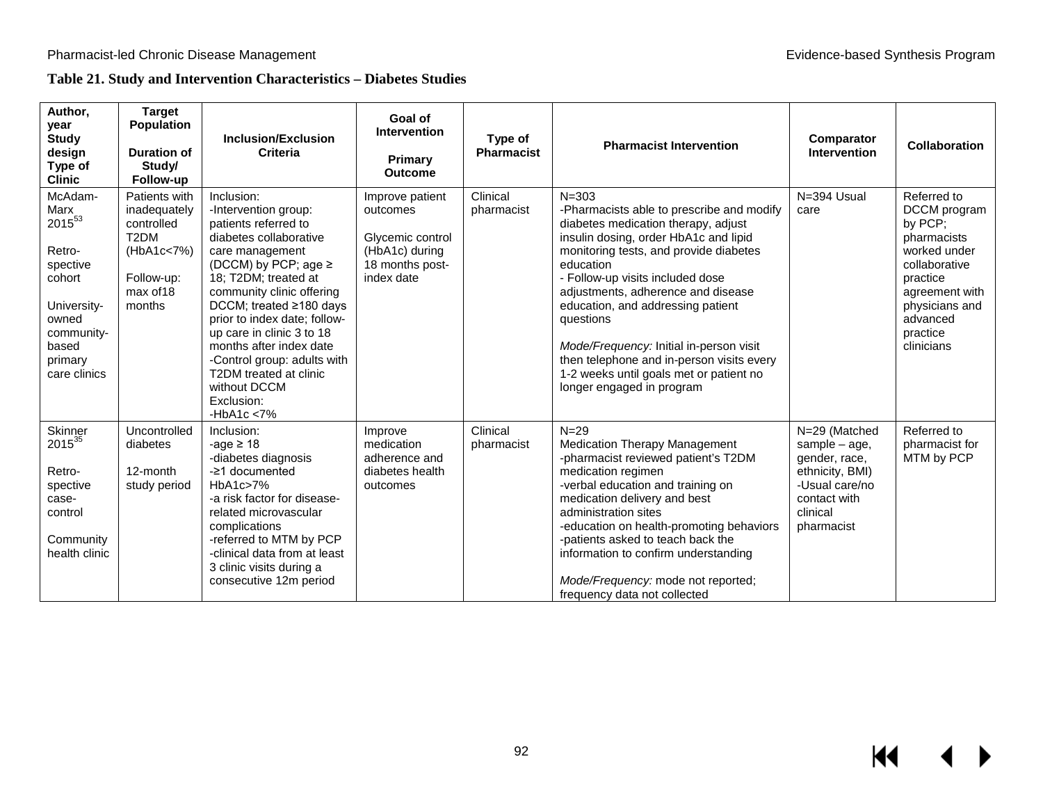## **Table 21. Study and Intervention Characteristics – Diabetes Studies**

| Author,<br>year<br><b>Study</b><br>design<br>Type of<br><b>Clinic</b>                                                                           | <b>Target</b><br><b>Population</b><br><b>Duration of</b><br>Study/<br>Follow-up                                     | <b>Inclusion/Exclusion</b><br>Criteria                                                                                                                                                                                                                                                                                                                                                                                    | Goal of<br><b>Intervention</b><br>Primary<br><b>Outcome</b>                                        | Type of<br><b>Pharmacist</b> | <b>Pharmacist Intervention</b>                                                                                                                                                                                                                                                                                                                                                                                                                                                            | Comparator<br><b>Intervention</b>                                                                                                | Collaboration                                                                                                                                                                |
|-------------------------------------------------------------------------------------------------------------------------------------------------|---------------------------------------------------------------------------------------------------------------------|---------------------------------------------------------------------------------------------------------------------------------------------------------------------------------------------------------------------------------------------------------------------------------------------------------------------------------------------------------------------------------------------------------------------------|----------------------------------------------------------------------------------------------------|------------------------------|-------------------------------------------------------------------------------------------------------------------------------------------------------------------------------------------------------------------------------------------------------------------------------------------------------------------------------------------------------------------------------------------------------------------------------------------------------------------------------------------|----------------------------------------------------------------------------------------------------------------------------------|------------------------------------------------------------------------------------------------------------------------------------------------------------------------------|
| McAdam-<br>Marx<br>2015 <sup>53</sup><br>Retro-<br>spective<br>cohort<br>University-<br>owned<br>community-<br>based<br>primary<br>care clinics | Patients with<br>inadequately<br>controlled<br>T <sub>2</sub> DM<br>(HbA1c<7%)<br>Follow-up:<br>max of 18<br>months | Inclusion:<br>-Intervention group:<br>patients referred to<br>diabetes collaborative<br>care management<br>(DCCM) by PCP; age $\ge$<br>18; T2DM; treated at<br>community clinic offering<br>DCCM; treated $\geq$ 180 days<br>prior to index date; follow-<br>up care in clinic 3 to 18<br>months after index date<br>-Control group: adults with<br>T2DM treated at clinic<br>without DCCM<br>Exclusion:<br>-HbA1c $<$ 7% | Improve patient<br>outcomes<br>Glycemic control<br>(HbA1c) during<br>18 months post-<br>index date | Clinical<br>pharmacist       | $N = 303$<br>-Pharmacists able to prescribe and modify<br>diabetes medication therapy, adjust<br>insulin dosing, order HbA1c and lipid<br>monitoring tests, and provide diabetes<br>education<br>- Follow-up visits included dose<br>adjustments, adherence and disease<br>education, and addressing patient<br>questions<br>Mode/Frequency: Initial in-person visit<br>then telephone and in-person visits every<br>1-2 weeks until goals met or patient no<br>longer engaged in program | N=394 Usual<br>care                                                                                                              | Referred to<br>DCCM program<br>by PCP;<br>pharmacists<br>worked under<br>collaborative<br>practice<br>agreement with<br>physicians and<br>advanced<br>practice<br>clinicians |
| Skinner<br>$2015^{35}$<br>Retro-<br>spective<br>case-<br>control<br>Community<br>health clinic                                                  | Uncontrolled<br>diabetes<br>12-month<br>study period                                                                | Inclusion:<br>-age $\geq 18$<br>-diabetes diagnosis<br>-21 documented<br>HbA1c>7%<br>-a risk factor for disease-<br>related microvascular<br>complications<br>-referred to MTM by PCP<br>-clinical data from at least<br>3 clinic visits during a<br>consecutive 12m period                                                                                                                                               | Improve<br>medication<br>adherence and<br>diabetes health<br>outcomes                              | Clinical<br>pharmacist       | $N = 29$<br><b>Medication Therapy Management</b><br>-pharmacist reviewed patient's T2DM<br>medication regimen<br>-verbal education and training on<br>medication delivery and best<br>administration sites<br>-education on health-promoting behaviors<br>-patients asked to teach back the<br>information to confirm understanding<br>Mode/Frequency: mode not reported;<br>frequency data not collected                                                                                 | N=29 (Matched<br>sample $-$ age,<br>gender, race,<br>ethnicity, BMI)<br>-Usual care/no<br>contact with<br>clinical<br>pharmacist | Referred to<br>pharmacist for<br>MTM by PCP                                                                                                                                  |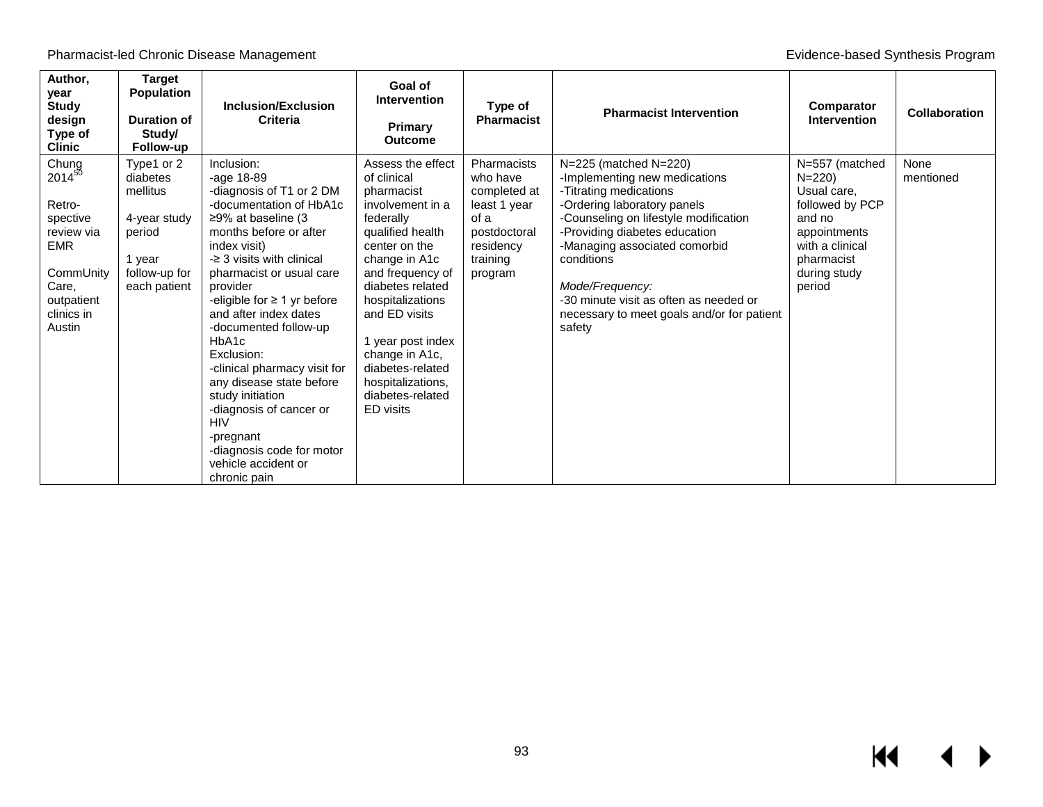| Author,<br>year<br><b>Study</b><br>design<br>Type of<br><b>Clinic</b>                                                       | <b>Target</b><br><b>Population</b><br><b>Duration of</b><br>Study/<br><b>Follow-up</b>                  | Inclusion/Exclusion<br>Criteria                                                                                                                                                                                                                                                                                                                                                                                                                                                                                                                   | Goal of<br><b>Intervention</b><br>Primary<br><b>Outcome</b>                                                                                                                                                                                                                                                                         | Type of<br><b>Pharmacist</b>                                                                                        | <b>Pharmacist Intervention</b>                                                                                                                                                                                                                                                                                                                                | Comparator<br><b>Intervention</b>                                                                                                                  | <b>Collaboration</b> |
|-----------------------------------------------------------------------------------------------------------------------------|---------------------------------------------------------------------------------------------------------|---------------------------------------------------------------------------------------------------------------------------------------------------------------------------------------------------------------------------------------------------------------------------------------------------------------------------------------------------------------------------------------------------------------------------------------------------------------------------------------------------------------------------------------------------|-------------------------------------------------------------------------------------------------------------------------------------------------------------------------------------------------------------------------------------------------------------------------------------------------------------------------------------|---------------------------------------------------------------------------------------------------------------------|---------------------------------------------------------------------------------------------------------------------------------------------------------------------------------------------------------------------------------------------------------------------------------------------------------------------------------------------------------------|----------------------------------------------------------------------------------------------------------------------------------------------------|----------------------|
| Chung<br>$2014^{50}$<br>Retro-<br>spective<br>review via<br>EMR<br>CommUnity<br>Care,<br>outpatient<br>clinics in<br>Austin | Type1 or 2<br>diabetes<br>mellitus<br>4-year study<br>period<br>1 year<br>follow-up for<br>each patient | Inclusion:<br>-age $18-89$<br>-diagnosis of T1 or 2 DM<br>-documentation of HbA1c<br>≥9% at baseline (3<br>months before or after<br>index visit)<br>$\geq$ 3 visits with clinical<br>pharmacist or usual care<br>provider<br>-eligible for $\geq 1$ yr before<br>and after index dates<br>-documented follow-up<br>HbA1c<br>Exclusion:<br>-clinical pharmacy visit for<br>any disease state before<br>study initiation<br>-diagnosis of cancer or<br><b>HIV</b><br>-pregnant<br>-diagnosis code for motor<br>vehicle accident or<br>chronic pain | Assess the effect<br>of clinical<br>pharmacist<br>involvement in a<br>federally<br>qualified health<br>center on the<br>change in A1c<br>and frequency of<br>diabetes related<br>hospitalizations<br>and ED visits<br>1 year post index<br>change in A1c,<br>diabetes-related<br>hospitalizations,<br>diabetes-related<br>ED visits | Pharmacists<br>who have<br>completed at<br>least 1 year<br>of a<br>postdoctoral<br>residency<br>training<br>program | N=225 (matched N=220)<br>-Implementing new medications<br>-Titrating medications<br>-Ordering laboratory panels<br>-Counseling on lifestyle modification<br>-Providing diabetes education<br>-Managing associated comorbid<br>conditions<br>Mode/Frequency:<br>-30 minute visit as often as needed or<br>necessary to meet goals and/or for patient<br>safety | N=557 (matched<br>$N = 220$<br>Usual care,<br>followed by PCP<br>and no<br>appointments<br>with a clinical<br>pharmacist<br>during study<br>period | None<br>mentioned    |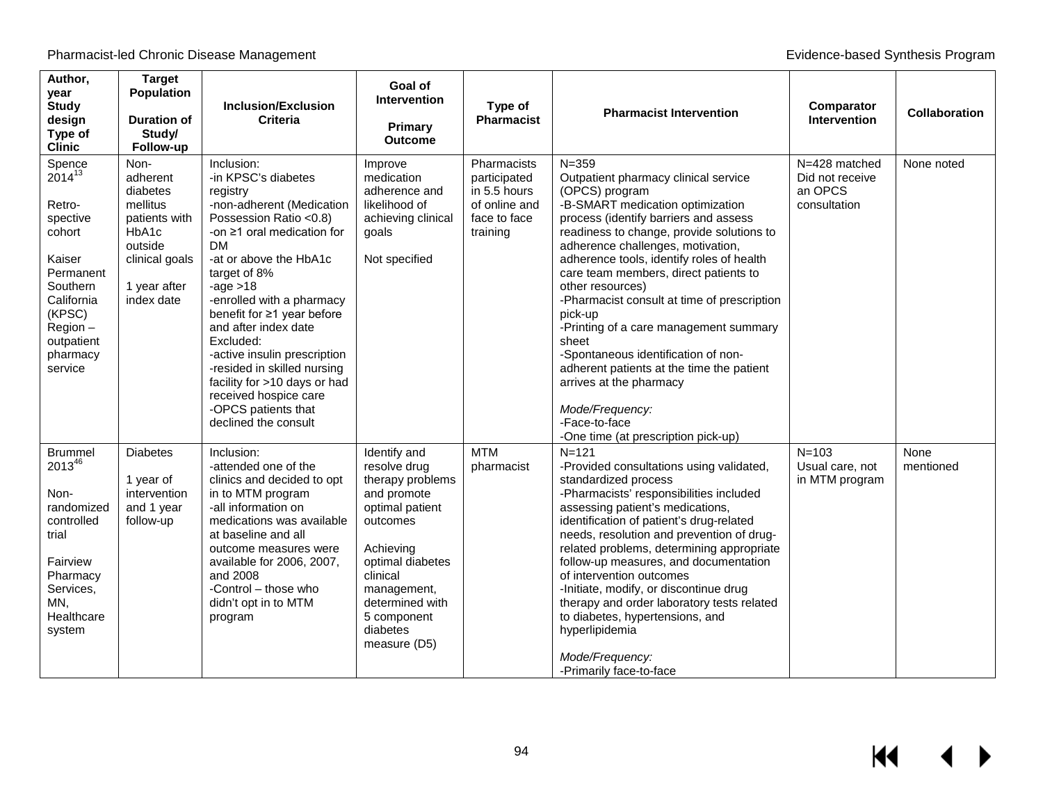Pharmacist-led Chronic Disease Management **Exercise 2018** Chronic Disease Management Evidence-based Synthesis Program

| Author,<br>year<br><b>Study</b><br>design<br>Type of<br><b>Clinic</b>                                                                                                   | <b>Target</b><br><b>Population</b><br><b>Duration of</b><br>Study/<br>Follow-up                                               | <b>Inclusion/Exclusion</b><br><b>Criteria</b>                                                                                                                                                                                                                                                                                                                                                                                                                                        | Goal of<br><b>Intervention</b><br>Primary<br><b>Outcome</b>                                                                                                                                                              | Type of<br><b>Pharmacist</b>                                                             | <b>Pharmacist Intervention</b>                                                                                                                                                                                                                                                                                                                                                                                                                                                                                                                                                                                                                      | Comparator<br><b>Intervention</b>                           | Collaboration     |
|-------------------------------------------------------------------------------------------------------------------------------------------------------------------------|-------------------------------------------------------------------------------------------------------------------------------|--------------------------------------------------------------------------------------------------------------------------------------------------------------------------------------------------------------------------------------------------------------------------------------------------------------------------------------------------------------------------------------------------------------------------------------------------------------------------------------|--------------------------------------------------------------------------------------------------------------------------------------------------------------------------------------------------------------------------|------------------------------------------------------------------------------------------|-----------------------------------------------------------------------------------------------------------------------------------------------------------------------------------------------------------------------------------------------------------------------------------------------------------------------------------------------------------------------------------------------------------------------------------------------------------------------------------------------------------------------------------------------------------------------------------------------------------------------------------------------------|-------------------------------------------------------------|-------------------|
| Spence<br>$2014^{13}$<br>Retro-<br>spective<br>cohort<br>Kaiser<br>Permanent<br><b>Southern</b><br>California<br>(KPSC)<br>Region-<br>outpatient<br>pharmacy<br>service | Non-<br>adherent<br>diabetes<br>mellitus<br>patients with<br>HbA1c<br>outside<br>clinical goals<br>1 year after<br>index date | Inclusion:<br>-in KPSC's diabetes<br>registry<br>-non-adherent (Medication<br>Possession Ratio <0.8)<br>-on $\geq$ 1 oral medication for<br><b>DM</b><br>-at or above the HbA1c<br>target of 8%<br>-age $>18$<br>-enrolled with a pharmacy<br>benefit for ≥1 year before<br>and after index date<br>Excluded:<br>-active insulin prescription<br>-resided in skilled nursing<br>facility for >10 days or had<br>received hospice care<br>-OPCS patients that<br>declined the consult | Improve<br>medication<br>adherence and<br>likelihood of<br>achieving clinical<br>goals<br>Not specified                                                                                                                  | Pharmacists<br>participated<br>in 5.5 hours<br>of online and<br>face to face<br>training | $N = 359$<br>Outpatient pharmacy clinical service<br>(OPCS) program<br>-B-SMART medication optimization<br>process (identify barriers and assess<br>readiness to change, provide solutions to<br>adherence challenges, motivation,<br>adherence tools, identify roles of health<br>care team members, direct patients to<br>other resources)<br>-Pharmacist consult at time of prescription<br>pick-up<br>-Printing of a care management summary<br>sheet<br>-Spontaneous identification of non-<br>adherent patients at the time the patient<br>arrives at the pharmacy<br>Mode/Frequency:<br>-Face-to-face<br>-One time (at prescription pick-up) | N=428 matched<br>Did not receive<br>an OPCS<br>consultation | None noted        |
| <b>Brummel</b><br>201346<br>Non-<br>randomized<br>controlled<br>trial<br>Fairview<br>Pharmacy<br>Services,<br>MN,<br>Healthcare<br>system                               | <b>Diabetes</b><br>1 year of<br>intervention<br>and 1 year<br>follow-up                                                       | Inclusion:<br>-attended one of the<br>clinics and decided to opt<br>in to MTM program<br>-all information on<br>medications was available<br>at baseline and all<br>outcome measures were<br>available for 2006, 2007,<br>and 2008<br>-Control - those who<br>didn't opt in to MTM<br>program                                                                                                                                                                                        | Identify and<br>resolve drug<br>therapy problems<br>and promote<br>optimal patient<br>outcomes<br>Achieving<br>optimal diabetes<br>clinical<br>management,<br>determined with<br>5 component<br>diabetes<br>measure (D5) | <b>MTM</b><br>pharmacist                                                                 | $N = 121$<br>-Provided consultations using validated,<br>standardized process<br>-Pharmacists' responsibilities included<br>assessing patient's medications,<br>identification of patient's drug-related<br>needs, resolution and prevention of drug-<br>related problems, determining appropriate<br>follow-up measures, and documentation<br>of intervention outcomes<br>-Initiate, modify, or discontinue drug<br>therapy and order laboratory tests related<br>to diabetes, hypertensions, and<br>hyperlipidemia<br>Mode/Frequency:<br>-Primarily face-to-face                                                                                  | $N = 103$<br>Usual care, not<br>in MTM program              | None<br>mentioned |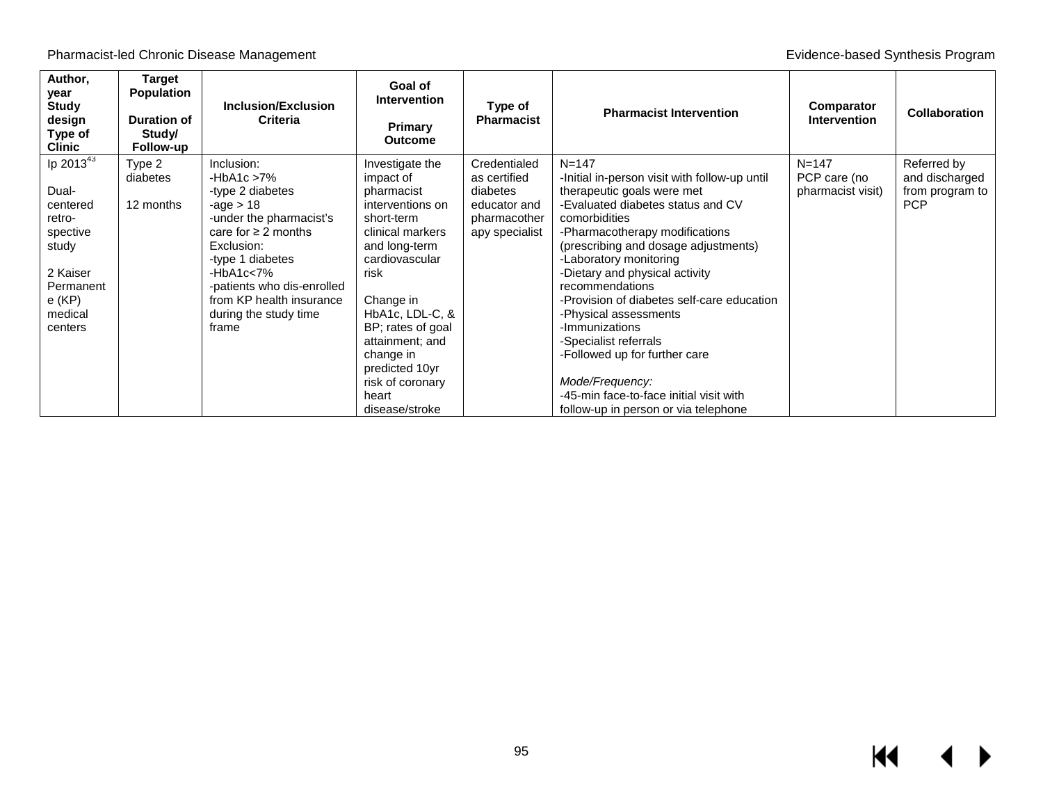Pharmacist-led Chronic Disease Management **Evidence-based Synthesis Program** Evidence-based Synthesis Program

| Author,<br>year<br><b>Study</b><br>design<br>Type of<br><b>Clinic</b>                                                    | Target<br><b>Population</b><br><b>Duration of</b><br>Study/<br>Follow-up | <b>Inclusion/Exclusion</b><br><b>Criteria</b>                                                                                                                                                                                                                      | Goal of<br><b>Intervention</b><br>Primary<br><b>Outcome</b>                                                                                                                                                                                                                                       | Type of<br><b>Pharmacist</b>                                                               | <b>Pharmacist Intervention</b>                                                                                                                                                                                                                                                                                                                                                                                                                                                                                                                                   | Comparator<br><b>Intervention</b>              | <b>Collaboration</b>                                           |
|--------------------------------------------------------------------------------------------------------------------------|--------------------------------------------------------------------------|--------------------------------------------------------------------------------------------------------------------------------------------------------------------------------------------------------------------------------------------------------------------|---------------------------------------------------------------------------------------------------------------------------------------------------------------------------------------------------------------------------------------------------------------------------------------------------|--------------------------------------------------------------------------------------------|------------------------------------------------------------------------------------------------------------------------------------------------------------------------------------------------------------------------------------------------------------------------------------------------------------------------------------------------------------------------------------------------------------------------------------------------------------------------------------------------------------------------------------------------------------------|------------------------------------------------|----------------------------------------------------------------|
| lp 201343<br>Dual-<br>centered<br>retro-<br>spective<br>study<br>2 Kaiser<br>Permanent<br>$e$ (KP)<br>medical<br>centers | Type 2<br>diabetes<br>12 months                                          | Inclusion:<br>-HbA1c $>7\%$<br>-type 2 diabetes<br>-age $> 18$<br>-under the pharmacist's<br>care for $\geq 2$ months<br>Exclusion:<br>-type 1 diabetes<br>$-HbA1c<7%$<br>-patients who dis-enrolled<br>from KP health insurance<br>during the study time<br>frame | Investigate the<br>impact of<br>pharmacist<br>interventions on<br>short-term<br>clinical markers<br>and long-term<br>cardiovascular<br>risk<br>Change in<br>HbA1c, LDL-C, &<br>BP; rates of goal<br>attainment; and<br>change in<br>predicted 10yr<br>risk of coronary<br>heart<br>disease/stroke | Credentialed<br>as certified<br>diabetes<br>educator and<br>pharmacother<br>apy specialist | $N = 147$<br>-Initial in-person visit with follow-up until<br>therapeutic goals were met<br>-Evaluated diabetes status and CV<br>comorbidities<br>-Pharmacotherapy modifications<br>(prescribing and dosage adjustments)<br>-Laboratory monitoring<br>-Dietary and physical activity<br>recommendations<br>-Provision of diabetes self-care education<br>-Physical assessments<br>-Immunizations<br>-Specialist referrals<br>-Followed up for further care<br>Mode/Frequency:<br>-45-min face-to-face initial visit with<br>follow-up in person or via telephone | $N = 147$<br>PCP care (no<br>pharmacist visit) | Referred by<br>and discharged<br>from program to<br><b>PCP</b> |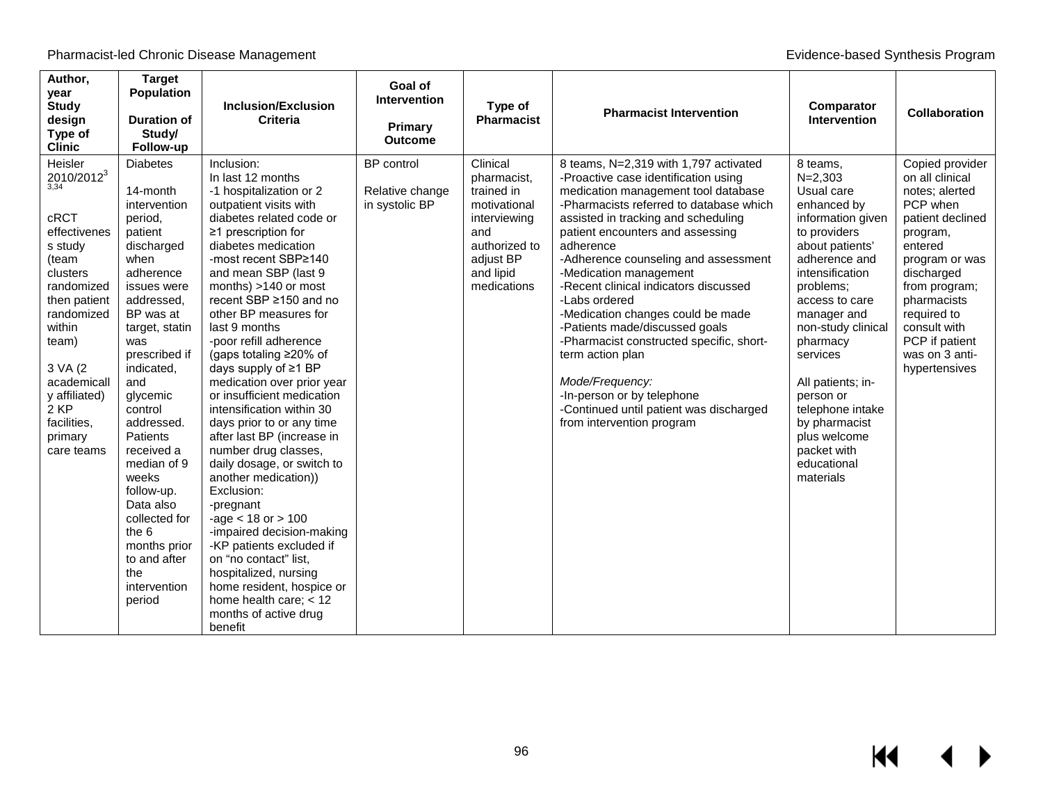| Author,<br>year<br><b>Study</b><br>design<br>Type of<br><b>Clinic</b>                                                                                                                                                                       | <b>Target</b><br><b>Population</b><br><b>Duration of</b><br>Study/<br>Follow-up                                                                                                                                                                                                                                                                                                                                            | <b>Inclusion/Exclusion</b><br><b>Criteria</b>                                                                                                                                                                                                                                                                                                                                                                                                                                                                                                                                                                                                                                                                                                                                                                                                                                               | Goal of<br><b>Intervention</b><br>Primary<br><b>Outcome</b> | Type of<br><b>Pharmacist</b>                                                                                                           | <b>Pharmacist Intervention</b>                                                                                                                                                                                                                                                                                                                                                                                                                                                                                                                                                                                                                      | Comparator<br><b>Intervention</b>                                                                                                                                                                                                                                                                                                                                              | Collaboration                                                                                                                                                                                                                                                   |
|---------------------------------------------------------------------------------------------------------------------------------------------------------------------------------------------------------------------------------------------|----------------------------------------------------------------------------------------------------------------------------------------------------------------------------------------------------------------------------------------------------------------------------------------------------------------------------------------------------------------------------------------------------------------------------|---------------------------------------------------------------------------------------------------------------------------------------------------------------------------------------------------------------------------------------------------------------------------------------------------------------------------------------------------------------------------------------------------------------------------------------------------------------------------------------------------------------------------------------------------------------------------------------------------------------------------------------------------------------------------------------------------------------------------------------------------------------------------------------------------------------------------------------------------------------------------------------------|-------------------------------------------------------------|----------------------------------------------------------------------------------------------------------------------------------------|-----------------------------------------------------------------------------------------------------------------------------------------------------------------------------------------------------------------------------------------------------------------------------------------------------------------------------------------------------------------------------------------------------------------------------------------------------------------------------------------------------------------------------------------------------------------------------------------------------------------------------------------------------|--------------------------------------------------------------------------------------------------------------------------------------------------------------------------------------------------------------------------------------------------------------------------------------------------------------------------------------------------------------------------------|-----------------------------------------------------------------------------------------------------------------------------------------------------------------------------------------------------------------------------------------------------------------|
| Heisler<br>$2010/2012^3$<br>cRCT<br>effectivenes<br>s study<br>(team<br>clusters<br>randomized<br>then patient<br>randomized<br>within<br>team)<br>3 VA (2)<br>academicall<br>y affiliated)<br>2 KP<br>facilities,<br>primary<br>care teams | <b>Diabetes</b><br>14-month<br>intervention<br>period,<br>patient<br>discharged<br>when<br>adherence<br>issues were<br>addressed,<br>BP was at<br>target, statin<br>was<br>prescribed if<br>indicated,<br>and<br>glycemic<br>control<br>addressed.<br>Patients<br>received a<br>median of 9<br>weeks<br>follow-up.<br>Data also<br>collected for<br>the 6<br>months prior<br>to and after<br>the<br>intervention<br>period | Inclusion:<br>In last 12 months<br>-1 hospitalization or 2<br>outpatient visits with<br>diabetes related code or<br>≥1 prescription for<br>diabetes medication<br>-most recent SBP≥140<br>and mean SBP (last 9<br>months) >140 or most<br>recent SBP ≥150 and no<br>other BP measures for<br>last 9 months<br>-poor refill adherence<br>(gaps totaling $\geq$ 20% of<br>days supply of ≥1 BP<br>medication over prior year<br>or insufficient medication<br>intensification within 30<br>days prior to or any time<br>after last BP (increase in<br>number drug classes,<br>daily dosage, or switch to<br>another medication))<br>Exclusion:<br>-pregnant<br>$-age < 18$ or $> 100$<br>-impaired decision-making<br>-KP patients excluded if<br>on "no contact" list,<br>hospitalized, nursing<br>home resident, hospice or<br>home health care; $<$ 12<br>months of active drug<br>benefit | <b>BP</b> control<br>Relative change<br>in systolic BP      | Clinical<br>pharmacist,<br>trained in<br>motivational<br>interviewing<br>and<br>authorized to<br>adjust BP<br>and lipid<br>medications | 8 teams, N=2,319 with 1,797 activated<br>-Proactive case identification using<br>medication management tool database<br>-Pharmacists referred to database which<br>assisted in tracking and scheduling<br>patient encounters and assessing<br>adherence<br>-Adherence counseling and assessment<br>-Medication management<br>-Recent clinical indicators discussed<br>-Labs ordered<br>-Medication changes could be made<br>-Patients made/discussed goals<br>-Pharmacist constructed specific, short-<br>term action plan<br>Mode/Frequency:<br>-In-person or by telephone<br>-Continued until patient was discharged<br>from intervention program | 8 teams,<br>$N = 2,303$<br>Usual care<br>enhanced by<br>information given<br>to providers<br>about patients'<br>adherence and<br>intensification<br>problems:<br>access to care<br>manager and<br>non-study clinical<br>pharmacy<br>services<br>All patients; in-<br>person or<br>telephone intake<br>by pharmacist<br>plus welcome<br>packet with<br>educational<br>materials | Copied provider<br>on all clinical<br>notes; alerted<br>PCP when<br>patient declined<br>program,<br>entered<br>program or was<br>discharged<br>from program;<br>pharmacists<br>required to<br>consult with<br>PCP if patient<br>was on 3 anti-<br>hypertensives |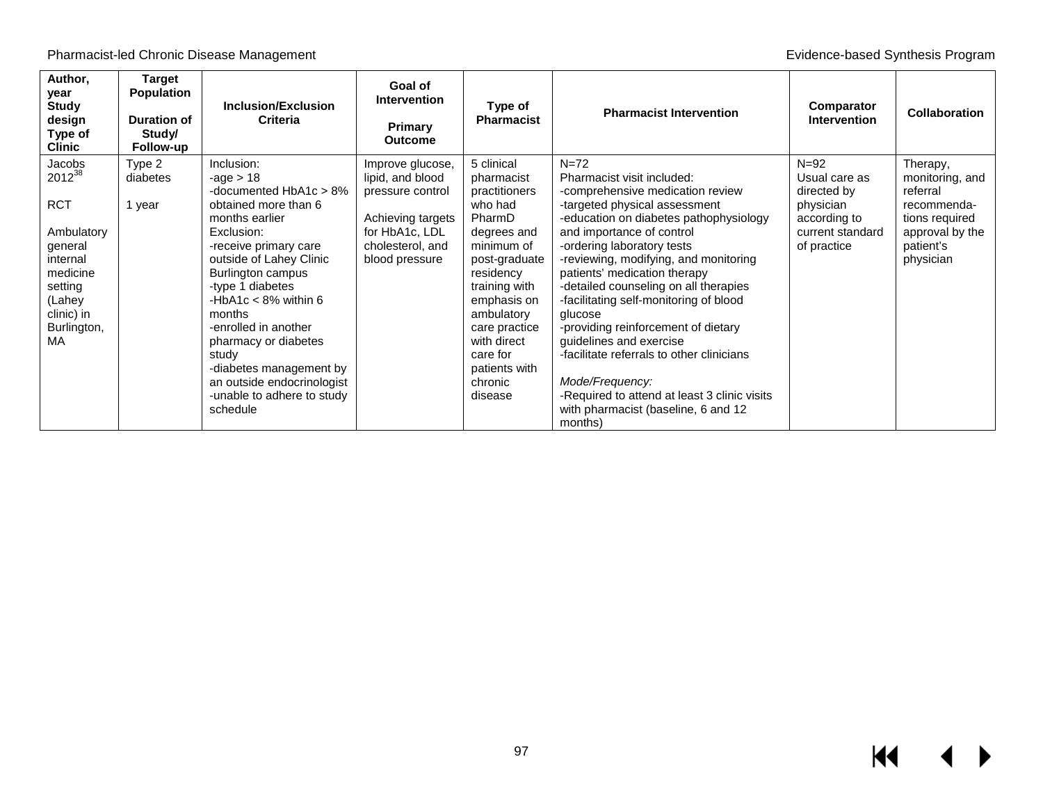| Author,<br>year<br><b>Study</b><br>design<br>Type of<br><b>Clinic</b> | <b>Target</b><br><b>Population</b><br>Duration of<br>Study/<br>Follow-up | <b>Inclusion/Exclusion</b><br><b>Criteria</b>  | Goal of<br><b>Intervention</b><br>Primary<br><b>Outcome</b> | Type of<br><b>Pharmacist</b> | <b>Pharmacist Intervention</b>                                                  | Comparator<br><b>Intervention</b> | <b>Collaboration</b>    |
|-----------------------------------------------------------------------|--------------------------------------------------------------------------|------------------------------------------------|-------------------------------------------------------------|------------------------------|---------------------------------------------------------------------------------|-----------------------------------|-------------------------|
| Jacobs                                                                | Type 2                                                                   | Inclusion:                                     | Improve glucose,                                            | 5 clinical                   | $N=72$                                                                          | $N=92$                            | Therapy,                |
| 2012 <sup>38</sup>                                                    | diabetes                                                                 | -age $> 18$                                    | lipid, and blood                                            | pharmacist                   | Pharmacist visit included:                                                      | Usual care as                     | monitoring, and         |
| <b>RCT</b>                                                            | 1 year                                                                   | -documented HbA1c > 8%<br>obtained more than 6 | pressure control                                            | practitioners<br>who had     | -comprehensive medication review<br>-targeted physical assessment               | directed by<br>physician          | referral<br>recommenda- |
|                                                                       |                                                                          | months earlier                                 | Achieving targets                                           | PharmD                       | -education on diabetes pathophysiology                                          | according to                      | tions required          |
| Ambulatory                                                            |                                                                          | Exclusion:                                     | for HbA1c, LDL                                              | degrees and                  | and importance of control                                                       | current standard                  | approval by the         |
| general                                                               |                                                                          | -receive primary care                          | cholesterol, and                                            | minimum of                   | -ordering laboratory tests                                                      | of practice                       | patient's               |
| internal                                                              |                                                                          | outside of Lahey Clinic                        | blood pressure                                              | post-graduate                | -reviewing, modifying, and monitoring                                           |                                   | physician               |
| medicine                                                              |                                                                          | Burlington campus                              |                                                             | residency                    | patients' medication therapy                                                    |                                   |                         |
| setting<br>(Lahey                                                     |                                                                          | -type 1 diabetes<br>-HbA1c $<$ 8% within 6     |                                                             | training with<br>emphasis on | -detailed counseling on all therapies<br>-facilitating self-monitoring of blood |                                   |                         |
| clinic) in                                                            |                                                                          | months                                         |                                                             | ambulatory                   | glucose                                                                         |                                   |                         |
| Burlington,                                                           |                                                                          | -enrolled in another                           |                                                             | care practice                | -providing reinforcement of dietary                                             |                                   |                         |
| MA                                                                    |                                                                          | pharmacy or diabetes                           |                                                             | with direct                  | guidelines and exercise                                                         |                                   |                         |
|                                                                       |                                                                          | study                                          |                                                             | care for                     | -facilitate referrals to other clinicians                                       |                                   |                         |
|                                                                       |                                                                          | -diabetes management by                        |                                                             | patients with                |                                                                                 |                                   |                         |
|                                                                       |                                                                          | an outside endocrinologist                     |                                                             | chronic                      | Mode/Frequency:                                                                 |                                   |                         |
|                                                                       |                                                                          | -unable to adhere to study<br>schedule         |                                                             | disease                      | -Required to attend at least 3 clinic visits                                    |                                   |                         |
|                                                                       |                                                                          |                                                |                                                             |                              | with pharmacist (baseline, 6 and 12<br>months)                                  |                                   |                         |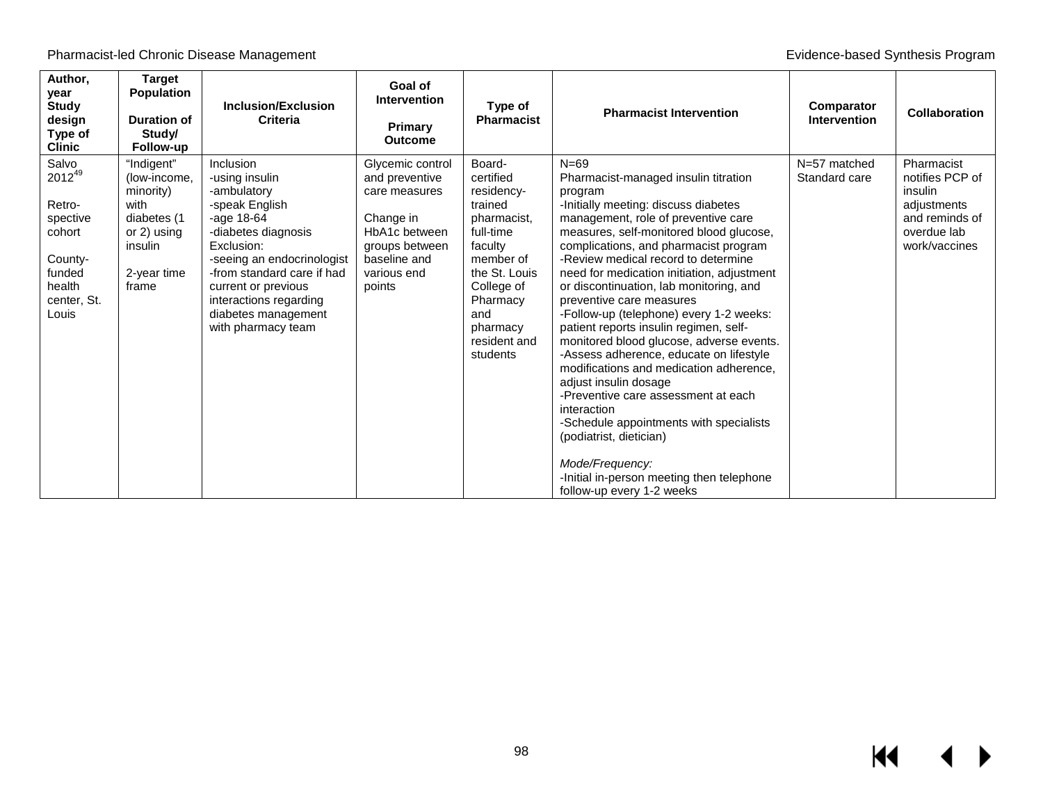| Author,<br>year<br><b>Study</b><br>design<br>Type of<br><b>Clinic</b>                                       | <b>Target</b><br><b>Population</b><br><b>Duration of</b><br>Study/<br>Follow-up                                  | <b>Inclusion/Exclusion</b><br>Criteria                                                                                                                                                                                                                                      | Goal of<br><b>Intervention</b><br>Primary<br><b>Outcome</b>                                                                                  | Type of<br><b>Pharmacist</b>                                                                                                                                                               | <b>Pharmacist Intervention</b>                                                                                                                                                                                                                                                                                                                                                                                                                                                                                                                                                                                                                                                                                                                                                                                                                                    | Comparator<br><b>Intervention</b> | <b>Collaboration</b>                                                                                      |
|-------------------------------------------------------------------------------------------------------------|------------------------------------------------------------------------------------------------------------------|-----------------------------------------------------------------------------------------------------------------------------------------------------------------------------------------------------------------------------------------------------------------------------|----------------------------------------------------------------------------------------------------------------------------------------------|--------------------------------------------------------------------------------------------------------------------------------------------------------------------------------------------|-------------------------------------------------------------------------------------------------------------------------------------------------------------------------------------------------------------------------------------------------------------------------------------------------------------------------------------------------------------------------------------------------------------------------------------------------------------------------------------------------------------------------------------------------------------------------------------------------------------------------------------------------------------------------------------------------------------------------------------------------------------------------------------------------------------------------------------------------------------------|-----------------------------------|-----------------------------------------------------------------------------------------------------------|
| Salvo<br>$2012^{49}$<br>Retro-<br>spective<br>cohort<br>County-<br>funded<br>health<br>center, St.<br>Louis | "Indigent"<br>(low-income,<br>minority)<br>with<br>diabetes (1<br>or 2) using<br>insulin<br>2-year time<br>frame | Inclusion<br>-using insulin<br>-ambulatory<br>-speak English<br>-age $18-64$<br>-diabetes diagnosis<br>Exclusion:<br>-seeing an endocrinologist<br>-from standard care if had<br>current or previous<br>interactions regarding<br>diabetes management<br>with pharmacy team | Glycemic control<br>and preventive<br>care measures<br>Change in<br>HbA1c between<br>groups between<br>baseline and<br>various end<br>points | Board-<br>certified<br>residency-<br>trained<br>pharmacist,<br>full-time<br>faculty<br>member of<br>the St. Louis<br>College of<br>Pharmacy<br>and<br>pharmacy<br>resident and<br>students | $N=69$<br>Pharmacist-managed insulin titration<br>program<br>-Initially meeting: discuss diabetes<br>management, role of preventive care<br>measures, self-monitored blood glucose,<br>complications, and pharmacist program<br>-Review medical record to determine<br>need for medication initiation, adjustment<br>or discontinuation, lab monitoring, and<br>preventive care measures<br>-Follow-up (telephone) every 1-2 weeks:<br>patient reports insulin regimen, self-<br>monitored blood glucose, adverse events.<br>-Assess adherence, educate on lifestyle<br>modifications and medication adherence,<br>adjust insulin dosage<br>-Preventive care assessment at each<br>interaction<br>-Schedule appointments with specialists<br>(podiatrist, dietician)<br>Mode/Frequency:<br>-Initial in-person meeting then telephone<br>follow-up every 1-2 weeks | N=57 matched<br>Standard care     | Pharmacist<br>notifies PCP of<br>insulin<br>adjustments<br>and reminds of<br>overdue lab<br>work/vaccines |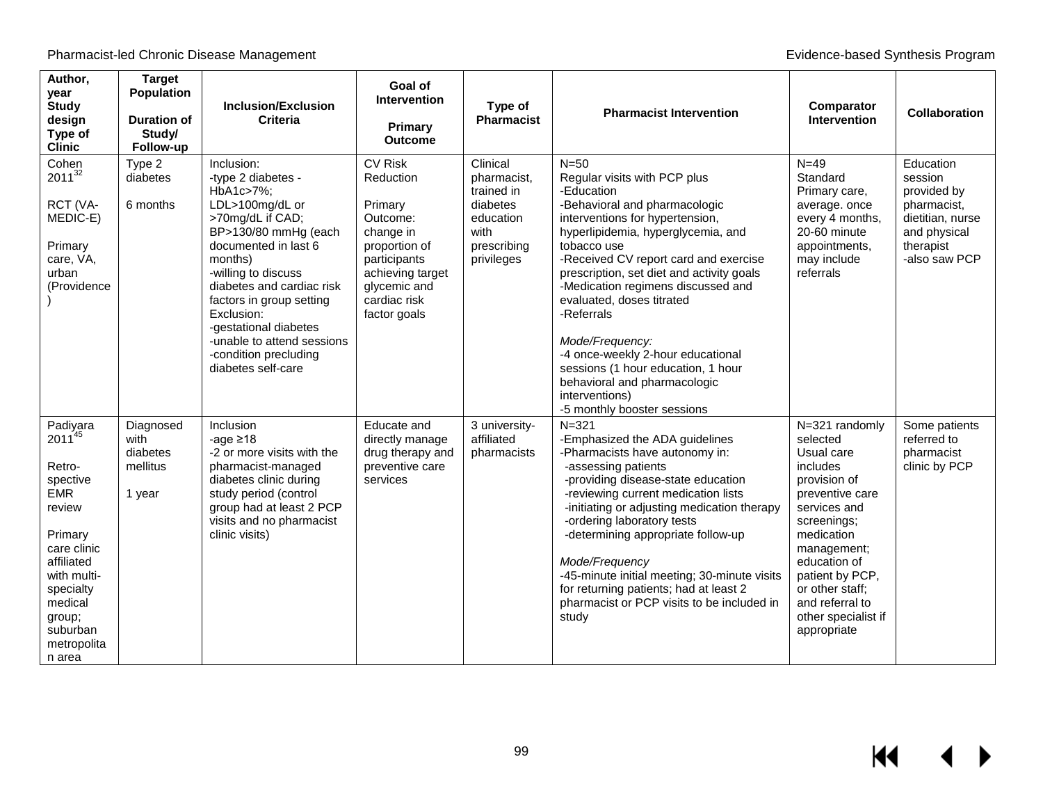| Author,<br>year<br><b>Study</b><br>design<br>Type of<br><b>Clinic</b>                                                                                                                               | <b>Target</b><br><b>Population</b><br><b>Duration of</b><br>Study/<br>Follow-up | <b>Inclusion/Exclusion</b><br>Criteria                                                                                                                                                                                                                                                                                                              | Goal of<br><b>Intervention</b><br>Primary<br><b>Outcome</b>                                                                                                          | Type of<br><b>Pharmacist</b>                                                                        | <b>Pharmacist Intervention</b>                                                                                                                                                                                                                                                                                                                                                                                                                                                                                                      | Comparator<br><b>Intervention</b>                                                                                                                                                                                                                                  | <b>Collaboration</b>                                                                                                 |
|-----------------------------------------------------------------------------------------------------------------------------------------------------------------------------------------------------|---------------------------------------------------------------------------------|-----------------------------------------------------------------------------------------------------------------------------------------------------------------------------------------------------------------------------------------------------------------------------------------------------------------------------------------------------|----------------------------------------------------------------------------------------------------------------------------------------------------------------------|-----------------------------------------------------------------------------------------------------|-------------------------------------------------------------------------------------------------------------------------------------------------------------------------------------------------------------------------------------------------------------------------------------------------------------------------------------------------------------------------------------------------------------------------------------------------------------------------------------------------------------------------------------|--------------------------------------------------------------------------------------------------------------------------------------------------------------------------------------------------------------------------------------------------------------------|----------------------------------------------------------------------------------------------------------------------|
| Cohen<br>$2011^{32}$<br>RCT (VA-<br>MEDIC-E)<br>Primary<br>care, VA,<br>urban<br>(Providence                                                                                                        | Type 2<br>diabetes<br>6 months                                                  | Inclusion:<br>-type 2 diabetes -<br>HbA1c>7%:<br>LDL>100mg/dL or<br>>70mg/dL if CAD;<br>BP>130/80 mmHg (each<br>documented in last 6<br>months)<br>-willing to discuss<br>diabetes and cardiac risk<br>factors in group setting<br>Exclusion:<br>-gestational diabetes<br>-unable to attend sessions<br>-condition precluding<br>diabetes self-care | <b>CV Risk</b><br>Reduction<br>Primary<br>Outcome:<br>change in<br>proportion of<br>participants<br>achieving target<br>glycemic and<br>cardiac risk<br>factor goals | Clinical<br>pharmacist,<br>trained in<br>diabetes<br>education<br>with<br>prescribing<br>privileges | $N=50$<br>Regular visits with PCP plus<br>-Education<br>-Behavioral and pharmacologic<br>interventions for hypertension,<br>hyperlipidemia, hyperglycemia, and<br>tobacco use<br>-Received CV report card and exercise<br>prescription, set diet and activity goals<br>-Medication regimens discussed and<br>evaluated, doses titrated<br>-Referrals<br>Mode/Frequency:<br>-4 once-weekly 2-hour educational<br>sessions (1 hour education, 1 hour<br>behavioral and pharmacologic<br>interventions)<br>-5 monthly booster sessions | $N=49$<br>Standard<br>Primary care,<br>average. once<br>every 4 months,<br>20-60 minute<br>appointments,<br>may include<br>referrals                                                                                                                               | Education<br>session<br>provided by<br>pharmacist,<br>dietitian, nurse<br>and physical<br>therapist<br>-also saw PCP |
| Padiyara<br>$2011^{45}$<br>Retro-<br>spective<br><b>EMR</b><br>review<br>Primary<br>care clinic<br>affiliated<br>with multi-<br>specialty<br>medical<br>group;<br>suburban<br>metropolita<br>n area | Diagnosed<br>with<br>diabetes<br>mellitus<br>1 year                             | Inclusion<br>-age $\geq 18$<br>-2 or more visits with the<br>pharmacist-managed<br>diabetes clinic during<br>study period (control<br>group had at least 2 PCP<br>visits and no pharmacist<br>clinic visits)                                                                                                                                        | Educate and<br>directly manage<br>drug therapy and<br>preventive care<br>services                                                                                    | 3 university-<br>affiliated<br>pharmacists                                                          | $N = 321$<br>-Emphasized the ADA guidelines<br>-Pharmacists have autonomy in:<br>-assessing patients<br>-providing disease-state education<br>-reviewing current medication lists<br>-initiating or adjusting medication therapy<br>-ordering laboratory tests<br>-determining appropriate follow-up<br>Mode/Frequency<br>-45-minute initial meeting; 30-minute visits<br>for returning patients; had at least 2<br>pharmacist or PCP visits to be included in<br>study                                                             | N=321 randomly<br>selected<br>Usual care<br>includes<br>provision of<br>preventive care<br>services and<br>screenings;<br>medication<br>management;<br>education of<br>patient by PCP,<br>or other staff:<br>and referral to<br>other specialist if<br>appropriate | Some patients<br>referred to<br>pharmacist<br>clinic by PCP                                                          |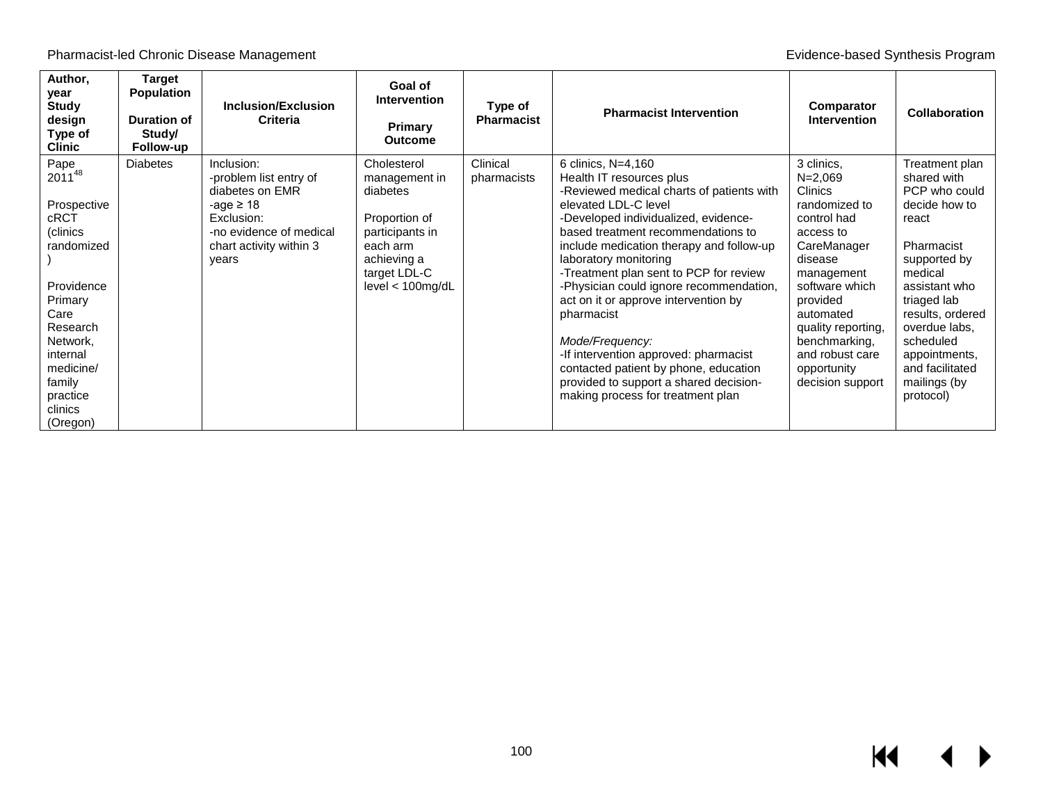Pharmacist-led Chronic Disease Management **Evidence-based Synthesis Program** Evidence-based Synthesis Program

| Author,<br>year<br><b>Study</b><br>design<br>Type of<br><b>Clinic</b>                                                                                                                          | Target<br><b>Population</b><br><b>Duration of</b><br>Study/<br>Follow-up | <b>Inclusion/Exclusion</b><br><b>Criteria</b>                                                                                                          | Goal of<br><b>Intervention</b><br><b>Primary</b><br><b>Outcome</b>                                                                             | Type of<br>Pharmacist   | <b>Pharmacist Intervention</b>                                                                                                                                                                                                                                                                                                                                                                                                                                                                                                                                                                        | Comparator<br><b>Intervention</b>                                                                                                                                                                                                                                        | <b>Collaboration</b>                                                                                                                                                                                                                                                 |
|------------------------------------------------------------------------------------------------------------------------------------------------------------------------------------------------|--------------------------------------------------------------------------|--------------------------------------------------------------------------------------------------------------------------------------------------------|------------------------------------------------------------------------------------------------------------------------------------------------|-------------------------|-------------------------------------------------------------------------------------------------------------------------------------------------------------------------------------------------------------------------------------------------------------------------------------------------------------------------------------------------------------------------------------------------------------------------------------------------------------------------------------------------------------------------------------------------------------------------------------------------------|--------------------------------------------------------------------------------------------------------------------------------------------------------------------------------------------------------------------------------------------------------------------------|----------------------------------------------------------------------------------------------------------------------------------------------------------------------------------------------------------------------------------------------------------------------|
| Pape<br>201148<br>Prospective<br>cRCT<br>(clinics<br>randomized<br>Providence<br>Primary<br>Care<br>Research<br>Network,<br>internal<br>medicine/<br>family<br>practice<br>clinics<br>(Oregon) | <b>Diabetes</b>                                                          | Inclusion:<br>-problem list entry of<br>diabetes on EMR<br>-age $\geq 18$<br>Exclusion:<br>-no evidence of medical<br>chart activity within 3<br>vears | Cholesterol<br>management in<br>diabetes<br>Proportion of<br>participants in<br>each arm<br>achieving a<br>target LDL-C<br>$level < 100$ mg/dL | Clinical<br>pharmacists | 6 clinics, N=4,160<br>Health IT resources plus<br>-Reviewed medical charts of patients with<br>elevated LDL-C level<br>-Developed individualized, evidence-<br>based treatment recommendations to<br>include medication therapy and follow-up<br>laboratory monitoring<br>-Treatment plan sent to PCP for review<br>-Physician could ignore recommendation,<br>act on it or approve intervention by<br>pharmacist<br>Mode/Frequency:<br>-If intervention approved: pharmacist<br>contacted patient by phone, education<br>provided to support a shared decision-<br>making process for treatment plan | 3 clinics,<br>$N = 2,069$<br><b>Clinics</b><br>randomized to<br>control had<br>access to<br>CareManager<br>disease<br>management<br>software which<br>provided<br>automated<br>quality reporting,<br>benchmarking.<br>and robust care<br>opportunity<br>decision support | Treatment plan<br>shared with<br>PCP who could<br>decide how to<br>react<br>Pharmacist<br>supported by<br>medical<br>assistant who<br>triaged lab<br>results, ordered<br>overdue labs,<br>scheduled<br>appointments,<br>and facilitated<br>mailings (by<br>protocol) |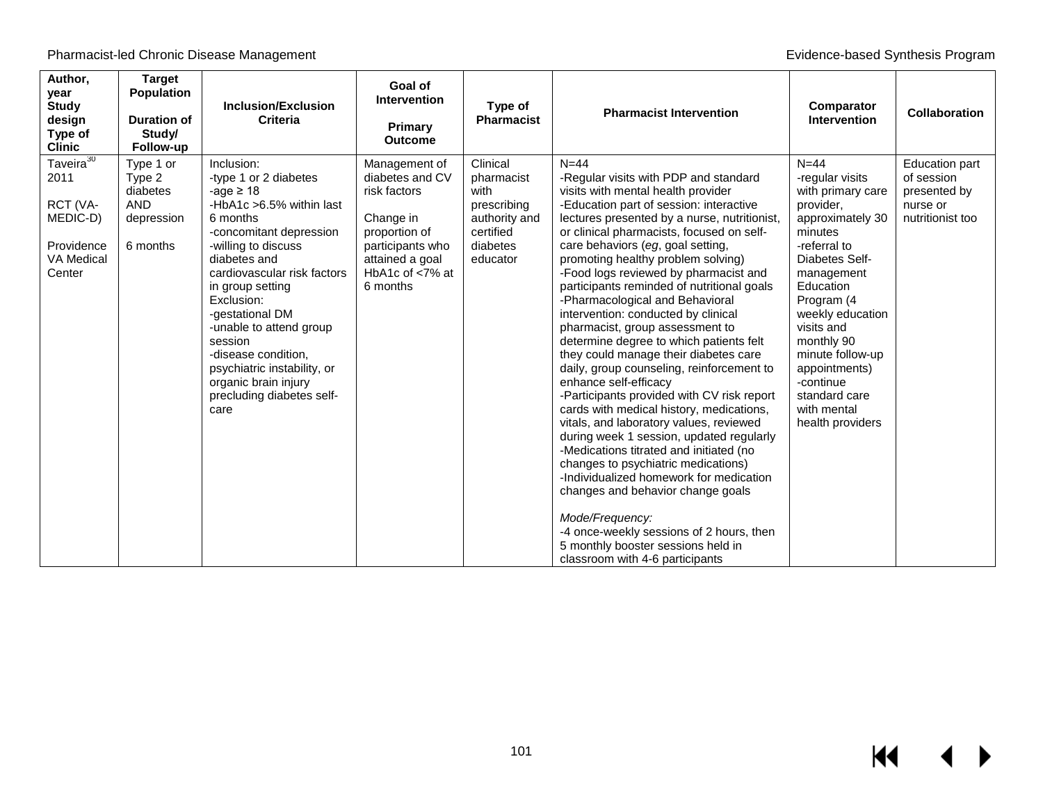| Author,<br>year<br><b>Study</b><br>design<br>Type of<br><b>Clinic</b>                     | <b>Target</b><br>Population<br><b>Duration of</b><br>Study/<br>Follow-up | Inclusion/Exclusion<br><b>Criteria</b>                                                                                                                                                                                                                                                                                                                                                                       | Goal of<br><b>Intervention</b><br>Primary<br><b>Outcome</b>                                                                                             | Type of<br><b>Pharmacist</b>                                                                        | <b>Pharmacist Intervention</b>                                                                                                                                                                                                                                                                                                                                                                                                                                                                                                                                                                                                                                                                                                                                                                                                                                                                                                                                                                                                                                                                                                                                      | Comparator<br><b>Intervention</b>                                                                                                                                                                                                                                                                                             | <b>Collaboration</b>                                                                |
|-------------------------------------------------------------------------------------------|--------------------------------------------------------------------------|--------------------------------------------------------------------------------------------------------------------------------------------------------------------------------------------------------------------------------------------------------------------------------------------------------------------------------------------------------------------------------------------------------------|---------------------------------------------------------------------------------------------------------------------------------------------------------|-----------------------------------------------------------------------------------------------------|---------------------------------------------------------------------------------------------------------------------------------------------------------------------------------------------------------------------------------------------------------------------------------------------------------------------------------------------------------------------------------------------------------------------------------------------------------------------------------------------------------------------------------------------------------------------------------------------------------------------------------------------------------------------------------------------------------------------------------------------------------------------------------------------------------------------------------------------------------------------------------------------------------------------------------------------------------------------------------------------------------------------------------------------------------------------------------------------------------------------------------------------------------------------|-------------------------------------------------------------------------------------------------------------------------------------------------------------------------------------------------------------------------------------------------------------------------------------------------------------------------------|-------------------------------------------------------------------------------------|
| Taveira $30$<br>2011<br>RCT (VA-<br>MEDIC-D)<br>Providence<br><b>VA Medical</b><br>Center | Type 1 or<br>Type 2<br>diabetes<br><b>AND</b><br>depression<br>6 months  | Inclusion:<br>-type 1 or 2 diabetes<br>-age $\geq 18$<br>-HbA1c >6.5% within last<br>6 months<br>-concomitant depression<br>-willing to discuss<br>diabetes and<br>cardiovascular risk factors<br>in group setting<br>Exclusion:<br>-gestational DM<br>-unable to attend group<br>session<br>-disease condition,<br>psychiatric instability, or<br>organic brain injury<br>precluding diabetes self-<br>care | Management of<br>diabetes and CV<br>risk factors<br>Change in<br>proportion of<br>participants who<br>attained a goal<br>HbA1c of $<$ 7% at<br>6 months | Clinical<br>pharmacist<br>with<br>prescribing<br>authority and<br>certified<br>diabetes<br>educator | $N = 44$<br>-Regular visits with PDP and standard<br>visits with mental health provider<br>-Education part of session: interactive<br>lectures presented by a nurse, nutritionist,<br>or clinical pharmacists, focused on self-<br>care behaviors (eg, goal setting,<br>promoting healthy problem solving)<br>-Food logs reviewed by pharmacist and<br>participants reminded of nutritional goals<br>-Pharmacological and Behavioral<br>intervention: conducted by clinical<br>pharmacist, group assessment to<br>determine degree to which patients felt<br>they could manage their diabetes care<br>daily, group counseling, reinforcement to<br>enhance self-efficacy<br>-Participants provided with CV risk report<br>cards with medical history, medications,<br>vitals, and laboratory values, reviewed<br>during week 1 session, updated regularly<br>-Medications titrated and initiated (no<br>changes to psychiatric medications)<br>-Individualized homework for medication<br>changes and behavior change goals<br>Mode/Frequency:<br>-4 once-weekly sessions of 2 hours, then<br>5 monthly booster sessions held in<br>classroom with 4-6 participants | $N = 44$<br>-regular visits<br>with primary care<br>provider,<br>approximately 30<br>minutes<br>-referral to<br>Diabetes Self-<br>management<br>Education<br>Program (4<br>weekly education<br>visits and<br>monthly 90<br>minute follow-up<br>appointments)<br>-continue<br>standard care<br>with mental<br>health providers | <b>Education part</b><br>of session<br>presented by<br>nurse or<br>nutritionist too |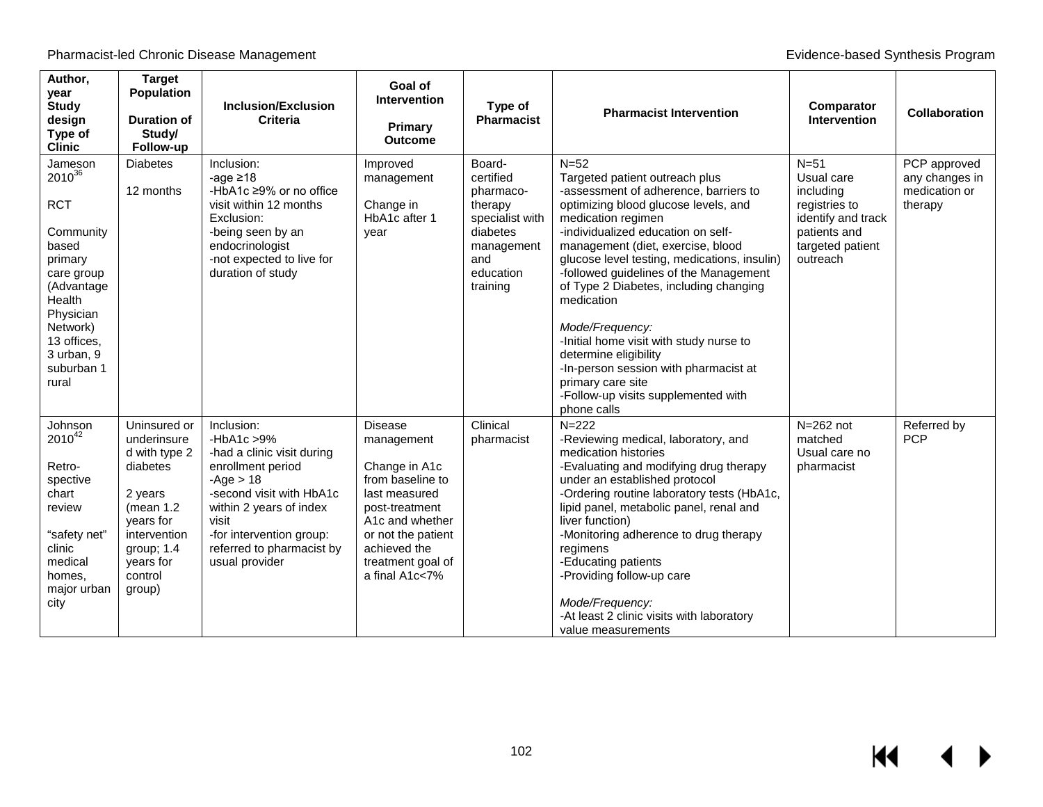| Author,<br>year<br><b>Study</b><br>design<br>Type of<br><b>Clinic</b>                                                                                                                    | <b>Target</b><br><b>Population</b><br><b>Duration of</b><br>Study/<br>Follow-up                                                                                 | <b>Inclusion/Exclusion</b><br>Criteria                                                                                                                                                                                                   | Goal of<br><b>Intervention</b><br>Primary<br><b>Outcome</b>                                                                                                                                          | Type of<br><b>Pharmacist</b>                                                                                             | <b>Pharmacist Intervention</b>                                                                                                                                                                                                                                                                                                                                                                                                                                                                                                                                                          | Comparator<br><b>Intervention</b>                                                                                        | <b>Collaboration</b>                                       |
|------------------------------------------------------------------------------------------------------------------------------------------------------------------------------------------|-----------------------------------------------------------------------------------------------------------------------------------------------------------------|------------------------------------------------------------------------------------------------------------------------------------------------------------------------------------------------------------------------------------------|------------------------------------------------------------------------------------------------------------------------------------------------------------------------------------------------------|--------------------------------------------------------------------------------------------------------------------------|-----------------------------------------------------------------------------------------------------------------------------------------------------------------------------------------------------------------------------------------------------------------------------------------------------------------------------------------------------------------------------------------------------------------------------------------------------------------------------------------------------------------------------------------------------------------------------------------|--------------------------------------------------------------------------------------------------------------------------|------------------------------------------------------------|
| Jameson<br>$2010^{36}$<br><b>RCT</b><br>Community<br>based<br>primary<br>care group<br>(Advantage<br>Health<br>Physician<br>Network)<br>13 offices,<br>3 urban, 9<br>suburban 1<br>rural | <b>Diabetes</b><br>12 months                                                                                                                                    | Inclusion:<br>-age $\geq 18$<br>-HbA1c ≥9% or no office<br>visit within 12 months<br>Exclusion:<br>-being seen by an<br>endocrinologist<br>-not expected to live for<br>duration of study                                                | Improved<br>management<br>Change in<br>HbA1c after 1<br>year                                                                                                                                         | Board-<br>certified<br>pharmaco-<br>therapy<br>specialist with<br>diabetes<br>management<br>and<br>education<br>training | $N=52$<br>Targeted patient outreach plus<br>-assessment of adherence, barriers to<br>optimizing blood glucose levels, and<br>medication regimen<br>-individualized education on self-<br>management (diet, exercise, blood<br>glucose level testing, medications, insulin)<br>-followed guidelines of the Management<br>of Type 2 Diabetes, including changing<br>medication<br>Mode/Frequency:<br>-Initial home visit with study nurse to<br>determine eligibility<br>-In-person session with pharmacist at<br>primary care site<br>-Follow-up visits supplemented with<br>phone calls | $N=51$<br>Usual care<br>including<br>registries to<br>identify and track<br>patients and<br>targeted patient<br>outreach | PCP approved<br>any changes in<br>medication or<br>therapy |
| Johnson<br>$2010^{42}$<br>Retro-<br>spective<br>chart<br>review<br>"safety net"<br>clinic<br>medical<br>homes.<br>major urban<br>city                                                    | Uninsured or<br>underinsure<br>d with type 2<br>diabetes<br>2 years<br>(mean $1.2$<br>years for<br>intervention<br>group; 1.4<br>years for<br>control<br>group) | Inclusion:<br>-HbA1c $>9\%$<br>-had a clinic visit during<br>enrollment period<br>$-Age > 18$<br>-second visit with HbA1c<br>within 2 years of index<br>visit<br>-for intervention group:<br>referred to pharmacist by<br>usual provider | <b>Disease</b><br>management<br>Change in A1c<br>from baseline to<br>last measured<br>post-treatment<br>A1c and whether<br>or not the patient<br>achieved the<br>treatment goal of<br>a final A1c<7% | Clinical<br>pharmacist                                                                                                   | $N = 222$<br>-Reviewing medical, laboratory, and<br>medication histories<br>-Evaluating and modifying drug therapy<br>under an established protocol<br>-Ordering routine laboratory tests (HbA1c,<br>lipid panel, metabolic panel, renal and<br>liver function)<br>-Monitoring adherence to drug therapy<br>regimens<br>-Educating patients<br>-Providing follow-up care<br>Mode/Frequency:<br>-At least 2 clinic visits with laboratory<br>value measurements                                                                                                                          | $N=262$ not<br>matched<br>Usual care no<br>pharmacist                                                                    | Referred by<br><b>PCP</b>                                  |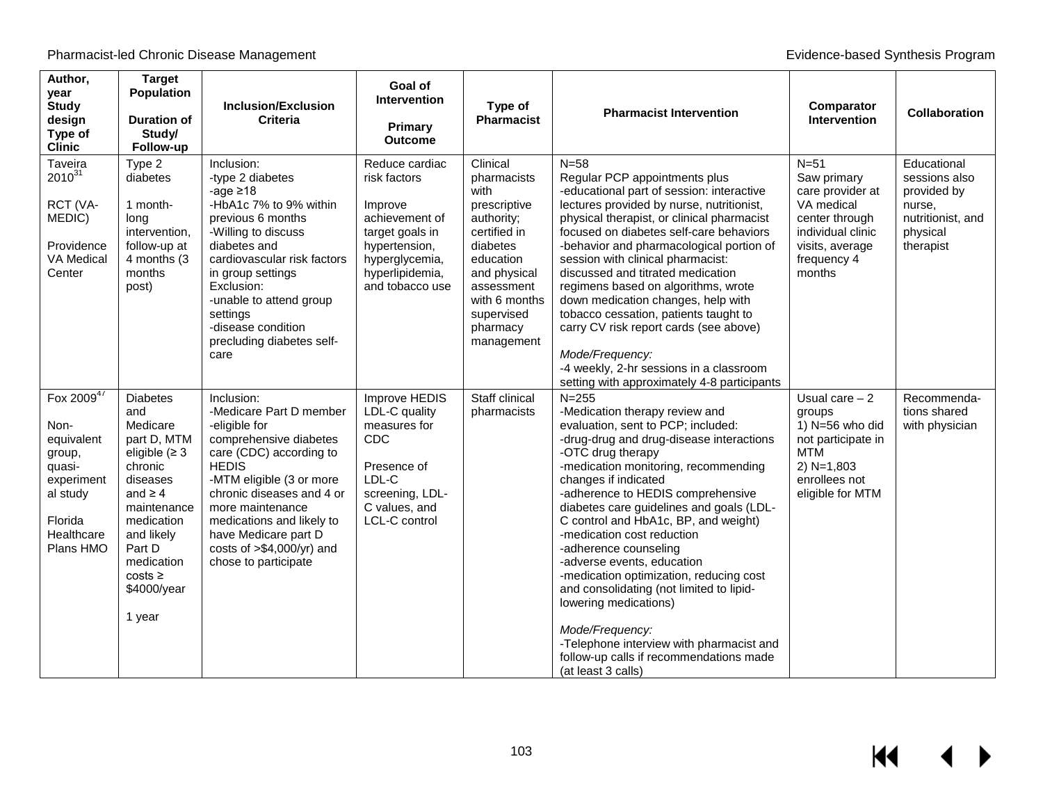| Author,<br>year<br><b>Study</b><br>design<br>Type of<br><b>Clinic</b>                                                | <b>Target</b><br>Population<br><b>Duration of</b><br>Study/<br>Follow-up                                                                                                                                                   | <b>Inclusion/Exclusion</b><br><b>Criteria</b>                                                                                                                                                                                                                                                                         | Goal of<br><b>Intervention</b><br><b>Primary</b><br><b>Outcome</b>                                                                                      | Type of<br><b>Pharmacist</b>                                                                                                                                                                  | <b>Pharmacist Intervention</b>                                                                                                                                                                                                                                                                                                                                                                                                                                                                                                                                                                                                                                                   | Comparator<br>Intervention                                                                                                                 | <b>Collaboration</b>                                                                                |
|----------------------------------------------------------------------------------------------------------------------|----------------------------------------------------------------------------------------------------------------------------------------------------------------------------------------------------------------------------|-----------------------------------------------------------------------------------------------------------------------------------------------------------------------------------------------------------------------------------------------------------------------------------------------------------------------|---------------------------------------------------------------------------------------------------------------------------------------------------------|-----------------------------------------------------------------------------------------------------------------------------------------------------------------------------------------------|----------------------------------------------------------------------------------------------------------------------------------------------------------------------------------------------------------------------------------------------------------------------------------------------------------------------------------------------------------------------------------------------------------------------------------------------------------------------------------------------------------------------------------------------------------------------------------------------------------------------------------------------------------------------------------|--------------------------------------------------------------------------------------------------------------------------------------------|-----------------------------------------------------------------------------------------------------|
| Taveira<br>$2010^{31}$<br>RCT (VA-<br>MEDIC)<br>Providence<br>VA Medical<br>Center                                   | Type 2<br>diabetes<br>1 month-<br>long<br>intervention,<br>follow-up at<br>4 months (3)<br>months<br>post)                                                                                                                 | Inclusion:<br>-type 2 diabetes<br>-age $\geq 18$<br>-HbA1c 7% to 9% within<br>previous 6 months<br>-Willing to discuss<br>diabetes and<br>cardiovascular risk factors<br>in group settings<br>Exclusion:<br>-unable to attend group<br>settings<br>-disease condition<br>precluding diabetes self-<br>care            | Reduce cardiac<br>risk factors<br>Improve<br>achievement of<br>target goals in<br>hypertension,<br>hyperglycemia,<br>hyperlipidemia,<br>and tobacco use | Clinical<br>pharmacists<br>with<br>prescriptive<br>authority;<br>certified in<br>diabetes<br>education<br>and physical<br>assessment<br>with 6 months<br>supervised<br>pharmacy<br>management | $N = 58$<br>Regular PCP appointments plus<br>-educational part of session: interactive<br>lectures provided by nurse, nutritionist,<br>physical therapist, or clinical pharmacist<br>focused on diabetes self-care behaviors<br>-behavior and pharmacological portion of<br>session with clinical pharmacist:<br>discussed and titrated medication<br>regimens based on algorithms, wrote<br>down medication changes, help with<br>tobacco cessation, patients taught to<br>carry CV risk report cards (see above)<br>Mode/Frequency:<br>-4 weekly, 2-hr sessions in a classroom<br>setting with approximately 4-8 participants                                                  | $N=51$<br>Saw primary<br>care provider at<br>VA medical<br>center through<br>individual clinic<br>visits, average<br>frequency 4<br>months | Educational<br>sessions also<br>provided by<br>nurse,<br>nutritionist, and<br>physical<br>therapist |
| Fox 200947<br>Non-<br>equivalent<br>group,<br>quasi-<br>experiment<br>al study<br>Florida<br>Healthcare<br>Plans HMO | <b>Diabetes</b><br>and<br>Medicare<br>part D, MTM<br>eligible ( $\geq$ 3<br>chronic<br>diseases<br>and $\geq 4$<br>maintenance<br>medication<br>and likely<br>Part D<br>medication<br>$costs \ge$<br>\$4000/year<br>1 year | Inclusion:<br>-Medicare Part D member<br>-eligible for<br>comprehensive diabetes<br>care (CDC) according to<br><b>HEDIS</b><br>-MTM eligible (3 or more<br>chronic diseases and 4 or<br>more maintenance<br>medications and likely to<br>have Medicare part D<br>costs of $> $4,000/yr$ ) and<br>chose to participate | Improve HEDIS<br>LDL-C quality<br>measures for<br>CDC<br>Presence of<br>LDL-C<br>screening, LDL-<br>C values, and<br>LCL-C control                      | Staff clinical<br>pharmacists                                                                                                                                                                 | $N = 255$<br>-Medication therapy review and<br>evaluation, sent to PCP; included:<br>-drug-drug and drug-disease interactions<br>-OTC drug therapy<br>-medication monitoring, recommending<br>changes if indicated<br>-adherence to HEDIS comprehensive<br>diabetes care guidelines and goals (LDL-<br>C control and HbA1c, BP, and weight)<br>-medication cost reduction<br>-adherence counseling<br>-adverse events, education<br>-medication optimization, reducing cost<br>and consolidating (not limited to lipid-<br>lowering medications)<br>Mode/Frequency:<br>-Telephone interview with pharmacist and<br>follow-up calls if recommendations made<br>(at least 3 calls) | Usual care $-2$<br>groups<br>1) $N=56$ who did<br>not participate in<br><b>MTM</b><br>$2) N=1,803$<br>enrollees not<br>eligible for MTM    | Recommenda-<br>tions shared<br>with physician                                                       |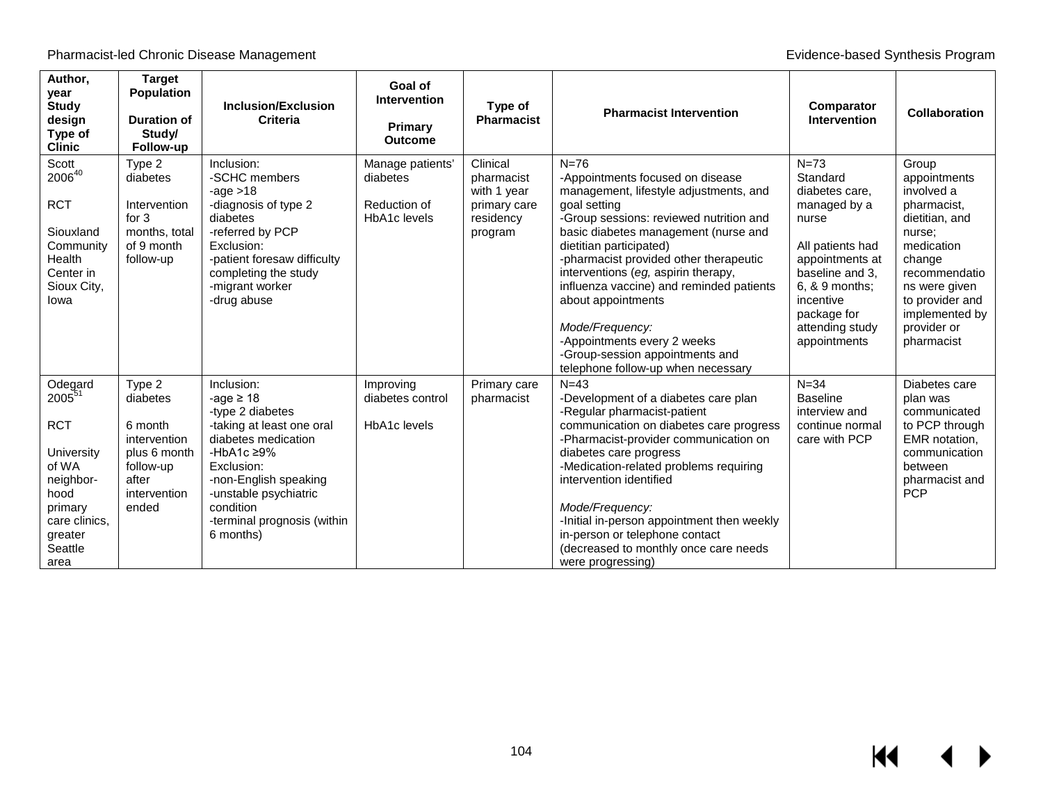| Author,<br>year<br><b>Study</b><br>design<br>Type of<br><b>Clinic</b>                                                                             | <b>Target</b><br><b>Population</b><br><b>Duration of</b><br>Study/<br>Follow-up                              | <b>Inclusion/Exclusion</b><br><b>Criteria</b>                                                                                                                                                                                                     | Goal of<br><b>Intervention</b><br>Primary<br><b>Outcome</b>  | Type of<br><b>Pharmacist</b>                                                  | <b>Pharmacist Intervention</b>                                                                                                                                                                                                                                                                                                                                                                                                                                                                   | Comparator<br><b>Intervention</b>                                                                                                                                                                          | <b>Collaboration</b>                                                                                                                                                                                       |
|---------------------------------------------------------------------------------------------------------------------------------------------------|--------------------------------------------------------------------------------------------------------------|---------------------------------------------------------------------------------------------------------------------------------------------------------------------------------------------------------------------------------------------------|--------------------------------------------------------------|-------------------------------------------------------------------------------|--------------------------------------------------------------------------------------------------------------------------------------------------------------------------------------------------------------------------------------------------------------------------------------------------------------------------------------------------------------------------------------------------------------------------------------------------------------------------------------------------|------------------------------------------------------------------------------------------------------------------------------------------------------------------------------------------------------------|------------------------------------------------------------------------------------------------------------------------------------------------------------------------------------------------------------|
| Scott<br>200640<br><b>RCT</b><br>Siouxland<br>Community<br>Health<br>Center in<br>Sioux City,<br>lowa                                             | Type 2<br>diabetes<br>Intervention<br>for $3$<br>months, total<br>of 9 month<br>follow-up                    | Inclusion:<br>-SCHC members<br>-age $>18$<br>-diagnosis of type 2<br>diabetes<br>-referred by PCP<br>Exclusion:<br>-patient foresaw difficulty<br>completing the study<br>-migrant worker<br>-drug abuse                                          | Manage patients'<br>diabetes<br>Reduction of<br>HbA1c levels | Clinical<br>pharmacist<br>with 1 year<br>primary care<br>residency<br>program | $N=76$<br>-Appointments focused on disease<br>management, lifestyle adjustments, and<br>goal setting<br>-Group sessions: reviewed nutrition and<br>basic diabetes management (nurse and<br>dietitian participated)<br>-pharmacist provided other therapeutic<br>interventions (eg, aspirin therapy,<br>influenza vaccine) and reminded patients<br>about appointments<br>Mode/Frequency:<br>-Appointments every 2 weeks<br>-Group-session appointments and<br>telephone follow-up when necessary | $N = 73$<br>Standard<br>diabetes care,<br>managed by a<br>nurse<br>All patients had<br>appointments at<br>baseline and 3.<br>6, & 9 months;<br>incentive<br>package for<br>attending study<br>appointments | Group<br>appointments<br>involved a<br>pharmacist,<br>dietitian, and<br>nurse;<br>medication<br>change<br>recommendatio<br>ns were given<br>to provider and<br>implemented by<br>provider or<br>pharmacist |
| Odegard<br>2005 <sup>51</sup><br><b>RCT</b><br>University<br>of WA<br>neighbor-<br>hood<br>primary<br>care clinics,<br>greater<br>Seattle<br>area | Type 2<br>diabetes<br>6 month<br>intervention<br>plus 6 month<br>follow-up<br>after<br>intervention<br>ended | Inclusion:<br>-age $\geq 18$<br>-type 2 diabetes<br>-taking at least one oral<br>diabetes medication<br>-HbA1c $\geq$ 9%<br>Exclusion:<br>-non-English speaking<br>-unstable psychiatric<br>condition<br>-terminal prognosis (within<br>6 months) | Improving<br>diabetes control<br>HbA1c levels                | Primary care<br>pharmacist                                                    | $N = 4.3$<br>-Development of a diabetes care plan<br>-Regular pharmacist-patient<br>communication on diabetes care progress<br>-Pharmacist-provider communication on<br>diabetes care progress<br>-Medication-related problems requiring<br>intervention identified<br>Mode/Frequency:<br>-Initial in-person appointment then weekly<br>in-person or telephone contact<br>(decreased to monthly once care needs<br>were progressing)                                                             | $N = 34$<br><b>Baseline</b><br>interview and<br>continue normal<br>care with PCP                                                                                                                           | Diabetes care<br>plan was<br>communicated<br>to PCP through<br>EMR notation,<br>communication<br>between<br>pharmacist and<br><b>PCP</b>                                                                   |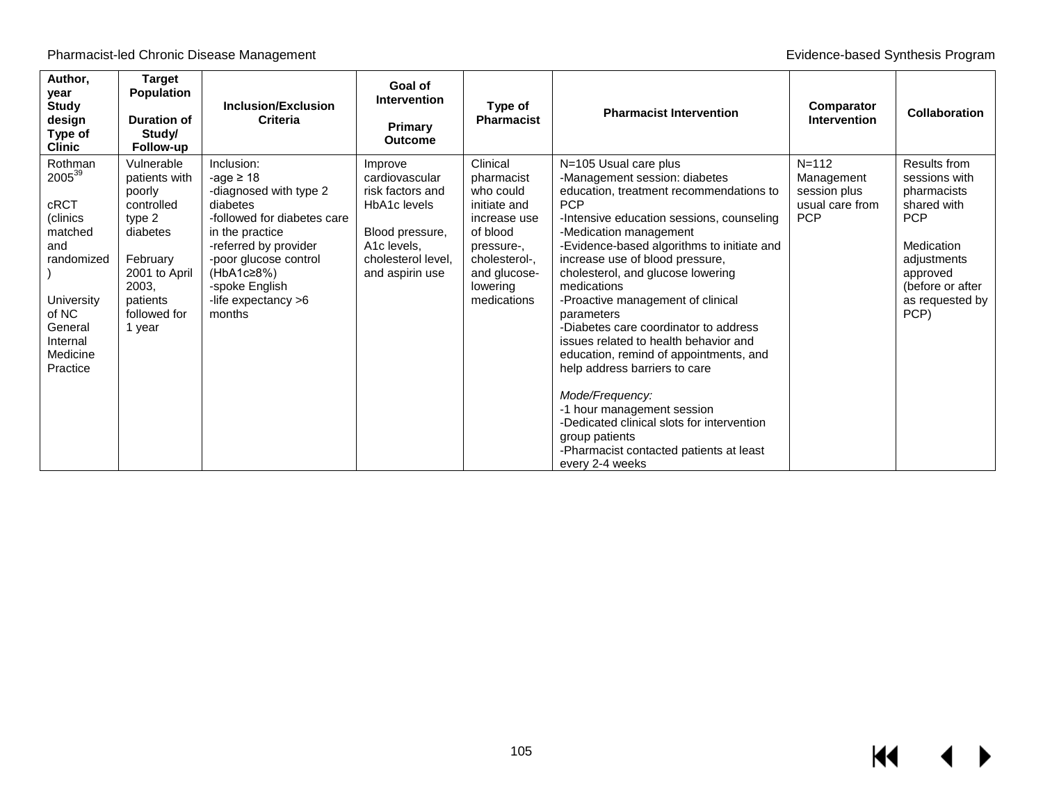| Author,<br>year<br><b>Study</b><br>design<br>Type of<br><b>Clinic</b>                                                                       | <b>Target</b><br>Population<br><b>Duration of</b><br>Study/<br>Follow-up                                                                              | Inclusion/Exclusion<br>Criteria                                                                                                                                                                                                         | Goal of<br><b>Intervention</b><br>Primary<br><b>Outcome</b>                                                                              | Type of<br><b>Pharmacist</b>                                                                                                                              | <b>Pharmacist Intervention</b>                                                                                                                                                                                                                                                                                                                                                                                                                                                                                                                                                                                                                                                                                             | Comparator<br><b>Intervention</b>                                        | <b>Collaboration</b>                                                                                                                                              |
|---------------------------------------------------------------------------------------------------------------------------------------------|-------------------------------------------------------------------------------------------------------------------------------------------------------|-----------------------------------------------------------------------------------------------------------------------------------------------------------------------------------------------------------------------------------------|------------------------------------------------------------------------------------------------------------------------------------------|-----------------------------------------------------------------------------------------------------------------------------------------------------------|----------------------------------------------------------------------------------------------------------------------------------------------------------------------------------------------------------------------------------------------------------------------------------------------------------------------------------------------------------------------------------------------------------------------------------------------------------------------------------------------------------------------------------------------------------------------------------------------------------------------------------------------------------------------------------------------------------------------------|--------------------------------------------------------------------------|-------------------------------------------------------------------------------------------------------------------------------------------------------------------|
| Rothman<br>200539<br>cRCT<br>(clinics<br>matched<br>and<br>randomized<br>University<br>of NC<br>General<br>Internal<br>Medicine<br>Practice | Vulnerable<br>patients with<br>poorly<br>controlled<br>type 2<br>diabetes<br>February<br>2001 to April<br>2003,<br>patients<br>followed for<br>1 year | Inclusion:<br>-age $\geq$ 18<br>-diagnosed with type 2<br>diabetes<br>-followed for diabetes care<br>in the practice<br>-referred by provider<br>-poor glucose control<br>(HbA1c≥8%)<br>-spoke English<br>-life expectancy >6<br>months | Improve<br>cardiovascular<br>risk factors and<br>HbA1c levels<br>Blood pressure,<br>A1c levels,<br>cholesterol level.<br>and aspirin use | Clinical<br>pharmacist<br>who could<br>initiate and<br>increase use<br>of blood<br>pressure-,<br>cholesterol-.<br>and glucose-<br>lowering<br>medications | N=105 Usual care plus<br>-Management session: diabetes<br>education, treatment recommendations to<br><b>PCP</b><br>-Intensive education sessions, counseling<br>-Medication management<br>-Evidence-based algorithms to initiate and<br>increase use of blood pressure,<br>cholesterol, and glucose lowering<br>medications<br>-Proactive management of clinical<br>parameters<br>-Diabetes care coordinator to address<br>issues related to health behavior and<br>education, remind of appointments, and<br>help address barriers to care<br>Mode/Frequency:<br>-1 hour management session<br>-Dedicated clinical slots for intervention<br>group patients<br>-Pharmacist contacted patients at least<br>every 2-4 weeks | $N = 112$<br>Management<br>session plus<br>usual care from<br><b>PCP</b> | Results from<br>sessions with<br>pharmacists<br>shared with<br><b>PCP</b><br>Medication<br>adjustments<br>approved<br>(before or after<br>as requested by<br>PCP) |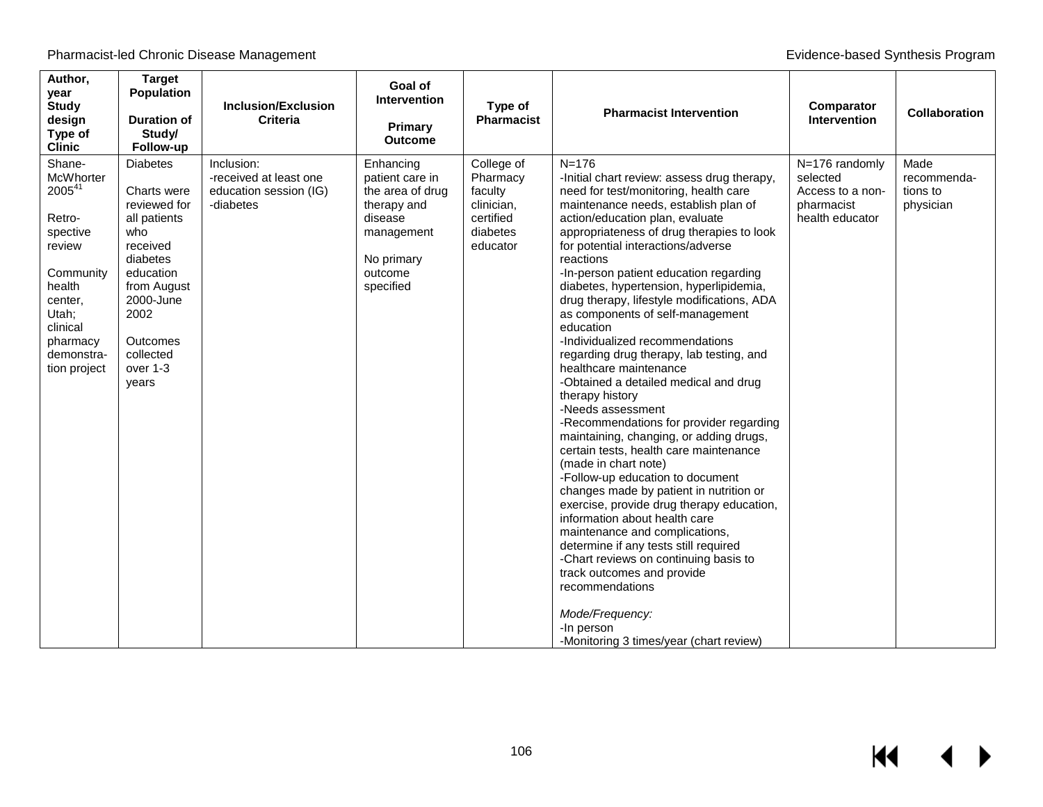| Author,<br>year<br><b>Study</b><br>design<br>Type of<br><b>Clinic</b>                                                                                          | <b>Target</b><br><b>Population</b><br>Duration of<br>Study/<br>Follow-up                                                                                                                     | <b>Inclusion/Exclusion</b><br><b>Criteria</b>                               | Goal of<br><b>Intervention</b><br>Primary<br><b>Outcome</b>                                                                    | Type of<br><b>Pharmacist</b>                                                         | <b>Pharmacist Intervention</b>                                                                                                                                                                                                                                                                                                                                                                                                                                                                                                                                                                                                                                                                                                                                                                                                                                                                                                                                                                                                                                                                                                                                                                                                   | Comparator<br><b>Intervention</b>                                               | <b>Collaboration</b>                         |
|----------------------------------------------------------------------------------------------------------------------------------------------------------------|----------------------------------------------------------------------------------------------------------------------------------------------------------------------------------------------|-----------------------------------------------------------------------------|--------------------------------------------------------------------------------------------------------------------------------|--------------------------------------------------------------------------------------|----------------------------------------------------------------------------------------------------------------------------------------------------------------------------------------------------------------------------------------------------------------------------------------------------------------------------------------------------------------------------------------------------------------------------------------------------------------------------------------------------------------------------------------------------------------------------------------------------------------------------------------------------------------------------------------------------------------------------------------------------------------------------------------------------------------------------------------------------------------------------------------------------------------------------------------------------------------------------------------------------------------------------------------------------------------------------------------------------------------------------------------------------------------------------------------------------------------------------------|---------------------------------------------------------------------------------|----------------------------------------------|
| Shane-<br>McWhorter<br>200541<br>Retro-<br>spective<br>review<br>Community<br>health<br>center,<br>Utah;<br>clinical<br>pharmacy<br>demonstra-<br>tion project | <b>Diabetes</b><br>Charts were<br>reviewed for<br>all patients<br>who<br>received<br>diabetes<br>education<br>from August<br>2000-June<br>2002<br>Outcomes<br>collected<br>over 1-3<br>years | Inclusion:<br>-received at least one<br>education session (IG)<br>-diabetes | Enhancing<br>patient care in<br>the area of drug<br>therapy and<br>disease<br>management<br>No primary<br>outcome<br>specified | College of<br>Pharmacy<br>faculty<br>clinician,<br>certified<br>diabetes<br>educator | $N = 176$<br>-Initial chart review: assess drug therapy,<br>need for test/monitoring, health care<br>maintenance needs, establish plan of<br>action/education plan, evaluate<br>appropriateness of drug therapies to look<br>for potential interactions/adverse<br>reactions<br>-In-person patient education regarding<br>diabetes, hypertension, hyperlipidemia,<br>drug therapy, lifestyle modifications, ADA<br>as components of self-management<br>education<br>-Individualized recommendations<br>regarding drug therapy, lab testing, and<br>healthcare maintenance<br>-Obtained a detailed medical and drug<br>therapy history<br>-Needs assessment<br>-Recommendations for provider regarding<br>maintaining, changing, or adding drugs,<br>certain tests, health care maintenance<br>(made in chart note)<br>-Follow-up education to document<br>changes made by patient in nutrition or<br>exercise, provide drug therapy education,<br>information about health care<br>maintenance and complications.<br>determine if any tests still required<br>-Chart reviews on continuing basis to<br>track outcomes and provide<br>recommendations<br>Mode/Frequency:<br>-In person<br>-Monitoring 3 times/year (chart review) | N=176 randomly<br>selected<br>Access to a non-<br>pharmacist<br>health educator | Made<br>recommenda-<br>tions to<br>physician |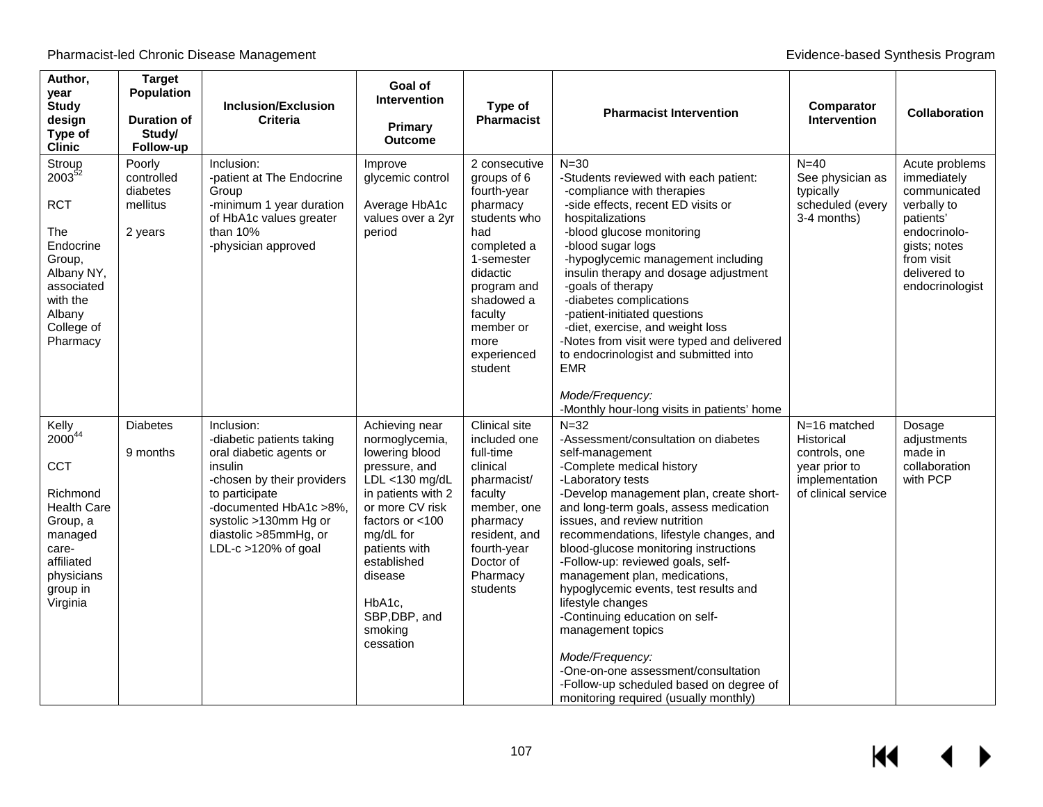| Author,<br>year<br><b>Study</b><br>design<br>Type of<br><b>Clinic</b>                                                                                           | <b>Target</b><br><b>Population</b><br><b>Duration of</b><br>Study/<br>Follow-up | <b>Inclusion/Exclusion</b><br><b>Criteria</b>                                                                                                                                                                                         | Goal of<br><b>Intervention</b><br>Primary<br><b>Outcome</b>                                                                                                                                                                                                     | Type of<br><b>Pharmacist</b>                                                                                                                                                                                   | <b>Pharmacist Intervention</b>                                                                                                                                                                                                                                                                                                                                                                                                                                                                                                                                                                                                                                        | Comparator<br>Intervention                                                                            | Collaboration                                                                                                                                              |
|-----------------------------------------------------------------------------------------------------------------------------------------------------------------|---------------------------------------------------------------------------------|---------------------------------------------------------------------------------------------------------------------------------------------------------------------------------------------------------------------------------------|-----------------------------------------------------------------------------------------------------------------------------------------------------------------------------------------------------------------------------------------------------------------|----------------------------------------------------------------------------------------------------------------------------------------------------------------------------------------------------------------|-----------------------------------------------------------------------------------------------------------------------------------------------------------------------------------------------------------------------------------------------------------------------------------------------------------------------------------------------------------------------------------------------------------------------------------------------------------------------------------------------------------------------------------------------------------------------------------------------------------------------------------------------------------------------|-------------------------------------------------------------------------------------------------------|------------------------------------------------------------------------------------------------------------------------------------------------------------|
| Stroup<br>$2003^{52}$<br><b>RCT</b><br>The<br>Endocrine<br>Group,<br>Albany NY,<br>associated<br>with the<br>Albany<br>College of<br>Pharmacy                   | Poorly<br>controlled<br>diabetes<br>mellitus<br>2 years                         | Inclusion:<br>-patient at The Endocrine<br>Group<br>-minimum 1 year duration<br>of HbA1c values greater<br>than $10%$<br>-physician approved                                                                                          | Improve<br>glycemic control<br>Average HbA1c<br>values over a 2yr<br>period                                                                                                                                                                                     | 2 consecutive<br>groups of 6<br>fourth-year<br>pharmacy<br>students who<br>had<br>completed a<br>1-semester<br>didactic<br>program and<br>shadowed a<br>faculty<br>member or<br>more<br>experienced<br>student | $N = 30$<br>-Students reviewed with each patient:<br>-compliance with therapies<br>-side effects, recent ED visits or<br>hospitalizations<br>-blood glucose monitoring<br>-blood sugar logs<br>-hypoglycemic management including<br>insulin therapy and dosage adjustment<br>-goals of therapy<br>-diabetes complications<br>-patient-initiated questions<br>-diet, exercise, and weight loss<br>-Notes from visit were typed and delivered<br>to endocrinologist and submitted into<br><b>EMR</b>                                                                                                                                                                   | $N=40$<br>See physician as<br>typically<br>scheduled (every<br>3-4 months)                            | Acute problems<br>immediately<br>communicated<br>verbally to<br>patients'<br>endocrinolo-<br>gists; notes<br>from visit<br>delivered to<br>endocrinologist |
|                                                                                                                                                                 |                                                                                 |                                                                                                                                                                                                                                       |                                                                                                                                                                                                                                                                 |                                                                                                                                                                                                                | Mode/Frequency:<br>-Monthly hour-long visits in patients' home                                                                                                                                                                                                                                                                                                                                                                                                                                                                                                                                                                                                        |                                                                                                       |                                                                                                                                                            |
| Kelly<br>2000 <sup>44</sup><br><b>CCT</b><br>Richmond<br><b>Health Care</b><br>Group, a<br>managed<br>care-<br>affiliated<br>physicians<br>group in<br>Virginia | <b>Diabetes</b><br>9 months                                                     | Inclusion:<br>-diabetic patients taking<br>oral diabetic agents or<br>insulin<br>-chosen by their providers<br>to participate<br>-documented HbA1c >8%,<br>systolic >130mm Hg or<br>diastolic >85mmHg, or<br>LDL- $c > 120\%$ of goal | Achieving near<br>normoglycemia,<br>lowering blood<br>pressure, and<br>LDL <130 mg/dL<br>in patients with 2<br>or more CV risk<br>factors or $<$ 100<br>mg/dL for<br>patients with<br>established<br>disease<br>HbA1c,<br>SBP, DBP, and<br>smoking<br>cessation | Clinical site<br>included one<br>full-time<br>clinical<br>pharmacist/<br>faculty<br>member, one<br>pharmacy<br>resident, and<br>fourth-year<br>Doctor of<br>Pharmacy<br>students                               | $N=32$<br>-Assessment/consultation on diabetes<br>self-management<br>-Complete medical history<br>-Laboratory tests<br>-Develop management plan, create short-<br>and long-term goals, assess medication<br>issues, and review nutrition<br>recommendations, lifestyle changes, and<br>blood-glucose monitoring instructions<br>-Follow-up: reviewed goals, self-<br>management plan, medications,<br>hypoglycemic events, test results and<br>lifestyle changes<br>-Continuing education on self-<br>management topics<br>Mode/Frequency:<br>-One-on-one assessment/consultation<br>-Follow-up scheduled based on degree of<br>monitoring required (usually monthly) | N=16 matched<br>Historical<br>controls, one<br>year prior to<br>implementation<br>of clinical service | Dosage<br>adjustments<br>made in<br>collaboration<br>with PCP                                                                                              |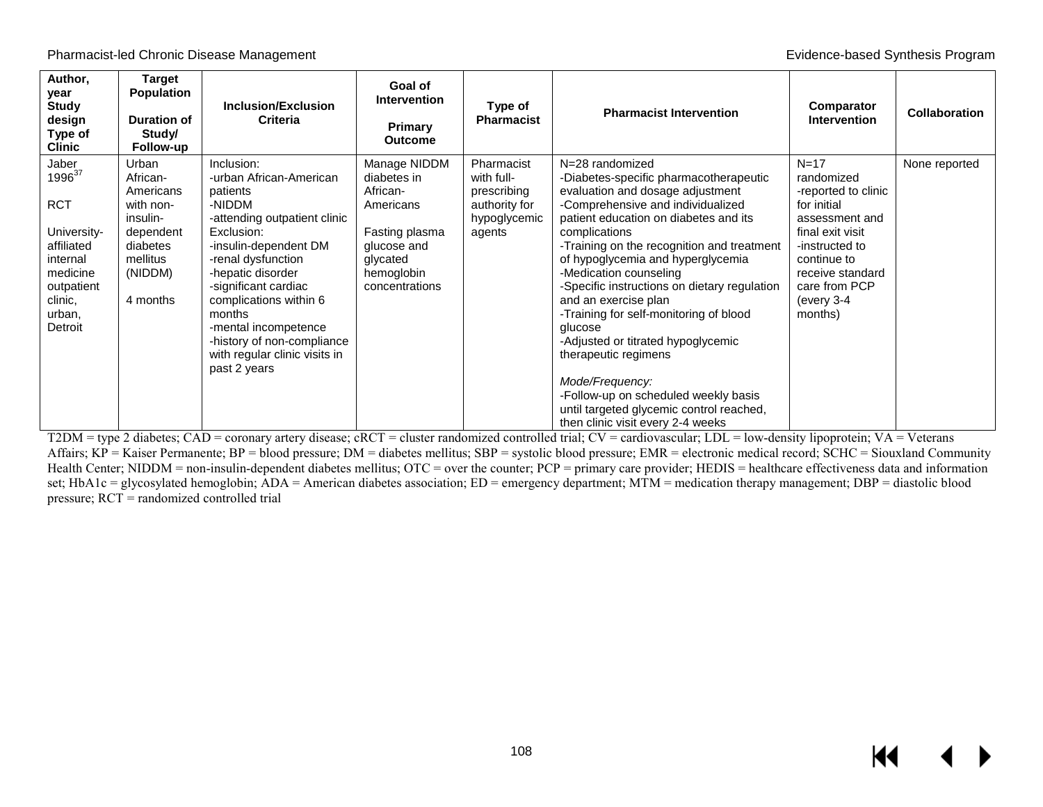| Author,<br>year<br><b>Study</b><br>design<br>Type of<br><b>Clinic</b>                                                                        | <b>Target</b><br><b>Population</b><br><b>Duration of</b><br>Study/<br>Follow-up                                     | <b>Inclusion/Exclusion</b><br><b>Criteria</b>                                                                                                                                                                                                                                                                                                    | Goal of<br><b>Intervention</b><br><b>Primary</b><br><b>Outcome</b>                                                                | Type of<br><b>Pharmacist</b>                                                       | <b>Pharmacist Intervention</b>                                                                                                                                                                                                                                                                                                                                                                                                                                                                                                                                                                                                                   | Comparator<br><b>Intervention</b>                                                                                                                                                               | <b>Collaboration</b> |
|----------------------------------------------------------------------------------------------------------------------------------------------|---------------------------------------------------------------------------------------------------------------------|--------------------------------------------------------------------------------------------------------------------------------------------------------------------------------------------------------------------------------------------------------------------------------------------------------------------------------------------------|-----------------------------------------------------------------------------------------------------------------------------------|------------------------------------------------------------------------------------|--------------------------------------------------------------------------------------------------------------------------------------------------------------------------------------------------------------------------------------------------------------------------------------------------------------------------------------------------------------------------------------------------------------------------------------------------------------------------------------------------------------------------------------------------------------------------------------------------------------------------------------------------|-------------------------------------------------------------------------------------------------------------------------------------------------------------------------------------------------|----------------------|
| Jaber<br>1996 <sup>37</sup><br><b>RCT</b><br>University-<br>affiliated<br>internal<br>medicine<br>outpatient<br>clinic,<br>urban,<br>Detroit | Urban<br>African-<br>Americans<br>with non-<br>insulin-<br>dependent<br>diabetes<br>mellitus<br>(NIDDM)<br>4 months | Inclusion:<br>-urban African-American<br>patients<br>-NIDDM<br>-attending outpatient clinic<br>Exclusion:<br>-insulin-dependent DM<br>-renal dysfunction<br>-hepatic disorder<br>-significant cardiac<br>complications within 6<br>months<br>-mental incompetence<br>-history of non-compliance<br>with regular clinic visits in<br>past 2 years | Manage NIDDM<br>diabetes in<br>African-<br>Americans<br>Fasting plasma<br>glucose and<br>glycated<br>hemoglobin<br>concentrations | Pharmacist<br>with full-<br>prescribing<br>authority for<br>hypoglycemic<br>agents | N=28 randomized<br>-Diabetes-specific pharmacotherapeutic<br>evaluation and dosage adjustment<br>-Comprehensive and individualized<br>patient education on diabetes and its<br>complications<br>-Training on the recognition and treatment<br>of hypoglycemia and hyperglycemia<br>-Medication counseling<br>-Specific instructions on dietary regulation<br>and an exercise plan<br>-Training for self-monitoring of blood<br>glucose<br>-Adjusted or titrated hypoglycemic<br>therapeutic regimens<br>Mode/Frequency:<br>-Follow-up on scheduled weekly basis<br>until targeted glycemic control reached,<br>then clinic visit every 2-4 weeks | $N=17$<br>randomized<br>-reported to clinic<br>for initial<br>assessment and<br>final exit visit<br>-instructed to<br>continue to<br>receive standard<br>care from PCP<br>(every 3-4<br>months) | None reported        |

T2DM = type 2 diabetes; CAD = coronary artery disease; cRCT = cluster randomized controlled trial; CV = cardiovascular; LDL = low-density lipoprotein; VA = Veterans Affairs; KP = Kaiser Permanente; BP = blood pressure; DM = diabetes mellitus; SBP = systolic blood pressure; EMR = electronic medical record; SCHC = Siouxland Community Health Center; NIDDM = non-insulin-dependent diabetes mellitus; OTC = over the counter; PCP = primary care provider; HEDIS = healthcare effectiveness data and information set; HbA1c = glycosylated hemoglobin; ADA = American diabetes association; ED = emergency department; MTM = medication therapy management; DBP = diastolic blood pressure; RCT = randomized controlled trial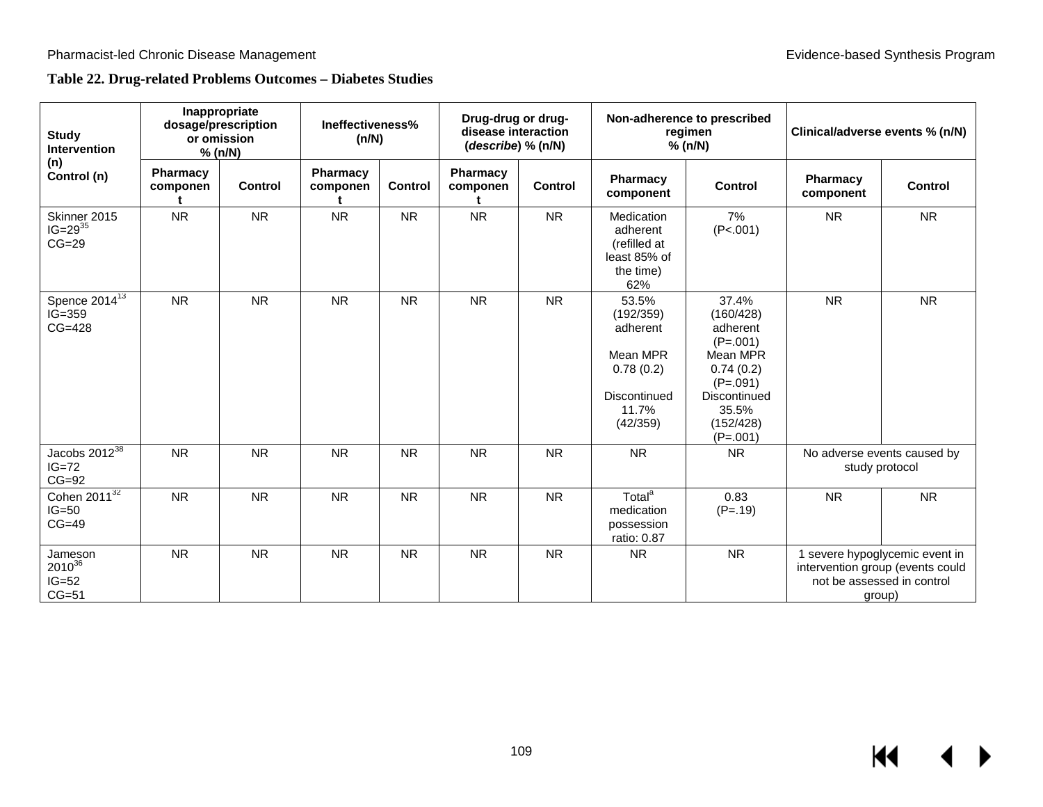## **Table 22. Drug-related Problems Outcomes – Diabetes Studies**

| <b>Study</b><br><b>Intervention</b>          | Inappropriate<br>dosage/prescription<br>or omission<br>% (n/N) |                | Ineffectiveness%<br>(n/N) |           | Drug-drug or drug-<br>disease interaction<br>(describe) % (n/N) |           | Non-adherence to prescribed<br>regimen<br>% (n/N)                                            |                                                                                                                                         | Clinical/adverse events % (n/N)                                                                            |                             |
|----------------------------------------------|----------------------------------------------------------------|----------------|---------------------------|-----------|-----------------------------------------------------------------|-----------|----------------------------------------------------------------------------------------------|-----------------------------------------------------------------------------------------------------------------------------------------|------------------------------------------------------------------------------------------------------------|-----------------------------|
| (n)<br>Control (n)                           | Pharmacy<br>componen<br>÷                                      | <b>Control</b> | Pharmacy<br>componen      | Control   | Pharmacy<br>componen<br>t                                       | Control   | <b>Pharmacy</b><br>component                                                                 | <b>Control</b>                                                                                                                          | Pharmacy<br>component                                                                                      | <b>Control</b>              |
| Skinner 2015<br>$IG=29^{35}$<br>$CG=29$      | <b>NR</b>                                                      | <b>NR</b>      | <b>NR</b>                 | <b>NR</b> | <b>NR</b>                                                       | <b>NR</b> | Medication<br>adherent<br>(refilled at<br>least 85% of<br>the time)<br>62%                   | 7%<br>(P<.001)                                                                                                                          | <b>NR</b>                                                                                                  | <b>NR</b>                   |
| Spence $2014^{13}$<br>$IG=359$<br>$CG=428$   | <b>NR</b>                                                      | <b>NR</b>      | <b>NR</b>                 | <b>NR</b> | <b>NR</b>                                                       | <b>NR</b> | 53.5%<br>(192/359)<br>adherent<br>Mean MPR<br>0.78(0.2)<br>Discontinued<br>11.7%<br>(42/359) | 37.4%<br>(160/428)<br>adherent<br>$(P=.001)$<br>Mean MPR<br>0.74(0.2)<br>$(P=.091)$<br>Discontinued<br>35.5%<br>(152/428)<br>$(P=.001)$ | <b>NR</b>                                                                                                  | <b>NR</b>                   |
| Jacobs $2012^{38}$<br>$IG=72$<br>$CG=92$     | <b>NR</b>                                                      | <b>NR</b>      | <b>NR</b>                 | <b>NR</b> | <b>NR</b>                                                       | <b>NR</b> | <b>NR</b>                                                                                    | <b>NR</b>                                                                                                                               | study protocol                                                                                             | No adverse events caused by |
| Cohen $2011^{32}$<br>$IG=50$<br>$CG=49$      | <b>NR</b>                                                      | <b>NR</b>      | <b>NR</b>                 | <b>NR</b> | <b>NR</b>                                                       | <b>NR</b> | Total <sup>a</sup><br>medication<br>possession<br>ratio: 0.87                                | 0.83<br>$(P=.19)$                                                                                                                       | <b>NR</b>                                                                                                  | <b>NR</b>                   |
| Jameson<br>$2010^{36}$<br>$IG=52$<br>$CG=51$ | <b>NR</b>                                                      | <b>NR</b>      | <b>NR</b>                 | <b>NR</b> | <b>NR</b>                                                       | <b>NR</b> | <b>NR</b>                                                                                    | <b>NR</b>                                                                                                                               | 1 severe hypoglycemic event in<br>intervention group (events could<br>not be assessed in control<br>group) |                             |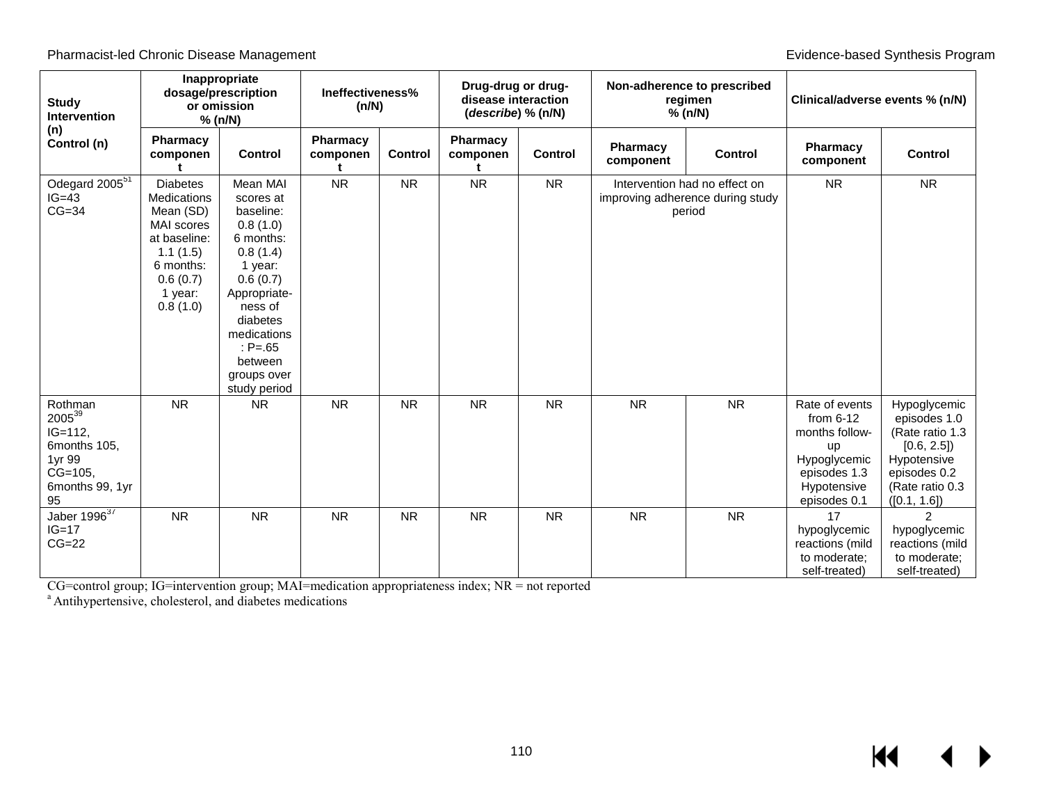Pharmacist-led Chronic Disease Management **Evidence-based Synthesis Program** Evidence-based Synthesis Program

| <b>Study</b><br><b>Intervention</b>                                                                         | Inappropriate<br>dosage/prescription<br>or omission<br>% (n/N)                                                                               |                                                                                                                                                                                                              | Ineffectiveness%<br>(n/N) |                | Drug-drug or drug-<br>disease interaction<br>(describe) % (n/N) |                |                                                                             | Non-adherence to prescribed<br>regimen<br>% (n/N) | Clinical/adverse events % (n/N)                                                                                      |                                                                                                                                  |
|-------------------------------------------------------------------------------------------------------------|----------------------------------------------------------------------------------------------------------------------------------------------|--------------------------------------------------------------------------------------------------------------------------------------------------------------------------------------------------------------|---------------------------|----------------|-----------------------------------------------------------------|----------------|-----------------------------------------------------------------------------|---------------------------------------------------|----------------------------------------------------------------------------------------------------------------------|----------------------------------------------------------------------------------------------------------------------------------|
| (n)<br>Control (n)                                                                                          | Pharmacy<br>componen                                                                                                                         | <b>Control</b>                                                                                                                                                                                               | Pharmacy<br>componen      | <b>Control</b> | Pharmacy<br>componen                                            | <b>Control</b> | Pharmacy<br>component                                                       | <b>Control</b>                                    | <b>Pharmacy</b><br>component                                                                                         | <b>Control</b>                                                                                                                   |
| Odegard 2005 <sup>51</sup><br>$IG=43$<br>$CG=34$                                                            | <b>Diabetes</b><br>Medications<br>Mean (SD)<br><b>MAI</b> scores<br>at baseline:<br>1.1(1.5)<br>6 months:<br>0.6(0.7)<br>1 year:<br>0.8(1.0) | Mean MAI<br>scores at<br>baseline:<br>0.8(1.0)<br>6 months:<br>0.8(1.4)<br>1 year:<br>0.6(0.7)<br>Appropriate-<br>ness of<br>diabetes<br>medications<br>: $P = 65$<br>between<br>groups over<br>study period | <b>NR</b>                 | <b>NR</b>      | <b>NR</b>                                                       | <b>NR</b>      | Intervention had no effect on<br>improving adherence during study<br>period |                                                   | <b>NR</b>                                                                                                            | <b>NR</b>                                                                                                                        |
| Rothman<br>2005 <sup>39</sup><br>$IG=112$ ,<br>6months 105.<br>1yr 99<br>$CG=105,$<br>6months 99, 1yr<br>95 | <b>NR</b>                                                                                                                                    | <b>NR</b>                                                                                                                                                                                                    | <b>NR</b>                 | <b>NR</b>      | <b>NR</b>                                                       | <b>NR</b>      | <b>NR</b>                                                                   | <b>NR</b>                                         | Rate of events<br>from $6-12$<br>months follow-<br>up<br>Hypoglycemic<br>episodes 1.3<br>Hypotensive<br>episodes 0.1 | Hypoglycemic<br>episodes 1.0<br>(Rate ratio 1.3<br>[0.6, 2.5]<br>Hypotensive<br>episodes 0.2<br>(Rate ratio 0.3)<br>([0.1, 1.6]) |
| Jaber 1996 <sup>37</sup><br>$IG=17$<br>$CG=22$                                                              | <b>NR</b>                                                                                                                                    | <b>NR</b>                                                                                                                                                                                                    | <b>NR</b>                 | <b>NR</b>      | <b>NR</b>                                                       | <b>NR</b>      | <b>NR</b>                                                                   | <b>NR</b>                                         | 17<br>hypoglycemic<br>reactions (mild<br>to moderate:<br>self-treated)                                               | $\mathcal{P}$<br>hypoglycemic<br>reactions (mild<br>to moderate;<br>self-treated)                                                |

CG=control group; IG=intervention group; MAI=medication appropriateness index; NR = not reported a Antihypertensive, cholesterol, and diabetes medications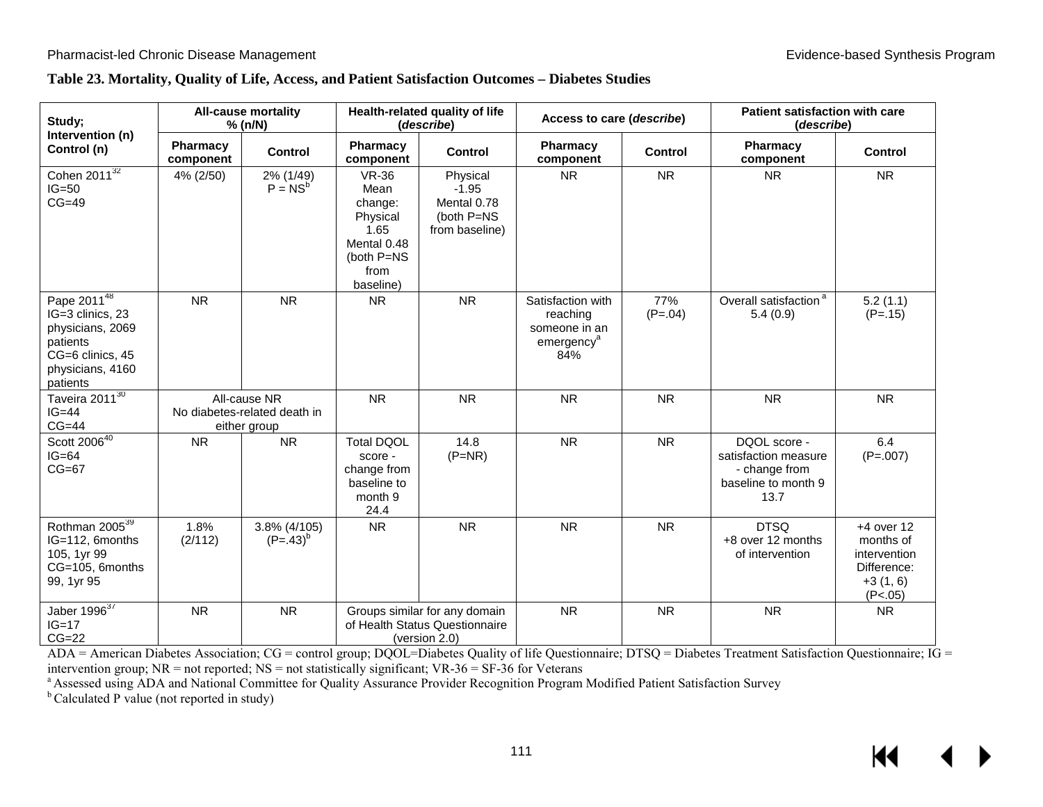#### **Table 23. Mortality, Quality of Life, Access, and Patient Satisfaction Outcomes – Diabetes Studies**

| Study;<br>Intervention (n)                                                                                                          |                       | <b>All-cause mortality</b><br>% (n/N)                        |                                                                                                       | Health-related quality of life<br>(describe)                                     | Access to care (describe)                                                       |                  | Patient satisfaction with care<br>(describe)                                         |                                                                                   |
|-------------------------------------------------------------------------------------------------------------------------------------|-----------------------|--------------------------------------------------------------|-------------------------------------------------------------------------------------------------------|----------------------------------------------------------------------------------|---------------------------------------------------------------------------------|------------------|--------------------------------------------------------------------------------------|-----------------------------------------------------------------------------------|
| Control (n)                                                                                                                         | Pharmacy<br>component | Control                                                      | Pharmacy<br>component                                                                                 | <b>Control</b>                                                                   | Pharmacy<br>component                                                           | <b>Control</b>   | Pharmacy<br>component                                                                | Control                                                                           |
| Cohen 201 $\overline{1^{32}}$<br>$IG=50$<br>$CG=49$                                                                                 | 4% (2/50)             | 2% (1/49)<br>$P = NS^b$                                      | <b>VR-36</b><br>Mean<br>change:<br>Physical<br>1.65<br>Mental 0.48<br>(both P=NS<br>from<br>baseline) | Physical<br>$-1.95$<br>Mental 0.78<br>(both P=NS<br>from baseline)               | <b>NR</b>                                                                       | <b>NR</b>        | <b>NR</b>                                                                            | <b>NR</b>                                                                         |
| Pape $201\overline{1^{48}}$<br>IG=3 clinics, 23<br>physicians, 2069<br>patients<br>CG=6 clinics, 45<br>physicians, 4160<br>patients | <b>NR</b>             | <b>NR</b>                                                    | <b>NR</b>                                                                                             | <b>NR</b>                                                                        | Satisfaction with<br>reaching<br>someone in an<br>emergency <sup>a</sup><br>84% | 77%<br>$(P=.04)$ | Overall satisfaction <sup>a</sup><br>5.4(0.9)                                        | 5.2(1.1)<br>$(P=.15)$                                                             |
| Taveira 2011 <sup>30</sup><br>$IG=44$<br>$CG=44$                                                                                    |                       | All-cause NR<br>No diabetes-related death in<br>either group | <b>NR</b>                                                                                             | <b>NR</b>                                                                        | <b>NR</b>                                                                       | <b>NR</b>        | <b>NR</b>                                                                            | <b>NR</b>                                                                         |
| Scott 2006 <sup>40</sup><br>$IG=64$<br>$CG=67$                                                                                      | <b>NR</b>             | <b>NR</b>                                                    | <b>Total DQOL</b><br>score -<br>change from<br>baseline to<br>month 9<br>24.4                         | 14.8<br>$(P=NR)$                                                                 | <b>NR</b>                                                                       | <b>NR</b>        | DQOL score -<br>satisfaction measure<br>- change from<br>baseline to month 9<br>13.7 | 6.4<br>$(P=.007)$                                                                 |
| Rothman 2005 <sup>39</sup><br>IG=112, 6months<br>105, 1yr 99<br>CG=105, 6months<br>99, 1yr 95                                       | 1.8%<br>(2/112)       | 3.8% (4/105)<br>$(P=.43)^{b}$                                | <b>NR</b>                                                                                             | <b>NR</b>                                                                        | <b>NR</b>                                                                       | <b>NR</b>        | <b>DTSQ</b><br>+8 over 12 months<br>of intervention                                  | $+4$ over 12<br>months of<br>intervention<br>Difference:<br>$+3(1, 6)$<br>(P<.05) |
| Jaber $1996^{37}$<br>$IG=17$<br>$CG=22$                                                                                             | <b>NR</b>             | <b>NR</b>                                                    |                                                                                                       | Groups similar for any domain<br>of Health Status Questionnaire<br>(version 2.0) | <b>NR</b>                                                                       | <b>NR</b>        | <b>NR</b>                                                                            | <b>NR</b>                                                                         |

ADA = American Diabetes Association;  $CG =$  control group; DQOL=Diabetes Quality of life Questionnaire; DTSQ = Diabetes Treatment Satisfaction Questionnaire; IG = intervention group; NR = not reported; NS = not statisticall

intervention group; NR = not reported; NS = not statistically significant; VR-36 = SF-36 for Veterans<br><sup>a</sup> Assessed using ADA and National Committee for Quality Assurance Provider Recognition Program Modified Patient Satisf

<sup>b</sup> Calculated P value (not reported in study)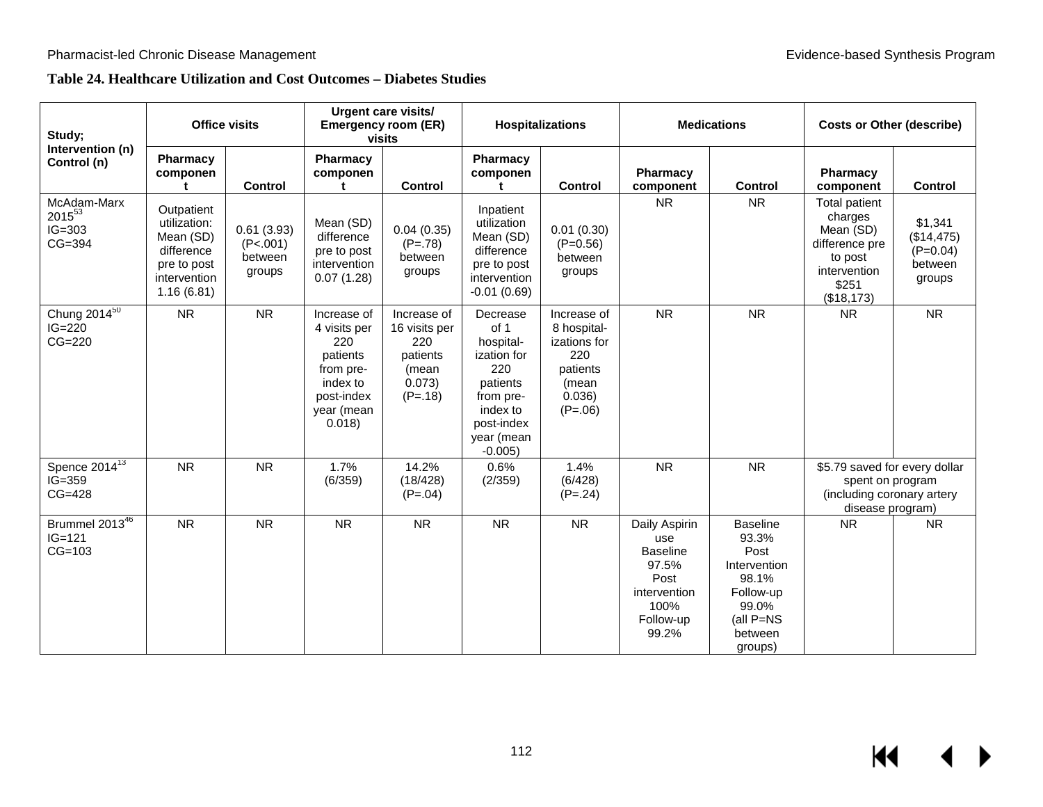# **Table 24. Healthcare Utilization and Cost Outcomes – Diabetes Studies**

| Study;                                        | <b>Office visits</b>                                                                               |                                             | Urgent care visits/<br><b>Emergency room (ER)</b><br>visits                                                   |                                                                                 | <b>Hospitalizations</b>                                                                                                          |                                                                                               | <b>Medications</b>                                                                                     |                                                                                                                      | <b>Costs or Other (describe)</b>                                                                          |                                                          |
|-----------------------------------------------|----------------------------------------------------------------------------------------------------|---------------------------------------------|---------------------------------------------------------------------------------------------------------------|---------------------------------------------------------------------------------|----------------------------------------------------------------------------------------------------------------------------------|-----------------------------------------------------------------------------------------------|--------------------------------------------------------------------------------------------------------|----------------------------------------------------------------------------------------------------------------------|-----------------------------------------------------------------------------------------------------------|----------------------------------------------------------|
| Intervention (n)<br>Control (n)               | Pharmacy<br>componen<br>+                                                                          | <b>Control</b>                              | Pharmacy<br>componen<br>t                                                                                     | <b>Control</b>                                                                  | <b>Pharmacy</b><br>componen<br>t.                                                                                                | <b>Control</b>                                                                                | Pharmacy<br>component                                                                                  | <b>Control</b>                                                                                                       | Pharmacy<br>component                                                                                     | <b>Control</b>                                           |
| McAdam-Marx<br>201553<br>$IG=303$<br>$CG=394$ | Outpatient<br>utilization:<br>Mean (SD)<br>difference<br>pre to post<br>intervention<br>1.16(6.81) | 0.61(3.93)<br>(P<.001)<br>between<br>groups | Mean (SD)<br>difference<br>pre to post<br>intervention<br>0.07(1.28)                                          | 0.04(0.35)<br>$(P=.78)$<br>between<br>groups                                    | Inpatient<br>utilization<br>Mean (SD)<br>difference<br>pre to post<br>intervention<br>$-0.01(0.69)$                              | 0.01(0.30)<br>$(P=0.56)$<br>between<br>groups                                                 | <b>NR</b>                                                                                              | <b>NR</b>                                                                                                            | Total patient<br>charges<br>Mean (SD)<br>difference pre<br>to post<br>intervention<br>\$251<br>(\$18,173) | \$1,341<br>(\$14,475)<br>$(P=0.04)$<br>between<br>groups |
| Chung $2014^{50}$<br>$IG=220$<br>$CG=220$     | <b>NR</b>                                                                                          | <b>NR</b>                                   | Increase of<br>4 visits per<br>220<br>patients<br>from pre-<br>index to<br>post-index<br>year (mean<br>0.018) | Increase of<br>16 visits per<br>220<br>patients<br>(mean<br>0.073)<br>$(P=.18)$ | Decrease<br>of 1<br>hospital-<br>ization for<br>220<br>patients<br>from pre-<br>index to<br>post-index<br>year (mean<br>$-0.005$ | Increase of<br>8 hospital-<br>izations for<br>220<br>patients<br>(mean<br>0.036)<br>$(P=.06)$ | <b>NR</b>                                                                                              | <b>NR</b>                                                                                                            | <b>NR</b>                                                                                                 | <b>NR</b>                                                |
| Spence $2014^{13}$<br>$IG=359$<br>$CG=428$    | ${\sf NR}$                                                                                         | <b>NR</b>                                   | 1.7%<br>(6/359)                                                                                               | 14.2%<br>(18/428)<br>$(P=.04)$                                                  | 0.6%<br>(2/359)                                                                                                                  | 1.4%<br>(6/428)<br>$(P=.24)$                                                                  | <b>NR</b>                                                                                              | <b>NR</b>                                                                                                            | \$5.79 saved for every dollar<br>spent on program<br>(including coronary artery<br>disease program)       |                                                          |
| Brummel $2013^{46}$<br>$IG = 121$<br>$CG=103$ | <b>NR</b>                                                                                          | <b>NR</b>                                   | <b>NR</b>                                                                                                     | <b>NR</b>                                                                       | <b>NR</b>                                                                                                                        | <b>NR</b>                                                                                     | Daily Aspirin<br>use<br><b>Baseline</b><br>97.5%<br>Post<br>intervention<br>100%<br>Follow-up<br>99.2% | <b>Baseline</b><br>93.3%<br>Post<br>Intervention<br>98.1%<br>Follow-up<br>99.0%<br>(all $P=NS$<br>between<br>groups) | <b>NR</b>                                                                                                 | <b>NR</b>                                                |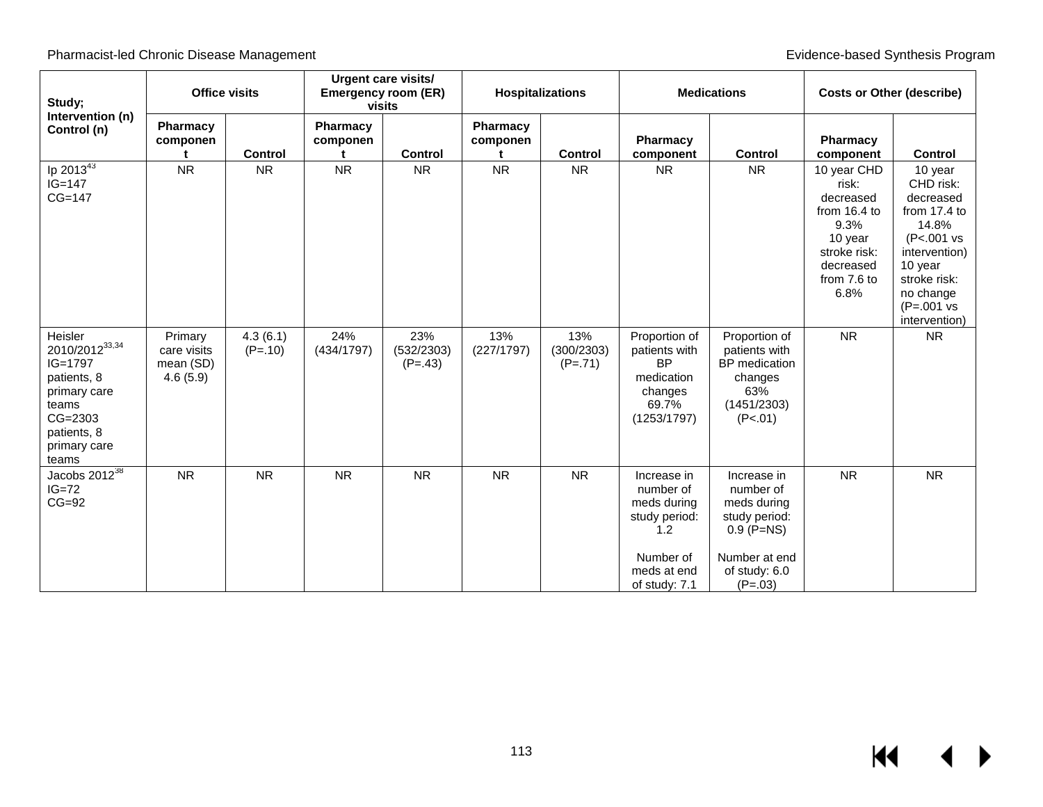| Study;<br>Intervention (n)                                                                                                           | <b>Office visits</b>                            |                       | <b>Urgent care visits/</b><br><b>Emergency room (ER)</b><br>visits |                                | <b>Hospitalizations</b> |                                | <b>Medications</b>                                                                                           |                                                                                                                         | <b>Costs or Other (describe)</b>                                                                                         |                                                                                                                                                                             |
|--------------------------------------------------------------------------------------------------------------------------------------|-------------------------------------------------|-----------------------|--------------------------------------------------------------------|--------------------------------|-------------------------|--------------------------------|--------------------------------------------------------------------------------------------------------------|-------------------------------------------------------------------------------------------------------------------------|--------------------------------------------------------------------------------------------------------------------------|-----------------------------------------------------------------------------------------------------------------------------------------------------------------------------|
| Control (n)                                                                                                                          | Pharmacy<br>componen                            | <b>Control</b>        | Pharmacy<br>componen                                               | <b>Control</b>                 | Pharmacy<br>componen    | <b>Control</b>                 | Pharmacy<br>component                                                                                        | <b>Control</b>                                                                                                          | Pharmacy<br>component                                                                                                    | <b>Control</b>                                                                                                                                                              |
| Ip $2013^{43}$<br>$IG=147$<br>$CG=147$                                                                                               | <b>NR</b>                                       | <b>NR</b>             | <b>NR</b>                                                          | <b>NR</b>                      | <b>NR</b>               | <b>NR</b>                      | <b>NR</b>                                                                                                    | NR                                                                                                                      | 10 year CHD<br>risk:<br>decreased<br>from 16.4 to<br>9.3%<br>10 year<br>stroke risk:<br>decreased<br>from 7.6 to<br>6.8% | 10 year<br>CHD risk:<br>decreased<br>from 17.4 to<br>14.8%<br>(P<.001 vs<br>intervention)<br>10 year<br>stroke risk:<br>no change<br>$(P=.001 \text{ vs }$<br>intervention) |
| Heisler<br>2010/2012 33,34<br>$IG=1797$<br>patients, 8<br>primary care<br>teams<br>$CG=2303$<br>patients, 8<br>primary care<br>teams | Primary<br>care visits<br>mean (SD)<br>4.6(5.9) | 4.3(6.1)<br>$(P=.10)$ | 24%<br>(434/1797)                                                  | 23%<br>(532/2303)<br>$(P=.43)$ | 13%<br>(227/1797)       | 13%<br>(300/2303)<br>$(P=.71)$ | Proportion of<br>patients with<br><b>BP</b><br>medication<br>changes<br>69.7%<br>(1253/1797)                 | Proportion of<br>patients with<br>BP medication<br>changes<br>63%<br>(1451/2303)<br>(P<.01)                             | <b>NR</b>                                                                                                                | <b>NR</b>                                                                                                                                                                   |
| Jacobs $2012^{38}$<br>$IG=72$<br>$CG=92$                                                                                             | <b>NR</b>                                       | <b>NR</b>             | <b>NR</b>                                                          | <b>NR</b>                      | <b>NR</b>               | <b>NR</b>                      | Increase in<br>number of<br>meds during<br>study period:<br>1.2<br>Number of<br>meds at end<br>of study: 7.1 | Increase in<br>number of<br>meds during<br>study period:<br>$0.9$ (P=NS)<br>Number at end<br>of study: 6.0<br>$(P=.03)$ | <b>NR</b>                                                                                                                | <b>NR</b>                                                                                                                                                                   |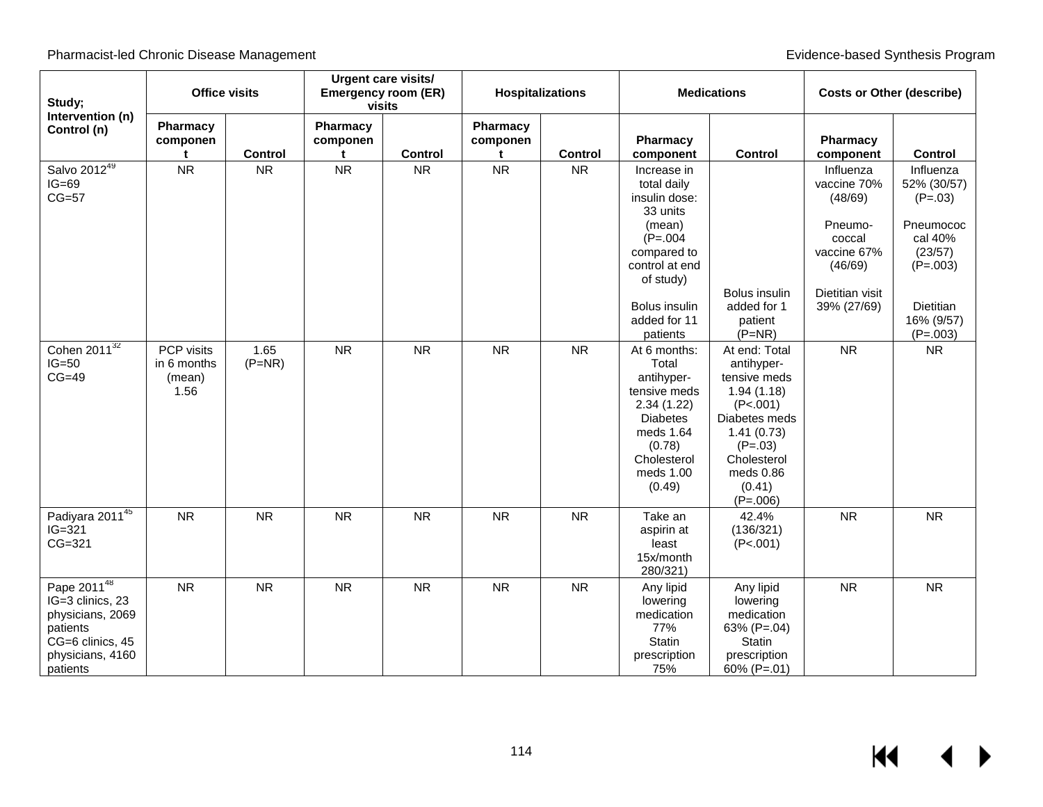| Study;                                                                                                                          | <b>Office visits</b>                        |                  | <b>Urgent care visits/</b><br><b>Emergency room (ER)</b><br>visits |           | <b>Hospitalizations</b> |                | <b>Medications</b>                                                                                                                                                         |                                                                                                                                                                       | <b>Costs or Other (describe)</b>                                                                                     |                                                                                                                                 |
|---------------------------------------------------------------------------------------------------------------------------------|---------------------------------------------|------------------|--------------------------------------------------------------------|-----------|-------------------------|----------------|----------------------------------------------------------------------------------------------------------------------------------------------------------------------------|-----------------------------------------------------------------------------------------------------------------------------------------------------------------------|----------------------------------------------------------------------------------------------------------------------|---------------------------------------------------------------------------------------------------------------------------------|
| Intervention (n)<br>Control (n)                                                                                                 | Pharmacy<br>componen                        | Control          | Pharmacy<br>componen<br>t                                          | Control   | Pharmacy<br>componen    | <b>Control</b> | Pharmacy<br>component                                                                                                                                                      | Control                                                                                                                                                               | Pharmacy<br>component                                                                                                | Control                                                                                                                         |
| Salvo 2012 <sup>49</sup><br>$IG=69$<br>$CG=57$                                                                                  | <b>NR</b>                                   | <b>NR</b>        | <b>NR</b>                                                          | <b>NR</b> | <b>NR</b>               | <b>NR</b>      | Increase in<br>total daily<br>insulin dose:<br>33 units<br>(mean)<br>$(P=.004)$<br>compared to<br>control at end<br>of study)<br>Bolus insulin<br>added for 11<br>patients | Bolus insulin<br>added for 1<br>patient<br>$(P=NR)$                                                                                                                   | Influenza<br>vaccine 70%<br>(48/69)<br>Pneumo-<br>coccal<br>vaccine 67%<br>(46/69)<br>Dietitian visit<br>39% (27/69) | Influenza<br>52% (30/57)<br>$(P=.03)$<br>Pneumococ<br>cal 40%<br>(23/57)<br>$(P=.003)$<br>Dietitian<br>16% (9/57)<br>$(P=.003)$ |
| Cohen $20\overline{11^{32}}$<br>$IG=50$<br>$CG=49$                                                                              | PCP visits<br>in 6 months<br>(mean)<br>1.56 | 1.65<br>$(P=NR)$ | <b>NR</b>                                                          | <b>NR</b> | <b>NR</b>               | <b>NR</b>      | At 6 months:<br>Total<br>antihyper-<br>tensive meds<br>2.34(1.22)<br><b>Diabetes</b><br>meds 1.64<br>(0.78)<br>Cholesterol<br>meds 1.00<br>(0.49)                          | At end: Total<br>antihyper-<br>tensive meds<br>1.94(1.18)<br>(P<.001)<br>Diabetes meds<br>1.41(0.73)<br>$(P=.03)$<br>Cholesterol<br>meds 0.86<br>(0.41)<br>$(P=.006)$ | <b>NR</b>                                                                                                            | <b>NR</b>                                                                                                                       |
| Padiyara 201145<br>$IG=321$<br>$CG=321$                                                                                         | <b>NR</b>                                   | <b>NR</b>        | <b>NR</b>                                                          | <b>NR</b> | <b>NR</b>               | <b>NR</b>      | Take an<br>aspirin at<br>least<br>15x/month<br>280/321)                                                                                                                    | 42.4%<br>(136/321)<br>(P<.001)                                                                                                                                        | <b>NR</b>                                                                                                            | <b>NR</b>                                                                                                                       |
| Pape 2011 <sup>48</sup><br>IG=3 clinics, 23<br>physicians, 2069<br>patients<br>CG=6 clinics, 45<br>physicians, 4160<br>patients | <b>NR</b>                                   | <b>NR</b>        | <b>NR</b>                                                          | <b>NR</b> | <b>NR</b>               | <b>NR</b>      | Any lipid<br>lowering<br>medication<br>77%<br><b>Statin</b><br>prescription<br>75%                                                                                         | Any lipid<br>lowering<br>medication<br>63% (P=.04)<br>Statin<br>prescription<br>60% (P=.01)                                                                           | <b>NR</b>                                                                                                            | <b>NR</b>                                                                                                                       |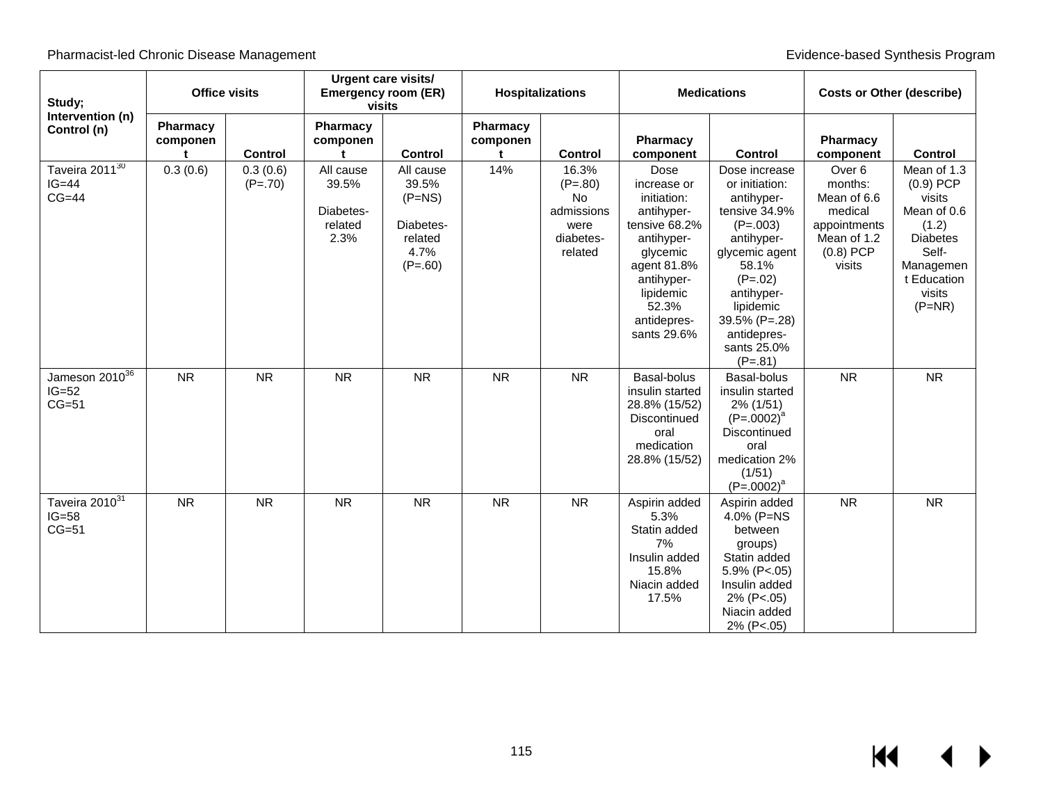| Study;                                           | <b>Office visits</b> |                       | Urgent care visits/<br><b>Emergency room (ER)</b><br>visits |                                                                             | <b>Hospitalizations</b> |                                                                               | <b>Medications</b>                                                                                                                                                           |                                                                                                                                                                                                                           | <b>Costs or Other (describe)</b>                                                                               |                                                                                                                                            |
|--------------------------------------------------|----------------------|-----------------------|-------------------------------------------------------------|-----------------------------------------------------------------------------|-------------------------|-------------------------------------------------------------------------------|------------------------------------------------------------------------------------------------------------------------------------------------------------------------------|---------------------------------------------------------------------------------------------------------------------------------------------------------------------------------------------------------------------------|----------------------------------------------------------------------------------------------------------------|--------------------------------------------------------------------------------------------------------------------------------------------|
| Intervention (n)<br>Control (n)                  | Pharmacy<br>componen | <b>Control</b>        | Pharmacy<br>componen<br>ŧ                                   | <b>Control</b>                                                              | Pharmacy<br>componen    | <b>Control</b>                                                                | Pharmacy<br>component                                                                                                                                                        | <b>Control</b>                                                                                                                                                                                                            | <b>Pharmacy</b><br>component                                                                                   | Control                                                                                                                                    |
| Taveira 201 $1^{30}$<br>$IG=44$<br>$CG=44$       | 0.3(0.6)             | 0.3(0.6)<br>$(P=.70)$ | All cause<br>39.5%<br>Diabetes-<br>related<br>2.3%          | All cause<br>39.5%<br>$(P=NS)$<br>Diabetes-<br>related<br>4.7%<br>$(P=.60)$ | 14%                     | 16.3%<br>$(P=.80)$<br><b>No</b><br>admissions<br>were<br>diabetes-<br>related | Dose<br>increase or<br>initiation:<br>antihyper-<br>tensive 68.2%<br>antihyper-<br>glycemic<br>agent 81.8%<br>antihyper-<br>lipidemic<br>52.3%<br>antidepres-<br>sants 29.6% | Dose increase<br>or initiation:<br>antihyper-<br>tensive 34.9%<br>$(P=.003)$<br>antihyper-<br>glycemic agent<br>58.1%<br>$(P=.02)$<br>antihyper-<br>lipidemic<br>39.5% (P=.28)<br>antidepres-<br>sants 25.0%<br>$(P=.81)$ | Over <sub>6</sub><br>months:<br>Mean of 6.6<br>medical<br>appointments<br>Mean of 1.2<br>$(0.8)$ PCP<br>visits | Mean of 1.3<br>$(0.9)$ PCP<br>visits<br>Mean of 0.6<br>(1.2)<br><b>Diabetes</b><br>Self-<br>Managemen<br>t Education<br>visits<br>$(P=NR)$ |
| Jameson 2010 <sup>36</sup><br>$IG=52$<br>$CG=51$ | <b>NR</b>            | NR                    | <b>NR</b>                                                   | <b>NR</b>                                                                   | <b>NR</b>               | <b>NR</b>                                                                     | Basal-bolus<br>insulin started<br>28.8% (15/52)<br>Discontinued<br>oral<br>medication<br>28.8% (15/52)                                                                       | Basal-bolus<br>insulin started<br>2% (1/51)<br>$(P=.0002)^a$<br>Discontinued<br>oral<br>medication 2%<br>(1/51)<br>$(P=.0002)^a$                                                                                          | <b>NR</b>                                                                                                      | ${\sf NR}$                                                                                                                                 |
| Taveira 2010 <sup>31</sup><br>$IG=58$<br>$CG=51$ | <b>NR</b>            | NR                    | <b>NR</b>                                                   | <b>NR</b>                                                                   | <b>NR</b>               | <b>NR</b>                                                                     | Aspirin added<br>5.3%<br>Statin added<br>7%<br>Insulin added<br>15.8%<br>Niacin added<br>17.5%                                                                               | Aspirin added<br>4.0% (P=NS<br>between<br>groups)<br>Statin added<br>5.9% (P<.05)<br>Insulin added<br>2% (P<.05)<br>Niacin added<br>2% (P<.05)                                                                            | <b>NR</b>                                                                                                      | <b>NR</b>                                                                                                                                  |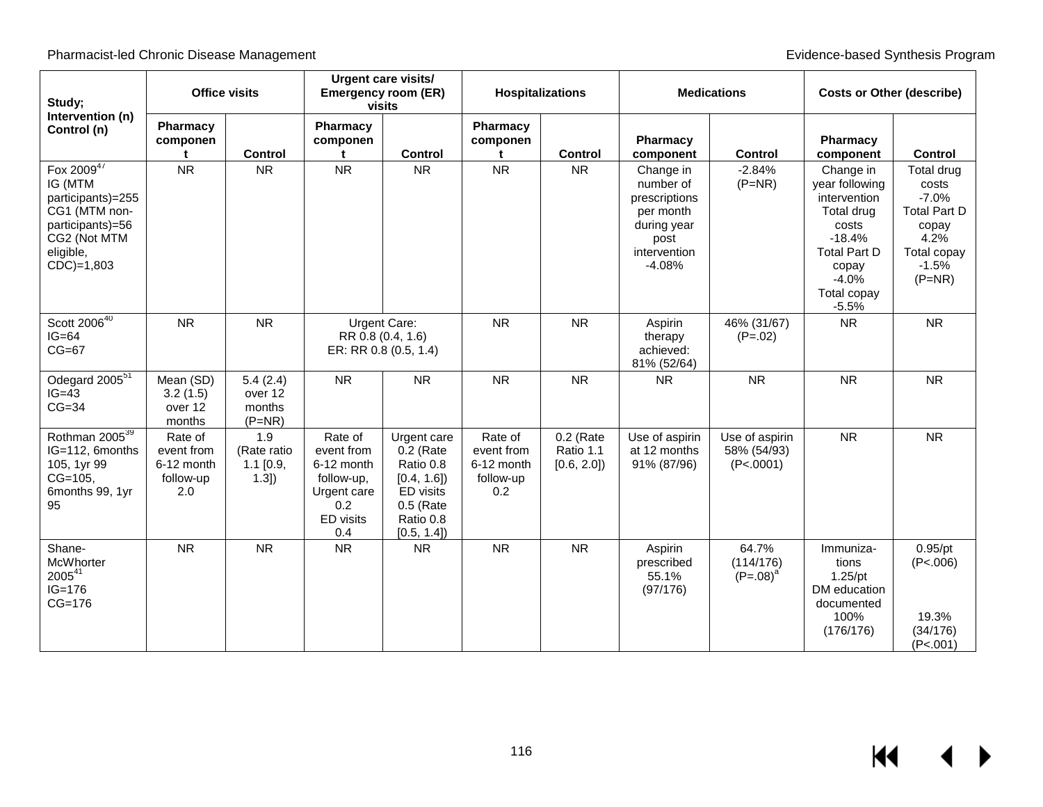| Study;                                                                                                                       | <b>Office visits</b>                                    |                                           | <b>Urgent care visits/</b><br><b>Emergency room (ER)</b><br>visits                          |                                                                                                              | <b>Hospitalizations</b>                                 |                                        | <b>Medications</b>                                                                                      |                                            | <b>Costs or Other (describe)</b>                                                                                                                    |                                                                                                              |
|------------------------------------------------------------------------------------------------------------------------------|---------------------------------------------------------|-------------------------------------------|---------------------------------------------------------------------------------------------|--------------------------------------------------------------------------------------------------------------|---------------------------------------------------------|----------------------------------------|---------------------------------------------------------------------------------------------------------|--------------------------------------------|-----------------------------------------------------------------------------------------------------------------------------------------------------|--------------------------------------------------------------------------------------------------------------|
| Intervention (n)<br>Control (n)                                                                                              | Pharmacy<br>componen<br>t                               | <b>Control</b>                            | Pharmacy<br>componen<br>$\mathbf t$                                                         | Control                                                                                                      | Pharmacy<br>componen<br>t                               | <b>Control</b>                         | <b>Pharmacy</b><br>component                                                                            | <b>Control</b>                             | Pharmacy<br>component                                                                                                                               | <b>Control</b>                                                                                               |
| Fox 200947<br>IG (MTM<br>participants)=255<br>CG1 (MTM non-<br>participants)=56<br>CG2 (Not MTM<br>eligible,<br>$CDC$ =1,803 | <b>NR</b>                                               | <b>NR</b>                                 | <b>NR</b>                                                                                   | <b>NR</b>                                                                                                    | <b>NR</b>                                               | ${\sf NR}$                             | Change in<br>number of<br>prescriptions<br>per month<br>during year<br>post<br>intervention<br>$-4.08%$ | $-2.84%$<br>$(P=NR)$                       | Change in<br>year following<br>intervention<br>Total drug<br>costs<br>$-18.4%$<br><b>Total Part D</b><br>copay<br>$-4.0%$<br>Total copay<br>$-5.5%$ | Total drug<br>costs<br>$-7.0%$<br><b>Total Part D</b><br>copay<br>4.2%<br>Total copay<br>$-1.5%$<br>$(P=NR)$ |
| Scott 2006 <sup>40</sup><br>$IG=64$<br>$CG=67$                                                                               | <b>NR</b>                                               | <b>NR</b>                                 |                                                                                             | Urgent Care:<br>RR 0.8 (0.4, 1.6)<br>ER: RR 0.8 (0.5, 1.4)                                                   | <b>NR</b>                                               | <b>NR</b>                              | Aspirin<br>therapy<br>achieved:<br>81% (52/64)                                                          | 46% (31/67)<br>$(P=.02)$                   | <b>NR</b>                                                                                                                                           | <b>NR</b>                                                                                                    |
| Odegard 2005 <sup>51</sup><br>$IG=43$<br>$CG=34$                                                                             | Mean (SD)<br>3.2(1.5)<br>over 12<br>months              | 5.4(2.4)<br>over 12<br>months<br>$(P=NR)$ | <b>NR</b>                                                                                   | <b>NR</b>                                                                                                    | <b>NR</b>                                               | <b>NR</b>                              | <b>NR</b>                                                                                               | <b>NR</b>                                  | <b>NR</b>                                                                                                                                           | <b>NR</b>                                                                                                    |
| Rothman 2005 <sup>39</sup><br>IG=112, 6months<br>105, 1yr 99<br>$CG=105$ .<br>6months 99, 1yr<br>95                          | Rate of<br>event from<br>6-12 month<br>follow-up<br>2.0 | 1.9<br>(Rate ratio<br>$1.1$ [0.9,<br>1.3] | Rate of<br>event from<br>6-12 month<br>follow-up,<br>Urgent care<br>0.2<br>ED visits<br>0.4 | Urgent care<br>$0.2$ (Rate<br>Ratio 0.8<br>[0.4, 1.6]<br>ED visits<br>$0.5$ (Rate<br>Ratio 0.8<br>[0.5, 1.4] | Rate of<br>event from<br>6-12 month<br>follow-up<br>0.2 | $0.2$ (Rate<br>Ratio 1.1<br>[0.6, 2.0] | Use of aspirin<br>at 12 months<br>91% (87/96)                                                           | Use of aspirin<br>58% (54/93)<br>(P<.0001) | <b>NR</b>                                                                                                                                           | <b>NR</b>                                                                                                    |
| Shane-<br>McWhorter<br>200541<br>$IG = 176$<br>$CG=176$                                                                      | <b>NR</b>                                               | <b>NR</b>                                 | <b>NR</b>                                                                                   | <b>NR</b>                                                                                                    | <b>NR</b>                                               | <b>NR</b>                              | Aspirin<br>prescribed<br>55.1%<br>(97/176)                                                              | 64.7%<br>(114/176)<br>$(P=.08)^{a}$        | Immuniza-<br>tions<br>$1.25$ /pt<br>DM education<br>documented<br>100%<br>(176/176)                                                                 | 0.95/pt<br>(P<.006)<br>19.3%<br>(34/176)<br>(P<.001)                                                         |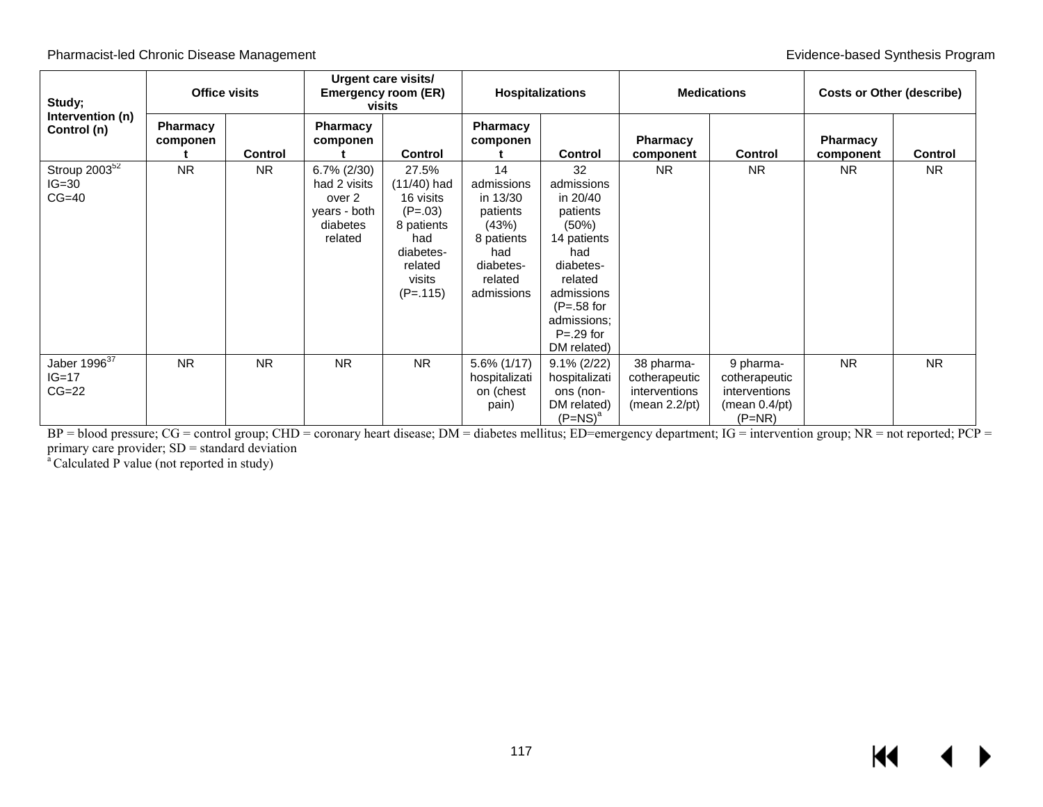| Study;<br>Intervention (n)<br>Control (n)        | Office visits        |                | Urgent care visits/<br><b>Emergency room (ER)</b><br>visits                     |                                                                                                                       | <b>Hospitalizations</b>                                                                                      |                                                                                                                                                                              | <b>Medications</b>                                                         |                                                                                       | <b>Costs or Other (describe)</b> |                |
|--------------------------------------------------|----------------------|----------------|---------------------------------------------------------------------------------|-----------------------------------------------------------------------------------------------------------------------|--------------------------------------------------------------------------------------------------------------|------------------------------------------------------------------------------------------------------------------------------------------------------------------------------|----------------------------------------------------------------------------|---------------------------------------------------------------------------------------|----------------------------------|----------------|
|                                                  | Pharmacy<br>componen | <b>Control</b> | <b>Pharmacy</b><br>componen                                                     | Control                                                                                                               | <b>Pharmacy</b><br>componen                                                                                  | Control                                                                                                                                                                      | <b>Pharmacy</b><br>component                                               | <b>Control</b>                                                                        | <b>Pharmacy</b><br>component     | Control        |
| Stroup $2003^{52}$<br>$IG=30$<br>$CG=40$         | <b>NR</b>            | <b>NR</b>      | $6.7\%$ (2/30)<br>had 2 visits<br>over 2<br>years - both<br>diabetes<br>related | 27.5%<br>$(11/40)$ had<br>16 visits<br>$(P=.03)$<br>8 patients<br>had<br>diabetes-<br>related<br>visits<br>$(P=.115)$ | 14<br>admissions<br>in 13/30<br>patients<br>(43%)<br>8 patients<br>had<br>diabetes-<br>related<br>admissions | 32<br>admissions<br>in 20/40<br>patients<br>(50%)<br>14 patients<br>had<br>diabetes-<br>related<br>admissions<br>$(P=.58$ for<br>admissions;<br>$P = .29$ for<br>DM related) | N <sub>R</sub>                                                             | <b>NR</b>                                                                             | NR.                              | N <sub>R</sub> |
| Jaber 1996 $\overline{37}$<br>$IG=17$<br>$CG=22$ | <b>NR</b>            | <b>NR</b>      | <b>NR</b>                                                                       | <b>NR</b>                                                                                                             | $5.6\%$ (1/17)<br>hospitalizati<br>on (chest<br>pain)                                                        | $9.1\% (2/22)$<br>hospitalizati<br>ons (non-<br>DM related)<br>$(P=NS)^a$                                                                                                    | 38 pharma-<br>cotherapeutic<br>interventions<br>(mean 2.2 <sub>/pt</sub> ) | 9 pharma-<br>cotherapeutic<br>interventions<br>(mean 0.4 <sub>/pt</sub> )<br>$(P=NR)$ | <b>NR</b>                        | <b>NR</b>      |

BP = blood pressure; CG = control group; CHD = coronary heart disease; DM = diabetes mellitus; ED=emergency department; IG = intervention group; NR = not reported; PCP = primary care provider; SD = standard deviation<br><sup>a</sup> Calculated P value (not reported in study)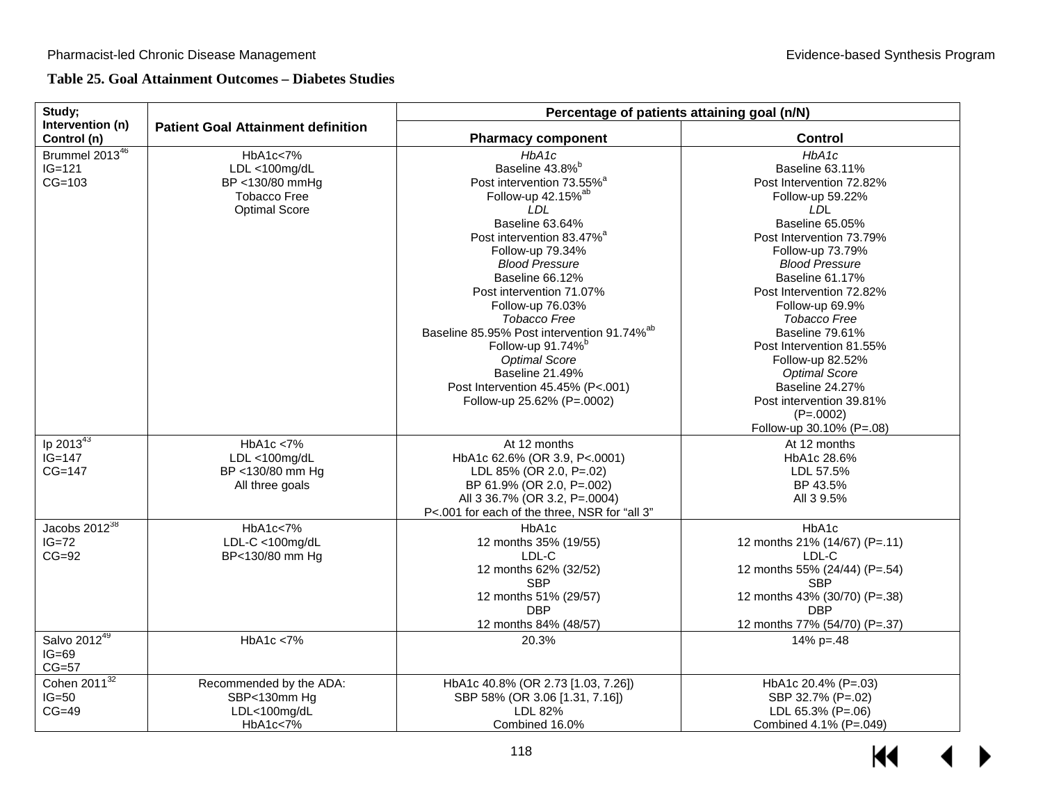|  |  | Table 25. Goal Attainment Outcomes – Diabetes Studies |  |  |  |
|--|--|-------------------------------------------------------|--|--|--|
|--|--|-------------------------------------------------------|--|--|--|

| Study;                                   |                                                                                             | Percentage of patients attaining goal (n/N)                                                                                                                                                                                                                                                                                                                                                                                                                                                                                 |                                                                                                                                                                                                                                                                                                                                                                                                                                                                  |  |  |  |  |  |
|------------------------------------------|---------------------------------------------------------------------------------------------|-----------------------------------------------------------------------------------------------------------------------------------------------------------------------------------------------------------------------------------------------------------------------------------------------------------------------------------------------------------------------------------------------------------------------------------------------------------------------------------------------------------------------------|------------------------------------------------------------------------------------------------------------------------------------------------------------------------------------------------------------------------------------------------------------------------------------------------------------------------------------------------------------------------------------------------------------------------------------------------------------------|--|--|--|--|--|
| Intervention (n)<br>Control (n)          | <b>Patient Goal Attainment definition</b>                                                   | <b>Pharmacy component</b>                                                                                                                                                                                                                                                                                                                                                                                                                                                                                                   | <b>Control</b>                                                                                                                                                                                                                                                                                                                                                                                                                                                   |  |  |  |  |  |
| Brummel 201346<br>$IG = 121$<br>$CG=103$ | HbA1c<7%<br>LDL <100mg/dL<br>BP <130/80 mmHg<br><b>Tobacco Free</b><br><b>Optimal Score</b> | HbA1c<br>Baseline 43.8% <sup>b</sup><br>Post intervention 73.55% <sup>a</sup><br>Follow-up 42.15% <sup>ab</sup><br>LDL<br>Baseline 63.64%<br>Post intervention 83.47% <sup>a</sup><br>Follow-up 79.34%<br><b>Blood Pressure</b><br>Baseline 66.12%<br>Post intervention 71.07%<br>Follow-up 76.03%<br>Tobacco Free<br>Baseline 85.95% Post intervention 91.74% <sup>ab</sup><br>Follow-up 91.74% <sup>b</sup><br><b>Optimal Score</b><br>Baseline 21.49%<br>Post Intervention 45.45% (P<.001)<br>Follow-up 25.62% (P=.0002) | HbA1c<br>Baseline 63.11%<br>Post Intervention 72.82%<br>Follow-up 59.22%<br><b>LDL</b><br>Baseline 65.05%<br>Post Intervention 73.79%<br>Follow-up 73.79%<br><b>Blood Pressure</b><br>Baseline 61.17%<br>Post Intervention 72,82%<br>Follow-up 69.9%<br><b>Tobacco Free</b><br>Baseline 79.61%<br>Post Intervention 81.55%<br>Follow-up 82.52%<br><b>Optimal Score</b><br>Baseline 24.27%<br>Post intervention 39.81%<br>$(P=.0002)$<br>Follow-up 30.10% (P=.08) |  |  |  |  |  |
| Ip $2013^{43}$<br>$IG=147$<br>$CG=147$   | HbA1c < 7%<br>$LDL < 100$ mg/dL<br>BP <130/80 mm Hg<br>All three goals                      | At 12 months<br>HbA1c 62.6% (OR 3.9, P<.0001)<br>LDL 85% (OR 2.0, P=.02)<br>BP 61.9% (OR 2.0, P=.002)<br>All 3 36.7% (OR 3.2, P=.0004)<br>P<.001 for each of the three, NSR for "all 3"                                                                                                                                                                                                                                                                                                                                     | At 12 months<br>HbA1c 28.6%<br>LDL 57.5%<br>BP 43.5%<br>All 3 9.5%                                                                                                                                                                                                                                                                                                                                                                                               |  |  |  |  |  |
| Jacobs $2012^{38}$<br>$IG=72$<br>$CG=92$ | HbA1c<7%<br>$LDL-C < 100$ mg/dL<br>BP<130/80 mm Hg                                          | HbA1c<br>12 months 35% (19/55)<br>LDL-C<br>12 months 62% (32/52)<br><b>SBP</b><br>12 months 51% (29/57)<br><b>DBP</b><br>12 months 84% (48/57)                                                                                                                                                                                                                                                                                                                                                                              | HbA1c<br>12 months 21% (14/67) (P=.11)<br>LDL-C<br>12 months 55% (24/44) (P=.54)<br><b>SBP</b><br>12 months 43% (30/70) (P=.38)<br><b>DBP</b><br>12 months 77% (54/70) (P=.37)                                                                                                                                                                                                                                                                                   |  |  |  |  |  |
| Salvo 201249<br>$IG=69$<br>$CG=57$       | HbA1c < 7%                                                                                  | 20.3%                                                                                                                                                                                                                                                                                                                                                                                                                                                                                                                       | $14\%$ p=.48                                                                                                                                                                                                                                                                                                                                                                                                                                                     |  |  |  |  |  |
| Cohen $2011^{32}$<br>$IG=50$<br>$CG=49$  | Recommended by the ADA:<br>SBP<130mm Hg<br>LDL<100mg/dL<br>HbA1c<7%                         | HbA1c 40.8% (OR 2.73 [1.03, 7.26])<br>SBP 58% (OR 3.06 [1.31, 7.16])<br>LDL 82%<br>Combined 16.0%                                                                                                                                                                                                                                                                                                                                                                                                                           | HbA1c 20.4% (P=.03)<br>SBP 32.7% (P=.02)<br>LDL 65.3% (P=.06)<br>Combined 4.1% (P=.049)                                                                                                                                                                                                                                                                                                                                                                          |  |  |  |  |  |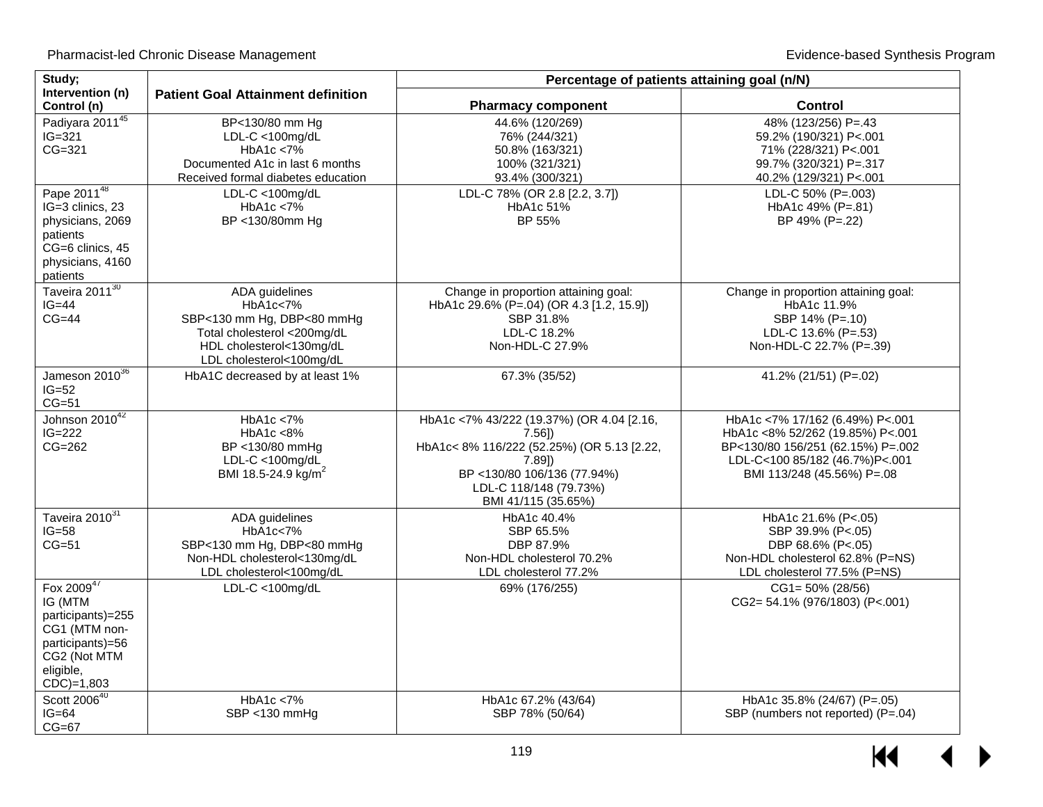| Study;                                                                                                                          |                                                                                                                                                 |                                                                                                                                                                                                 | Percentage of patients attaining goal (n/N)                                                                                                                              |  |  |  |
|---------------------------------------------------------------------------------------------------------------------------------|-------------------------------------------------------------------------------------------------------------------------------------------------|-------------------------------------------------------------------------------------------------------------------------------------------------------------------------------------------------|--------------------------------------------------------------------------------------------------------------------------------------------------------------------------|--|--|--|
| Intervention (n)<br>Control (n)                                                                                                 | <b>Patient Goal Attainment definition</b>                                                                                                       | <b>Pharmacy component</b>                                                                                                                                                                       | <b>Control</b>                                                                                                                                                           |  |  |  |
| Padiyara 201145<br>$IG=321$<br>CG=321                                                                                           | BP<130/80 mm Hg<br>$LDL-C < 100$ mg/dL<br>HbA1c < 7%<br>Documented A1c in last 6 months<br>Received formal diabetes education                   | 44.6% (120/269)<br>76% (244/321)<br>50.8% (163/321)<br>100% (321/321)<br>93.4% (300/321)                                                                                                        | 48% (123/256) P=.43<br>59.2% (190/321) P<.001<br>71% (228/321) P<.001<br>99.7% (320/321) P=.317<br>40.2% (129/321) P<.001                                                |  |  |  |
| Pape 2011 <sup>48</sup><br>IG=3 clinics, 23<br>physicians, 2069<br>patients<br>CG=6 clinics, 45<br>physicians, 4160<br>patients | LDL-C <100mg/dL<br>HbA1c < 7%<br>BP <130/80mm Hg                                                                                                | LDL-C 78% (OR 2.8 [2.2, 3.7])<br>HbA1c 51%<br>BP 55%                                                                                                                                            | LDL-C 50% (P=.003)<br>HbA1c 49% (P=.81)<br>BP 49% (P=.22)                                                                                                                |  |  |  |
| Taveira 2011 <sup>30</sup><br>$IG=44$<br>$CG=44$                                                                                | ADA guidelines<br>HbA1c<7%<br>SBP<130 mm Hg, DBP<80 mmHg<br>Total cholesterol <200mg/dL<br>HDL cholesterol<130mg/dL<br>LDL cholesterol<100mg/dL | Change in proportion attaining goal:<br>HbA1c 29.6% (P=.04) (OR 4.3 [1.2, 15.9])<br>SBP 31.8%<br>LDL-C 18.2%<br>Non-HDL-C 27.9%                                                                 | Change in proportion attaining goal:<br>HbA1c 11.9%<br>SBP 14% (P=.10)<br>LDL-C 13.6% (P=.53)<br>Non-HDL-C 22.7% (P=.39)                                                 |  |  |  |
| Jameson 2010 <sup>36</sup><br>$IG=52$<br>$CG=51$                                                                                | HbA1C decreased by at least 1%                                                                                                                  | 67.3% (35/52)                                                                                                                                                                                   | 41.2% (21/51) (P=.02)                                                                                                                                                    |  |  |  |
| Johnson 2010 <sup>42</sup><br>$IG=222$<br>$CG=262$                                                                              | HbA1c < 7%<br>HbA1c < 8%<br>BP <130/80 mmHa<br>$LDL-C < 100$ mg/d $\overline{L}$<br>BMI 18.5-24.9 kg/m <sup>2</sup>                             | HbA1c <7% 43/222 (19.37%) (OR 4.04 [2.16,<br>$7.56$ ]<br>HbA1c<8% 116/222 (52.25%) (OR 5.13 [2.22,<br>$7.89$ ])<br>BP <130/80 106/136 (77.94%)<br>LDL-C 118/148 (79.73%)<br>BMI 41/115 (35.65%) | HbA1c <7% 17/162 (6.49%) P<.001<br>HbA1c <8% 52/262 (19.85%) P<.001<br>BP<130/80 156/251 (62.15%) P=.002<br>LDL-C<100 85/182 (46.7%)P<.001<br>BMI 113/248 (45.56%) P=.08 |  |  |  |
| Taveira 2010 <sup>31</sup><br>$IG=58$<br>$CG=51$                                                                                | ADA guidelines<br>HbA1c<7%<br>SBP<130 mm Hg, DBP<80 mmHg<br>Non-HDL cholesterol<130mg/dL<br>LDL cholesterol<100mg/dL                            | HbA1c 40.4%<br>SBP 65.5%<br>DBP 87.9%<br>Non-HDL cholesterol 70.2%<br>LDL cholesterol 77.2%                                                                                                     | HbA1c 21.6% (P<.05)<br>SBP 39.9% (P<.05)<br>DBP 68.6% (P<.05)<br>Non-HDL cholesterol 62.8% (P=NS)<br>LDL cholesterol 77.5% (P=NS)                                        |  |  |  |
| Fox 200947<br>IG (MTM<br>participants)=255<br>CG1 (MTM non-<br>participants)=56<br>CG2 (Not MTM<br>eligible,<br>$CDC$ =1,803    | $LDL-C < 100$ mg/dL                                                                                                                             | 69% (176/255)                                                                                                                                                                                   | $CG1 = 50\% (28/56)$<br>CG2= 54.1% (976/1803) (P<.001)                                                                                                                   |  |  |  |
| Scott 2006 <sup>40</sup><br>$IG=64$<br>$CG=67$                                                                                  | HbA1c < 7%<br>SBP <130 mmHg                                                                                                                     | HbA1c 67.2% (43/64)<br>SBP 78% (50/64)                                                                                                                                                          | HbA1c 35.8% (24/67) (P=.05)<br>SBP (numbers not reported) (P=.04)                                                                                                        |  |  |  |

 $M$  $\blacktriangleleft$  $\blacktriangleright$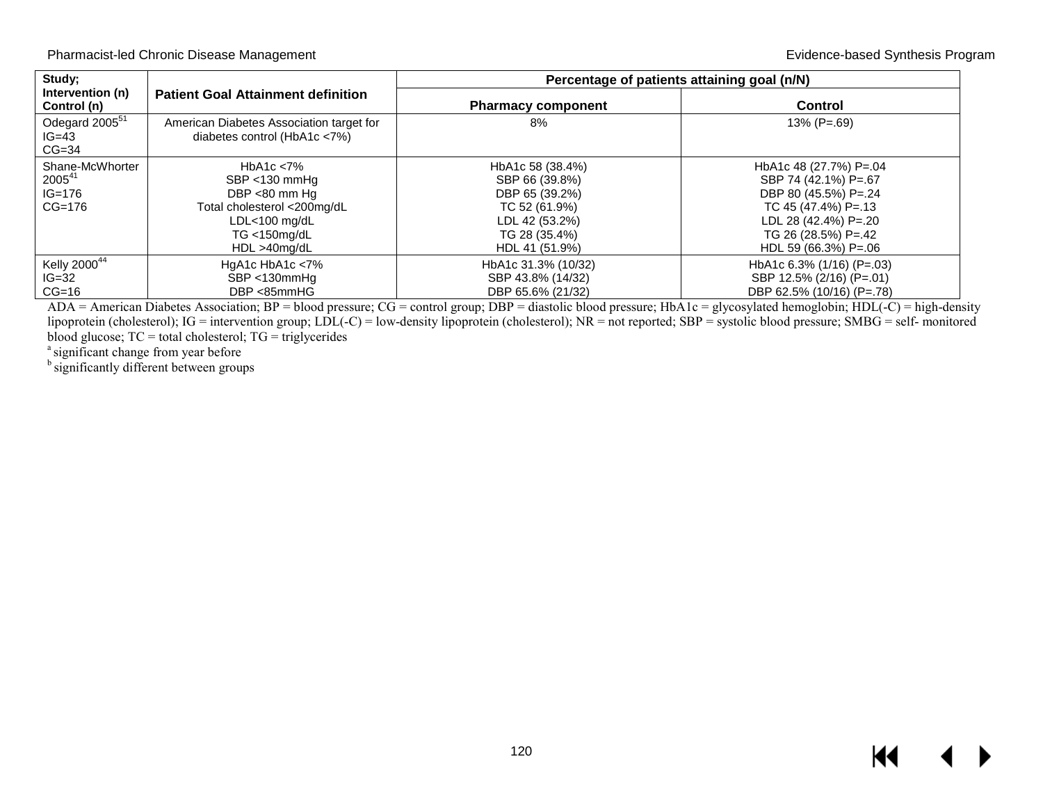| Study;                                                 |                                                                                                                                                    | Percentage of patients attaining goal (n/N)                                                                                |                                                                                                                                                                        |  |  |  |  |
|--------------------------------------------------------|----------------------------------------------------------------------------------------------------------------------------------------------------|----------------------------------------------------------------------------------------------------------------------------|------------------------------------------------------------------------------------------------------------------------------------------------------------------------|--|--|--|--|
| Intervention (n)<br>Control (n)                        | <b>Patient Goal Attainment definition</b>                                                                                                          | <b>Pharmacy component</b>                                                                                                  | <b>Control</b>                                                                                                                                                         |  |  |  |  |
| Odegard 2005 <sup>51</sup><br>$IG=43$<br>$CG=34$       | American Diabetes Association target for<br>diabetes control (HbA1c <7%)                                                                           | 8%                                                                                                                         | $13\%$ (P=.69)                                                                                                                                                         |  |  |  |  |
| Shane-McWhorter<br>$2005^{41}$<br>$IG=176$<br>$CG=176$ | HbA <sub>1</sub> c $< 7\%$<br>SBP <130 mmHq<br>DBP <80 mm Hg<br>Total cholesterol <200mg/dL<br>$LDL<100$ mg/dL<br>$TG < 150$ mg/dL<br>HDL >40mg/dL | HbA1c 58 (38.4%)<br>SBP 66 (39.8%)<br>DBP 65 (39.2%)<br>TC 52 (61.9%)<br>LDL 42 (53.2%)<br>TG 28 (35.4%)<br>HDL 41 (51.9%) | HbA1c 48 (27.7%) P=.04<br>SBP 74 (42.1%) P=.67<br>DBP 80 (45.5%) P=.24<br>TC 45 (47.4%) P= 13<br>LDL 28 (42.4%) P=.20<br>TG 26 (28.5%) P=.42<br>HDL 59 (66.3%) $P=.06$ |  |  |  |  |
| Kelly 2000 <sup>44</sup><br>$IG=32$<br>$CG=16$         | HgA1c $HbA1c < 7\%$<br>SBP <130mmHg<br>DBP <85mmHG                                                                                                 | HbA1c 31.3% (10/32)<br>SBP 43.8% (14/32)<br>DBP 65.6% (21/32)                                                              | HbA1c $6.3\%$ (1/16) (P=.03)<br>SBP 12.5% (2/16) (P=.01)<br>DBP 62.5% (10/16) (P=.78)                                                                                  |  |  |  |  |

ADA = American Diabetes Association; BP = blood pressure; CG = control group; DBP = diastolic blood pressure; HbA1c = glycosylated hemoglobin; HDL(-C) = high-density lipoprotein (cholesterol); IG = intervention group; LDL(-C) = low-density lipoprotein (cholesterol); NR = not reported; SBP = systolic blood pressure; SMBG = self- monitored blood glucose; TC = total cholesterol; TG = triglycerides

<sup>a</sup> significant change from year before

<sup>b</sup> significantly different between groups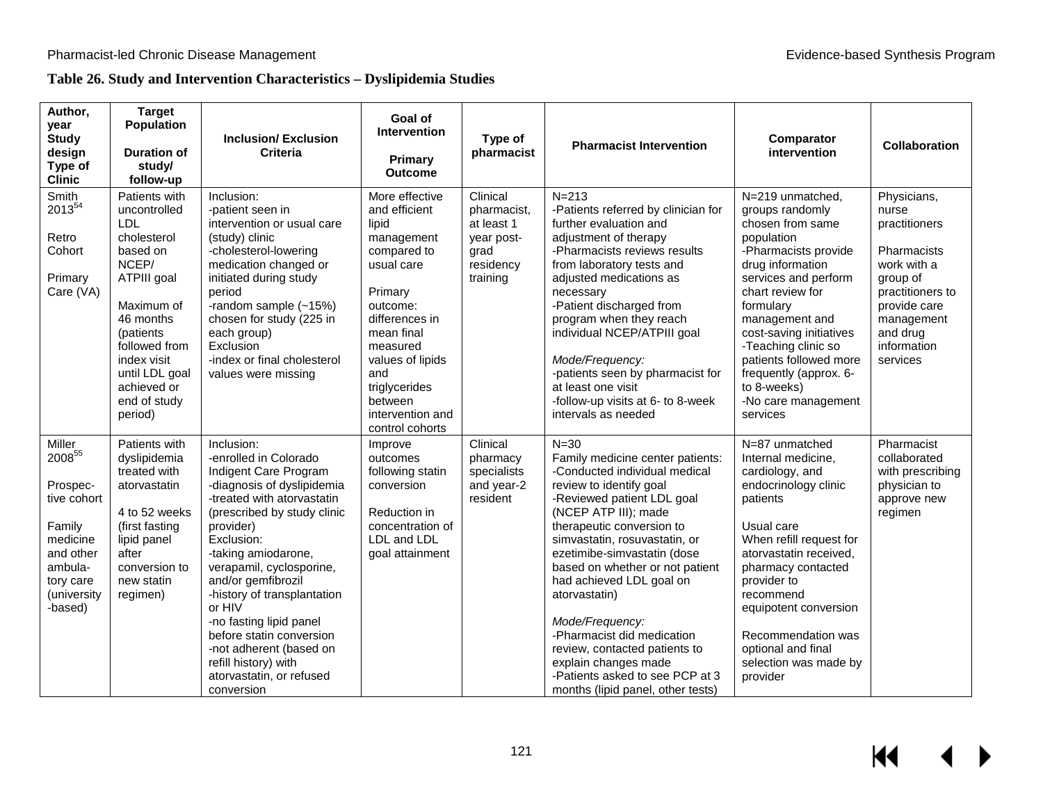## **Table 26. Study and Intervention Characteristics – Dyslipidemia Studies**

| Author,<br>year<br><b>Study</b><br>design<br>Type of<br><b>Clinic</b>                                                                 | <b>Target</b><br><b>Population</b><br><b>Duration of</b><br>study/<br>follow-up                                                                                                                                                    | <b>Inclusion/Exclusion</b><br><b>Criteria</b>                                                                                                                                                                                                                                                                                                                                                                                                            | Goal of<br><b>Intervention</b><br>Primary<br><b>Outcome</b>                                                                                                                                                                                          | Type of<br>pharmacist                                                                | <b>Pharmacist Intervention</b>                                                                                                                                                                                                                                                                                                                                                                                                                                                                                                | Comparator<br>intervention                                                                                                                                                                                                                                                                                                                           | <b>Collaboration</b>                                                                                                                                                     |
|---------------------------------------------------------------------------------------------------------------------------------------|------------------------------------------------------------------------------------------------------------------------------------------------------------------------------------------------------------------------------------|----------------------------------------------------------------------------------------------------------------------------------------------------------------------------------------------------------------------------------------------------------------------------------------------------------------------------------------------------------------------------------------------------------------------------------------------------------|------------------------------------------------------------------------------------------------------------------------------------------------------------------------------------------------------------------------------------------------------|--------------------------------------------------------------------------------------|-------------------------------------------------------------------------------------------------------------------------------------------------------------------------------------------------------------------------------------------------------------------------------------------------------------------------------------------------------------------------------------------------------------------------------------------------------------------------------------------------------------------------------|------------------------------------------------------------------------------------------------------------------------------------------------------------------------------------------------------------------------------------------------------------------------------------------------------------------------------------------------------|--------------------------------------------------------------------------------------------------------------------------------------------------------------------------|
| Smith<br>2013 <sup>54</sup><br>Retro<br>Cohort<br>Primary<br>Care (VA)                                                                | Patients with<br>uncontrolled<br><b>LDL</b><br>cholesterol<br>based on<br>NCEP/<br>ATPIII goal<br>Maximum of<br>46 months<br>(patients<br>followed from<br>index visit<br>until LDL goal<br>achieved or<br>end of study<br>period) | Inclusion:<br>-patient seen in<br>intervention or usual care<br>(study) clinic<br>-cholesterol-lowering<br>medication changed or<br>initiated during study<br>period<br>-random sample (~15%)<br>chosen for study (225 in<br>each group)<br>Exclusion<br>-index or final cholesterol<br>values were missing                                                                                                                                              | More effective<br>and efficient<br>lipid<br>management<br>compared to<br>usual care<br>Primary<br>outcome:<br>differences in<br>mean final<br>measured<br>values of lipids<br>and<br>triglycerides<br>between<br>intervention and<br>control cohorts | Clinical<br>pharmacist,<br>at least 1<br>year post-<br>grad<br>residency<br>training | $N = 213$<br>-Patients referred by clinician for<br>further evaluation and<br>adjustment of therapy<br>-Pharmacists reviews results<br>from laboratory tests and<br>adjusted medications as<br>necessary<br>-Patient discharged from<br>program when they reach<br>individual NCEP/ATPIII goal<br>Mode/Frequency:<br>-patients seen by pharmacist for<br>at least one visit<br>-follow-up visits at 6- to 8-week<br>intervals as needed                                                                                       | N=219 unmatched,<br>groups randomly<br>chosen from same<br>population<br>-Pharmacists provide<br>drug information<br>services and perform<br>chart review for<br>formulary<br>management and<br>cost-saving initiatives<br>-Teaching clinic so<br>patients followed more<br>frequently (approx. 6-<br>to 8-weeks)<br>-No care management<br>services | Physicians,<br>nurse<br>practitioners<br>Pharmacists<br>work with a<br>group of<br>practitioners to<br>provide care<br>management<br>and drug<br>information<br>services |
| Miller<br>$2008^{55}$<br>Prospec-<br>tive cohort<br>Family<br>medicine<br>and other<br>ambula-<br>tory care<br>(university<br>-based) | Patients with<br>dyslipidemia<br>treated with<br>atorvastatin<br>4 to 52 weeks<br>(first fasting<br>lipid panel<br>after<br>conversion to<br>new statin<br>regimen)                                                                | Inclusion:<br>-enrolled in Colorado<br>Indigent Care Program<br>-diagnosis of dyslipidemia<br>-treated with atorvastatin<br>(prescribed by study clinic<br>provider)<br>Exclusion:<br>-taking amiodarone,<br>verapamil, cyclosporine,<br>and/or gemfibrozil<br>-history of transplantation<br>or HIV<br>-no fasting lipid panel<br>before statin conversion<br>-not adherent (based on<br>refill history) with<br>atorvastatin, or refused<br>conversion | Improve<br>outcomes<br>following statin<br>conversion<br>Reduction in<br>concentration of<br>LDL and LDL<br>goal attainment                                                                                                                          | Clinical<br>pharmacy<br>specialists<br>and year-2<br>resident                        | $N = 30$<br>Family medicine center patients:<br>-Conducted individual medical<br>review to identify goal<br>-Reviewed patient LDL goal<br>(NCEP ATP III); made<br>therapeutic conversion to<br>simvastatin, rosuvastatin, or<br>ezetimibe-simvastatin (dose<br>based on whether or not patient<br>had achieved LDL goal on<br>atorvastatin)<br>Mode/Frequency:<br>-Pharmacist did medication<br>review, contacted patients to<br>explain changes made<br>-Patients asked to see PCP at 3<br>months (lipid panel, other tests) | N=87 unmatched<br>Internal medicine,<br>cardiology, and<br>endocrinology clinic<br>patients<br>Usual care<br>When refill request for<br>atorvastatin received,<br>pharmacy contacted<br>provider to<br>recommend<br>equipotent conversion<br>Recommendation was<br>optional and final<br>selection was made by<br>provider                           | Pharmacist<br>collaborated<br>with prescribing<br>physician to<br>approve new<br>regimen                                                                                 |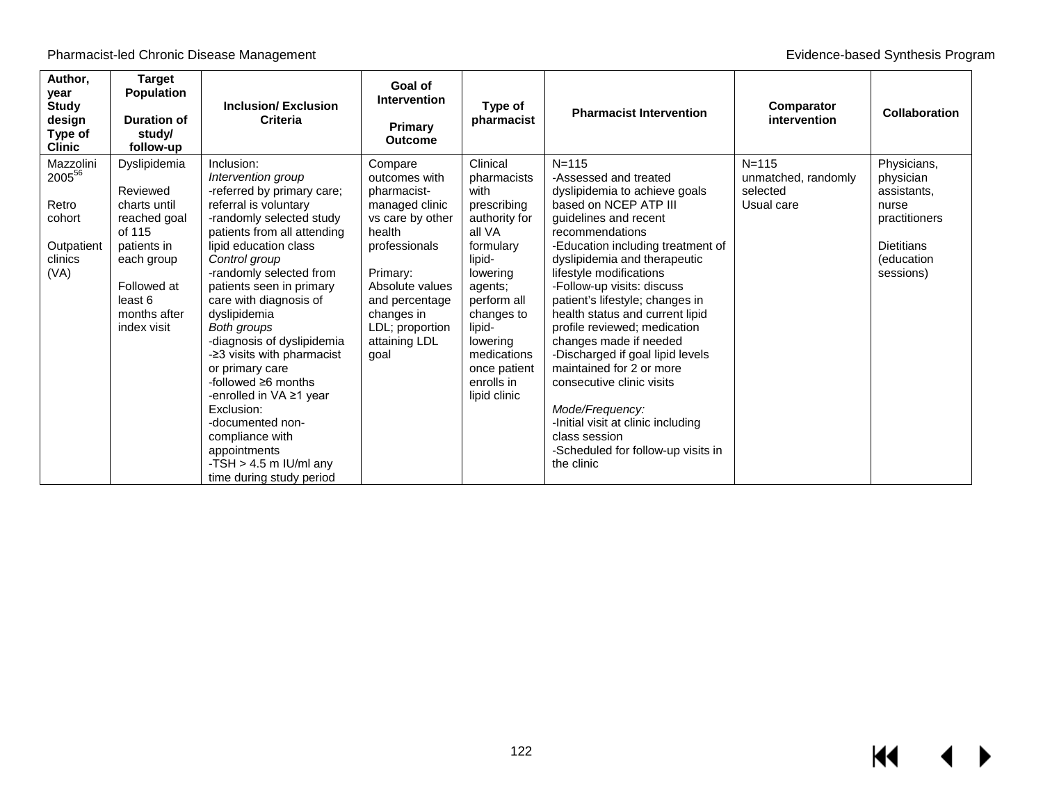| Author,<br>year<br><b>Study</b><br>design<br>Type of<br><b>Clinic</b>   | <b>Target</b><br><b>Population</b><br><b>Duration of</b><br>study/<br>follow-up                                                                          | <b>Inclusion/Exclusion</b><br>Criteria                                                                                                                                                                                                                                                                                                                                                                                                                                                                                                                                           | Goal of<br><b>Intervention</b><br><b>Primary</b><br><b>Outcome</b>                                                                                                                                                  | Type of<br>pharmacist                                                                                                                                                                                                                   | <b>Pharmacist Intervention</b>                                                                                                                                                                                                                                                                                                                                                                                                                                                                                                                                                                                                    | Comparator<br>intervention                                 | <b>Collaboration</b>                                                                                              |
|-------------------------------------------------------------------------|----------------------------------------------------------------------------------------------------------------------------------------------------------|----------------------------------------------------------------------------------------------------------------------------------------------------------------------------------------------------------------------------------------------------------------------------------------------------------------------------------------------------------------------------------------------------------------------------------------------------------------------------------------------------------------------------------------------------------------------------------|---------------------------------------------------------------------------------------------------------------------------------------------------------------------------------------------------------------------|-----------------------------------------------------------------------------------------------------------------------------------------------------------------------------------------------------------------------------------------|-----------------------------------------------------------------------------------------------------------------------------------------------------------------------------------------------------------------------------------------------------------------------------------------------------------------------------------------------------------------------------------------------------------------------------------------------------------------------------------------------------------------------------------------------------------------------------------------------------------------------------------|------------------------------------------------------------|-------------------------------------------------------------------------------------------------------------------|
| Mazzolini<br>200556<br>Retro<br>cohort<br>Outpatient<br>clinics<br>(VA) | Dyslipidemia<br>Reviewed<br>charts until<br>reached goal<br>of 115<br>patients in<br>each group<br>Followed at<br>least 6<br>months after<br>index visit | Inclusion:<br>Intervention group<br>-referred by primary care;<br>referral is voluntary<br>-randomly selected study<br>patients from all attending<br>lipid education class<br>Control group<br>-randomly selected from<br>patients seen in primary<br>care with diagnosis of<br>dyslipidemia<br>Both groups<br>-diagnosis of dyslipidemia<br>-23 visits with pharmacist<br>or primary care<br>-followed $\geq 6$ months<br>-enrolled in VA ≥1 year<br>Exclusion:<br>-documented non-<br>compliance with<br>appointments<br>-TSH $>$ 4.5 m IU/ml any<br>time during study period | Compare<br>outcomes with<br>pharmacist-<br>managed clinic<br>vs care by other<br>health<br>professionals<br>Primary:<br>Absolute values<br>and percentage<br>changes in<br>LDL; proportion<br>attaining LDL<br>goal | Clinical<br>pharmacists<br>with<br>prescribing<br>authority for<br>all VA<br>formulary<br>lipid-<br>lowering<br>agents;<br>perform all<br>changes to<br>lipid-<br>lowering<br>medications<br>once patient<br>enrolls in<br>lipid clinic | $N = 115$<br>-Assessed and treated<br>dyslipidemia to achieve goals<br>based on NCEP ATP III<br>guidelines and recent<br>recommendations<br>-Education including treatment of<br>dyslipidemia and therapeutic<br>lifestyle modifications<br>-Follow-up visits: discuss<br>patient's lifestyle; changes in<br>health status and current lipid<br>profile reviewed; medication<br>changes made if needed<br>-Discharged if goal lipid levels<br>maintained for 2 or more<br>consecutive clinic visits<br>Mode/Frequency:<br>-Initial visit at clinic including<br>class session<br>-Scheduled for follow-up visits in<br>the clinic | $N = 115$<br>unmatched, randomly<br>selected<br>Usual care | Physicians,<br>physician<br>assistants.<br>nurse<br>practitioners<br><b>Dietitians</b><br>(education<br>sessions) |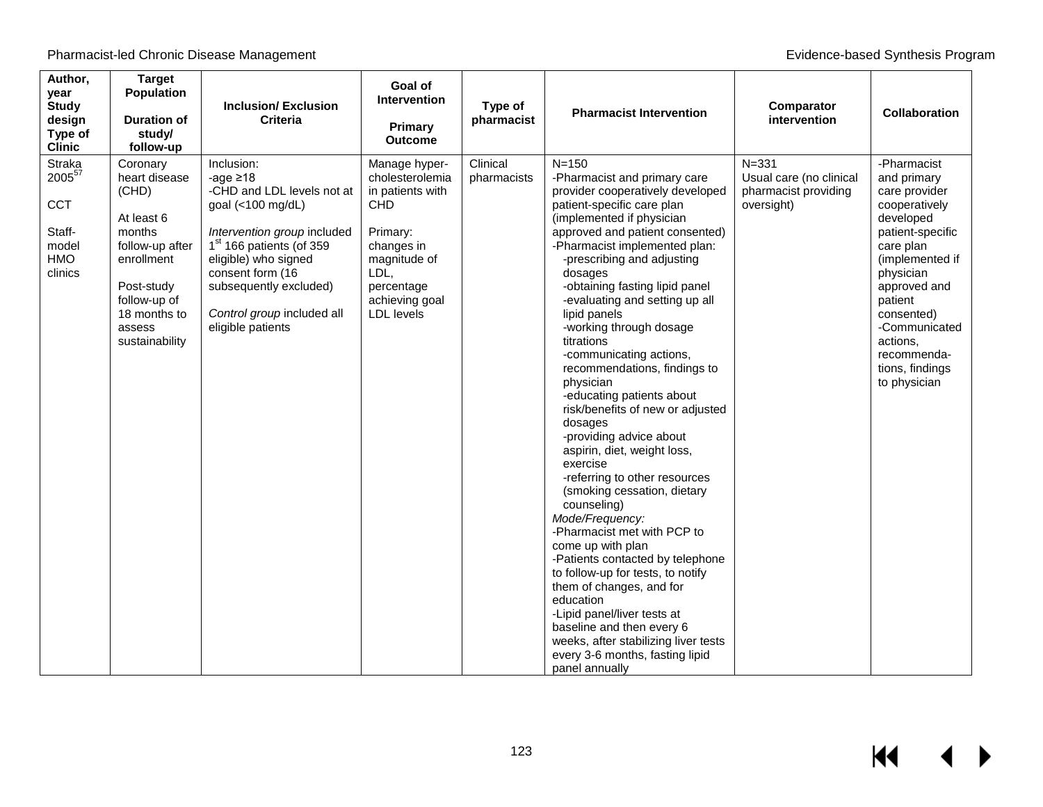| Author,<br>year<br><b>Study</b><br>design<br>Type of<br><b>Clinic</b>      | <b>Target</b><br><b>Population</b><br><b>Duration of</b><br>study/<br>follow-up                                                                                       | <b>Inclusion/Exclusion</b><br><b>Criteria</b>                                                                                                                                                                                                                                   | Goal of<br><b>Intervention</b><br>Primary<br><b>Outcome</b>                                                                                                               | Type of<br>pharmacist   | <b>Pharmacist Intervention</b>                                                                                                                                                                                                                                                                                                                                                                                                                                                                                                                                                                                                                                                                                                                                                                                                                                                                                                                                                                                                                | Comparator<br>intervention                                                 | <b>Collaboration</b>                                                                                                                                                                                                                                               |
|----------------------------------------------------------------------------|-----------------------------------------------------------------------------------------------------------------------------------------------------------------------|---------------------------------------------------------------------------------------------------------------------------------------------------------------------------------------------------------------------------------------------------------------------------------|---------------------------------------------------------------------------------------------------------------------------------------------------------------------------|-------------------------|-----------------------------------------------------------------------------------------------------------------------------------------------------------------------------------------------------------------------------------------------------------------------------------------------------------------------------------------------------------------------------------------------------------------------------------------------------------------------------------------------------------------------------------------------------------------------------------------------------------------------------------------------------------------------------------------------------------------------------------------------------------------------------------------------------------------------------------------------------------------------------------------------------------------------------------------------------------------------------------------------------------------------------------------------|----------------------------------------------------------------------------|--------------------------------------------------------------------------------------------------------------------------------------------------------------------------------------------------------------------------------------------------------------------|
| <b>Straka</b><br>200557<br><b>CCT</b><br>Staff-<br>model<br>HMO<br>clinics | Coronary<br>heart disease<br>(CHD)<br>At least 6<br>months<br>follow-up after<br>enrollment<br>Post-study<br>follow-up of<br>18 months to<br>assess<br>sustainability | Inclusion:<br>-age $\geq 18$<br>-CHD and LDL levels not at<br>goal (<100 mg/dL)<br>Intervention group included<br>1 <sup>st</sup> 166 patients (of 359<br>eligible) who signed<br>consent form (16<br>subsequently excluded)<br>Control group included all<br>eligible patients | Manage hyper-<br>cholesterolemia<br>in patients with<br><b>CHD</b><br>Primary:<br>changes in<br>magnitude of<br>LDL,<br>percentage<br>achieving goal<br><b>LDL</b> levels | Clinical<br>pharmacists | $N = 150$<br>-Pharmacist and primary care<br>provider cooperatively developed<br>patient-specific care plan<br>(implemented if physician<br>approved and patient consented)<br>-Pharmacist implemented plan:<br>-prescribing and adjusting<br>dosages<br>-obtaining fasting lipid panel<br>-evaluating and setting up all<br>lipid panels<br>-working through dosage<br>titrations<br>-communicating actions,<br>recommendations, findings to<br>physician<br>-educating patients about<br>risk/benefits of new or adjusted<br>dosages<br>-providing advice about<br>aspirin, diet, weight loss,<br>exercise<br>-referring to other resources<br>(smoking cessation, dietary<br>counseling)<br>Mode/Frequency:<br>-Pharmacist met with PCP to<br>come up with plan<br>-Patients contacted by telephone<br>to follow-up for tests, to notify<br>them of changes, and for<br>education<br>-Lipid panel/liver tests at<br>baseline and then every 6<br>weeks, after stabilizing liver tests<br>every 3-6 months, fasting lipid<br>panel annually | $N = 331$<br>Usual care (no clinical<br>pharmacist providing<br>oversight) | -Pharmacist<br>and primary<br>care provider<br>cooperatively<br>developed<br>patient-specific<br>care plan<br>(implemented if<br>physician<br>approved and<br>patient<br>consented)<br>-Communicated<br>actions,<br>recommenda-<br>tions, findings<br>to physician |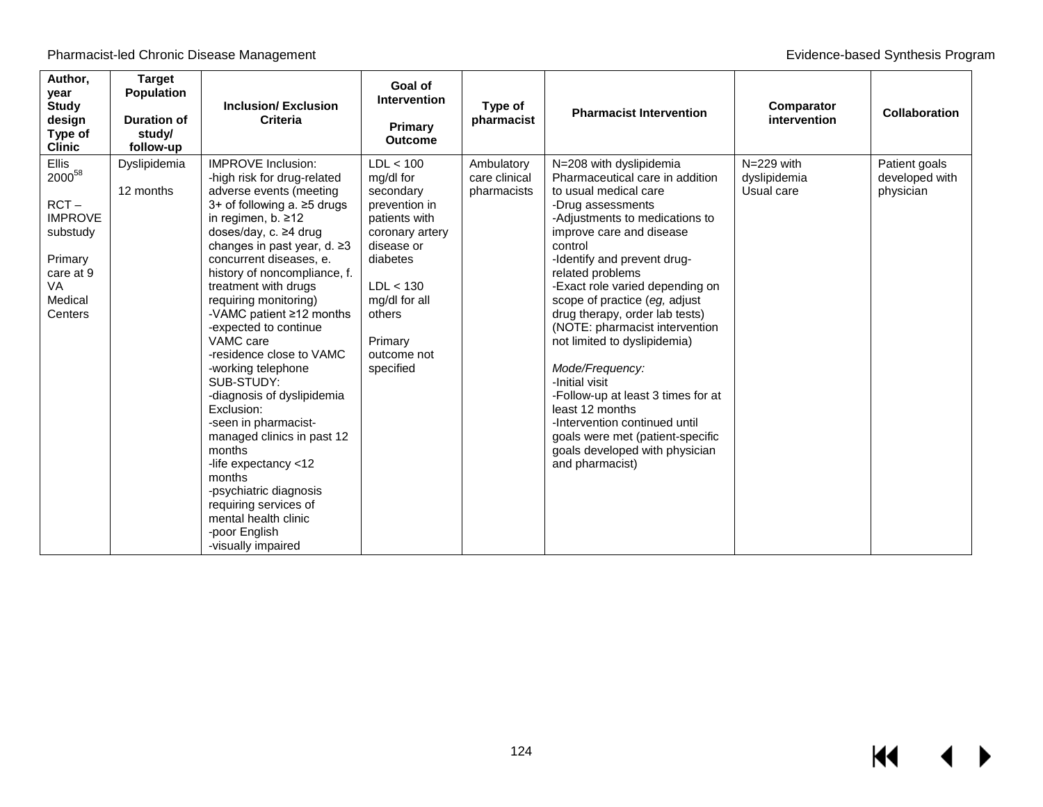| Author,<br>year<br><b>Study</b><br>design<br>Type of<br><b>Clinic</b>                                             | <b>Target</b><br><b>Population</b><br><b>Duration of</b><br>study/<br>follow-up | <b>Inclusion/Exclusion</b><br><b>Criteria</b>                                                                                                                                                                                                                                                                                                                                                                                                                                                                                                                                                                                                                                                                        | Goal of<br><b>Intervention</b><br>Primary<br><b>Outcome</b>                                                                                                                                       | Type of<br>pharmacist                      | <b>Pharmacist Intervention</b>                                                                                                                                                                                                                                                                                                                                                                                                                                                                                                                                                                                                       | Comparator<br>intervention               | <b>Collaboration</b>                         |
|-------------------------------------------------------------------------------------------------------------------|---------------------------------------------------------------------------------|----------------------------------------------------------------------------------------------------------------------------------------------------------------------------------------------------------------------------------------------------------------------------------------------------------------------------------------------------------------------------------------------------------------------------------------------------------------------------------------------------------------------------------------------------------------------------------------------------------------------------------------------------------------------------------------------------------------------|---------------------------------------------------------------------------------------------------------------------------------------------------------------------------------------------------|--------------------------------------------|--------------------------------------------------------------------------------------------------------------------------------------------------------------------------------------------------------------------------------------------------------------------------------------------------------------------------------------------------------------------------------------------------------------------------------------------------------------------------------------------------------------------------------------------------------------------------------------------------------------------------------------|------------------------------------------|----------------------------------------------|
| Ellis<br>$2000^{58}$<br>$RCT -$<br><b>IMPROVE</b><br>substudy<br>Primary<br>care at 9<br>VA<br>Medical<br>Centers | Dyslipidemia<br>12 months                                                       | <b>IMPROVE Inclusion:</b><br>-high risk for drug-related<br>adverse events (meeting<br>3+ of following a. ≥5 drugs<br>in regimen, b. $\geq 12$<br>doses/day, c. ≥4 drug<br>changes in past year, d. ≥3<br>concurrent diseases, e.<br>history of noncompliance, f.<br>treatment with drugs<br>requiring monitoring)<br>-VAMC patient ≥12 months<br>-expected to continue<br>VAMC care<br>-residence close to VAMC<br>-working telephone<br>SUB-STUDY:<br>-diagnosis of dyslipidemia<br>Exclusion:<br>-seen in pharmacist-<br>managed clinics in past 12<br>months<br>-life expectancy <12<br>months<br>-psychiatric diagnosis<br>requiring services of<br>mental health clinic<br>-poor English<br>-visually impaired | LDL < 100<br>mg/dl for<br>secondary<br>prevention in<br>patients with<br>coronary artery<br>disease or<br>diabetes<br>LDL < 130<br>mg/dl for all<br>others<br>Primary<br>outcome not<br>specified | Ambulatory<br>care clinical<br>pharmacists | N=208 with dyslipidemia<br>Pharmaceutical care in addition<br>to usual medical care<br>-Drug assessments<br>-Adjustments to medications to<br>improve care and disease<br>control<br>-Identify and prevent drug-<br>related problems<br>-Exact role varied depending on<br>scope of practice (eg, adjust<br>drug therapy, order lab tests)<br>(NOTE: pharmacist intervention<br>not limited to dyslipidemia)<br>Mode/Frequency:<br>-Initial visit<br>-Follow-up at least 3 times for at<br>least 12 months<br>-Intervention continued until<br>goals were met (patient-specific<br>goals developed with physician<br>and pharmacist) | N=229 with<br>dyslipidemia<br>Usual care | Patient goals<br>developed with<br>physician |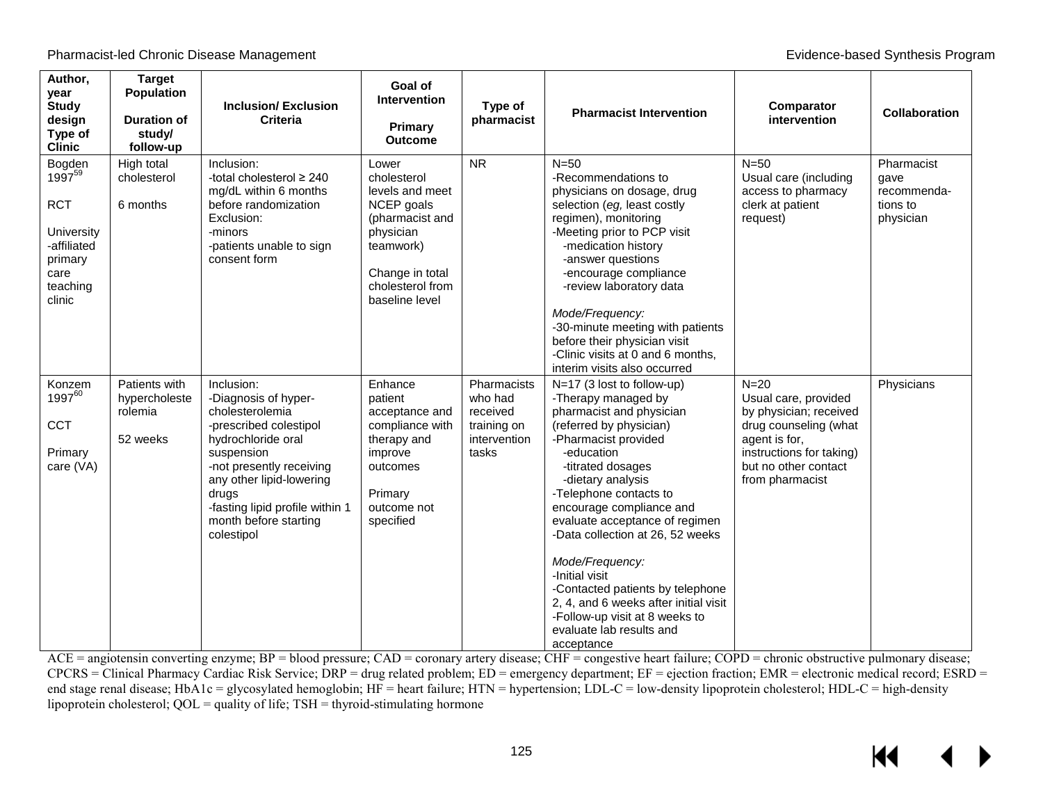| Author,<br>year<br><b>Study</b><br>design<br>Type of<br><b>Clinic</b>                                     | <b>Target</b><br><b>Population</b><br><b>Duration of</b><br>study/<br>follow-up | <b>Inclusion/Exclusion</b><br>Criteria                                                                                                                                                                                                                         | Goal of<br><b>Intervention</b><br>Primary<br><b>Outcome</b>                                                                                                 | Type of<br>pharmacist                                                      | <b>Pharmacist Intervention</b>                                                                                                                                                                                                                                                                                                                                                                                                                                                                                     | Comparator<br>intervention                                                                                                                                                | <b>Collaboration</b>                                       |
|-----------------------------------------------------------------------------------------------------------|---------------------------------------------------------------------------------|----------------------------------------------------------------------------------------------------------------------------------------------------------------------------------------------------------------------------------------------------------------|-------------------------------------------------------------------------------------------------------------------------------------------------------------|----------------------------------------------------------------------------|--------------------------------------------------------------------------------------------------------------------------------------------------------------------------------------------------------------------------------------------------------------------------------------------------------------------------------------------------------------------------------------------------------------------------------------------------------------------------------------------------------------------|---------------------------------------------------------------------------------------------------------------------------------------------------------------------------|------------------------------------------------------------|
| Bogden<br>$1997^{59}$<br><b>RCT</b><br>University<br>-affiliated<br>primary<br>care<br>teaching<br>clinic | High total<br>cholesterol<br>6 months                                           | Inclusion:<br>-total cholesterol ≥ 240<br>mg/dL within 6 months<br>before randomization<br>Exclusion:<br>-minors<br>-patients unable to sign<br>consent form                                                                                                   | Lower<br>cholesterol<br>levels and meet<br>NCEP goals<br>(pharmacist and<br>physician<br>teamwork)<br>Change in total<br>cholesterol from<br>baseline level | <b>NR</b>                                                                  | $N=50$<br>-Recommendations to<br>physicians on dosage, drug<br>selection (eg, least costly<br>regimen), monitoring<br>-Meeting prior to PCP visit<br>-medication history<br>-answer questions<br>-encourage compliance<br>-review laboratory data<br>Mode/Frequency:<br>-30-minute meeting with patients<br>before their physician visit<br>-Clinic visits at 0 and 6 months,<br>interim visits also occurred                                                                                                      | $N=50$<br>Usual care (including<br>access to pharmacy<br>clerk at patient<br>request)                                                                                     | Pharmacist<br>gave<br>recommenda-<br>tions to<br>physician |
| Konzem<br>1997 <sup>60</sup><br><b>CCT</b><br>Primary<br>care (VA)                                        | Patients with<br>hypercholeste<br>rolemia<br>52 weeks                           | Inclusion:<br>-Diagnosis of hyper-<br>cholesterolemia<br>-prescribed colestipol<br>hydrochloride oral<br>suspension<br>-not presently receiving<br>any other lipid-lowering<br>drugs<br>-fasting lipid profile within 1<br>month before starting<br>colestipol | Enhance<br>patient<br>acceptance and<br>compliance with<br>therapy and<br>improve<br>outcomes<br>Primary<br>outcome not<br>specified                        | Pharmacists<br>who had<br>received<br>training on<br>intervention<br>tasks | N=17 (3 lost to follow-up)<br>-Therapy managed by<br>pharmacist and physician<br>(referred by physician)<br>-Pharmacist provided<br>-education<br>-titrated dosages<br>-dietary analysis<br>-Telephone contacts to<br>encourage compliance and<br>evaluate acceptance of regimen<br>-Data collection at 26, 52 weeks<br>Mode/Frequency:<br>-Initial visit<br>-Contacted patients by telephone<br>2, 4, and 6 weeks after initial visit<br>-Follow-up visit at 8 weeks to<br>evaluate lab results and<br>acceptance | $N=20$<br>Usual care, provided<br>by physician; received<br>drug counseling (what<br>agent is for,<br>instructions for taking)<br>but no other contact<br>from pharmacist | Physicians                                                 |

ACE = angiotensin converting enzyme; BP = blood pressure; CAD = coronary artery disease; CHF = congestive heart failure; COPD = chronic obstructive pulmonary disease;  $CPCRS =$  Clinical Pharmacy Cardiac Risk Service; DRP = drug related problem;  $ED =$  emergency department;  $EF =$  ejection fraction;  $EMR =$  electronic medical record;  $ESRD =$ end stage renal disease; HbA1c = glycosylated hemoglobin; HF = heart failure; HTN = hypertension; LDL-C = low-density lipoprotein cholesterol; HDL-C = high-density lipoprotein cholesterol;  $QOL =$  quality of life;  $TSH =$  thyroid-stimulating hormone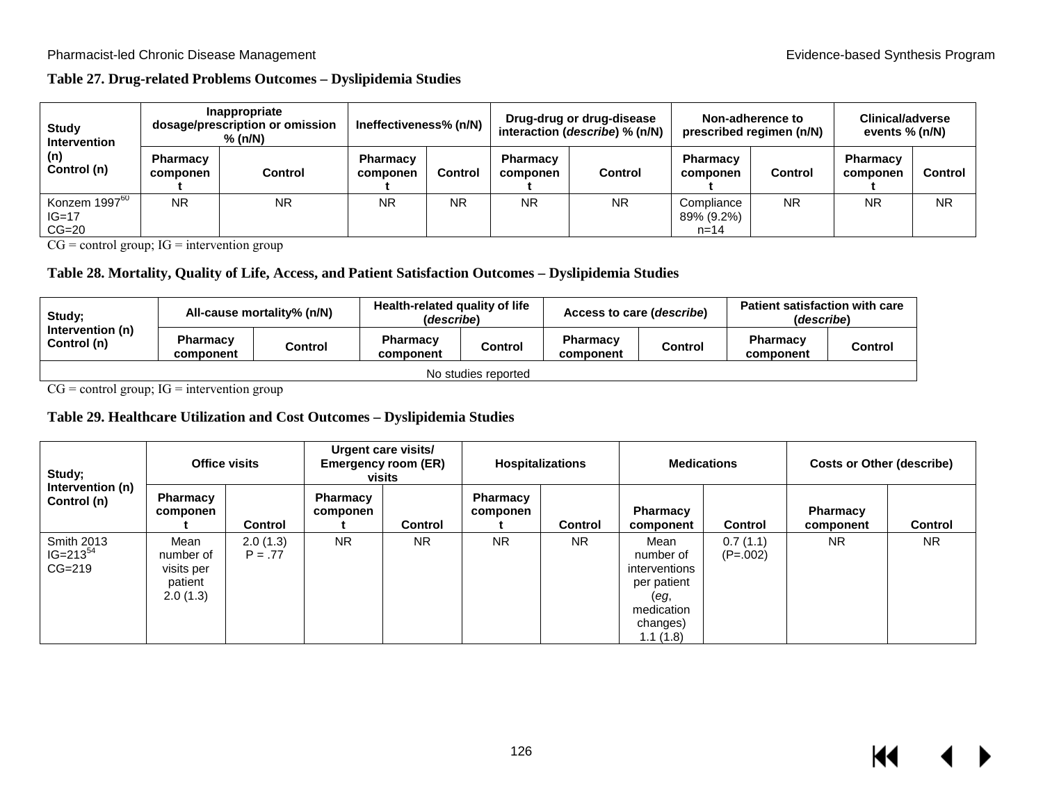### **Table 27. Drug-related Problems Outcomes – Dyslipidemia Studies**

| Study<br><b>Intervention</b><br>(n)<br>Control (n) | Inappropriate<br>dosage/prescription or omission<br>% (n/N) |           | Ineffectiveness% (n/N)      |         | Drug-drug or drug-disease<br>interaction (describe) % (n/N) |           | Non-adherence to<br>prescribed regimen (n/N) |           | <b>Clinical/adverse</b><br>events % (n/N) |           |
|----------------------------------------------------|-------------------------------------------------------------|-----------|-----------------------------|---------|-------------------------------------------------------------|-----------|----------------------------------------------|-----------|-------------------------------------------|-----------|
|                                                    | Pharmacv<br>componen                                        | Control   | <b>Pharmacy</b><br>componen | Control | <b>Pharmacy</b><br>componen                                 | Control   | <b>Pharmacy</b><br>componen                  | Control   | <b>Pharmacy</b><br>componen               | Control   |
| Konzem 1997 <sup>60</sup><br>IG=17<br>$CG=20$      | <b>NR</b>                                                   | <b>NR</b> | <b>NR</b>                   | NR      | ΝR                                                          | <b>NR</b> | Compliance<br>89% (9.2%)<br>$n = 14$         | <b>NR</b> | <b>NR</b>                                 | <b>NR</b> |

 $CG = control group; IG = intervention group$ 

#### **Table 28. Mortality, Quality of Life, Access, and Patient Satisfaction Outcomes – Dyslipidemia Studies**

| Study;<br>Intervention (n)<br>Control (n) | All-cause mortality% (n/N)   |         | Health-related quality of life<br>(describe) |         | Access to care ( <i>describe</i> ) |         | <b>Patient satisfaction with care</b><br>(describe) |                |
|-------------------------------------------|------------------------------|---------|----------------------------------------------|---------|------------------------------------|---------|-----------------------------------------------------|----------------|
|                                           | <b>Pharmacy</b><br>component | Control | <b>Pharmacy</b><br>component                 | Control | <b>Pharmacy</b><br>component       | Control | <b>Pharmacy</b><br>component                        | <b>Control</b> |
| No studies reported                       |                              |         |                                              |         |                                    |         |                                                     |                |

 $CG = control group; IG = intervention group$ 

### **Table 29. Healthcare Utilization and Cost Outcomes – Dyslipidemia Studies**

| Study;<br>Intervention (n)<br>Control (n)        | Office visits                                          |                       | Urgent care visits/<br>Emergency room (ER)<br>visits |                | <b>Hospitalizations</b>     |                | <b>Medications</b>                                                                              |                        | <b>Costs or Other (describe)</b> |                |
|--------------------------------------------------|--------------------------------------------------------|-----------------------|------------------------------------------------------|----------------|-----------------------------|----------------|-------------------------------------------------------------------------------------------------|------------------------|----------------------------------|----------------|
|                                                  | Pharmacy<br>componen                                   | <b>Control</b>        | <b>Pharmacy</b><br>componen                          | <b>Control</b> | <b>Pharmacy</b><br>componen | <b>Control</b> | <b>Pharmacy</b><br>component                                                                    | <b>Control</b>         | <b>Pharmacy</b><br>component     | <b>Control</b> |
| <b>Smith 2013</b><br>$IG = 213^{54}$<br>$CG=219$ | Mean<br>number of<br>visits per<br>patient<br>2.0(1.3) | 2.0(1.3)<br>$P = .77$ | <b>NR</b>                                            | <b>NR</b>      | <b>NR</b>                   | <b>NR</b>      | Mean<br>number of<br>interventions<br>per patient<br>(eg,<br>medication<br>changes)<br>1.1(1.8) | 0.7(1.1)<br>$(P=.002)$ | <b>NR</b>                        | N <sub>R</sub> |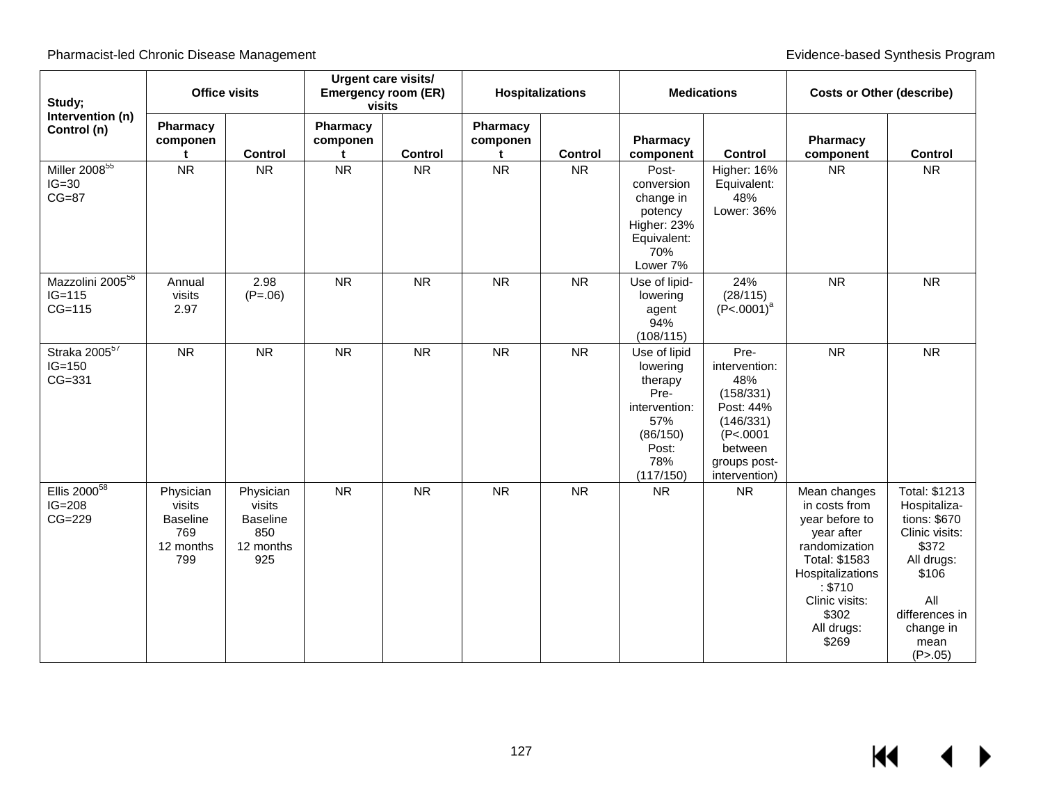| Study;                                               | <b>Office visits</b>                                              |                                                                   | Urgent care visits/<br><b>Emergency room (ER)</b><br>visits |                |                           | <b>Hospitalizations</b> |                                                                                                              | <b>Medications</b>                                                                                                          |                                                                                                                                                                                  | <b>Costs or Other (describe)</b>                                                                                                                           |  |
|------------------------------------------------------|-------------------------------------------------------------------|-------------------------------------------------------------------|-------------------------------------------------------------|----------------|---------------------------|-------------------------|--------------------------------------------------------------------------------------------------------------|-----------------------------------------------------------------------------------------------------------------------------|----------------------------------------------------------------------------------------------------------------------------------------------------------------------------------|------------------------------------------------------------------------------------------------------------------------------------------------------------|--|
| Intervention (n)<br>Control (n)                      | Pharmacy<br>componen<br>t                                         | <b>Control</b>                                                    | Pharmacy<br>componen<br>t                                   | <b>Control</b> | Pharmacy<br>componen<br>t | <b>Control</b>          | Pharmacy<br>component                                                                                        | <b>Control</b>                                                                                                              | Pharmacy<br>component                                                                                                                                                            | <b>Control</b>                                                                                                                                             |  |
| Miller $2008^{55}$<br>$IG=30$<br>$CG=87$             | <b>NR</b>                                                         | <b>NR</b>                                                         | <b>NR</b>                                                   | <b>NR</b>      | <b>NR</b>                 | <b>NR</b>               | Post-<br>conversion<br>change in<br>potency<br>Higher: 23%<br>Equivalent:<br>70%<br>Lower 7%                 | Higher: 16%<br>Equivalent:<br>48%<br>Lower: 36%                                                                             | <b>NR</b>                                                                                                                                                                        | <b>NR</b>                                                                                                                                                  |  |
| Mazzolini 2005 <sup>56</sup><br>$IG=115$<br>$CG=115$ | Annual<br>visits<br>2.97                                          | 2.98<br>$(P=.06)$                                                 | <b>NR</b>                                                   | <b>NR</b>      | <b>NR</b>                 | <b>NR</b>               | Use of lipid-<br>lowering<br>agent<br>94%<br>(108/115)                                                       | 24%<br>(28/115)<br>$(P<.0001)^a$                                                                                            | <b>NR</b>                                                                                                                                                                        | <b>NR</b>                                                                                                                                                  |  |
| Straka 2005 <sup>57</sup><br>$IG=150$<br>CG=331      | <b>NR</b>                                                         | ${\sf NR}$                                                        | <b>NR</b>                                                   | <b>NR</b>      | ${\sf NR}$                | <b>NR</b>               | Use of lipid<br>lowering<br>therapy<br>Pre-<br>intervention:<br>57%<br>(86/150)<br>Post:<br>78%<br>(117/150) | Pre-<br>intervention:<br>48%<br>(158/331)<br>Post: 44%<br>(146/331)<br>(P<.0001<br>between<br>groups post-<br>intervention) | ${\sf NR}$                                                                                                                                                                       | ${\sf NR}$                                                                                                                                                 |  |
| Ellis $2000^{58}$<br>$IG=208$<br>$CG=229$            | Physician<br>visits<br><b>Baseline</b><br>769<br>12 months<br>799 | Physician<br>visits<br><b>Baseline</b><br>850<br>12 months<br>925 | <b>NR</b>                                                   | <b>NR</b>      | <b>NR</b>                 | <b>NR</b>               | <b>NR</b>                                                                                                    | <b>NR</b>                                                                                                                   | Mean changes<br>in costs from<br>year before to<br>year after<br>randomization<br>Total: \$1583<br>Hospitalizations<br>: \$710<br>Clinic visits:<br>\$302<br>All drugs:<br>\$269 | Total: \$1213<br>Hospitaliza-<br>tions: \$670<br>Clinic visits:<br>\$372<br>All drugs:<br>\$106<br>All<br>differences in<br>change in<br>mean<br>(P > .05) |  |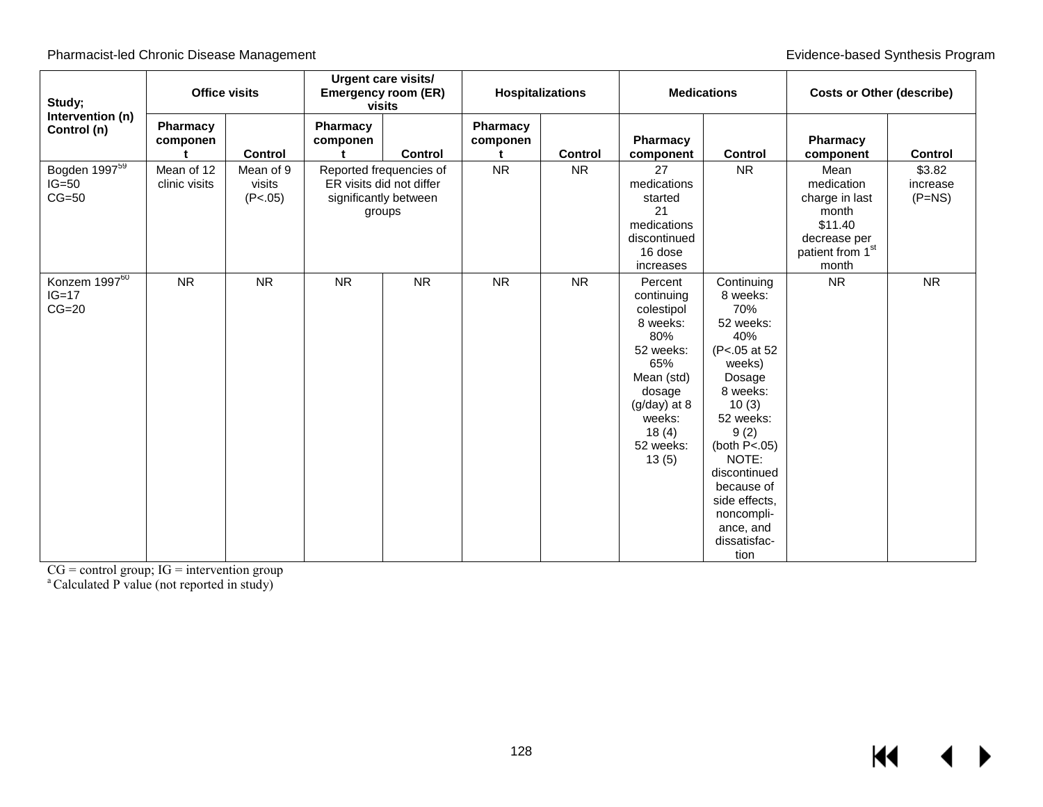| Study;<br>Intervention (n)                      | <b>Office visits</b>        |                                | Urgent care visits/<br><b>Emergency room (ER)</b><br>visits |                         |                      | <b>Hospitalizations</b> |                                                                                                                                                               | <b>Medications</b>                                                                                                                                                                                                                                            |                                                                                                       | <b>Costs or Other (describe)</b> |
|-------------------------------------------------|-----------------------------|--------------------------------|-------------------------------------------------------------|-------------------------|----------------------|-------------------------|---------------------------------------------------------------------------------------------------------------------------------------------------------------|---------------------------------------------------------------------------------------------------------------------------------------------------------------------------------------------------------------------------------------------------------------|-------------------------------------------------------------------------------------------------------|----------------------------------|
| Control (n)                                     | <b>Pharmacy</b><br>componen | <b>Control</b>                 | Pharmacy<br>componen<br>t.                                  | <b>Control</b>          | Pharmacy<br>componen | <b>Control</b>          | Pharmacy<br>component                                                                                                                                         | <b>Control</b>                                                                                                                                                                                                                                                | Pharmacy<br>component                                                                                 | <b>Control</b>                   |
| Bogden 1997 <sup>59</sup><br>$IG=50$<br>$CG=50$ | Mean of 12<br>clinic visits | Mean of 9<br>visits<br>(P<.05) | ER visits did not differ<br>significantly between<br>groups | Reported frequencies of | <b>NR</b>            | <b>NR</b>               | 27<br>medications<br>started<br>21<br>medications<br>discontinued<br>16 dose<br>increases                                                                     | <b>NR</b>                                                                                                                                                                                                                                                     | Mean<br>medication<br>charge in last<br>month<br>\$11.40<br>decrease per<br>patient from 1st<br>month | \$3.82<br>increase<br>$(P=NS)$   |
| Konzem $1997^{60}$<br>$IG=17$<br>$CG=20$        | <b>NR</b>                   | <b>NR</b>                      | <b>NR</b>                                                   | <b>NR</b>               | <b>NR</b>            | <b>NR</b>               | Percent<br>continuing<br>colestipol<br>8 weeks:<br>80%<br>52 weeks:<br>65%<br>Mean (std)<br>dosage<br>$(g/day)$ at 8<br>weeks:<br>18(4)<br>52 weeks:<br>13(5) | Continuing<br>8 weeks:<br>70%<br>52 weeks:<br>40%<br>(P<.05 at 52<br>weeks)<br>Dosage<br>8 weeks:<br>10(3)<br>52 weeks:<br>9(2)<br>(both $P<.05$ )<br>NOTE:<br>discontinued<br>because of<br>side effects,<br>noncompli-<br>ance, and<br>dissatisfac-<br>tion | <b>NR</b>                                                                                             | <b>NR</b>                        |

 $CG = control group$ ;  $IG = intervention group$ 

<sup>a</sup> Calculated P value (not reported in study)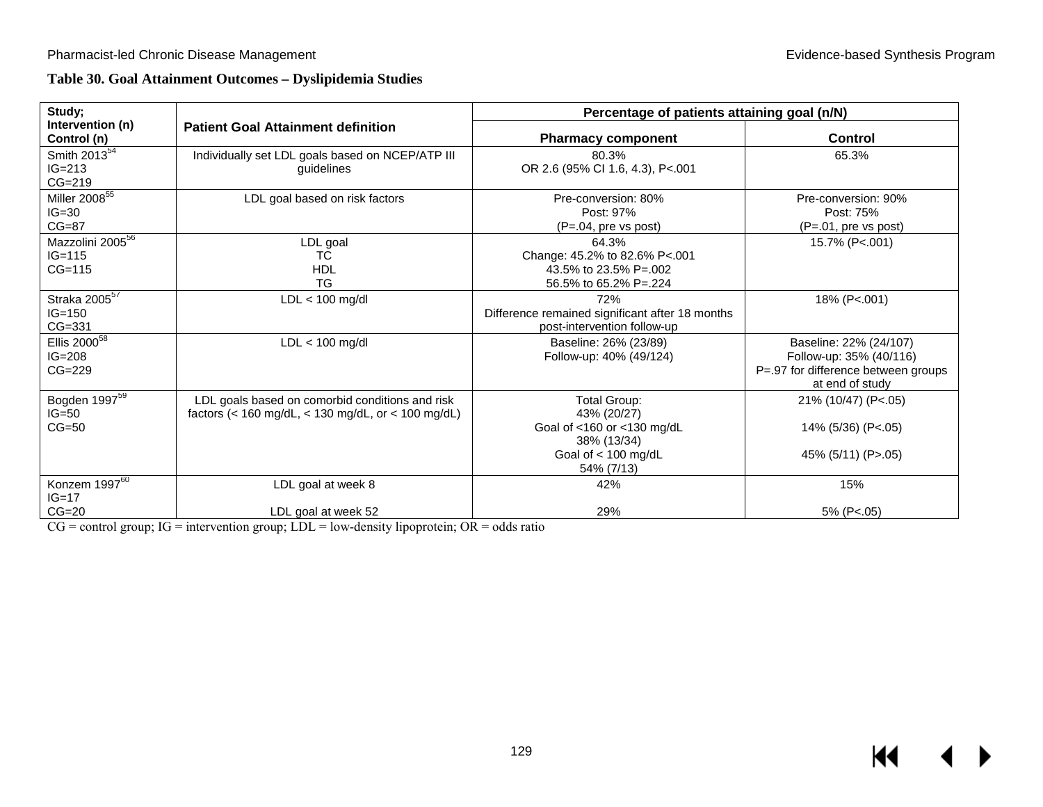## **Table 30. Goal Attainment Outcomes – Dyslipidemia Studies**

| Study;                                               |                                                                                                       | Percentage of patients attaining goal (n/N)                                                                     |                                                                                                             |
|------------------------------------------------------|-------------------------------------------------------------------------------------------------------|-----------------------------------------------------------------------------------------------------------------|-------------------------------------------------------------------------------------------------------------|
| Intervention (n)<br>Control (n)                      | <b>Patient Goal Attainment definition</b>                                                             | <b>Pharmacy component</b>                                                                                       | <b>Control</b>                                                                                              |
| Smith $2013^{54}$<br>$IG = 213$<br>$CG=219$          | Individually set LDL goals based on NCEP/ATP III<br>guidelines                                        | 80.3%<br>OR 2.6 (95% CI 1.6, 4.3), P<.001                                                                       | 65.3%                                                                                                       |
| Miller $2008^{55}$<br>$IG=30$<br>$CG=87$             | LDL goal based on risk factors                                                                        | Pre-conversion: 80%<br>Post: 97%<br>$(P=.04, pre vs post)$                                                      | Pre-conversion: 90%<br>Post: 75%<br>$(P=.01, pre vs post)$                                                  |
| Mazzolini 2005 <sup>56</sup><br>$IG=115$<br>$CG=115$ | LDL goal<br>ТC<br><b>HDL</b><br><b>TG</b>                                                             | 64.3%<br>Change: 45.2% to 82.6% P<.001<br>43.5% to 23.5% P=.002<br>56.5% to 65.2% P=.224                        | 15.7% (P<.001)                                                                                              |
| Straka 2005 <sup>57</sup><br>$IG = 150$<br>$CG=331$  | $LDL < 100$ mg/dl                                                                                     | 72%<br>Difference remained significant after 18 months<br>post-intervention follow-up                           | 18% (P<.001)                                                                                                |
| Ellis $2000^{58}$<br>$IG = 208$<br>$CG=229$          | $LDL < 100$ mg/dl                                                                                     | Baseline: 26% (23/89)<br>Follow-up: 40% (49/124)                                                                | Baseline: 22% (24/107)<br>Follow-up: 35% (40/116)<br>P=.97 for difference between groups<br>at end of study |
| Bogden 1997 <sup>59</sup><br>$IG=50$<br>$CG=50$      | LDL goals based on comorbid conditions and risk<br>factors (< 160 mg/dL, < 130 mg/dL, or < 100 mg/dL) | Total Group:<br>43% (20/27)<br>Goal of <160 or <130 mg/dL<br>38% (13/34)<br>Goal of $<$ 100 mg/dL<br>54% (7/13) | 21% (10/47) (P<.05)<br>14% (5/36) (P<.05)<br>45% (5/11) (P>.05)                                             |
| Konzem 1997 <sup>60</sup><br>$IG=17$<br>$CG=20$      | LDL goal at week 8<br>LDL goal at week 52                                                             | 42%<br>29%                                                                                                      | 15%<br>5% (P<.05)                                                                                           |

 $CG =$  control group;  $IG =$  intervention group;  $LDL =$  low-density lipoprotein;  $OR =$  odds ratio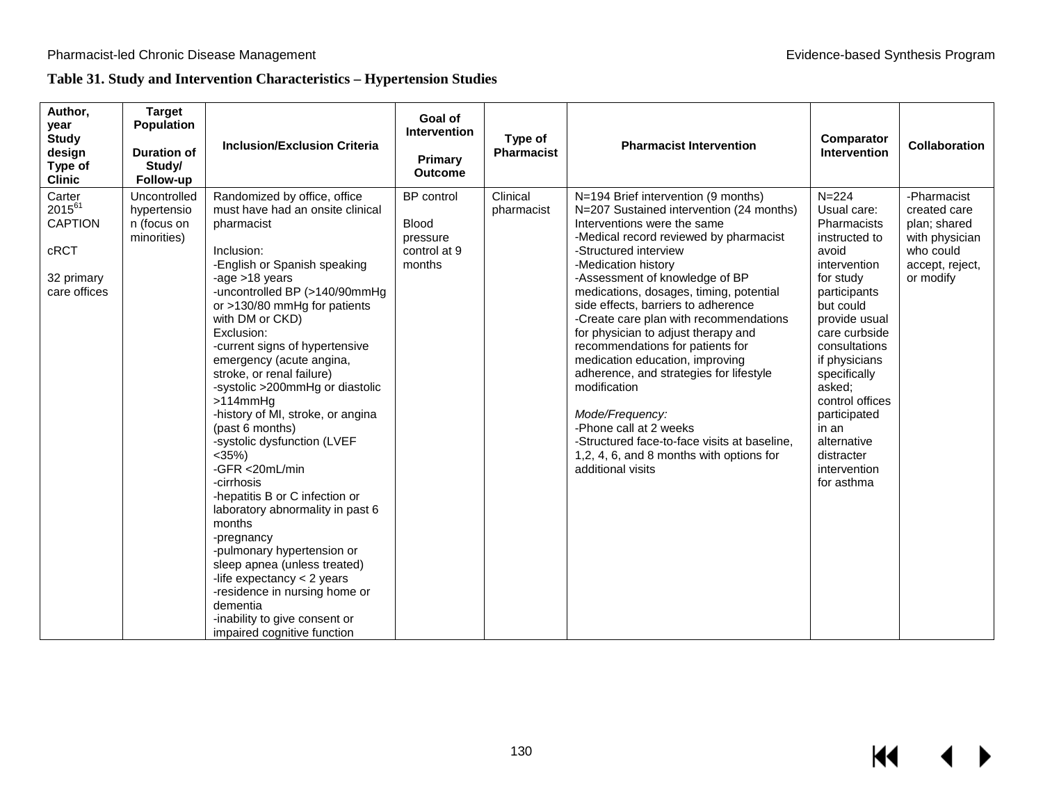## **Table 31. Study and Intervention Characteristics – Hypertension Studies**

| Author,<br>year<br><b>Study</b><br>design<br>Type of<br><b>Clinic</b>         | <b>Target</b><br><b>Population</b><br>Duration of<br>Study/<br>Follow-up | <b>Inclusion/Exclusion Criteria</b>                                                                                                                                                                                                                                                                                                                                                                                                                                                                                                                                                                                                                                                                                                                                                                                                          | Goal of<br><b>Intervention</b><br><b>Primary</b><br><b>Outcome</b>      | Type of<br><b>Pharmacist</b> | <b>Pharmacist Intervention</b>                                                                                                                                                                                                                                                                                                                                                                                                                                                                                                                                                                                                                                                                                | Comparator<br>Intervention                                                                                                                                                                                                                                                                                                       | <b>Collaboration</b>                                                                                       |
|-------------------------------------------------------------------------------|--------------------------------------------------------------------------|----------------------------------------------------------------------------------------------------------------------------------------------------------------------------------------------------------------------------------------------------------------------------------------------------------------------------------------------------------------------------------------------------------------------------------------------------------------------------------------------------------------------------------------------------------------------------------------------------------------------------------------------------------------------------------------------------------------------------------------------------------------------------------------------------------------------------------------------|-------------------------------------------------------------------------|------------------------------|---------------------------------------------------------------------------------------------------------------------------------------------------------------------------------------------------------------------------------------------------------------------------------------------------------------------------------------------------------------------------------------------------------------------------------------------------------------------------------------------------------------------------------------------------------------------------------------------------------------------------------------------------------------------------------------------------------------|----------------------------------------------------------------------------------------------------------------------------------------------------------------------------------------------------------------------------------------------------------------------------------------------------------------------------------|------------------------------------------------------------------------------------------------------------|
| Carter<br>$2015^{61}$<br><b>CAPTION</b><br>cRCT<br>32 primary<br>care offices | Uncontrolled<br>hypertensio<br>n (focus on<br>minorities)                | Randomized by office, office<br>must have had an onsite clinical<br>pharmacist<br>Inclusion:<br>-English or Spanish speaking<br>-age >18 years<br>-uncontrolled BP (>140/90mmHg<br>or >130/80 mmHg for patients<br>with DM or CKD)<br>Exclusion:<br>-current signs of hypertensive<br>emergency (acute angina,<br>stroke, or renal failure)<br>-systolic >200mmHg or diastolic<br>$>114$ mm $Hg$<br>-history of MI, stroke, or angina<br>(past 6 months)<br>-systolic dysfunction (LVEF<br>$<$ 35%)<br>-GFR <20mL/min<br>-cirrhosis<br>-hepatitis B or C infection or<br>laboratory abnormality in past 6<br>months<br>-pregnancy<br>-pulmonary hypertension or<br>sleep apnea (unless treated)<br>-life expectancy $<$ 2 years<br>-residence in nursing home or<br>dementia<br>-inability to give consent or<br>impaired cognitive function | <b>BP</b> control<br><b>Blood</b><br>pressure<br>control at 9<br>months | Clinical<br>pharmacist       | N=194 Brief intervention (9 months)<br>N=207 Sustained intervention (24 months)<br>Interventions were the same<br>-Medical record reviewed by pharmacist<br>-Structured interview<br>-Medication history<br>-Assessment of knowledge of BP<br>medications, dosages, timing, potential<br>side effects, barriers to adherence<br>-Create care plan with recommendations<br>for physician to adjust therapy and<br>recommendations for patients for<br>medication education, improving<br>adherence, and strategies for lifestyle<br>modification<br>Mode/Frequency:<br>-Phone call at 2 weeks<br>-Structured face-to-face visits at baseline,<br>1,2, 4, 6, and 8 months with options for<br>additional visits | $N = 224$<br>Usual care:<br>Pharmacists<br>instructed to<br>avoid<br>intervention<br>for study<br>participants<br>but could<br>provide usual<br>care curbside<br>consultations<br>if physicians<br>specifically<br>asked:<br>control offices<br>participated<br>in an<br>alternative<br>distracter<br>intervention<br>for asthma | -Pharmacist<br>created care<br>plan; shared<br>with physician<br>who could<br>accept, reject,<br>or modify |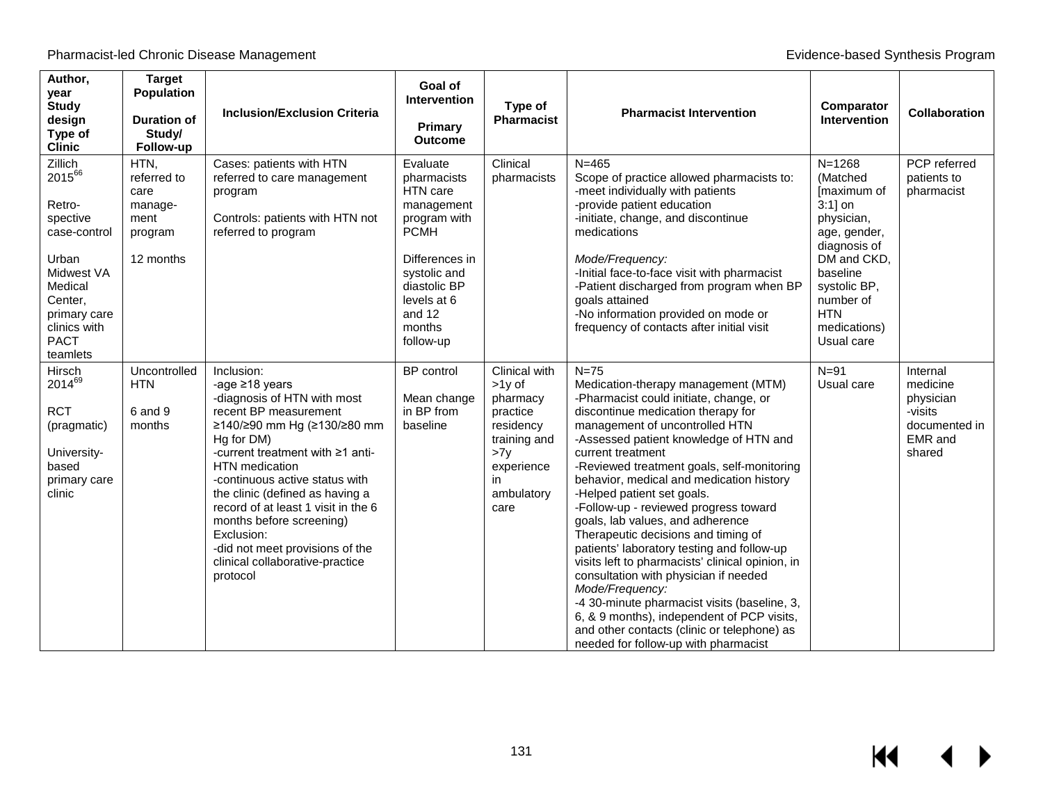$M$ 

 $\blacktriangleright$ 

| Author,<br>vear<br><b>Study</b><br>design<br>Type of<br><b>Clinic</b>                                                                                           | <b>Target</b><br><b>Population</b><br><b>Duration of</b><br>Study/<br>Follow-up | <b>Inclusion/Exclusion Criteria</b>                                                                                                                                                                                                                                                                                                                                                                                                   | Goal of<br><b>Intervention</b><br><b>Primary</b><br><b>Outcome</b>                                                                                                                 | Type of<br>Pharmacist                                                                                                           | <b>Pharmacist Intervention</b>                                                                                                                                                                                                                                                                                                                                                                                                                                                                                                                                                                                                                                                                                                                                                                                                | Comparator<br><b>Intervention</b>                                                                                                                                                                      | <b>Collaboration</b>                                                                      |
|-----------------------------------------------------------------------------------------------------------------------------------------------------------------|---------------------------------------------------------------------------------|---------------------------------------------------------------------------------------------------------------------------------------------------------------------------------------------------------------------------------------------------------------------------------------------------------------------------------------------------------------------------------------------------------------------------------------|------------------------------------------------------------------------------------------------------------------------------------------------------------------------------------|---------------------------------------------------------------------------------------------------------------------------------|-------------------------------------------------------------------------------------------------------------------------------------------------------------------------------------------------------------------------------------------------------------------------------------------------------------------------------------------------------------------------------------------------------------------------------------------------------------------------------------------------------------------------------------------------------------------------------------------------------------------------------------------------------------------------------------------------------------------------------------------------------------------------------------------------------------------------------|--------------------------------------------------------------------------------------------------------------------------------------------------------------------------------------------------------|-------------------------------------------------------------------------------------------|
| Zillich<br>201566<br>Retro-<br>spective<br>case-control<br>Urban<br>Midwest VA<br>Medical<br>Center,<br>primary care<br>clinics with<br><b>PACT</b><br>teamlets | HTN,<br>referred to<br>care<br>manage-<br>ment<br>program<br>12 months          | Cases: patients with HTN<br>referred to care management<br>program<br>Controls: patients with HTN not<br>referred to program                                                                                                                                                                                                                                                                                                          | Evaluate<br>pharmacists<br>HTN care<br>management<br>program with<br><b>PCMH</b><br>Differences in<br>systolic and<br>diastolic BP<br>levels at 6<br>and 12<br>months<br>follow-up | Clinical<br>pharmacists                                                                                                         | $N = 465$<br>Scope of practice allowed pharmacists to:<br>-meet individually with patients<br>-provide patient education<br>-initiate, change, and discontinue<br>medications<br>Mode/Frequency:<br>-Initial face-to-face visit with pharmacist<br>-Patient discharged from program when BP<br>goals attained<br>-No information provided on mode or<br>frequency of contacts after initial visit                                                                                                                                                                                                                                                                                                                                                                                                                             | $N = 1268$<br>(Matched)<br>[maximum of<br>$3:1$ ] on<br>physician,<br>age, gender,<br>diagnosis of<br>DM and CKD,<br>baseline<br>systolic BP,<br>number of<br><b>HTN</b><br>medications)<br>Usual care | PCP referred<br>patients to<br>pharmacist                                                 |
| Hirsch<br>201469<br><b>RCT</b><br>(pragmatic)<br>University-<br>based<br>primary care<br>clinic                                                                 | Uncontrolled<br><b>HTN</b><br>6 and 9<br>months                                 | Inclusion:<br>-age ≥18 years<br>-diagnosis of HTN with most<br>recent BP measurement<br>≥140/≥90 mm Hg (≥130/≥80 mm<br>Hg for DM)<br>-current treatment with $\geq 1$ anti-<br>HTN medication<br>-continuous active status with<br>the clinic (defined as having a<br>record of at least 1 visit in the 6<br>months before screening)<br>Exclusion:<br>-did not meet provisions of the<br>clinical collaborative-practice<br>protocol | <b>BP</b> control<br>Mean change<br>in BP from<br>baseline                                                                                                                         | Clinical with<br>$>1y$ of<br>pharmacy<br>practice<br>residency<br>training and<br>>7v<br>experience<br>in<br>ambulatory<br>care | $N=75$<br>Medication-therapy management (MTM)<br>-Pharmacist could initiate, change, or<br>discontinue medication therapy for<br>management of uncontrolled HTN<br>-Assessed patient knowledge of HTN and<br>current treatment<br>-Reviewed treatment goals, self-monitoring<br>behavior, medical and medication history<br>-Helped patient set goals.<br>-Follow-up - reviewed progress toward<br>goals, lab values, and adherence<br>Therapeutic decisions and timing of<br>patients' laboratory testing and follow-up<br>visits left to pharmacists' clinical opinion, in<br>consultation with physician if needed<br>Mode/Frequency:<br>-4 30-minute pharmacist visits (baseline, 3,<br>6, & 9 months), independent of PCP visits,<br>and other contacts (clinic or telephone) as<br>needed for follow-up with pharmacist | $N = 91$<br>Usual care                                                                                                                                                                                 | Internal<br>medicine<br>physician<br>-visits<br>documented in<br><b>EMR</b> and<br>shared |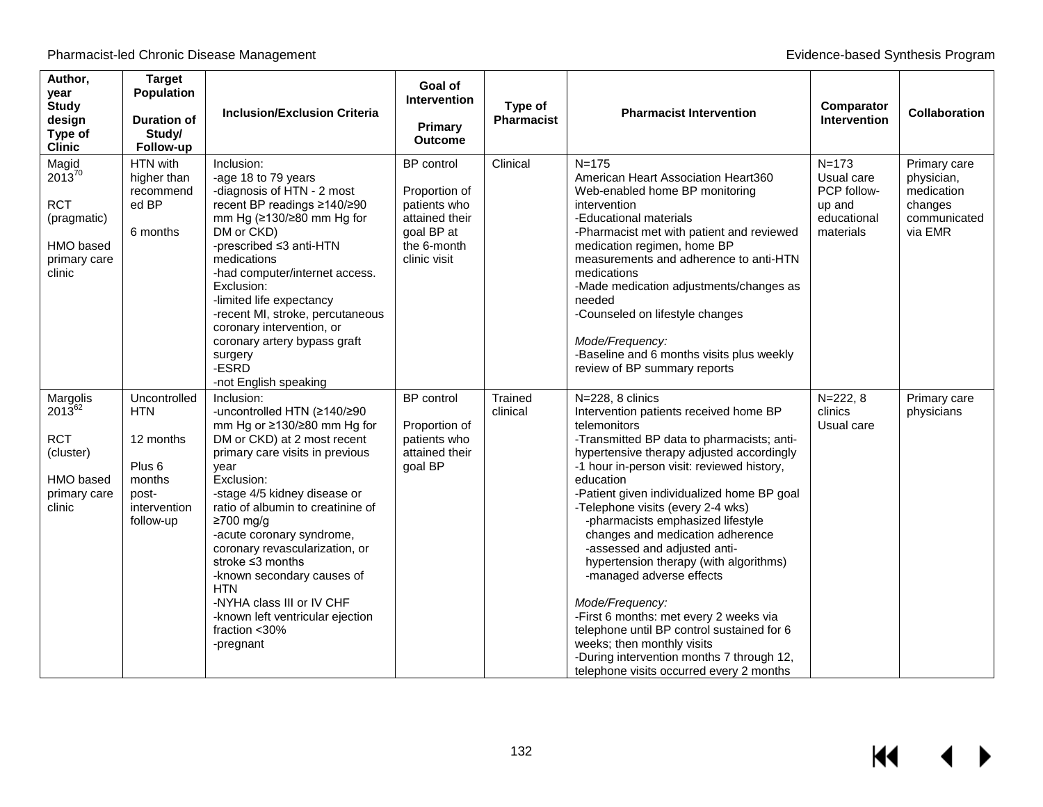| Author,<br>year<br><b>Study</b><br>design<br>Type of<br><b>Clinic</b>                     | <b>Target</b><br>Population<br><b>Duration of</b><br>Study/<br>Follow-up                                     | <b>Inclusion/Exclusion Criteria</b>                                                                                                                                                                                                                                                                                                                                                                                                                                                       | Goal of<br><b>Intervention</b><br><b>Primary</b><br>Outcome                                                       | Type of<br><b>Pharmacist</b> | <b>Pharmacist Intervention</b>                                                                                                                                                                                                                                                                                                                                                                                                                                                                                                                                                                                                                                                                                                       | Comparator<br><b>Intervention</b>                                            | <b>Collaboration</b>                                                           |
|-------------------------------------------------------------------------------------------|--------------------------------------------------------------------------------------------------------------|-------------------------------------------------------------------------------------------------------------------------------------------------------------------------------------------------------------------------------------------------------------------------------------------------------------------------------------------------------------------------------------------------------------------------------------------------------------------------------------------|-------------------------------------------------------------------------------------------------------------------|------------------------------|--------------------------------------------------------------------------------------------------------------------------------------------------------------------------------------------------------------------------------------------------------------------------------------------------------------------------------------------------------------------------------------------------------------------------------------------------------------------------------------------------------------------------------------------------------------------------------------------------------------------------------------------------------------------------------------------------------------------------------------|------------------------------------------------------------------------------|--------------------------------------------------------------------------------|
| Magid<br>$2013^{70}$<br><b>RCT</b><br>(pragmatic)<br>HMO based<br>primary care<br>clinic  | HTN with<br>higher than<br>recommend<br>ed BP<br>6 months                                                    | Inclusion:<br>-age 18 to 79 years<br>-diagnosis of HTN - 2 most<br>recent BP readings ≥140/≥90<br>mm Hg (≥130/≥80 mm Hg for<br>DM or CKD)<br>-prescribed ≤3 anti-HTN<br>medications<br>-had computer/internet access.<br>Exclusion:<br>-limited life expectancy<br>-recent MI, stroke, percutaneous<br>coronary intervention, or<br>coronary artery bypass graft<br>surgery<br>-ESRD<br>-not English speaking                                                                             | <b>BP</b> control<br>Proportion of<br>patients who<br>attained their<br>goal BP at<br>the 6-month<br>clinic visit | Clinical                     | $N = 175$<br>American Heart Association Heart360<br>Web-enabled home BP monitoring<br>intervention<br>-Educational materials<br>-Pharmacist met with patient and reviewed<br>medication regimen, home BP<br>measurements and adherence to anti-HTN<br>medications<br>-Made medication adjustments/changes as<br>needed<br>-Counseled on lifestyle changes<br>Mode/Frequency:<br>-Baseline and 6 months visits plus weekly<br>review of BP summary reports                                                                                                                                                                                                                                                                            | $N = 173$<br>Usual care<br>PCP follow-<br>up and<br>educational<br>materials | Primary care<br>physician,<br>medication<br>changes<br>communicated<br>via EMR |
| Margolis<br>$2013^{62}$<br><b>RCT</b><br>(cluster)<br>HMO based<br>primary care<br>clinic | Uncontrolled<br><b>HTN</b><br>12 months<br>Plus <sub>6</sub><br>months<br>post-<br>intervention<br>follow-up | Inclusion:<br>-uncontrolled HTN (≥140/≥90<br>mm Hg or ≥130/≥80 mm Hg for<br>DM or CKD) at 2 most recent<br>primary care visits in previous<br>year<br>Exclusion:<br>-stage 4/5 kidney disease or<br>ratio of albumin to creatinine of<br>≥700 mg/g<br>-acute coronary syndrome,<br>coronary revascularization, or<br>stroke $\leq$ 3 months<br>-known secondary causes of<br><b>HTN</b><br>-NYHA class III or IV CHF<br>-known left ventricular ejection<br>fraction $<$ 30%<br>-pregnant | <b>BP</b> control<br>Proportion of<br>patients who<br>attained their<br>goal BP                                   | Trained<br>clinical          | N=228, 8 clinics<br>Intervention patients received home BP<br>telemonitors<br>-Transmitted BP data to pharmacists; anti-<br>hypertensive therapy adjusted accordingly<br>-1 hour in-person visit: reviewed history,<br>education<br>-Patient given individualized home BP goal<br>-Telephone visits (every 2-4 wks)<br>-pharmacists emphasized lifestyle<br>changes and medication adherence<br>-assessed and adjusted anti-<br>hypertension therapy (with algorithms)<br>-managed adverse effects<br>Mode/Frequency:<br>-First 6 months: met every 2 weeks via<br>telephone until BP control sustained for 6<br>weeks; then monthly visits<br>-During intervention months 7 through 12,<br>telephone visits occurred every 2 months | $N = 222, 8$<br>clinics<br>Usual care                                        | Primary care<br>physicians                                                     |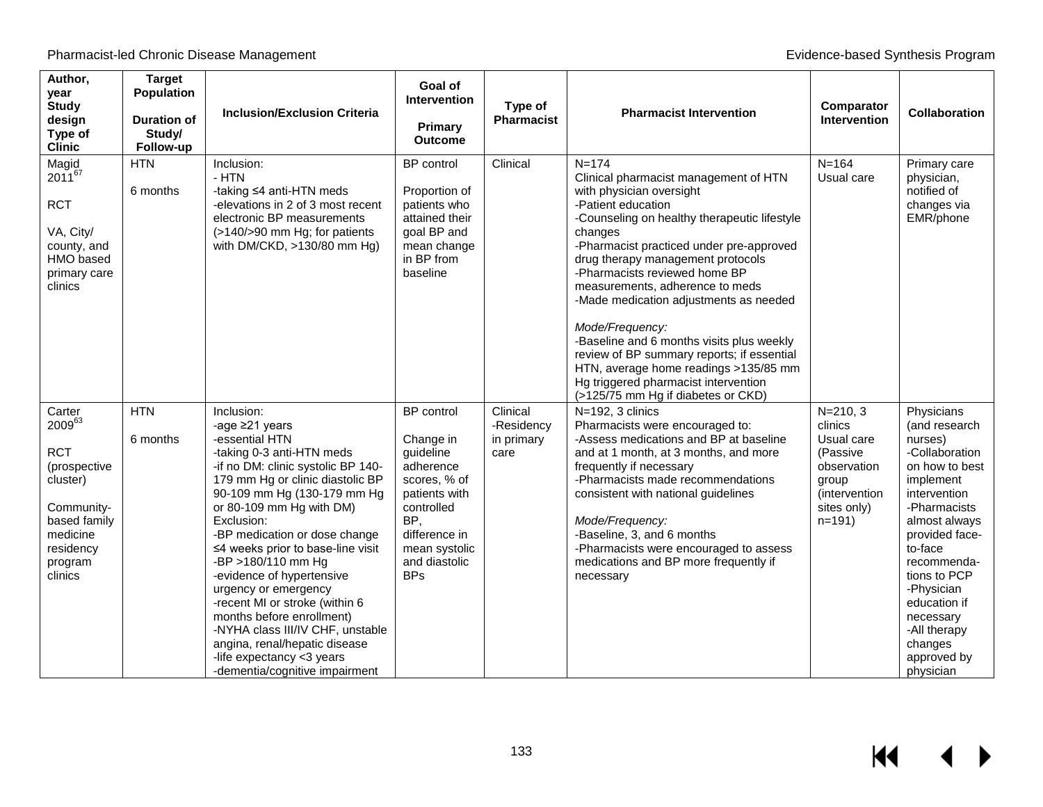| Author,<br>year<br><b>Study</b><br>design<br>Type of<br><b>Clinic</b>                                                                   | <b>Target</b><br><b>Population</b><br><b>Duration of</b><br>Study/<br>Follow-up | <b>Inclusion/Exclusion Criteria</b>                                                                                                                                                                                                                                                                                                                                                                                                                                                                                                                                                | Goal of<br><b>Intervention</b><br>Primary<br><b>Outcome</b>                                                                                                                     | Type of<br><b>Pharmacist</b>                 | <b>Pharmacist Intervention</b>                                                                                                                                                                                                                                                                                                                                                                                                                                                                                                                                                                      | Comparator<br><b>Intervention</b>                                                                                      | <b>Collaboration</b>                                                                                                                                                                                                                                                                                   |
|-----------------------------------------------------------------------------------------------------------------------------------------|---------------------------------------------------------------------------------|------------------------------------------------------------------------------------------------------------------------------------------------------------------------------------------------------------------------------------------------------------------------------------------------------------------------------------------------------------------------------------------------------------------------------------------------------------------------------------------------------------------------------------------------------------------------------------|---------------------------------------------------------------------------------------------------------------------------------------------------------------------------------|----------------------------------------------|-----------------------------------------------------------------------------------------------------------------------------------------------------------------------------------------------------------------------------------------------------------------------------------------------------------------------------------------------------------------------------------------------------------------------------------------------------------------------------------------------------------------------------------------------------------------------------------------------------|------------------------------------------------------------------------------------------------------------------------|--------------------------------------------------------------------------------------------------------------------------------------------------------------------------------------------------------------------------------------------------------------------------------------------------------|
| Magid<br>$2011^{67}$<br><b>RCT</b><br>VA, City/<br>county, and<br>HMO based<br>primary care<br>clinics                                  | <b>HTN</b><br>6 months                                                          | Inclusion:<br>- HTN<br>-taking ≤4 anti-HTN meds<br>-elevations in 2 of 3 most recent<br>electronic BP measurements<br>(>140/>90 mm Hg; for patients<br>with DM/CKD, >130/80 mm Hg)                                                                                                                                                                                                                                                                                                                                                                                                 | <b>BP</b> control<br>Proportion of<br>patients who<br>attained their<br>goal BP and<br>mean change<br>in BP from<br>baseline                                                    | Clinical                                     | $N = 174$<br>Clinical pharmacist management of HTN<br>with physician oversight<br>-Patient education<br>-Counseling on healthy therapeutic lifestyle<br>changes<br>-Pharmacist practiced under pre-approved<br>drug therapy management protocols<br>-Pharmacists reviewed home BP<br>measurements, adherence to meds<br>-Made medication adjustments as needed<br>Mode/Frequency:<br>-Baseline and 6 months visits plus weekly<br>review of BP summary reports; if essential<br>HTN, average home readings >135/85 mm<br>Hg triggered pharmacist intervention<br>(>125/75 mm Hg if diabetes or CKD) | $N = 164$<br>Usual care                                                                                                | Primary care<br>physician,<br>notified of<br>changes via<br>EMR/phone                                                                                                                                                                                                                                  |
| Carter<br>200963<br><b>RCT</b><br>(prospective<br>cluster)<br>Community-<br>based family<br>medicine<br>residency<br>program<br>clinics | <b>HTN</b><br>6 months                                                          | Inclusion:<br>-age ≥21 years<br>-essential HTN<br>-taking 0-3 anti-HTN meds<br>-if no DM: clinic systolic BP 140-<br>179 mm Hg or clinic diastolic BP<br>90-109 mm Hg (130-179 mm Hg<br>or 80-109 mm Hg with DM)<br>Exclusion:<br>-BP medication or dose change<br>≤4 weeks prior to base-line visit<br>-BP >180/110 mm Hg<br>-evidence of hypertensive<br>urgency or emergency<br>-recent MI or stroke (within 6<br>months before enrollment)<br>-NYHA class III/IV CHF, unstable<br>angina, renal/hepatic disease<br>-life expectancy <3 years<br>-dementia/cognitive impairment | <b>BP</b> control<br>Change in<br>guideline<br>adherence<br>scores, % of<br>patients with<br>controlled<br>BP,<br>difference in<br>mean systolic<br>and diastolic<br><b>BPs</b> | Clinical<br>-Residency<br>in primary<br>care | N=192, 3 clinics<br>Pharmacists were encouraged to:<br>-Assess medications and BP at baseline<br>and at 1 month, at 3 months, and more<br>frequently if necessary<br>-Pharmacists made recommendations<br>consistent with national guidelines<br>Mode/Frequency:<br>-Baseline, 3, and 6 months<br>-Pharmacists were encouraged to assess<br>medications and BP more frequently if<br>necessary                                                                                                                                                                                                      | $N = 210, 3$<br>clinics<br>Usual care<br>(Passive<br>observation<br>group<br>(intervention<br>sites only)<br>$n=191$ ) | Physicians<br>(and research<br>nurses)<br>-Collaboration<br>on how to best<br>implement<br>intervention<br>-Pharmacists<br>almost always<br>provided face-<br>to-face<br>recommenda-<br>tions to PCP<br>-Physician<br>education if<br>necessary<br>-All therapy<br>changes<br>approved by<br>physician |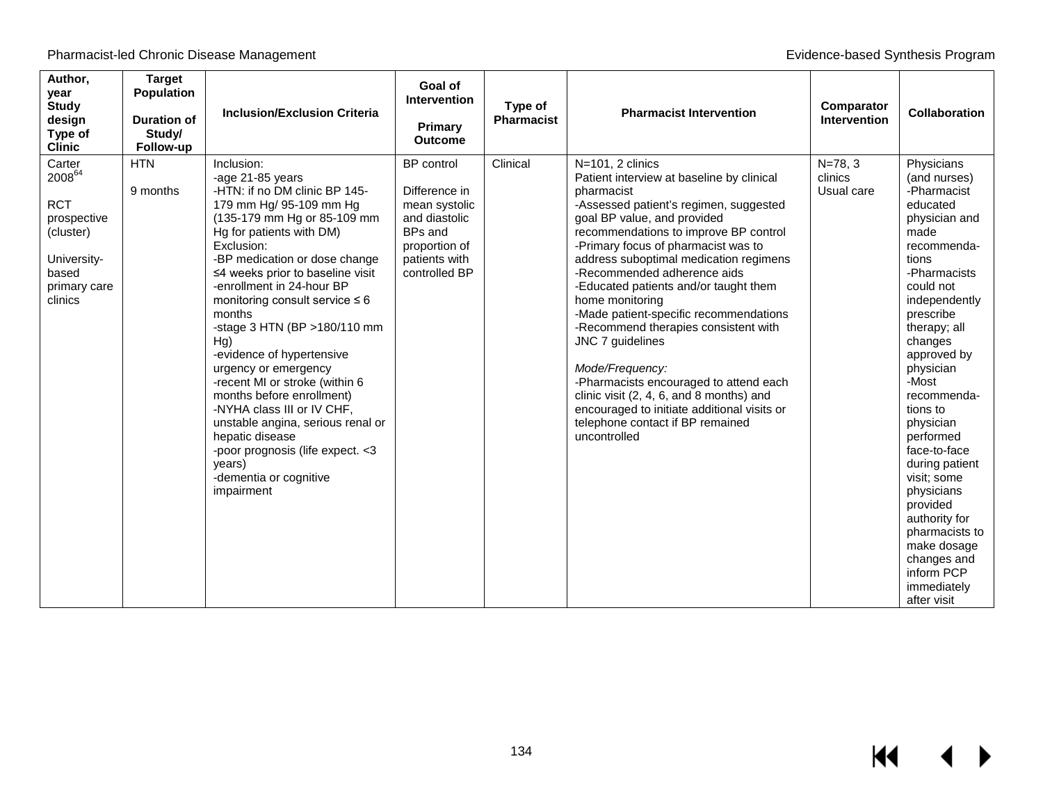| Author,<br>year<br><b>Study</b><br>design<br>Type of<br><b>Clinic</b>                                              | <b>Target</b><br>Population<br><b>Duration of</b><br>Study/<br>Follow-up | <b>Inclusion/Exclusion Criteria</b>                                                                                                                                                                                                                                                                                                                                                                                                                                                                                                                                                                                                                             | Goal of<br>Intervention<br>Primary<br><b>Outcome</b>                                                                               | Type of<br><b>Pharmacist</b> | <b>Pharmacist Intervention</b>                                                                                                                                                                                                                                                                                                                                                                                                                                                                                                                                                                                                                                                              | Comparator<br><b>Intervention</b>    | <b>Collaboration</b>                                                                                                                                                                                                                                                                                                                                                                                                                                                           |
|--------------------------------------------------------------------------------------------------------------------|--------------------------------------------------------------------------|-----------------------------------------------------------------------------------------------------------------------------------------------------------------------------------------------------------------------------------------------------------------------------------------------------------------------------------------------------------------------------------------------------------------------------------------------------------------------------------------------------------------------------------------------------------------------------------------------------------------------------------------------------------------|------------------------------------------------------------------------------------------------------------------------------------|------------------------------|---------------------------------------------------------------------------------------------------------------------------------------------------------------------------------------------------------------------------------------------------------------------------------------------------------------------------------------------------------------------------------------------------------------------------------------------------------------------------------------------------------------------------------------------------------------------------------------------------------------------------------------------------------------------------------------------|--------------------------------------|--------------------------------------------------------------------------------------------------------------------------------------------------------------------------------------------------------------------------------------------------------------------------------------------------------------------------------------------------------------------------------------------------------------------------------------------------------------------------------|
| Carter<br>$2008^{64}$<br><b>RCT</b><br>prospective<br>(cluster)<br>University-<br>based<br>primary care<br>clinics | <b>HTN</b><br>9 months                                                   | Inclusion:<br>-age 21-85 years<br>-HTN: if no DM clinic BP 145-<br>179 mm Hg/ 95-109 mm Hg<br>(135-179 mm Hg or 85-109 mm<br>Hg for patients with DM)<br>Exclusion:<br>-BP medication or dose change<br>≤4 weeks prior to baseline visit<br>-enrollment in 24-hour BP<br>monitoring consult service $\leq 6$<br>months<br>-stage 3 HTN (BP > 180/110 mm<br>Hg)<br>-evidence of hypertensive<br>urgency or emergency<br>-recent MI or stroke (within 6<br>months before enrollment)<br>-NYHA class III or IV CHF,<br>unstable angina, serious renal or<br>hepatic disease<br>-poor prognosis (life expect. < 3<br>years)<br>-dementia or cognitive<br>impairment | <b>BP</b> control<br>Difference in<br>mean systolic<br>and diastolic<br>BPs and<br>proportion of<br>patients with<br>controlled BP | Clinical                     | N=101, 2 clinics<br>Patient interview at baseline by clinical<br>pharmacist<br>-Assessed patient's regimen, suggested<br>goal BP value, and provided<br>recommendations to improve BP control<br>-Primary focus of pharmacist was to<br>address suboptimal medication regimens<br>-Recommended adherence aids<br>-Educated patients and/or taught them<br>home monitoring<br>-Made patient-specific recommendations<br>-Recommend therapies consistent with<br>JNC 7 guidelines<br>Mode/Frequency:<br>-Pharmacists encouraged to attend each<br>clinic visit (2, 4, 6, and 8 months) and<br>encouraged to initiate additional visits or<br>telephone contact if BP remained<br>uncontrolled | $N = 78, 3$<br>clinics<br>Usual care | Physicians<br>(and nurses)<br>-Pharmacist<br>educated<br>physician and<br>made<br>recommenda-<br>tions<br>-Pharmacists<br>could not<br>independently<br>prescribe<br>therapy; all<br>changes<br>approved by<br>physician<br>-Most<br>recommenda-<br>tions to<br>physician<br>performed<br>face-to-face<br>during patient<br>visit; some<br>physicians<br>provided<br>authority for<br>pharmacists to<br>make dosage<br>changes and<br>inform PCP<br>immediately<br>after visit |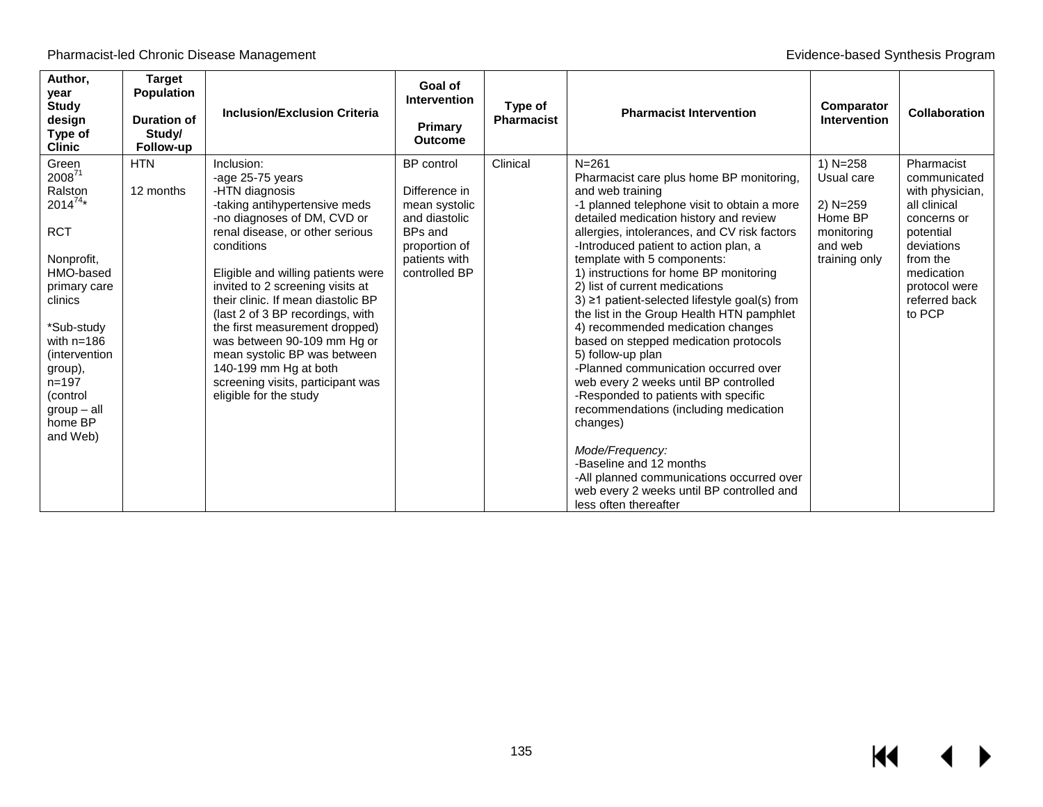| Author,<br>year<br><b>Study</b><br>design<br>Type of<br><b>Clinic</b> | <b>Target</b><br><b>Population</b><br><b>Duration of</b><br>Study/<br>Follow-up | <b>Inclusion/Exclusion Criteria</b>                                            | Goal of<br><b>Intervention</b><br>Primary<br><b>Outcome</b> | Type of<br><b>Pharmacist</b> | <b>Pharmacist Intervention</b>                                                                            | Comparator<br><b>Intervention</b> | <b>Collaboration</b>                           |
|-----------------------------------------------------------------------|---------------------------------------------------------------------------------|--------------------------------------------------------------------------------|-------------------------------------------------------------|------------------------------|-----------------------------------------------------------------------------------------------------------|-----------------------------------|------------------------------------------------|
| Green<br>200871                                                       | <b>HTN</b>                                                                      | Inclusion:<br>-age 25-75 years                                                 | BP control                                                  | Clinical                     | $N = 261$<br>Pharmacist care plus home BP monitoring,                                                     | 1) $N = 258$<br>Usual care        | Pharmacist<br>communicated                     |
| Ralston<br>$2014^{74*}$                                               | 12 months                                                                       | -HTN diagnosis<br>-taking antihypertensive meds<br>-no diagnoses of DM, CVD or | Difference in<br>mean systolic<br>and diastolic             |                              | and web training<br>-1 planned telephone visit to obtain a more<br>detailed medication history and review | 2) N=259<br>Home BP               | with physician,<br>all clinical<br>concerns or |
| <b>RCT</b>                                                            |                                                                                 | renal disease, or other serious<br>conditions                                  | <b>BPs and</b><br>proportion of                             |                              | allergies, intolerances, and CV risk factors<br>-Introduced patient to action plan, a                     | monitoring<br>and web             | potential<br>deviations                        |
| Nonprofit,                                                            |                                                                                 |                                                                                | patients with                                               |                              | template with 5 components:                                                                               | training only                     | from the                                       |
| HMO-based                                                             |                                                                                 | Eligible and willing patients were<br>invited to 2 screening visits at         | controlled BP                                               |                              | 1) instructions for home BP monitoring<br>2) list of current medications                                  |                                   | medication<br>protocol were                    |
| primary care<br>clinics                                               |                                                                                 | their clinic. If mean diastolic BP                                             |                                                             |                              | $3) \ge 1$ patient-selected lifestyle goal(s) from                                                        |                                   | referred back                                  |
|                                                                       |                                                                                 | (last 2 of 3 BP recordings, with                                               |                                                             |                              | the list in the Group Health HTN pamphlet                                                                 |                                   | to PCP                                         |
| *Sub-study                                                            |                                                                                 | the first measurement dropped)                                                 |                                                             |                              | 4) recommended medication changes                                                                         |                                   |                                                |
| with $n=186$<br>(intervention)                                        |                                                                                 | was between 90-109 mm Hg or<br>mean systolic BP was between                    |                                                             |                              | based on stepped medication protocols<br>5) follow-up plan                                                |                                   |                                                |
| group),                                                               |                                                                                 | 140-199 mm Hg at both                                                          |                                                             |                              | -Planned communication occurred over                                                                      |                                   |                                                |
| $n = 197$                                                             |                                                                                 | screening visits, participant was                                              |                                                             |                              | web every 2 weeks until BP controlled                                                                     |                                   |                                                |
| (control                                                              |                                                                                 | eligible for the study                                                         |                                                             |                              | -Responded to patients with specific<br>recommendations (including medication                             |                                   |                                                |
| $group - all$<br>home BP                                              |                                                                                 |                                                                                |                                                             |                              | changes)                                                                                                  |                                   |                                                |
| and Web)                                                              |                                                                                 |                                                                                |                                                             |                              |                                                                                                           |                                   |                                                |
|                                                                       |                                                                                 |                                                                                |                                                             |                              | Mode/Frequency:                                                                                           |                                   |                                                |
|                                                                       |                                                                                 |                                                                                |                                                             |                              | -Baseline and 12 months                                                                                   |                                   |                                                |
|                                                                       |                                                                                 |                                                                                |                                                             |                              | -All planned communications occurred over<br>web every 2 weeks until BP controlled and                    |                                   |                                                |
|                                                                       |                                                                                 |                                                                                |                                                             |                              | less often thereafter                                                                                     |                                   |                                                |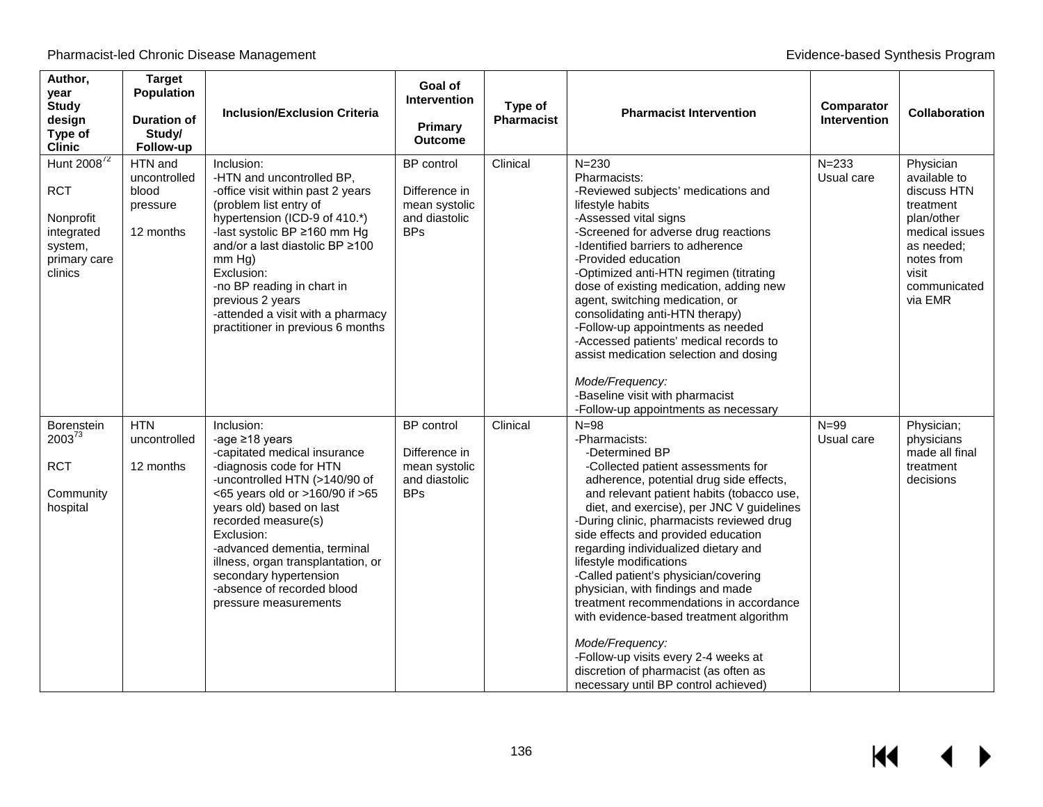| Author,<br>year<br><b>Study</b><br>design<br>Type of<br><b>Clinic</b>                                  | <b>Target</b><br><b>Population</b><br><b>Duration of</b><br>Study/<br>Follow-up | <b>Inclusion/Exclusion Criteria</b>                                                                                                                                                                                                                                                                                                                                                       | Goal of<br><b>Intervention</b><br>Primary<br><b>Outcome</b>                 | Type of<br><b>Pharmacist</b> | <b>Pharmacist Intervention</b>                                                                                                                                                                                                                                                                                                                                                                                                                                                                                                                                                                                                                                                               | Comparator<br>Intervention | <b>Collaboration</b>                                                                                                                                  |
|--------------------------------------------------------------------------------------------------------|---------------------------------------------------------------------------------|-------------------------------------------------------------------------------------------------------------------------------------------------------------------------------------------------------------------------------------------------------------------------------------------------------------------------------------------------------------------------------------------|-----------------------------------------------------------------------------|------------------------------|----------------------------------------------------------------------------------------------------------------------------------------------------------------------------------------------------------------------------------------------------------------------------------------------------------------------------------------------------------------------------------------------------------------------------------------------------------------------------------------------------------------------------------------------------------------------------------------------------------------------------------------------------------------------------------------------|----------------------------|-------------------------------------------------------------------------------------------------------------------------------------------------------|
| Hunt 2008 <sup>72</sup><br><b>RCT</b><br>Nonprofit<br>integrated<br>system,<br>primary care<br>clinics | HTN and<br>uncontrolled<br>blood<br>pressure<br>12 months                       | Inclusion:<br>-HTN and uncontrolled BP,<br>-office visit within past 2 years<br>(problem list entry of<br>hypertension (ICD-9 of 410.*)<br>-last systolic BP ≥160 mm Hg<br>and/or a last diastolic BP ≥100<br>$mm Hg$ )<br>Exclusion:<br>-no BP reading in chart in<br>previous 2 years<br>-attended a visit with a pharmacy<br>practitioner in previous 6 months                         | BP control<br>Difference in<br>mean systolic<br>and diastolic<br><b>BPs</b> | Clinical                     | $N = 230$<br>Pharmacists:<br>-Reviewed subjects' medications and<br>lifestyle habits<br>-Assessed vital signs<br>-Screened for adverse drug reactions<br>-Identified barriers to adherence<br>-Provided education<br>-Optimized anti-HTN regimen (titrating<br>dose of existing medication, adding new<br>agent, switching medication, or<br>consolidating anti-HTN therapy)<br>-Follow-up appointments as needed<br>-Accessed patients' medical records to<br>assist medication selection and dosing<br>Mode/Frequency:<br>-Baseline visit with pharmacist<br>-Follow-up appointments as necessary                                                                                          | $N = 233$<br>Usual care    | Physician<br>available to<br>discuss HTN<br>treatment<br>plan/other<br>medical issues<br>as needed:<br>notes from<br>visit<br>communicated<br>via EMR |
| Borenstein<br>$2003^{73}$<br><b>RCT</b><br>Community<br>hospital                                       | <b>HTN</b><br>uncontrolled<br>12 months                                         | Inclusion:<br>-age $\geq$ 18 years<br>-capitated medical insurance<br>-diagnosis code for HTN<br>-uncontrolled HTN (>140/90 of<br><65 years old or >160/90 if >65<br>years old) based on last<br>recorded measure(s)<br>Exclusion:<br>-advanced dementia, terminal<br>illness, organ transplantation, or<br>secondary hypertension<br>-absence of recorded blood<br>pressure measurements | BP control<br>Difference in<br>mean systolic<br>and diastolic<br><b>BPs</b> | Clinical                     | $N = 98$<br>-Pharmacists:<br>-Determined BP<br>-Collected patient assessments for<br>adherence, potential drug side effects,<br>and relevant patient habits (tobacco use,<br>diet, and exercise), per JNC V guidelines<br>-During clinic, pharmacists reviewed drug<br>side effects and provided education<br>regarding individualized dietary and<br>lifestyle modifications<br>-Called patient's physician/covering<br>physician, with findings and made<br>treatment recommendations in accordance<br>with evidence-based treatment algorithm<br>Mode/Frequency:<br>-Follow-up visits every 2-4 weeks at<br>discretion of pharmacist (as often as<br>necessary until BP control achieved) | $N = 99$<br>Usual care     | Physician;<br>physicians<br>made all final<br>treatment<br>decisions                                                                                  |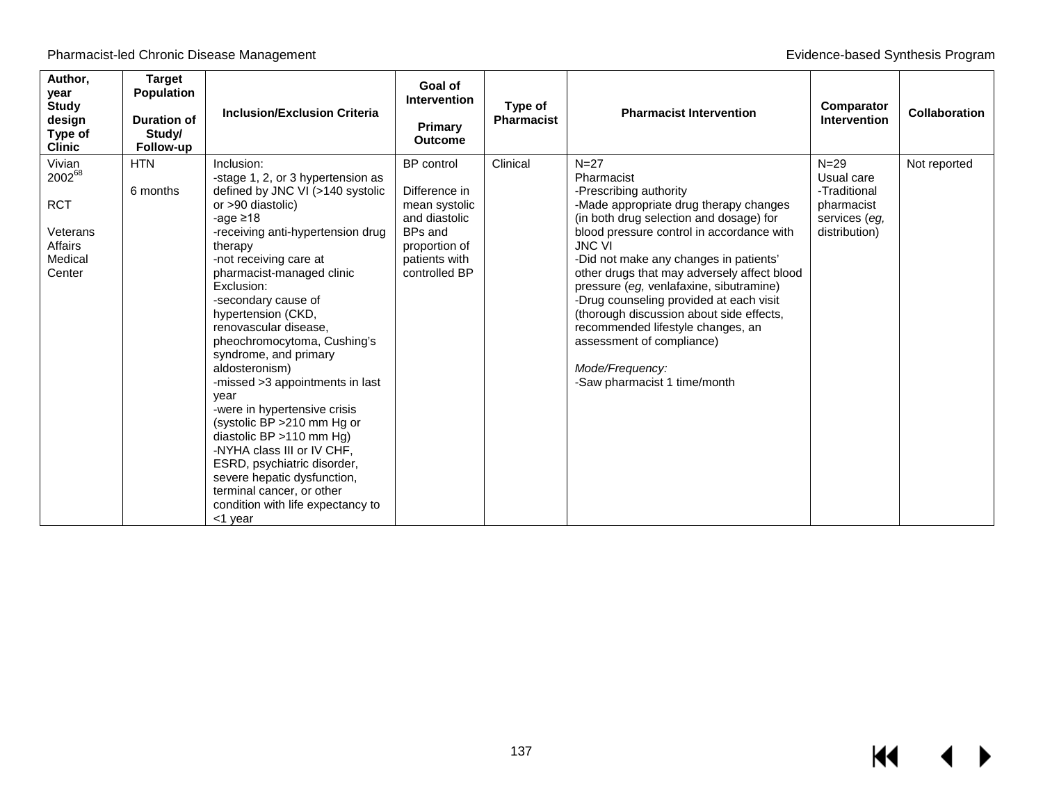| Author,<br>year<br><b>Study</b><br>design<br>Type of<br><b>Clinic</b>                  | <b>Target</b><br>Population<br><b>Duration of</b><br>Study/<br>Follow-up | <b>Inclusion/Exclusion Criteria</b>                                                                                                                                                                                                                                                                                                                                                                                                                                                                                                                                                                                                                                                                            | Goal of<br><b>Intervention</b><br>Primary<br><b>Outcome</b>                                                                               | Type of<br><b>Pharmacist</b> | <b>Pharmacist Intervention</b>                                                                                                                                                                                                                                                                                                                                                                                                                                                                                                                    | Comparator<br><b>Intervention</b>                                                      | <b>Collaboration</b> |
|----------------------------------------------------------------------------------------|--------------------------------------------------------------------------|----------------------------------------------------------------------------------------------------------------------------------------------------------------------------------------------------------------------------------------------------------------------------------------------------------------------------------------------------------------------------------------------------------------------------------------------------------------------------------------------------------------------------------------------------------------------------------------------------------------------------------------------------------------------------------------------------------------|-------------------------------------------------------------------------------------------------------------------------------------------|------------------------------|---------------------------------------------------------------------------------------------------------------------------------------------------------------------------------------------------------------------------------------------------------------------------------------------------------------------------------------------------------------------------------------------------------------------------------------------------------------------------------------------------------------------------------------------------|----------------------------------------------------------------------------------------|----------------------|
| Vivian<br>$2002^{68}$<br><b>RCT</b><br>Veterans<br><b>Affairs</b><br>Medical<br>Center | <b>HTN</b><br>6 months                                                   | Inclusion:<br>-stage 1, 2, or 3 hypertension as<br>defined by JNC VI (>140 systolic<br>or >90 diastolic)<br>-age $\geq$ 18<br>-receiving anti-hypertension drug<br>therapy<br>-not receiving care at<br>pharmacist-managed clinic<br>Exclusion:<br>-secondary cause of<br>hypertension (CKD,<br>renovascular disease.<br>pheochromocytoma, Cushing's<br>syndrome, and primary<br>aldosteronism)<br>-missed >3 appointments in last<br>year<br>-were in hypertensive crisis<br>(systolic BP > 210 mm Hg or<br>diastolic BP >110 mm Hg)<br>-NYHA class III or IV CHF,<br>ESRD, psychiatric disorder,<br>severe hepatic dysfunction,<br>terminal cancer, or other<br>condition with life expectancy to<br><1 year | <b>BP</b> control<br>Difference in<br>mean systolic<br>and diastolic<br><b>BPs and</b><br>proportion of<br>patients with<br>controlled BP | Clinical                     | $N=27$<br>Pharmacist<br>-Prescribing authority<br>-Made appropriate drug therapy changes<br>(in both drug selection and dosage) for<br>blood pressure control in accordance with<br><b>JNC VI</b><br>-Did not make any changes in patients'<br>other drugs that may adversely affect blood<br>pressure (eg, venlafaxine, sibutramine)<br>-Drug counseling provided at each visit<br>(thorough discussion about side effects,<br>recommended lifestyle changes, an<br>assessment of compliance)<br>Mode/Frequency:<br>-Saw pharmacist 1 time/month | $N = 29$<br>Usual care<br>-Traditional<br>pharmacist<br>services (eg,<br>distribution) | Not reported         |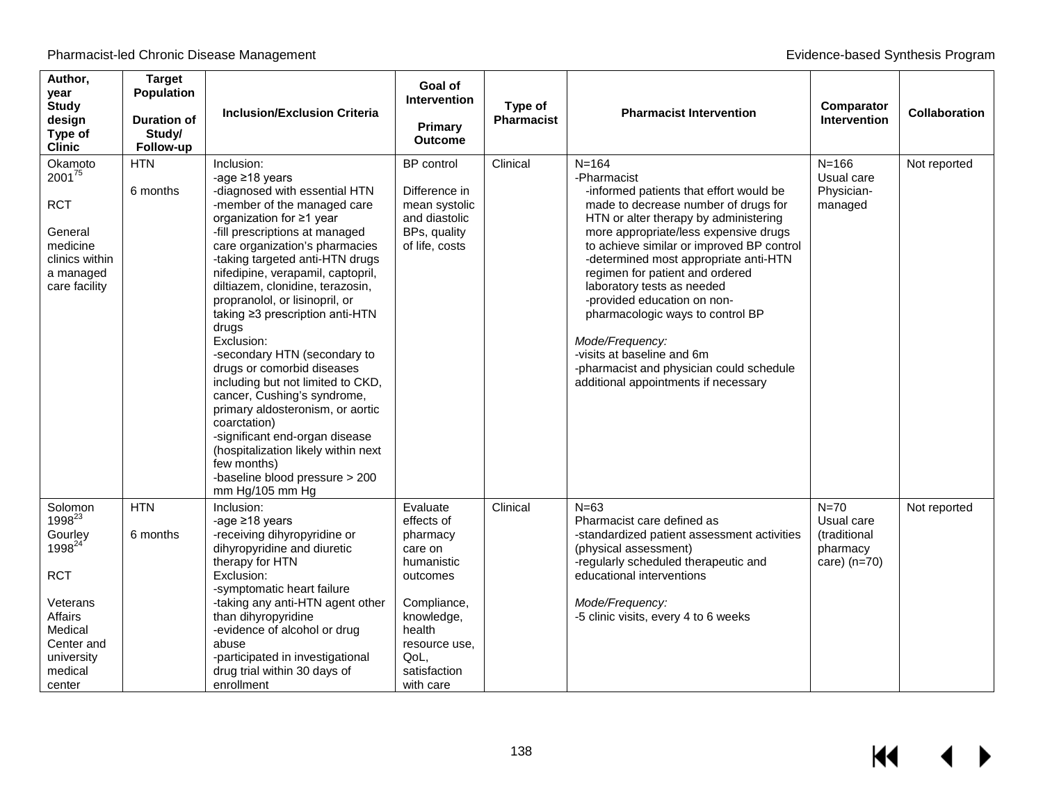| Author,<br>year<br><b>Study</b><br>design<br>Type of<br><b>Clinic</b>                                                                                           | <b>Target</b><br><b>Population</b><br><b>Duration of</b><br>Study/<br>Follow-up | <b>Inclusion/Exclusion Criteria</b>                                                                                                                                                                                                                                                                                                                                                                                                                                                                                                                                                                                                                                                                                                     | Goal of<br><b>Intervention</b><br><b>Primary</b><br><b>Outcome</b>                                                                                                   | Type of<br><b>Pharmacist</b> | <b>Pharmacist Intervention</b>                                                                                                                                                                                                                                                                                                                                                                                                                                                                                                                               | Comparator<br>Intervention                                         | <b>Collaboration</b> |
|-----------------------------------------------------------------------------------------------------------------------------------------------------------------|---------------------------------------------------------------------------------|-----------------------------------------------------------------------------------------------------------------------------------------------------------------------------------------------------------------------------------------------------------------------------------------------------------------------------------------------------------------------------------------------------------------------------------------------------------------------------------------------------------------------------------------------------------------------------------------------------------------------------------------------------------------------------------------------------------------------------------------|----------------------------------------------------------------------------------------------------------------------------------------------------------------------|------------------------------|--------------------------------------------------------------------------------------------------------------------------------------------------------------------------------------------------------------------------------------------------------------------------------------------------------------------------------------------------------------------------------------------------------------------------------------------------------------------------------------------------------------------------------------------------------------|--------------------------------------------------------------------|----------------------|
| Okamoto<br>200175<br><b>RCT</b><br>General<br>medicine<br>clinics within<br>a managed<br>care facility                                                          | <b>HTN</b><br>6 months                                                          | Inclusion:<br>-age ≥18 years<br>-diagnosed with essential HTN<br>-member of the managed care<br>organization for ≥1 year<br>-fill prescriptions at managed<br>care organization's pharmacies<br>-taking targeted anti-HTN drugs<br>nifedipine, verapamil, captopril,<br>diltiazem, clonidine, terazosin,<br>propranolol, or lisinopril, or<br>taking ≥3 prescription anti-HTN<br>drugs<br>Exclusion:<br>-secondary HTN (secondary to<br>drugs or comorbid diseases<br>including but not limited to CKD,<br>cancer, Cushing's syndrome,<br>primary aldosteronism, or aortic<br>coarctation)<br>-significant end-organ disease<br>(hospitalization likely within next<br>few months)<br>-baseline blood pressure > 200<br>mm Hg/105 mm Hg | BP control<br>Difference in<br>mean systolic<br>and diastolic<br>BPs, quality<br>of life, costs                                                                      | Clinical                     | $N = 164$<br>-Pharmacist<br>-informed patients that effort would be<br>made to decrease number of drugs for<br>HTN or alter therapy by administering<br>more appropriate/less expensive drugs<br>to achieve similar or improved BP control<br>-determined most appropriate anti-HTN<br>regimen for patient and ordered<br>laboratory tests as needed<br>-provided education on non-<br>pharmacologic ways to control BP<br>Mode/Frequency:<br>-visits at baseline and 6m<br>-pharmacist and physician could schedule<br>additional appointments if necessary | $N = 166$<br>Usual care<br>Physician-<br>managed                   | Not reported         |
| Solomon<br>1998 <sup>23</sup><br>Gourley<br>1998 <sup>24</sup><br><b>RCT</b><br>Veterans<br>Affairs<br>Medical<br>Center and<br>university<br>medical<br>center | <b>HTN</b><br>6 months                                                          | Inclusion:<br>-age $\geq$ 18 years<br>-receiving dihyropyridine or<br>dihyropyridine and diuretic<br>therapy for HTN<br>Exclusion:<br>-symptomatic heart failure<br>-taking any anti-HTN agent other<br>than dihyropyridine<br>-evidence of alcohol or drug<br>abuse<br>-participated in investigational<br>drug trial within 30 days of<br>enrollment                                                                                                                                                                                                                                                                                                                                                                                  | Evaluate<br>effects of<br>pharmacy<br>care on<br>humanistic<br>outcomes<br>Compliance,<br>knowledge,<br>health<br>resource use,<br>QoL,<br>satisfaction<br>with care | Clinical                     | $N=63$<br>Pharmacist care defined as<br>-standardized patient assessment activities<br>(physical assessment)<br>-regularly scheduled therapeutic and<br>educational interventions<br>Mode/Frequency:<br>-5 clinic visits, every 4 to 6 weeks                                                                                                                                                                                                                                                                                                                 | $N=70$<br>Usual care<br>(traditional<br>pharmacy<br>care) $(n=70)$ | Not reported         |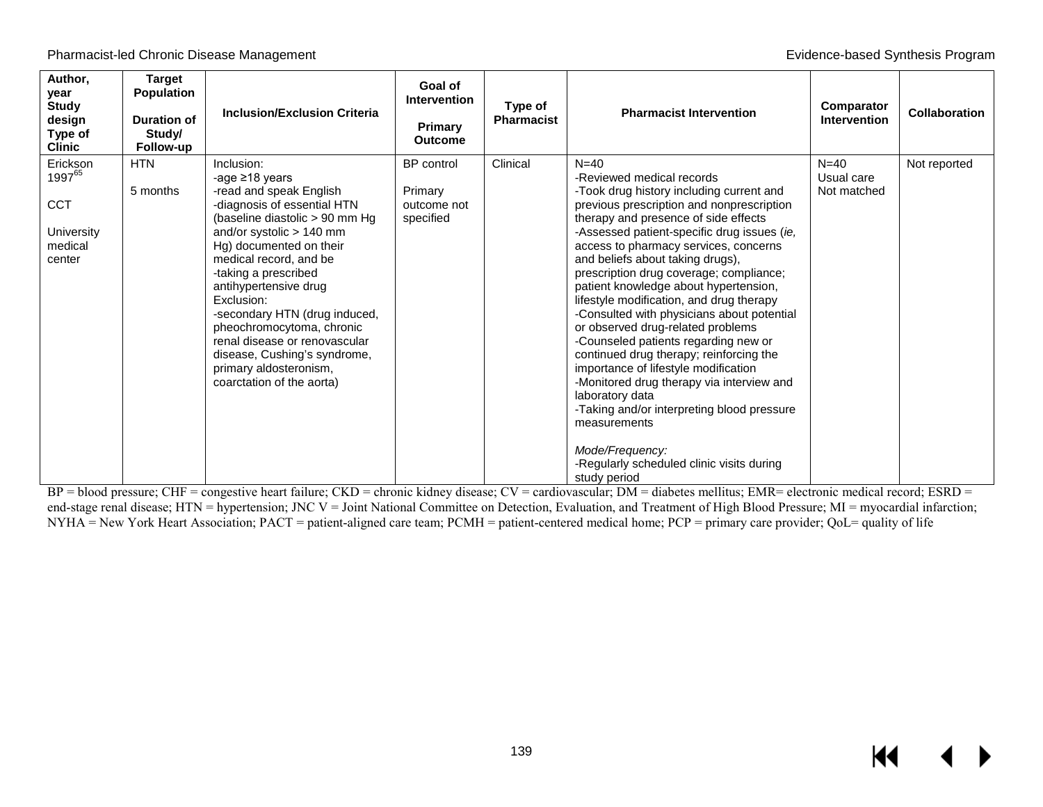Pharmacist-led Chronic Disease Management **Evidence-based Synthesis Program** Evidence-based Synthesis Program

| Author,<br>year<br><b>Study</b><br>design<br>Type of<br><b>Clinic</b>    | <b>Target</b><br>Population<br>Duration of<br>Study/<br>Follow-up | <b>Inclusion/Exclusion Criteria</b>                                                                                                                                                                                                                                                                                                                                                                                                                                  | Goal of<br><b>Intervention</b><br>Primary<br><b>Outcome</b> | Type of<br><b>Pharmacist</b> | <b>Pharmacist Intervention</b>                                                                                                                                                                                                                                                                                                                                                                                                                                                                                                                                                                                                                                                                                                                                                                                                                               | Comparator<br><b>Intervention</b>     | <b>Collaboration</b> |
|--------------------------------------------------------------------------|-------------------------------------------------------------------|----------------------------------------------------------------------------------------------------------------------------------------------------------------------------------------------------------------------------------------------------------------------------------------------------------------------------------------------------------------------------------------------------------------------------------------------------------------------|-------------------------------------------------------------|------------------------------|--------------------------------------------------------------------------------------------------------------------------------------------------------------------------------------------------------------------------------------------------------------------------------------------------------------------------------------------------------------------------------------------------------------------------------------------------------------------------------------------------------------------------------------------------------------------------------------------------------------------------------------------------------------------------------------------------------------------------------------------------------------------------------------------------------------------------------------------------------------|---------------------------------------|----------------------|
| Erickson<br>$1997^{65}$<br><b>CCT</b><br>University<br>medical<br>center | <b>HTN</b><br>5 months                                            | Inclusion:<br>-age $\geq$ 18 years<br>-read and speak English<br>-diagnosis of essential HTN<br>(baseline diastolic > 90 mm Hg<br>and/or systolic > 140 mm<br>Hg) documented on their<br>medical record, and be<br>-taking a prescribed<br>antihypertensive drug<br>Exclusion:<br>-secondary HTN (drug induced,<br>pheochromocytoma, chronic<br>renal disease or renovascular<br>disease, Cushing's syndrome,<br>primary aldosteronism,<br>coarctation of the aorta) | <b>BP</b> control<br>Primary<br>outcome not<br>specified    | Clinical                     | $N=40$<br>-Reviewed medical records<br>-Took drug history including current and<br>previous prescription and nonprescription<br>therapy and presence of side effects<br>-Assessed patient-specific drug issues (ie,<br>access to pharmacy services, concerns<br>and beliefs about taking drugs),<br>prescription drug coverage; compliance;<br>patient knowledge about hypertension,<br>lifestyle modification, and drug therapy<br>-Consulted with physicians about potential<br>or observed drug-related problems<br>-Counseled patients regarding new or<br>continued drug therapy; reinforcing the<br>importance of lifestyle modification<br>-Monitored drug therapy via interview and<br>laboratory data<br>-Taking and/or interpreting blood pressure<br>measurements<br>Mode/Frequency:<br>-Regularly scheduled clinic visits during<br>study period | $N = 40$<br>Usual care<br>Not matched | Not reported         |

BP = blood pressure; CHF = congestive heart failure; CKD = chronic kidney disease; CV = cardiovascular; DM = diabetes mellitus; EMR= electronic medical record; ESRD = end-stage renal disease; HTN = hypertension; JNC V = Joint National Committee on Detection, Evaluation, and Treatment of High Blood Pressure; MI = myocardial infarction;  $NYHA = New York Heart Association$ ;  $PACT = patient-aligned care team$ ;  $PCMH = patient-centered medical home$ ;  $PCP = primary care provider$ ;  $QoL = quality of life$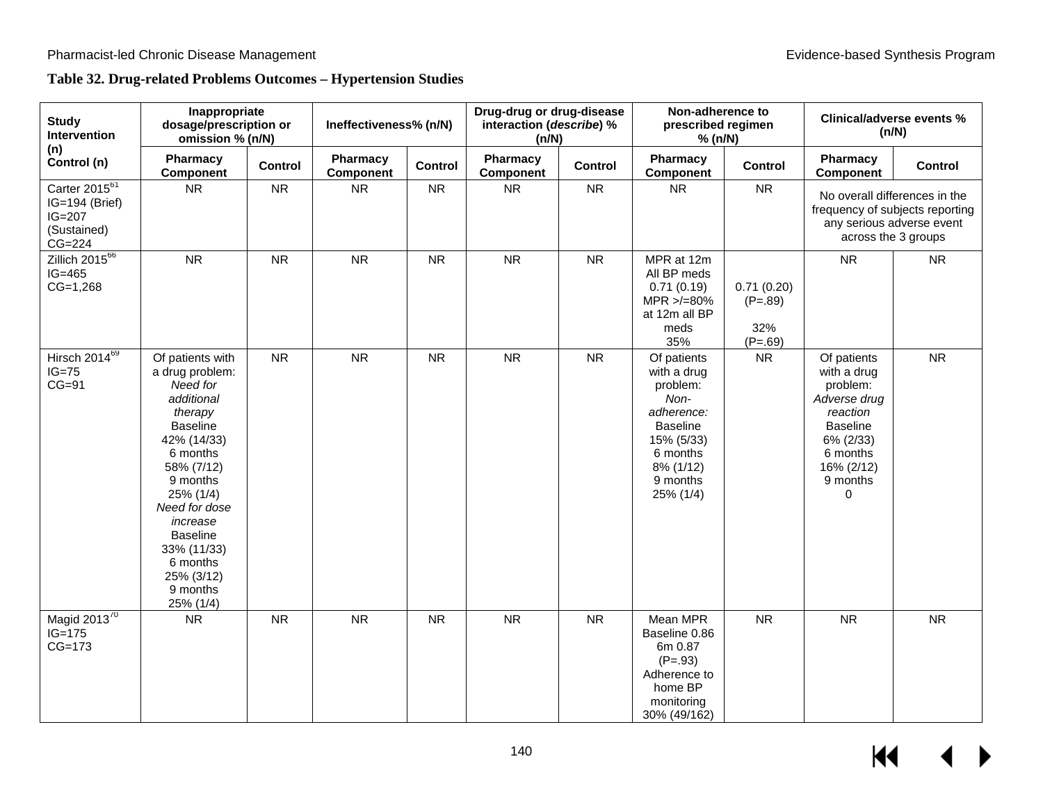# **Table 32. Drug-related Problems Outcomes – Hypertension Studies**

| <b>Study</b><br>Intervention                                                       | Inappropriate<br>dosage/prescription or<br>omission % (n/N)                                                                                                                                                                                                                     |           | Ineffectiveness% (n/N) |           | Drug-drug or drug-disease<br>interaction (describe) %<br>(n/N) |           | Non-adherence to<br>prescribed regimen<br>% (n/N)                                                                                               |                                             | <b>Clinical/adverse events %</b><br>(n/N)                                                                                                     |                                                              |
|------------------------------------------------------------------------------------|---------------------------------------------------------------------------------------------------------------------------------------------------------------------------------------------------------------------------------------------------------------------------------|-----------|------------------------|-----------|----------------------------------------------------------------|-----------|-------------------------------------------------------------------------------------------------------------------------------------------------|---------------------------------------------|-----------------------------------------------------------------------------------------------------------------------------------------------|--------------------------------------------------------------|
| (n)<br>Control (n)                                                                 | Pharmacy<br><b>Component</b>                                                                                                                                                                                                                                                    | Control   | Pharmacy<br>Component  | Control   | Pharmacy<br>Component                                          | Control   | Pharmacy<br><b>Component</b>                                                                                                                    | Control                                     | Pharmacy<br><b>Component</b>                                                                                                                  | <b>Control</b>                                               |
| Carter 2015 <sup>61</sup><br>IG=194 (Brief)<br>$IG=207$<br>(Sustained)<br>$CG=224$ | <b>NR</b>                                                                                                                                                                                                                                                                       | <b>NR</b> | <b>NR</b>              | <b>NR</b> | <b>NR</b>                                                      | <b>NR</b> | <b>NR</b>                                                                                                                                       | <b>NR</b>                                   | No overall differences in the<br>across the 3 groups                                                                                          | frequency of subjects reporting<br>any serious adverse event |
| Zillich $2015^{66}$<br>$IG=465$<br>$CG=1,268$                                      | <b>NR</b>                                                                                                                                                                                                                                                                       | <b>NR</b> | <b>NR</b>              | <b>NR</b> | <b>NR</b>                                                      | <b>NR</b> | MPR at 12m<br>All BP meds<br>0.71(0.19)<br>$MPR > = 80\%$<br>at 12m all BP<br>meds<br>35%                                                       | 0.71(0.20)<br>$(P=.89)$<br>32%<br>$(P=.69)$ | <b>NR</b>                                                                                                                                     | <b>NR</b>                                                    |
| Hirsch $20\overline{14^{69}}$<br>$IG=75$<br>$CG=91$                                | Of patients with<br>a drug problem:<br>Need for<br>additional<br>therapy<br><b>Baseline</b><br>42% (14/33)<br>6 months<br>58% (7/12)<br>9 months<br>25% (1/4)<br>Need for dose<br>increase<br><b>Baseline</b><br>33% (11/33)<br>6 months<br>25% (3/12)<br>9 months<br>25% (1/4) | <b>NR</b> | <b>NR</b>              | <b>NR</b> | <b>NR</b>                                                      | <b>NR</b> | Of patients<br>with a drug<br>problem:<br>Non-<br>adherence:<br><b>Baseline</b><br>15% (5/33)<br>6 months<br>8% (1/12)<br>9 months<br>25% (1/4) | <b>NR</b>                                   | Of patients<br>with a drug<br>problem:<br>Adverse drug<br>reaction<br><b>Baseline</b><br>6% (2/33)<br>6 months<br>16% (2/12)<br>9 months<br>0 | ${\sf NR}$                                                   |
| Magid $2013^{70}$<br>$IG=175$<br>$CG=173$                                          | <b>NR</b>                                                                                                                                                                                                                                                                       | <b>NR</b> | <b>NR</b>              | <b>NR</b> | <b>NR</b>                                                      | <b>NR</b> | Mean MPR<br>Baseline 0.86<br>6m 0.87<br>$(P=.93)$<br>Adherence to<br>home BP<br>monitoring<br>30% (49/162)                                      | <b>NR</b>                                   | <b>NR</b>                                                                                                                                     | <b>NR</b>                                                    |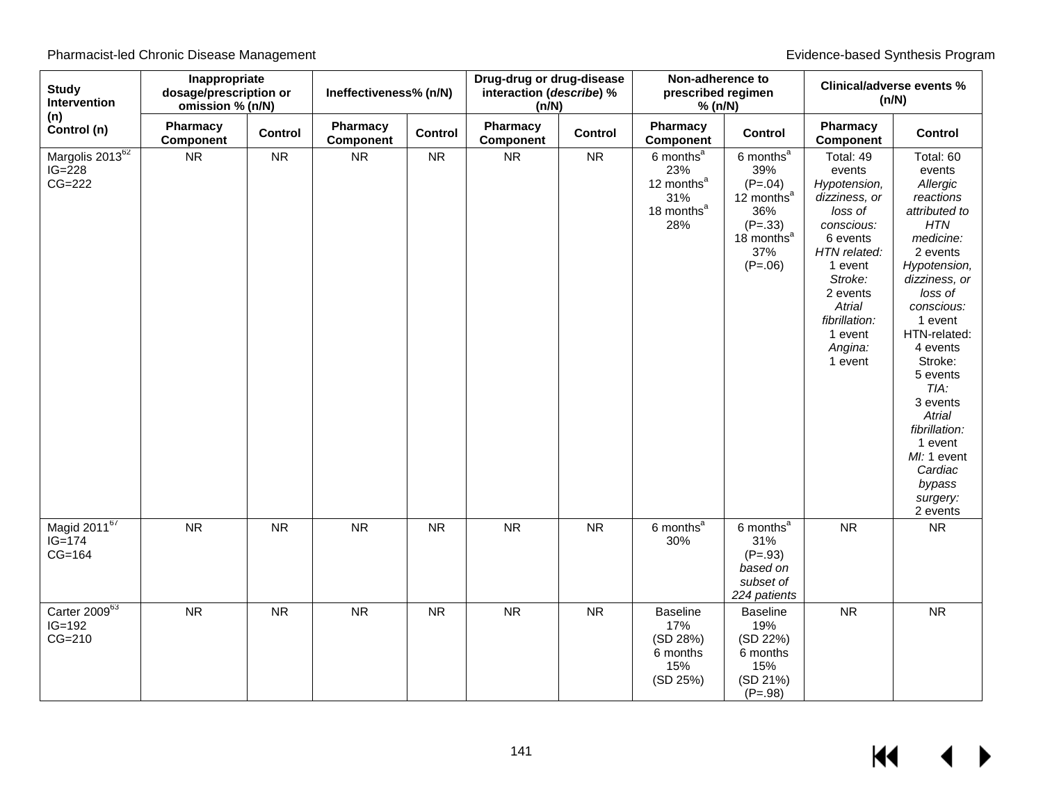| <b>Study</b><br>Intervention                        | Inappropriate<br>dosage/prescription or<br>omission % (n/N) |           | Ineffectiveness% (n/N) |            | Drug-drug or drug-disease<br>interaction (describe) %<br>(n/N) |           | Non-adherence to<br>prescribed regimen<br>% (n/N)                                              |                                                                                                                              | <b>Clinical/adverse events %</b><br>(n/N)                                                                                                                                                               |                                                                                                                                                                                                                                                                                                                                                    |
|-----------------------------------------------------|-------------------------------------------------------------|-----------|------------------------|------------|----------------------------------------------------------------|-----------|------------------------------------------------------------------------------------------------|------------------------------------------------------------------------------------------------------------------------------|---------------------------------------------------------------------------------------------------------------------------------------------------------------------------------------------------------|----------------------------------------------------------------------------------------------------------------------------------------------------------------------------------------------------------------------------------------------------------------------------------------------------------------------------------------------------|
| (n)<br>Control (n)                                  | Pharmacy<br>Component                                       | Control   | Pharmacy<br>Component  | Control    | Pharmacy<br>Component                                          | Control   | Pharmacy<br>Component                                                                          | Control                                                                                                                      | Pharmacy<br><b>Component</b>                                                                                                                                                                            | Control                                                                                                                                                                                                                                                                                                                                            |
| Margolis 2013 <sup>62</sup><br>$IG=228$<br>$CG=222$ | <b>NR</b>                                                   | <b>NR</b> | ${\sf NR}$             | ${\sf NR}$ | ${\sf NR}$                                                     | <b>NR</b> | 6 months <sup>a</sup><br>23%<br>12 months <sup>a</sup><br>31%<br>18 months <sup>a</sup><br>28% | 6 months <sup>a</sup><br>39%<br>$(P=.04)$<br>12 months $a$<br>36%<br>$(P=.33)$<br>18 months <sup>a</sup><br>37%<br>$(P=.06)$ | Total: 49<br>events<br>Hypotension,<br>dizziness, or<br>loss of<br>conscious:<br>6 events<br>HTN related:<br>1 event<br>Stroke:<br>2 events<br>Atrial<br>fibrillation:<br>1 event<br>Angina:<br>1 event | Total: 60<br>events<br>Allergic<br>reactions<br>attributed to<br><b>HTN</b><br>medicine:<br>2 events<br>Hypotension,<br>dizziness, or<br>loss of<br>conscious:<br>1 event<br>HTN-related:<br>4 events<br>Stroke:<br>5 events<br>TIA:<br>3 events<br>Atrial<br>fibrillation:<br>1 event<br>MI: 1 event<br>Cardiac<br>bypass<br>surgery:<br>2 events |
| Magid 201167<br>$IG = 174$<br>$CG=164$              | <b>NR</b>                                                   | <b>NR</b> | <b>NR</b>              | <b>NR</b>  | <b>NR</b>                                                      | <b>NR</b> | 6 months <sup>a</sup><br>30%                                                                   | 6 months <sup>a</sup><br>31%<br>$(P=.93)$<br>based on<br>subset of<br>224 patients                                           | <b>NR</b>                                                                                                                                                                                               | <b>NR</b>                                                                                                                                                                                                                                                                                                                                          |
| Carter 200963<br>$IG=192$<br>$CG=210$               | <b>NR</b>                                                   | <b>NR</b> | <b>NR</b>              | <b>NR</b>  | <b>NR</b>                                                      | <b>NR</b> | <b>Baseline</b><br>17%<br>(SD 28%)<br>6 months<br>15%<br>(SD 25%)                              | <b>Baseline</b><br>19%<br>(SD 22%)<br>6 months<br>15%<br>(SD 21%)<br>$(P=.98)$                                               | <b>NR</b>                                                                                                                                                                                               | <b>NR</b>                                                                                                                                                                                                                                                                                                                                          |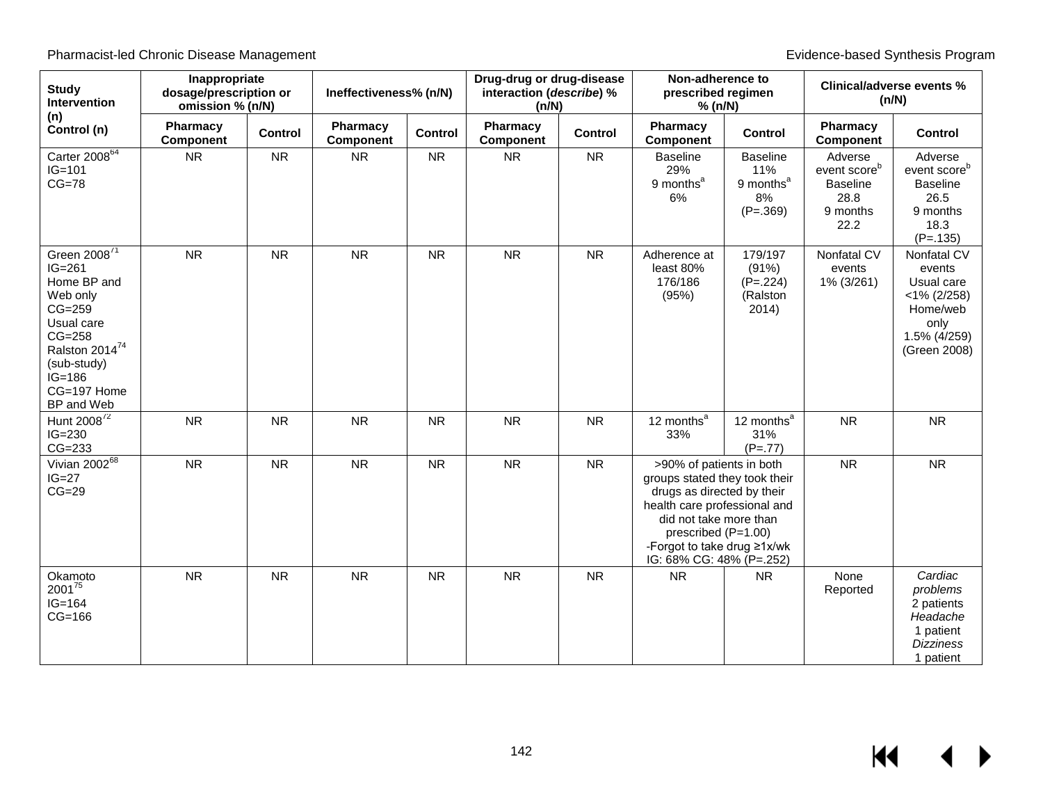| <b>Study</b><br>Intervention                                                                                                                                                                | Inappropriate<br>dosage/prescription or<br>omission % (n/N) |                | Ineffectiveness% (n/N) |                | Drug-drug or drug-disease<br>interaction (describe) %<br>(n/N) |                | Non-adherence to<br>prescribed regimen<br>% (n/N)                                                                                                                                                                                   |                                                                     | <b>Clinical/adverse events %</b><br>(n/N)                                          |                                                                                                           |
|---------------------------------------------------------------------------------------------------------------------------------------------------------------------------------------------|-------------------------------------------------------------|----------------|------------------------|----------------|----------------------------------------------------------------|----------------|-------------------------------------------------------------------------------------------------------------------------------------------------------------------------------------------------------------------------------------|---------------------------------------------------------------------|------------------------------------------------------------------------------------|-----------------------------------------------------------------------------------------------------------|
| (n)<br>Control (n)                                                                                                                                                                          | Pharmacy<br><b>Component</b>                                | <b>Control</b> | Pharmacy<br>Component  | <b>Control</b> | Pharmacy<br>Component                                          | <b>Control</b> | Pharmacy<br>Component                                                                                                                                                                                                               | <b>Control</b>                                                      | Pharmacy<br><b>Component</b>                                                       | <b>Control</b>                                                                                            |
| Carter 2008 <sup>64</sup><br>$IG=101$<br>$CG=78$                                                                                                                                            | <b>NR</b>                                                   | <b>NR</b>      | <b>NR</b>              | <b>NR</b>      | <b>NR</b>                                                      | <b>NR</b>      | <b>Baseline</b><br>29%<br>9 months <sup>a</sup><br>6%                                                                                                                                                                               | <b>Baseline</b><br>11%<br>9 months <sup>a</sup><br>8%<br>$(P=.369)$ | Adverse<br>event score <sup>b</sup><br><b>Baseline</b><br>28.8<br>9 months<br>22.2 | Adverse<br>event score <sup>b</sup><br><b>Baseline</b><br>26.5<br>9 months<br>18.3<br>$(P=.135)$          |
| Green 2008 <sup>71</sup><br>$IG=261$<br>Home BP and<br>Web only<br>$CG=259$<br>Usual care<br>$CG=258$<br>Ralston 2014 <sup>74</sup><br>(sub-study)<br>$IG=186$<br>CG=197 Home<br>BP and Web | <b>NR</b>                                                   | <b>NR</b>      | <b>NR</b>              | <b>NR</b>      | <b>NR</b>                                                      | <b>NR</b>      | Adherence at<br>least 80%<br>176/186<br>(95%)                                                                                                                                                                                       | 179/197<br>(91%)<br>$(P=.224)$<br>(Ralston<br>2014)                 | Nonfatal CV<br>events<br>1% (3/261)                                                | Nonfatal CV<br>events<br>Usual care<br>$<$ 1% (2/258)<br>Home/web<br>only<br>1.5% (4/259)<br>(Green 2008) |
| Hunt 2008 <sup>72</sup><br>$IG=230$<br>$CG=233$                                                                                                                                             | <b>NR</b>                                                   | <b>NR</b>      | <b>NR</b>              | <b>NR</b>      | <b>NR</b>                                                      | <b>NR</b>      | 12 months <sup>a</sup><br>33%                                                                                                                                                                                                       | 12 months <sup>a</sup><br>31%<br>$(P=.77)$                          | <b>NR</b>                                                                          | <b>NR</b>                                                                                                 |
| Vivian 2002 <sup>68</sup><br>$IG=27$<br>$CG=29$                                                                                                                                             | <b>NR</b>                                                   | <b>NR</b>      | <b>NR</b>              | <b>NR</b>      | <b>NR</b>                                                      | <b>NR</b>      | >90% of patients in both<br>groups stated they took their<br>drugs as directed by their<br>health care professional and<br>did not take more than<br>prescribed (P=1.00)<br>-Forgot to take drug ≥1x/wk<br>IG: 68% CG: 48% (P=.252) |                                                                     | <b>NR</b>                                                                          | <b>NR</b>                                                                                                 |
| Okamoto<br>200175<br>$IG=164$<br>$CG=166$                                                                                                                                                   | <b>NR</b>                                                   | <b>NR</b>      | <b>NR</b>              | <b>NR</b>      | <b>NR</b>                                                      | <b>NR</b>      | <b>NR</b>                                                                                                                                                                                                                           | <b>NR</b>                                                           | None<br>Reported                                                                   | Cardiac<br>problems<br>2 patients<br>Headache<br>1 patient<br><b>Dizziness</b><br>1 patient               |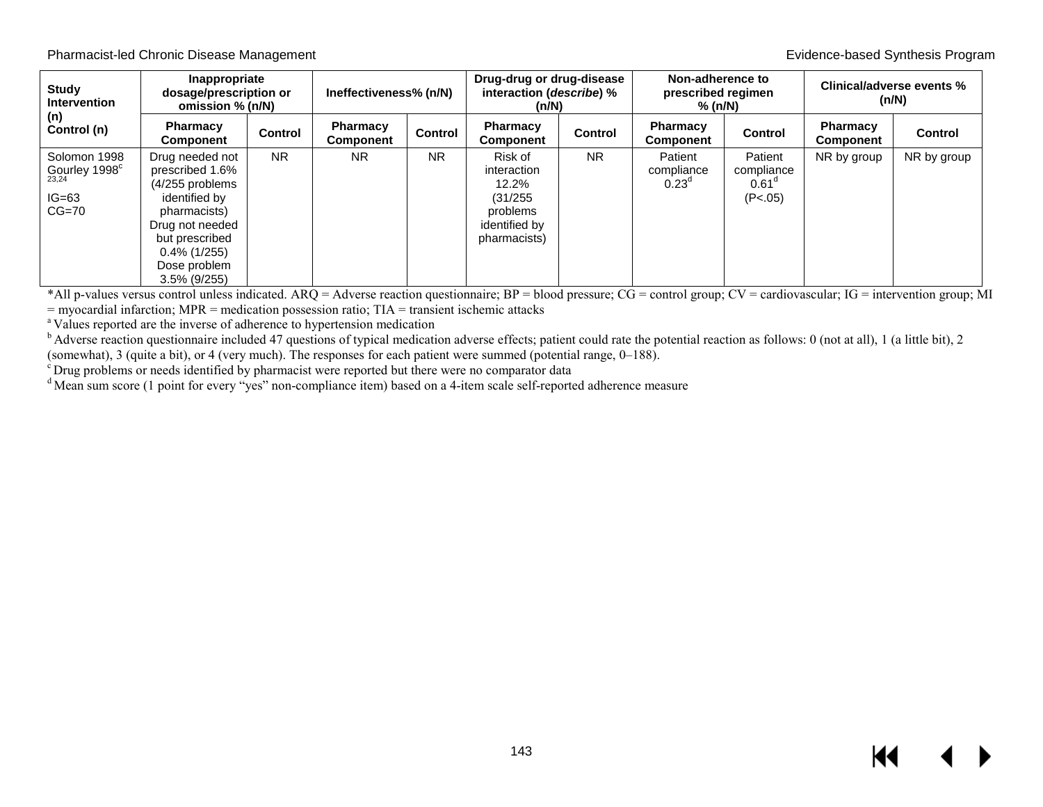| <b>Study</b><br><b>Intervention</b><br>(n)                                     | Inappropriate<br>dosage/prescription or<br>omission % (n/N)                                                                                                                       |                | Ineffectiveness% (n/N) |                | Drug-drug or drug-disease<br>interaction (describe) %<br>(n/N)                              |                | Non-adherence to<br>prescribed regimen<br>$%$ (n/N) |                                                  | Clinical/adverse events %<br>(n/N) |                |
|--------------------------------------------------------------------------------|-----------------------------------------------------------------------------------------------------------------------------------------------------------------------------------|----------------|------------------------|----------------|---------------------------------------------------------------------------------------------|----------------|-----------------------------------------------------|--------------------------------------------------|------------------------------------|----------------|
| Control (n)                                                                    | Pharmacy<br><b>Component</b>                                                                                                                                                      | <b>Control</b> | Pharmacy<br>Component  | <b>Control</b> | <b>Pharmacy</b><br><b>Component</b>                                                         | <b>Control</b> | <b>Pharmacy</b><br><b>Component</b>                 | <b>Control</b>                                   | <b>Pharmacy</b><br>Component       | <b>Control</b> |
| Solomon 1998<br>Gourley 1998 $^{\circ}$ <sub>23,24</sub><br>$IG=63$<br>$CG=70$ | Drug needed not<br>prescribed 1.6%<br>(4/255 problems<br>identified by<br>pharmacists)<br>Drug not needed<br>but prescribed<br>$0.4\%$ (1/255)<br>Dose problem<br>$3.5\%$ (9/255) | <b>NR</b>      | <b>NR</b>              | <b>NR</b>      | Risk of<br>interaction<br>$12.2\%$<br>(31/255)<br>problems<br>identified by<br>pharmacists) | <b>NR</b>      | Patient<br>compliance<br>$0.23^\circ$               | Patient<br>compliance<br>$0.61^\circ$<br>(P<.05) | NR by group                        | NR by group    |

\*All p-values versus control unless indicated. ARQ = Adverse reaction questionnaire;  $BP = blood pressure$ ;  $CG = control group$ ;  $CV = cardiovascular$ ;  $IG = intervention group$ ; MI = myocardial infarction;  $MPR = medication$  possession ratio; TIA = transient ischemic attacks

<sup>a</sup> Values reported are the inverse of adherence to hypertension medication

 $<sup>b</sup>$  Adverse reaction questionnaire included 47 questions of typical medication adverse effects; patient could rate the potential reaction as follows: 0 (not at all), 1 (a little bit), 2 (somewhat), 3 (quite a bit), o</sup>

 $\cdot$  Drug problems or needs identified by pharmacist were reported but there were no comparator data

<sup>d</sup> Mean sum score (1 point for every "yes" non-compliance item) based on a 4-item scale self-reported adherence measure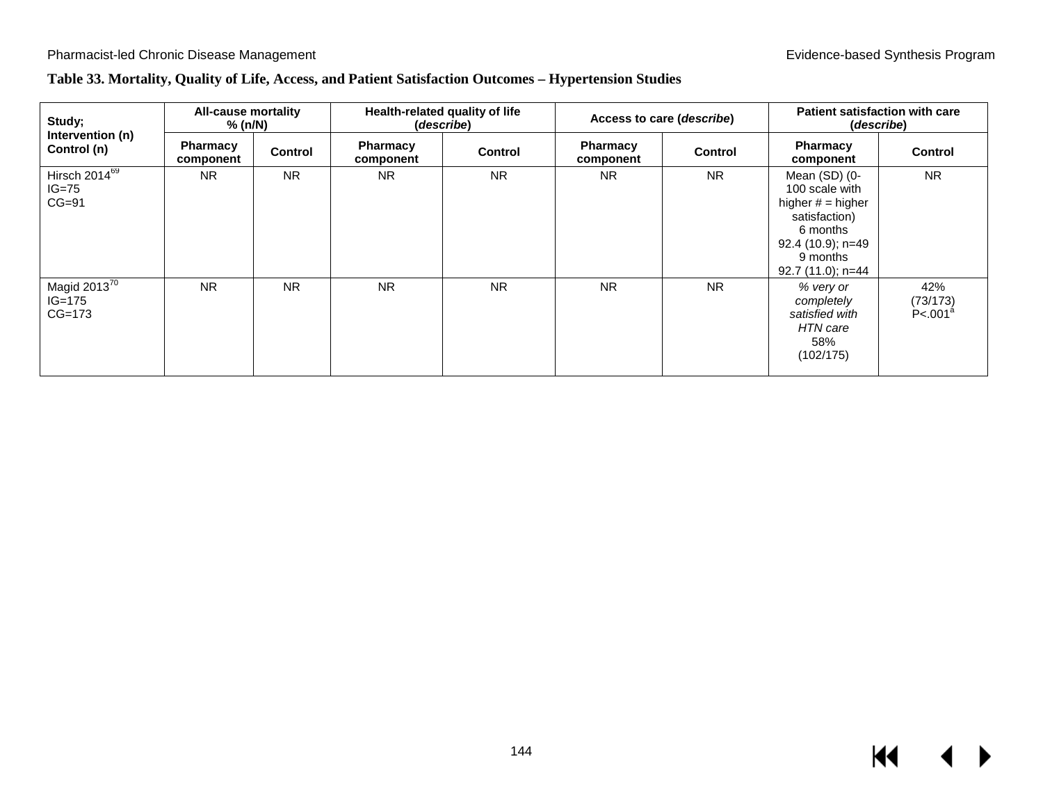## **Table 33. Mortality, Quality of Life, Access, and Patient Satisfaction Outcomes – Hypertension Studies**

| Study;<br>Intervention (n)                      | All-cause mortality<br>% (n/N) |                | Health-related quality of life<br>(describe) |           | Access to care (describe) |           | <b>Patient satisfaction with care</b><br>(describe)                                                                                       |                                          |
|-------------------------------------------------|--------------------------------|----------------|----------------------------------------------|-----------|---------------------------|-----------|-------------------------------------------------------------------------------------------------------------------------------------------|------------------------------------------|
| Control (n)                                     | <b>Pharmacy</b><br>component   | <b>Control</b> | <b>Pharmacy</b><br>component                 | Control   | Pharmacy<br>component     | Control   | Pharmacy<br>component                                                                                                                     | <b>Control</b>                           |
| Hirsch 2014 <sup>69</sup><br>$IG=75$<br>$CG=91$ | <b>NR</b>                      | <b>NR</b>      | <b>NR</b>                                    | <b>NR</b> | <b>NR</b>                 | <b>NR</b> | Mean (SD) (0-<br>100 scale with<br>higher $#$ = higher<br>satisfaction)<br>6 months<br>92.4 (10.9); n=49<br>9 months<br>92.7 (11.0); n=44 | <b>NR</b>                                |
| Magid 2013 $^{70}$<br>$IG=175$<br>$CG=173$      | <b>NR</b>                      | <b>NR</b>      | <b>NR</b>                                    | <b>NR</b> | <b>NR</b>                 | <b>NR</b> | % very or<br>completely<br>satisfied with<br>HTN care<br>58%<br>(102/175)                                                                 | 42%<br>(73/173)<br>P < .001 <sup>a</sup> |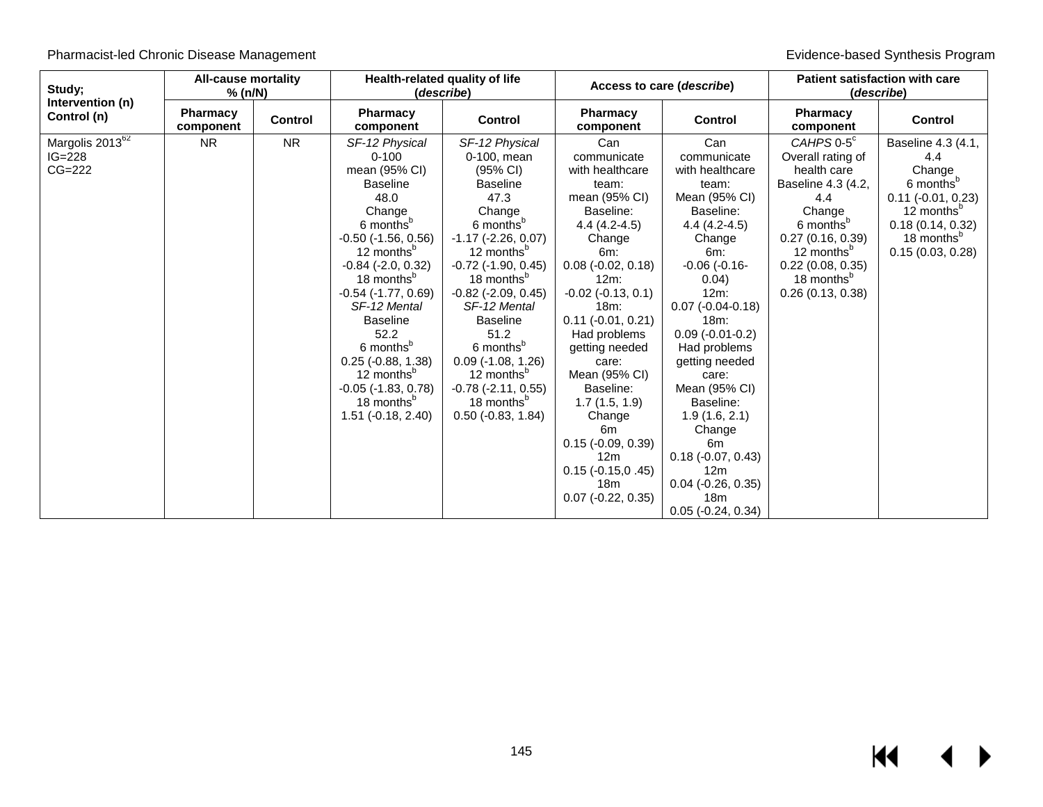| Study;                                                | <b>All-cause mortality</b><br>% (n/N) |                | Health-related quality of life<br>(describe)                                                                                                                                                                                                                                                                                                                                                                                                          |                                                                                                                                                                                                                                                                                                                                                                                                                                                                 |                                                                                                                                                                                                                                                                                                                                                                                                    | Access to care (describe)                                                                                                                                                                                                                                                                                                                                                         | <b>Patient satisfaction with care</b><br>(describe)                                                                                                                                                                                   |                                                                                                                                                                                  |
|-------------------------------------------------------|---------------------------------------|----------------|-------------------------------------------------------------------------------------------------------------------------------------------------------------------------------------------------------------------------------------------------------------------------------------------------------------------------------------------------------------------------------------------------------------------------------------------------------|-----------------------------------------------------------------------------------------------------------------------------------------------------------------------------------------------------------------------------------------------------------------------------------------------------------------------------------------------------------------------------------------------------------------------------------------------------------------|----------------------------------------------------------------------------------------------------------------------------------------------------------------------------------------------------------------------------------------------------------------------------------------------------------------------------------------------------------------------------------------------------|-----------------------------------------------------------------------------------------------------------------------------------------------------------------------------------------------------------------------------------------------------------------------------------------------------------------------------------------------------------------------------------|---------------------------------------------------------------------------------------------------------------------------------------------------------------------------------------------------------------------------------------|----------------------------------------------------------------------------------------------------------------------------------------------------------------------------------|
| Intervention (n)<br>Control (n)                       | <b>Pharmacy</b><br>component          | <b>Control</b> | <b>Pharmacy</b><br>component                                                                                                                                                                                                                                                                                                                                                                                                                          | <b>Control</b>                                                                                                                                                                                                                                                                                                                                                                                                                                                  | <b>Pharmacy</b><br>component                                                                                                                                                                                                                                                                                                                                                                       | <b>Control</b>                                                                                                                                                                                                                                                                                                                                                                    | <b>Pharmacy</b><br>component                                                                                                                                                                                                          | <b>Control</b>                                                                                                                                                                   |
| Margolis 2013 <sup>62</sup><br>$IG = 228$<br>$CG=222$ | <b>NR</b>                             | <b>NR</b>      | SF-12 Physical<br>$0 - 100$<br>mean (95% CI)<br><b>Baseline</b><br>48.0<br>Change<br>6 months <sup>b</sup><br>$-0.50$ $(-1.56, 0.56)$<br>12 months <sup>b</sup><br>$-0.84$ $(-2.0, 0.32)$<br>18 months <sup>b</sup><br>$-0.54$ $(-1.77, 0.69)$<br>SF-12 Mental<br><b>Baseline</b><br>52.2<br>6 months <sup>b</sup><br>$0.25$ ( $-0.88$ , 1.38)<br>12 months <sup>p</sup><br>$-0.05$ $(-1.83, 0.78)$<br>18 months <sup>p</sup><br>$1.51$ (-0.18, 2.40) | SF-12 Physical<br>0-100, mean<br>$(95% \text{ Cl})$<br><b>Baseline</b><br>47.3<br>Change<br>6 months <sup>b</sup><br>$-1.17$ ( $-2.26$ , 0.07)<br>12 months <sup>b</sup><br>$-0.72$ $(-1.90, 0.45)$<br>18 months <sup>b</sup><br>$-0.82$ $(-2.09, 0.45)$<br>SF-12 Mental<br><b>Baseline</b><br>51.2<br>6 months <sup>b</sup><br>$0.09$ (-1.08, 1.26)<br>12 months <sup>p</sup><br>$-0.78$ $(-2.11, 0.55)$<br>18 months <sup>p</sup><br>$0.50$ ( $-0.83$ , 1.84) | Can<br>communicate<br>with healthcare<br>team:<br>mean (95% CI)<br>Baseline:<br>$4.4(4.2-4.5)$<br>Change<br>$6m$ :<br>$0.08$ (-0.02, 0.18)<br>$12m$ :<br>$-0.02$ $(-0.13, 0.1)$<br>18m:<br>$0.11 (-0.01, 0.21)$<br>Had problems<br>getting needed<br>care:<br>Mean (95% CI)<br>Baseline:<br>1.7(1.5, 1.9)<br>Change<br>6m<br>$0.15$ (-0.09, 0.39)<br>12m<br>$0.15(-0.15, 0.45)$<br>18 <sub>m</sub> | Can<br>communicate<br>with healthcare<br>team:<br>Mean (95% CI)<br>Baseline:<br>$4.4(4.2-4.5)$<br>Change<br>6m:<br>$-0.06$ $(-0.16 -$<br>0.04)<br>$12m$ :<br>$0.07$ (-0.04-0.18)<br>$18m$ :<br>$0.09$ (-0.01-0.2)<br>Had problems<br>getting needed<br>care:<br>Mean (95% CI)<br>Baseline:<br>1.9(1.6, 2.1)<br>Change<br>6m<br>$0.18(-0.07, 0.43)$<br>12m<br>$0.04$ (-0.26, 0.35) | CAHPS $0-5^\circ$<br>Overall rating of<br>health care<br>Baseline 4.3 (4.2,<br>4.4<br>Change<br>6 months <sup>b</sup><br>0.27(0.16, 0.39)<br>12 months <sup>b</sup><br>0.22(0.08, 0.35)<br>18 months <sup>b</sup><br>0.26(0.13, 0.38) | Baseline 4.3 (4.1,<br>4.4<br>Change<br>6 months <sup>b</sup><br>$0.11 (-0.01, 0.23)$<br>12 months <sup>b</sup><br>0.18(0.14, 0.32)<br>18 months <sup>p</sup><br>0.15(0.03, 0.28) |
|                                                       |                                       |                |                                                                                                                                                                                                                                                                                                                                                                                                                                                       |                                                                                                                                                                                                                                                                                                                                                                                                                                                                 | $0.07$ ( $-0.22$ , $0.35$ )                                                                                                                                                                                                                                                                                                                                                                        | 18m<br>$0.05$ ( $-0.24$ , $0.34$ )                                                                                                                                                                                                                                                                                                                                                |                                                                                                                                                                                                                                       |                                                                                                                                                                                  |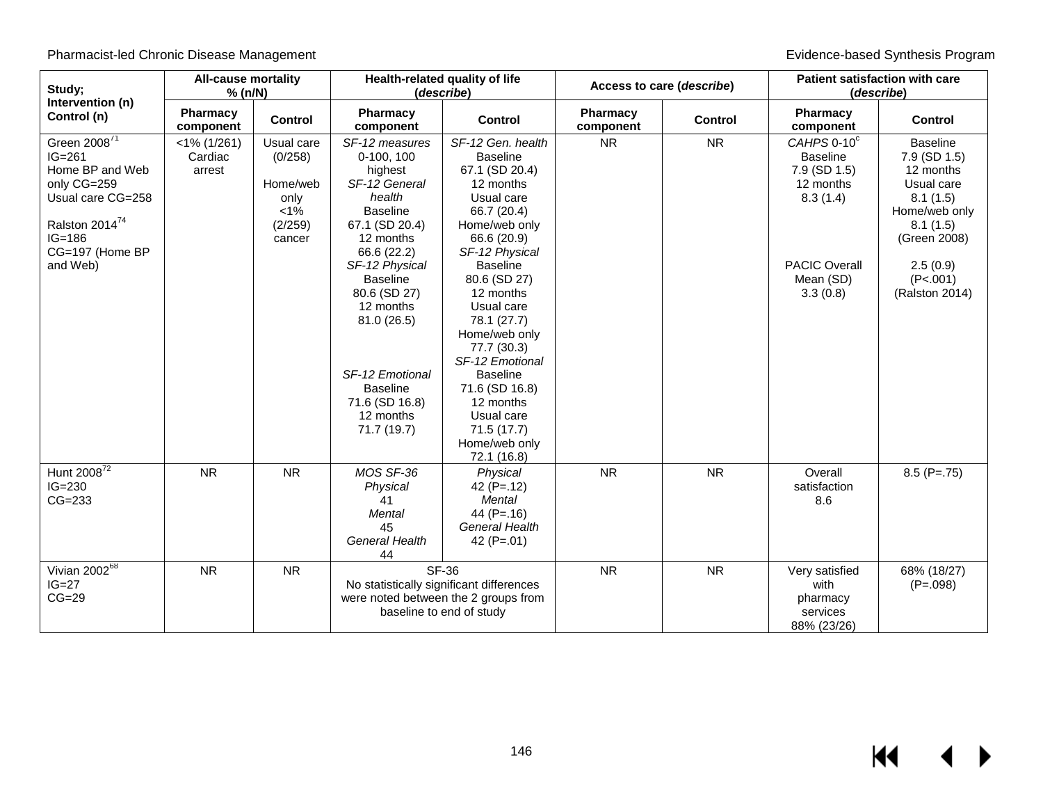| Study;<br>Intervention (n)                                                                                                                                 | <b>All-cause mortality</b><br>% (n/N) |                                                                           | Health-related quality of life<br>(describe)                                                                                                                     |                                                                                                                                                                                                                                             | Access to care (describe) |           | <b>Patient satisfaction with care</b><br>(describe)                     |                                                                                                                     |
|------------------------------------------------------------------------------------------------------------------------------------------------------------|---------------------------------------|---------------------------------------------------------------------------|------------------------------------------------------------------------------------------------------------------------------------------------------------------|---------------------------------------------------------------------------------------------------------------------------------------------------------------------------------------------------------------------------------------------|---------------------------|-----------|-------------------------------------------------------------------------|---------------------------------------------------------------------------------------------------------------------|
| Control (n)                                                                                                                                                | Pharmacy<br>component                 | <b>Control</b>                                                            | Pharmacy<br>component                                                                                                                                            | Control                                                                                                                                                                                                                                     | Pharmacy<br>component     | Control   | Pharmacy<br>component                                                   | <b>Control</b>                                                                                                      |
| Green 2008 <sup>71</sup><br>$IG=261$<br>Home BP and Web<br>only CG=259<br>Usual care CG=258<br>Ralston 2014 <sup>74</sup><br>$IG = 186$<br>CG=197 (Home BP | $<$ 1% (1/261)<br>Cardiac<br>arrest   | Usual care<br>(0/258)<br>Home/web<br>only<br>$< 1\%$<br>(2/259)<br>cancer | SF-12 measures<br>0-100, 100<br>highest<br>SF-12 General<br>health<br><b>Baseline</b><br>67.1 (SD 20.4)<br>12 months<br>66.6 (22.2)                              | SF-12 Gen. health<br><b>Baseline</b><br>67.1 (SD 20.4)<br>12 months<br>Usual care<br>66.7 (20.4)<br>Home/web only<br>66.6 (20.9)<br>SF-12 Physical                                                                                          | <b>NR</b>                 | <b>NR</b> | CAHPS 0-10°<br><b>Baseline</b><br>7.9 (SD 1.5)<br>12 months<br>8.3(1.4) | <b>Baseline</b><br>7.9 (SD 1.5)<br>12 months<br>Usual care<br>8.1(1.5)<br>Home/web only<br>8.1(1.5)<br>(Green 2008) |
| and Web)                                                                                                                                                   |                                       |                                                                           | SF-12 Physical<br><b>Baseline</b><br>80.6 (SD 27)<br>12 months<br>81.0(26.5)<br>SF-12 Emotional<br><b>Baseline</b><br>71.6 (SD 16.8)<br>12 months<br>71.7 (19.7) | <b>Baseline</b><br>80.6 (SD 27)<br>12 months<br>Usual care<br>78.1 (27.7)<br>Home/web only<br>77.7 (30.3)<br>SF-12 Emotional<br><b>Baseline</b><br>71.6 (SD 16.8)<br>12 months<br>Usual care<br>71.5 (17.7)<br>Home/web only<br>72.1 (16.8) |                           |           | <b>PACIC Overall</b><br>Mean (SD)<br>3.3(0.8)                           | 2.5(0.9)<br>(P<.001)<br>(Ralston 2014)                                                                              |
| Hunt $2008^{72}$<br>$IG=230$<br>$CG=233$                                                                                                                   | <b>NR</b>                             | <b>NR</b>                                                                 | MOS SF-36<br>Physical<br>41<br>Mental<br>45<br>General Health<br>44                                                                                              | Physical<br>42 $(P=.12)$<br>Mental<br>44 $(P=.16)$<br><b>General Health</b><br>42 $(P=.01)$                                                                                                                                                 | <b>NR</b>                 | <b>NR</b> | Overall<br>satisfaction<br>8.6                                          | $8.5$ (P=.75)                                                                                                       |
| Vivian 200268<br>$IG=27$<br>$CG=29$                                                                                                                        | <b>NR</b>                             | <b>NR</b>                                                                 | No statistically significant differences<br>were noted between the 2 groups from<br>baseline to end of study                                                     | <b>SF-36</b>                                                                                                                                                                                                                                | <b>NR</b>                 | <b>NR</b> | Very satisfied<br>with<br>pharmacy<br>services<br>88% (23/26)           | 68% (18/27)<br>$(P=.098)$                                                                                           |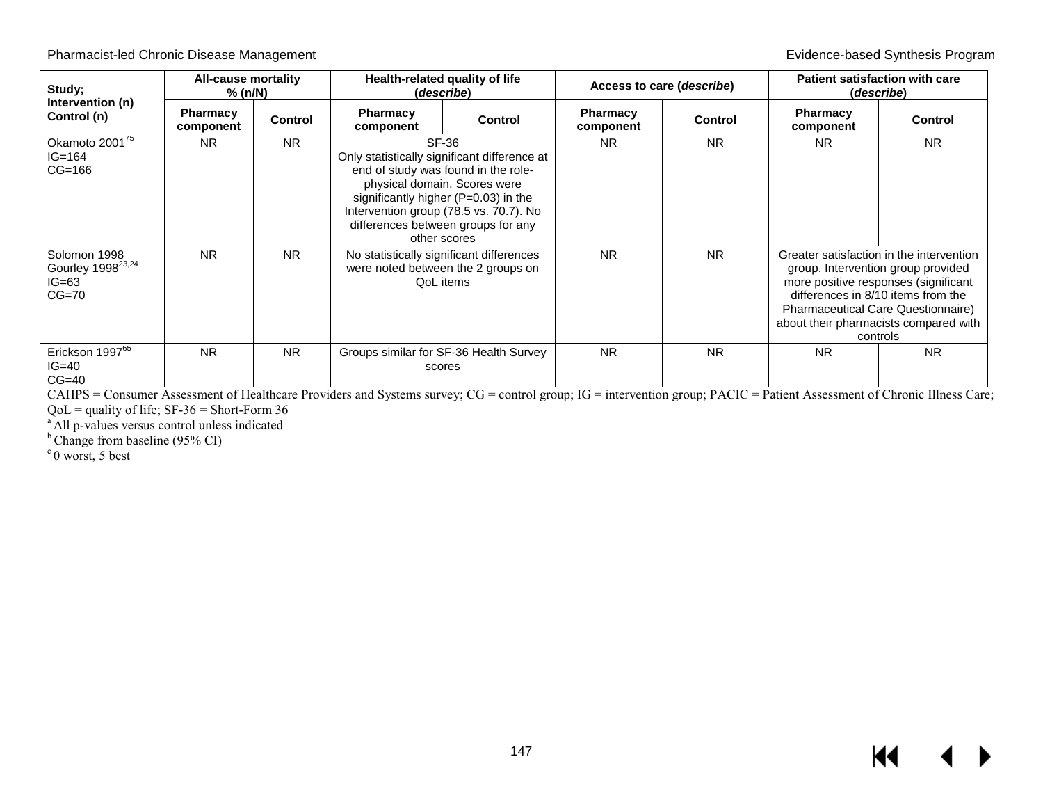| Study;                                                              | All-cause mortality<br>% (n/N) |                | Health-related quality of life<br>(describe)                                                                                                                                                                                                                         |                                        | Access to care (describe)    |                | Patient satisfaction with care<br>(describe) |                                                                                                                                                                                                                                                                |
|---------------------------------------------------------------------|--------------------------------|----------------|----------------------------------------------------------------------------------------------------------------------------------------------------------------------------------------------------------------------------------------------------------------------|----------------------------------------|------------------------------|----------------|----------------------------------------------|----------------------------------------------------------------------------------------------------------------------------------------------------------------------------------------------------------------------------------------------------------------|
| Intervention (n)<br>Control (n)                                     | <b>Pharmacy</b><br>component   | <b>Control</b> | <b>Pharmacy</b><br>component                                                                                                                                                                                                                                         | <b>Control</b>                         | <b>Pharmacy</b><br>component | <b>Control</b> | <b>Pharmacy</b><br>component                 | <b>Control</b>                                                                                                                                                                                                                                                 |
| Okamoto 2001 <sup>75</sup><br>$IG = 164$<br>$CG=166$                | <b>NR</b>                      | <b>NR</b>      | SF-36<br>Only statistically significant difference at<br>end of study was found in the role-<br>physical domain. Scores were<br>significantly higher (P=0.03) in the<br>Intervention group (78.5 vs. 70.7). No<br>differences between groups for any<br>other scores |                                        | <b>NR</b>                    | <b>NR</b>      | <b>NR</b>                                    | <b>NR</b>                                                                                                                                                                                                                                                      |
| Solomon 1998<br>Gourley 1998 <sup>23,24</sup><br>$IG=63$<br>$CG=70$ | <b>NR</b>                      | <b>NR</b>      | No statistically significant differences<br>were noted between the 2 groups on<br>QoL items                                                                                                                                                                          |                                        | <b>NR</b>                    | <b>NR</b>      |                                              | Greater satisfaction in the intervention<br>group. Intervention group provided<br>more positive responses (significant<br>differences in 8/10 items from the<br><b>Pharmaceutical Care Questionnaire)</b><br>about their pharmacists compared with<br>controls |
| Erickson 1997 <sup>65</sup><br>$IG=40$<br>$CG=40$                   | <b>NR</b>                      | N <sub>R</sub> | scores                                                                                                                                                                                                                                                               | Groups similar for SF-36 Health Survey | <b>NR</b>                    | <b>NR</b>      | <b>NR</b>                                    | <b>NR</b>                                                                                                                                                                                                                                                      |

CAHPS = Consumer Assessment of Healthcare Providers and Systems survey; CG = control group; IG = intervention group; PACIC = Patient Assessment of Chronic Illness Care;

 $QoL =$  quality of life; SF-36 = Short-Form 36<br><sup>a</sup> All p-values versus control unless indicated

<sup>b</sup> Change from baseline (95% CI)

 $c$  0 worst, 5 best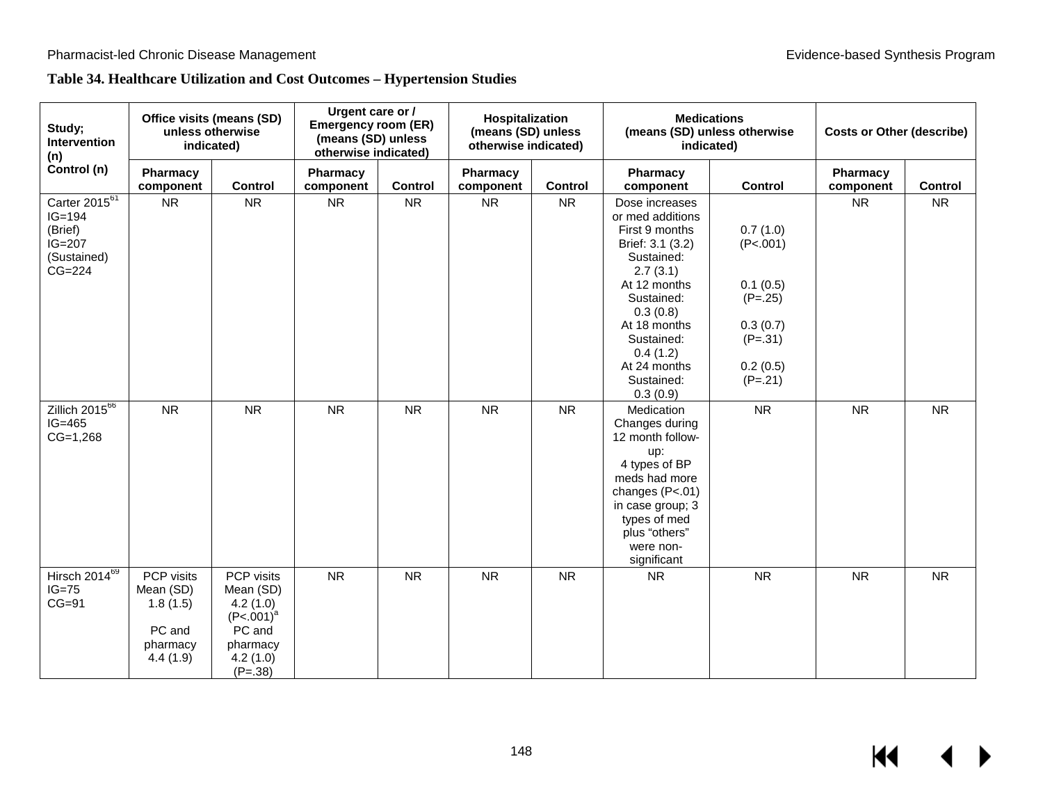# **Table 34. Healthcare Utilization and Cost Outcomes – Hypertension Studies**

| Study;<br>Intervention<br>(n)                                                     | Office visits (means (SD)<br>unless otherwise<br>indicated)           |                                                                                                    | Urgent care or /<br><b>Emergency room (ER)</b><br>(means (SD) unless<br>otherwise indicated) |           | Hospitalization<br>(means (SD) unless<br>otherwise indicated) |           | <b>Medications</b><br>(means (SD) unless otherwise<br>indicated)                                                                                                                                                                 |                                                                                                 | <b>Costs or Other (describe)</b> |           |  |
|-----------------------------------------------------------------------------------|-----------------------------------------------------------------------|----------------------------------------------------------------------------------------------------|----------------------------------------------------------------------------------------------|-----------|---------------------------------------------------------------|-----------|----------------------------------------------------------------------------------------------------------------------------------------------------------------------------------------------------------------------------------|-------------------------------------------------------------------------------------------------|----------------------------------|-----------|--|
| Control (n)                                                                       | Pharmacy<br>component                                                 | Control                                                                                            | Pharmacy<br>component                                                                        | Control   | Pharmacy<br>component                                         | Control   | Pharmacy<br>component                                                                                                                                                                                                            | Control                                                                                         | Pharmacy<br>component            | Control   |  |
| Carter 201 $5^{61}$<br>$IG=194$<br>(Brief)<br>$IG=207$<br>(Sustained)<br>$CG=224$ | NR                                                                    | <b>NR</b>                                                                                          | <b>NR</b>                                                                                    | <b>NR</b> | <b>NR</b>                                                     | <b>NR</b> | Dose increases<br>or med additions<br>First 9 months<br>Brief: 3.1 (3.2)<br>Sustained:<br>2.7(3.1)<br>At 12 months<br>Sustained:<br>0.3(0.8)<br>At 18 months<br>Sustained:<br>0.4(1.2)<br>At 24 months<br>Sustained:<br>0.3(0.9) | 0.7(1.0)<br>(P<.001)<br>0.1(0.5)<br>$(P=.25)$<br>0.3(0.7)<br>$(P=.31)$<br>0.2(0.5)<br>$(P=.21)$ | <b>NR</b>                        | <b>NR</b> |  |
| Zillich $2015^{66}$<br>$IG=465$<br>$CG=1,268$                                     | <b>NR</b>                                                             | <b>NR</b>                                                                                          | <b>NR</b>                                                                                    | <b>NR</b> | <b>NR</b>                                                     | <b>NR</b> | Medication<br>Changes during<br>12 month follow-<br>up:<br>4 types of BP<br>meds had more<br>changes (P<.01)<br>in case group; 3<br>types of med<br>plus "others"<br>were non-<br>significant                                    | <b>NR</b>                                                                                       | <b>NR</b>                        | <b>NR</b> |  |
| Hirsch $20\overline{14^{69}}$<br>$IG=75$<br>$CG=91$                               | PCP visits<br>Mean (SD)<br>1.8(1.5)<br>PC and<br>pharmacy<br>4.4(1.9) | PCP visits<br>Mean (SD)<br>4.2(1.0)<br>$(P<.001)^a$<br>PC and<br>pharmacy<br>4.2(1.0)<br>$(P=.38)$ | <b>NR</b>                                                                                    | <b>NR</b> | <b>NR</b>                                                     | <b>NR</b> | <b>NR</b>                                                                                                                                                                                                                        | <b>NR</b>                                                                                       | <b>NR</b>                        | <b>NR</b> |  |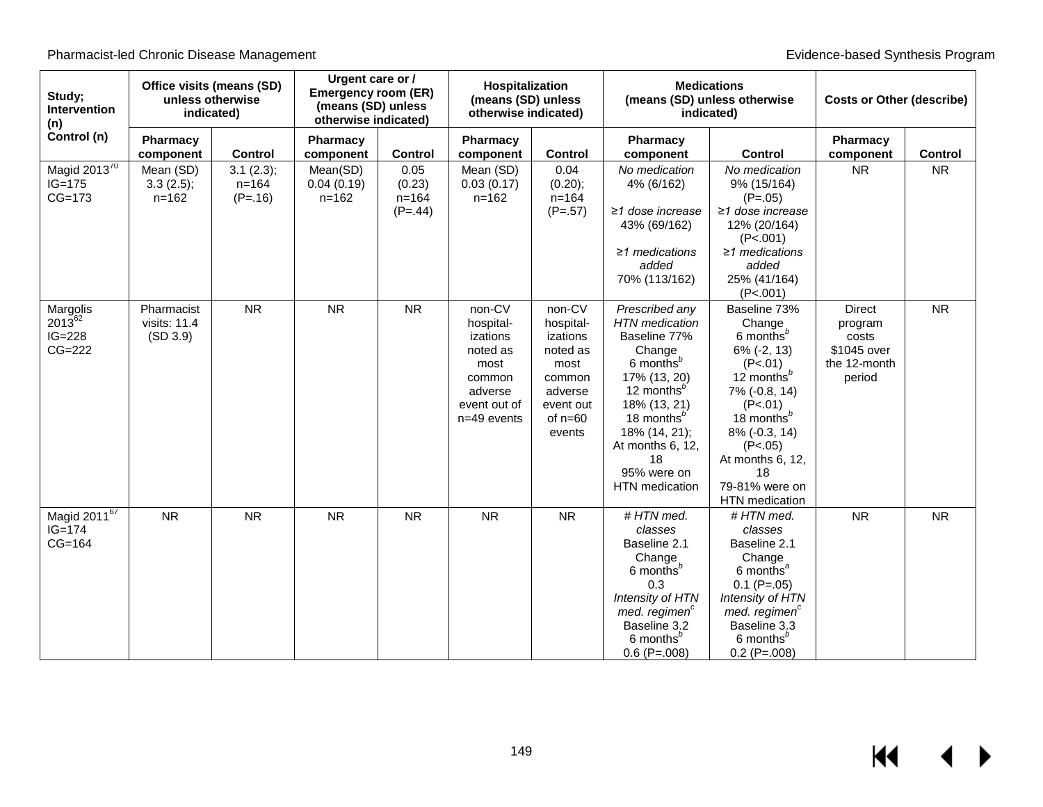| Study;<br>Intervention<br>(n)                      | Office visits (means (SD)<br>unless otherwise<br>indicated) |                                     | Urgent care or /<br><b>Emergency room (ER)</b><br>(means (SD) unless<br>otherwise indicated) |                                          | Hospitalization<br>(means (SD) unless<br>otherwise indicated)                                             |                                                                                                              | <b>Medications</b>                                                                                                                                                                                                                                         | (means (SD) unless otherwise<br>indicated)                                                                                                                                                                                                     | <b>Costs or Other (describe)</b>                                           |                |
|----------------------------------------------------|-------------------------------------------------------------|-------------------------------------|----------------------------------------------------------------------------------------------|------------------------------------------|-----------------------------------------------------------------------------------------------------------|--------------------------------------------------------------------------------------------------------------|------------------------------------------------------------------------------------------------------------------------------------------------------------------------------------------------------------------------------------------------------------|------------------------------------------------------------------------------------------------------------------------------------------------------------------------------------------------------------------------------------------------|----------------------------------------------------------------------------|----------------|
| Control (n)                                        | Pharmacy<br>component                                       | <b>Control</b>                      | <b>Pharmacy</b><br>component                                                                 | Control                                  | Pharmacy<br>component                                                                                     | <b>Control</b>                                                                                               | Pharmacy<br>component                                                                                                                                                                                                                                      | <b>Control</b>                                                                                                                                                                                                                                 | Pharmacy<br>component                                                      | <b>Control</b> |
| Magid 2013 $\overline{70}$<br>$IG=175$<br>$CG=173$ | Mean (SD)<br>3.3(2.5);<br>$n = 162$                         | 3.1(2.3);<br>$n = 164$<br>$(P=.16)$ | Mean(SD)<br>0.04(0.19)<br>$n = 162$                                                          | 0.05<br>(0.23)<br>$n = 164$<br>$(P=.44)$ | Mean (SD)<br>0.03(0.17)<br>$n = 162$                                                                      | 0.04<br>(0.20);<br>$n = 164$<br>$(P=.57)$                                                                    | No medication<br>4% (6/162)<br>≥1 dose increase<br>43% (69/162)<br>$\geq$ 1 medications<br>added<br>70% (113/162)                                                                                                                                          | No medication<br>9% (15/164)<br>$(P=.05)$<br>$\geq$ 1 dose increase<br>12% (20/164)<br>(P<.001)<br>$\geq$ 1 medications<br>added<br>25% (41/164)<br>(P<.001)                                                                                   | <b>NR</b>                                                                  | <b>NR</b>      |
| Margolis<br>201362<br>$IG=228$<br>$CG=222$         | Pharmacist<br>visits: $11.4$<br>(SD 3.9)                    | <b>NR</b>                           | <b>NR</b>                                                                                    | <b>NR</b>                                | non-CV<br>hospital-<br>izations<br>noted as<br>most<br>common<br>adverse<br>event out of<br>$n=49$ events | non-CV<br>hospital-<br>izations<br>noted as<br>most<br>common<br>adverse<br>event out<br>of $n=60$<br>events | Prescribed any<br><b>HTN</b> medication<br>Baseline 77%<br>Change<br>6 months <sup>b</sup><br>17% (13, 20)<br>12 months <sup>b</sup><br>18% (13, 21)<br>18 months <sup>b</sup><br>18% (14, 21);<br>At months 6, 12,<br>18<br>95% were on<br>HTN medication | Baseline 73%<br>Change<br>6 months <sup>b</sup><br>$6\%$ (-2, 13)<br>(P<.01)<br>12 months $^b$<br>7% (-0.8, 14)<br>(P<.01)<br>18 months <sup>b</sup><br>8% (-0.3, 14)<br>(P<.05)<br>At months 6, 12,<br>18<br>79-81% were on<br>HTN medication | <b>Direct</b><br>program<br>costs<br>\$1045 over<br>the 12-month<br>period | <b>NR</b>      |
| Magid 201167<br>$IG = 174$<br>$CG=164$             | <b>NR</b>                                                   | <b>NR</b>                           | <b>NR</b>                                                                                    | <b>NR</b>                                | <b>NR</b>                                                                                                 | <b>NR</b>                                                                                                    | # HTN med.<br>classes<br>Baseline 2.1<br>Change<br>6 months <sup>b</sup><br>0.3<br>Intensity of HTN<br>med. regimen <sup>c</sup><br>Baseline 3.2<br>6 months <sup>b</sup><br>$0.6$ (P=.008)                                                                | #HTN med.<br>classes<br>Baseline 2.1<br>Change<br>6 months <sup>a</sup><br>$0.1$ (P=.05)<br>Intensity of HTN<br>med. regimen <sup>c</sup><br>Baseline 3.3<br>6 months <sup>b</sup><br>$0.2$ (P=.008)                                           | <b>NR</b>                                                                  | <b>NR</b>      |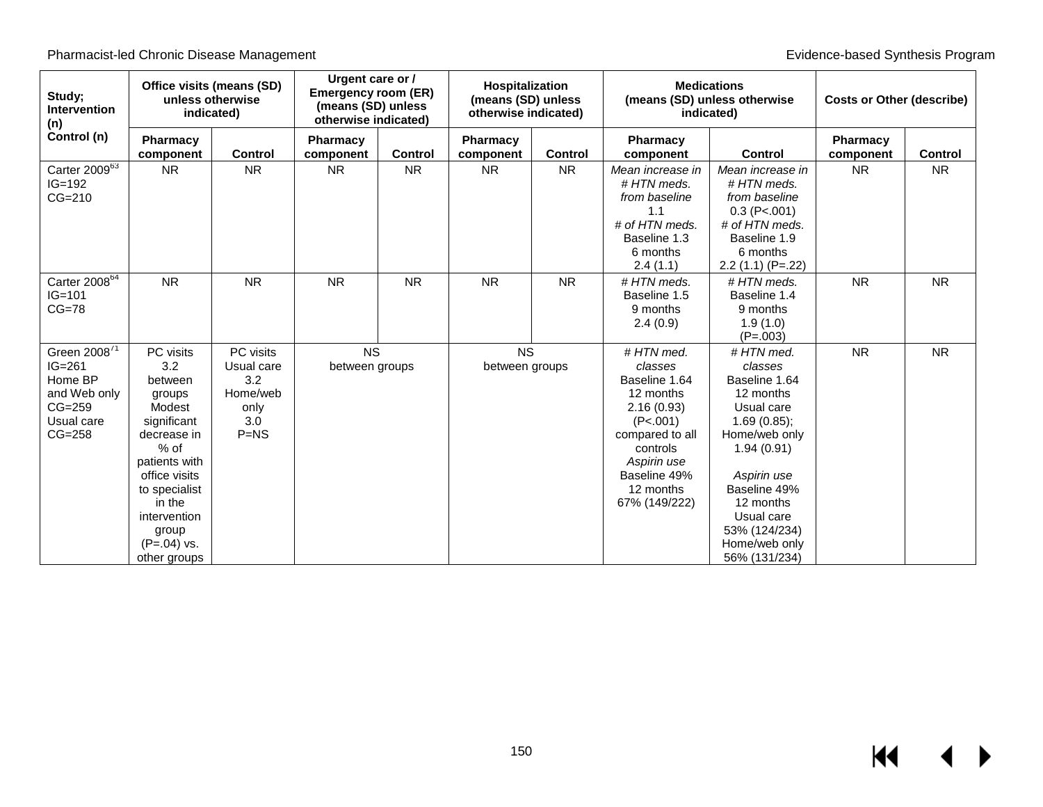| Study;<br><b>Intervention</b><br>(n)                                                                  | Office visits (means (SD)<br>unless otherwise<br>indicated)                                                                                                                                                    |                                                                     | Urgent care or /<br><b>Emergency room (ER)</b><br>(means (SD) unless<br>otherwise indicated) |                | Hospitalization<br>(means (SD) unless<br>otherwise indicated) |           |                                                                                                                                                                          | <b>Medications</b><br>(means (SD) unless otherwise<br>indicated)                                                                                                                                                             | <b>Costs or Other (describe)</b> |                |
|-------------------------------------------------------------------------------------------------------|----------------------------------------------------------------------------------------------------------------------------------------------------------------------------------------------------------------|---------------------------------------------------------------------|----------------------------------------------------------------------------------------------|----------------|---------------------------------------------------------------|-----------|--------------------------------------------------------------------------------------------------------------------------------------------------------------------------|------------------------------------------------------------------------------------------------------------------------------------------------------------------------------------------------------------------------------|----------------------------------|----------------|
| Control (n)                                                                                           | <b>Pharmacy</b><br>component                                                                                                                                                                                   | <b>Control</b>                                                      | <b>Pharmacy</b><br>component                                                                 | <b>Control</b> | Pharmacy<br>component                                         | Control   | Pharmacy<br>component                                                                                                                                                    | <b>Control</b>                                                                                                                                                                                                               | Pharmacy<br>component            | <b>Control</b> |
| Carter $2009^{63}$<br>$IG=192$<br>$CG=210$                                                            | <b>NR</b>                                                                                                                                                                                                      | <b>NR</b>                                                           | <b>NR</b>                                                                                    | <b>NR</b>      | <b>NR</b>                                                     | <b>NR</b> | Mean increase in<br># HTN meds.<br>from baseline<br>1.1<br># of HTN meds.<br>Baseline 1.3<br>6 months<br>2.4(1.1)                                                        | Mean increase in<br># HTN meds.<br>from baseline<br>$0.3$ (P<.001)<br># of HTN meds.<br>Baseline 1.9<br>6 months<br>$2.2(1.1)(P=.22)$                                                                                        | <b>NR</b>                        | <b>NR</b>      |
| Carter $2008^{64}$<br>$IG=101$<br>$CG=78$                                                             | <b>NR</b>                                                                                                                                                                                                      | <b>NR</b>                                                           | <b>NR</b>                                                                                    | <b>NR</b>      | <b>NR</b>                                                     | <b>NR</b> | # HTN meds.<br>Baseline 1.5<br>9 months<br>2.4(0.9)                                                                                                                      | # HTN meds.<br>Baseline 1.4<br>9 months<br>1.9(1.0)<br>$(P=.003)$                                                                                                                                                            | <b>NR</b>                        | <b>NR</b>      |
| Green 2008 <sup>71</sup><br>$IG=261$<br>Home BP<br>and Web only<br>$CG=259$<br>Usual care<br>$CG=258$ | PC visits<br>3.2<br>between<br>groups<br>Modest<br>significant<br>decrease in<br>$%$ of<br>patients with<br>office visits<br>to specialist<br>in the<br>intervention<br>group<br>$(P=.04)$ vs.<br>other groups | PC visits<br>Usual care<br>3.2<br>Home/web<br>only<br>3.0<br>$P=NS$ | <b>NS</b><br>between groups                                                                  |                | <b>NS</b><br>between groups                                   |           | #HTN med.<br>classes<br>Baseline 1.64<br>12 months<br>2.16(0.93)<br>(P<.001)<br>compared to all<br>controls<br>Aspirin use<br>Baseline 49%<br>12 months<br>67% (149/222) | # HTN med.<br>classes<br>Baseline 1.64<br>12 months<br>Usual care<br>1.69(0.85);<br>Home/web only<br>1.94(0.91)<br>Aspirin use<br>Baseline 49%<br>12 months<br>Usual care<br>53% (124/234)<br>Home/web only<br>56% (131/234) | <b>NR</b>                        | <b>NR</b>      |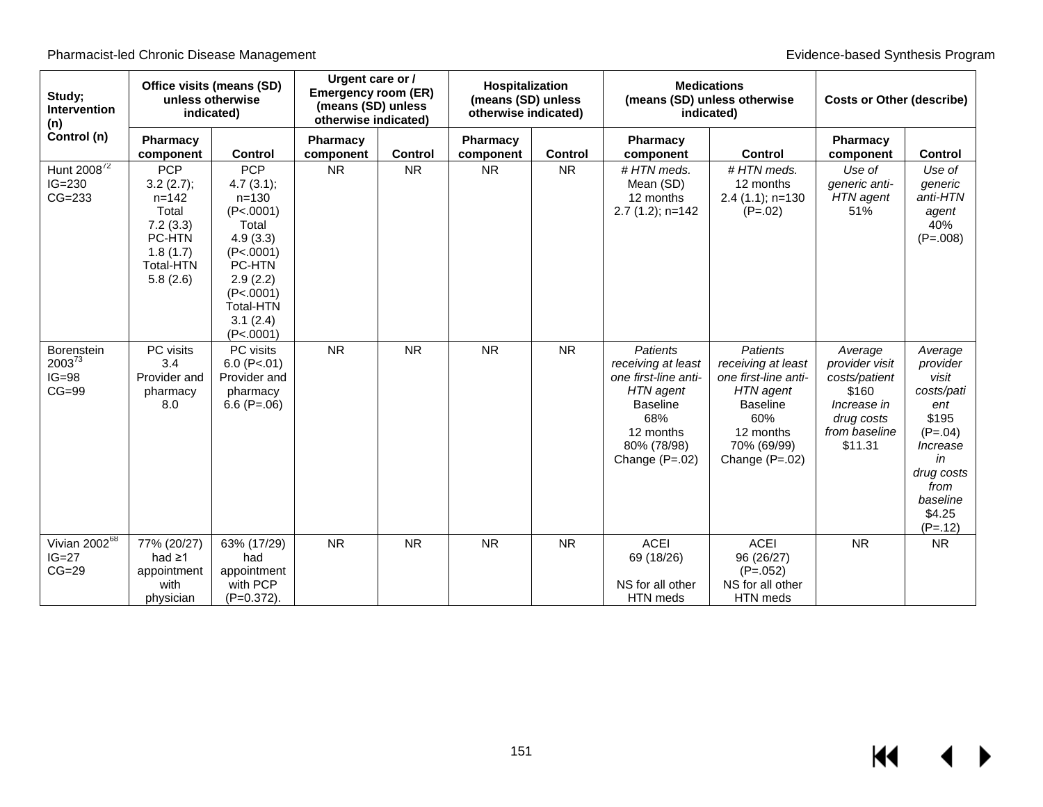| Study;<br><b>Intervention</b><br>(n)            | Office visits (means (SD)<br>unless otherwise<br>indicated)                                                     |                                                                                                                                                                            | Urgent care or /<br><b>Emergency room (ER)</b><br>(means (SD) unless<br>otherwise indicated) |                | Hospitalization<br>(means (SD) unless<br>otherwise indicated) |                |                                                                                                                                                      | <b>Medications</b><br>(means (SD) unless otherwise<br>indicated)                                                                                     | <b>Costs or Other (describe)</b>                                                                             |                                                                                                                                                    |
|-------------------------------------------------|-----------------------------------------------------------------------------------------------------------------|----------------------------------------------------------------------------------------------------------------------------------------------------------------------------|----------------------------------------------------------------------------------------------|----------------|---------------------------------------------------------------|----------------|------------------------------------------------------------------------------------------------------------------------------------------------------|------------------------------------------------------------------------------------------------------------------------------------------------------|--------------------------------------------------------------------------------------------------------------|----------------------------------------------------------------------------------------------------------------------------------------------------|
| Control (n)                                     | Pharmacy<br>component                                                                                           | <b>Control</b>                                                                                                                                                             | Pharmacy<br>component                                                                        | <b>Control</b> | Pharmacy<br>component                                         | <b>Control</b> | Pharmacy<br>component                                                                                                                                | <b>Control</b>                                                                                                                                       | <b>Pharmacy</b><br>component                                                                                 | <b>Control</b>                                                                                                                                     |
| Hunt 2008 <sup>72</sup><br>$IG=230$<br>$CG=233$ | <b>PCP</b><br>3.2(2.7);<br>$n = 142$<br>Total<br>7.2(3.3)<br>PC-HTN<br>1.8(1.7)<br><b>Total-HTN</b><br>5.8(2.6) | <b>PCP</b><br>4.7(3.1);<br>$n = 130$<br>(P<.0001)<br>Total<br>4.9(3.3)<br>(P<.0001)<br><b>PC-HTN</b><br>2.9(2.2)<br>(P<.0001)<br><b>Total-HTN</b><br>3.1(2.4)<br>(P<.0001) | <b>NR</b>                                                                                    | <b>NR</b>      | <b>NR</b>                                                     | <b>NR</b>      | #HTN meds.<br>Mean (SD)<br>12 months<br>$2.7(1.2)$ ; n=142                                                                                           | # HTN meds.<br>12 months<br>$2.4(1.1); n=130$<br>$(P=.02)$                                                                                           | Use of<br><i>generic</i> anti-<br>HTN agent<br>51%                                                           | Use of<br>qeneric<br>anti-HTN<br>agent<br>40%<br>$(P=.008)$                                                                                        |
| Borenstein<br>$2003^{73}$<br>$IG=98$<br>$CG=99$ | PC visits<br>3.4<br>Provider and<br>pharmacy<br>8.0                                                             | PC visits<br>$6.0$ (P<.01)<br>Provider and<br>pharmacy<br>6.6 $(P=.06)$                                                                                                    | <b>NR</b>                                                                                    | <b>NR</b>      | <b>NR</b>                                                     | <b>NR</b>      | <b>Patients</b><br>receiving at least<br>one first-line anti-<br>HTN agent<br><b>Baseline</b><br>68%<br>12 months<br>80% (78/98)<br>Change $(P=.02)$ | <b>Patients</b><br>receiving at least<br>one first-line anti-<br>HTN agent<br><b>Baseline</b><br>60%<br>12 months<br>70% (69/99)<br>Change $(P=.02)$ | Average<br>provider visit<br>costs/patient<br>\$160<br>Increase in<br>drug costs<br>from baseline<br>\$11.31 | Average<br>provider<br>visit<br>costs/pati<br>ent<br>\$195<br>$(P=.04)$<br>Increase<br>in<br>drug costs<br>from<br>baseline<br>\$4.25<br>$(P=.12)$ |
| Vivian 200268<br>$IG=27$<br>$CG=29$             | 77% (20/27)<br>had $\geq$ 1<br>appointment<br>with<br>physician                                                 | 63% (17/29)<br>had<br>appointment<br>with PCP<br>$(P=0.372)$ .                                                                                                             | <b>NR</b>                                                                                    | <b>NR</b>      | <b>NR</b>                                                     | <b>NR</b>      | <b>ACEI</b><br>69 (18/26)<br>NS for all other<br>HTN meds                                                                                            | <b>ACEI</b><br>96 (26/27)<br>$(P=.052)$<br>NS for all other<br>HTN meds                                                                              | <b>NR</b>                                                                                                    | <b>NR</b>                                                                                                                                          |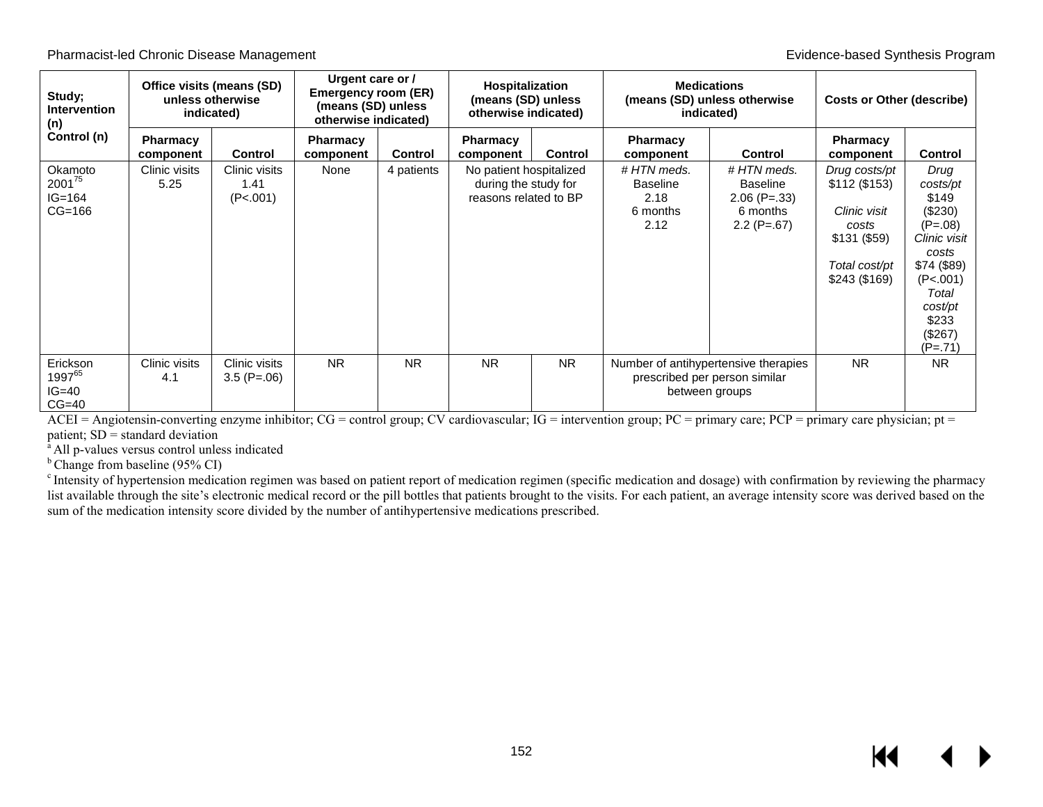| Study;<br><b>Intervention</b><br>(n)        | Office visits (means (SD)<br>unless otherwise<br>indicated) |                                    | Urgent care or /<br>Emergency room (ER)<br>(means (SD) unless<br>otherwise indicated) |            | Hospitalization<br>(means (SD) unless<br>otherwise indicated)            |                |                                                    | <b>Medications</b><br>(means (SD) unless otherwise<br>indicated)                        | <b>Costs or Other (describe)</b>                                                                          |                                                                                                                                                            |
|---------------------------------------------|-------------------------------------------------------------|------------------------------------|---------------------------------------------------------------------------------------|------------|--------------------------------------------------------------------------|----------------|----------------------------------------------------|-----------------------------------------------------------------------------------------|-----------------------------------------------------------------------------------------------------------|------------------------------------------------------------------------------------------------------------------------------------------------------------|
| Control (n)                                 | <b>Pharmacy</b><br>component                                | <b>Control</b>                     | Pharmacy<br>component                                                                 | Control    | <b>Pharmacy</b><br>component                                             | <b>Control</b> | <b>Pharmacy</b><br>component                       | <b>Control</b>                                                                          | <b>Pharmacy</b><br>component                                                                              | <b>Control</b>                                                                                                                                             |
| Okamoto<br>200175<br>$IG = 164$<br>$CG=166$ | Clinic visits<br>5.25                                       | Clinic visits<br>1.41<br>(P<.001)  | None                                                                                  | 4 patients | No patient hospitalized<br>during the study for<br>reasons related to BP |                | #HTN meds.<br>Baseline<br>2.18<br>6 months<br>2.12 | #HTN meds.<br><b>Baseline</b><br>$2.06$ (P= $.33$ )<br>6 months<br>$2.2$ (P=.67)        | Drug costs/pt<br>\$112 (\$153)<br>Clinic visit<br>costs<br>\$131 (\$59)<br>Total cost/pt<br>\$243 (\$169) | Drug<br>costs/pt<br>\$149<br>(\$230)<br>$(P=.08)$<br>Clinic visit<br>costs<br>\$74 (\$89)<br>(P<.001)<br>Total<br>cost/pt<br>\$233<br>(\$267)<br>$(P=.71)$ |
| Erickson<br>199765<br>IG=40<br>$CG=40$      | Clinic visits<br>4.1                                        | Clinic visits<br>$3.5$ (P= $.06$ ) | <b>NR</b>                                                                             | <b>NR</b>  | <b>NR</b>                                                                | N <sub>R</sub> |                                                    | Number of antihypertensive therapies<br>prescribed per person similar<br>between groups | <b>NR</b>                                                                                                 | <b>NR</b>                                                                                                                                                  |

ACEI = Angiotensin-converting enzyme inhibitor; CG = control group; CV cardiovascular; IG = intervention group; PC = primary care; PCP = primary care physician; pt = patient;  $SD =$  standard deviation<br><sup>a</sup> All p-values versus control unless indicated<br><sup>b</sup> Change from baseline (95% CI)

<sup>c</sup> Intensity of hypertension medication regimen was based on patient report of medication regimen (specific medication and dosage) with confirmation by reviewing the pharmacy list available through the site's electronic medical record or the pill bottles that patients brought to the visits. For each patient, an average intensity score was derived based on the sum of the medication intensity score divided by the number of antihypertensive medications prescribed.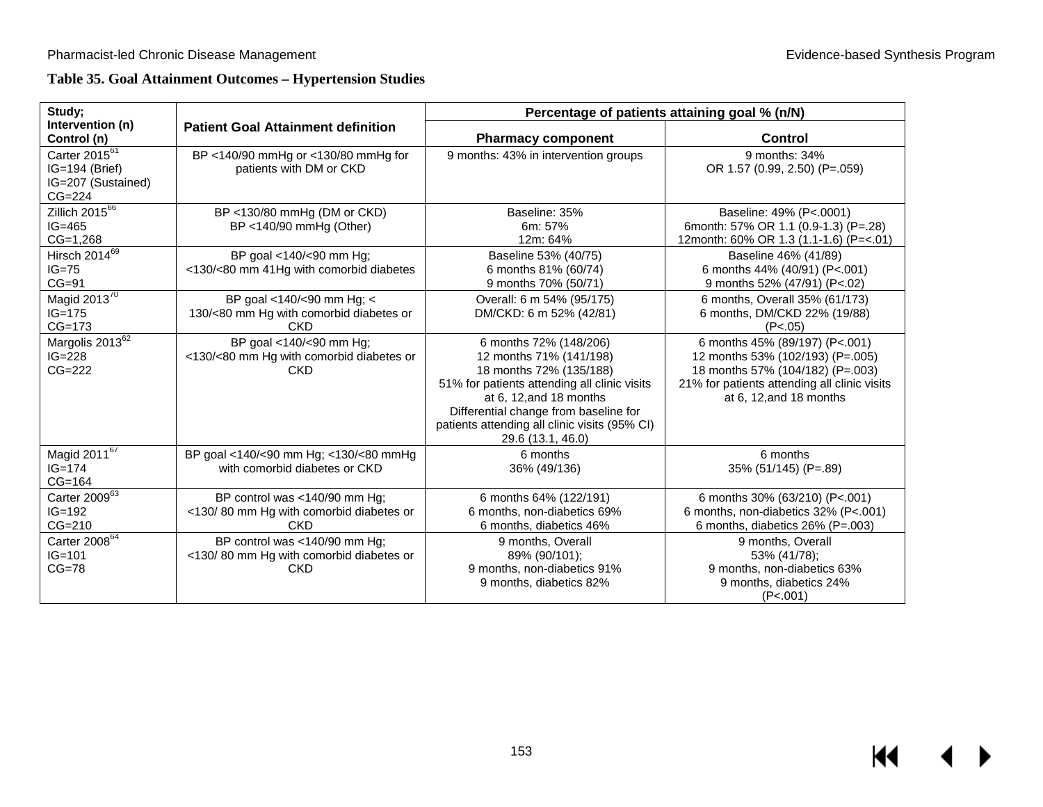# **Table 35. Goal Attainment Outcomes – Hypertension Studies**

| Study;                                                                        |                                                                                        | Percentage of patients attaining goal % (n/N)                                                                                                                                                                                                                               |                                                                                                                                                                                      |  |  |  |  |
|-------------------------------------------------------------------------------|----------------------------------------------------------------------------------------|-----------------------------------------------------------------------------------------------------------------------------------------------------------------------------------------------------------------------------------------------------------------------------|--------------------------------------------------------------------------------------------------------------------------------------------------------------------------------------|--|--|--|--|
| Intervention (n)<br>Control (n)                                               | <b>Patient Goal Attainment definition</b>                                              | <b>Pharmacy component</b>                                                                                                                                                                                                                                                   | <b>Control</b>                                                                                                                                                                       |  |  |  |  |
| Carter 2015 <sup>61</sup><br>IG=194 (Brief)<br>IG=207 (Sustained)<br>$CG=224$ | BP <140/90 mmHg or <130/80 mmHg for<br>patients with DM or CKD                         | 9 months: 43% in intervention groups                                                                                                                                                                                                                                        | 9 months: 34%<br>OR 1.57 (0.99, 2.50) (P=.059)                                                                                                                                       |  |  |  |  |
| Zillich $20\overline{15^{66}}$<br>$IG=465$<br>$CG=1,268$                      | BP <130/80 mmHg (DM or CKD)<br>$BP < 140/90$ mmHg (Other)                              | Baseline: 35%<br>6m: 57%<br>12m: 64%                                                                                                                                                                                                                                        | Baseline: 49% (P<.0001)<br>6month: 57% OR 1.1 (0.9-1.3) (P=.28)<br>12month: 60% OR 1.3 (1.1-1.6) (P=<.01)                                                                            |  |  |  |  |
| Hirsch 201469<br>$IG=75$<br>$CG=91$                                           | BP goal <140/<90 mm Hg;<br><130/<80 mm 41Hg with comorbid diabetes                     | Baseline 53% (40/75)<br>6 months 81% (60/74)<br>9 months 70% (50/71)                                                                                                                                                                                                        | Baseline 46% (41/89)<br>6 months 44% (40/91) (P<.001)<br>9 months 52% (47/91) (P<.02)                                                                                                |  |  |  |  |
| Magid 201 $\overline{3^{70}}$<br>$IG = 175$<br>$CG=173$                       | BP goal <140/<90 mm Hg; <<br>130/<80 mm Hg with comorbid diabetes or<br><b>CKD</b>     | Overall: 6 m 54% (95/175)<br>DM/CKD: 6 m 52% (42/81)                                                                                                                                                                                                                        | 6 months, Overall 35% (61/173)<br>6 months, DM/CKD 22% (19/88)<br>(P<.05)                                                                                                            |  |  |  |  |
| Margolis 2013 <sup>62</sup><br>$IG = 228$<br>$CG=222$                         | BP goal <140/<90 mm Hg;<br><130/<80 mm Hg with comorbid diabetes or<br><b>CKD</b>      | 6 months 72% (148/206)<br>12 months 71% (141/198)<br>18 months 72% (135/188)<br>51% for patients attending all clinic visits<br>at $6, 12$ , and $18$ months<br>Differential change from baseline for<br>patients attending all clinic visits (95% CI)<br>29.6 (13.1, 46.0) | 6 months 45% (89/197) (P<.001)<br>12 months 53% (102/193) (P=.005)<br>18 months 57% (104/182) (P=.003)<br>21% for patients attending all clinic visits<br>at $6$ , 12, and 18 months |  |  |  |  |
| Magid 2011 <sup>67</sup><br>$IG = 174$<br>$CG=164$                            | BP goal <140/<90 mm Hg; <130/<80 mmHg<br>with comorbid diabetes or CKD                 | 6 months<br>36% (49/136)                                                                                                                                                                                                                                                    | 6 months<br>35% (51/145) (P=.89)                                                                                                                                                     |  |  |  |  |
| Carter 200963<br>$IG=192$<br>$CG=210$                                         | BP control was <140/90 mm Hg;<br><130/80 mm Hg with comorbid diabetes or<br><b>CKD</b> | 6 months 64% (122/191)<br>6 months, non-diabetics 69%<br>6 months, diabetics 46%                                                                                                                                                                                            | 6 months 30% (63/210) (P<.001)<br>6 months, non-diabetics 32% (P<.001)<br>6 months, diabetics 26% (P=.003)                                                                           |  |  |  |  |
| Carter 2008 <sup>64</sup><br>$IG = 101$<br>$CG=78$                            | BP control was <140/90 mm Hg;<br><130/80 mm Hg with comorbid diabetes or<br><b>CKD</b> | 9 months, Overall<br>89% (90/101);<br>9 months, non-diabetics 91%<br>9 months, diabetics 82%                                                                                                                                                                                | 9 months, Overall<br>53% (41/78);<br>9 months, non-diabetics 63%<br>9 months, diabetics 24%<br>(P<.001)                                                                              |  |  |  |  |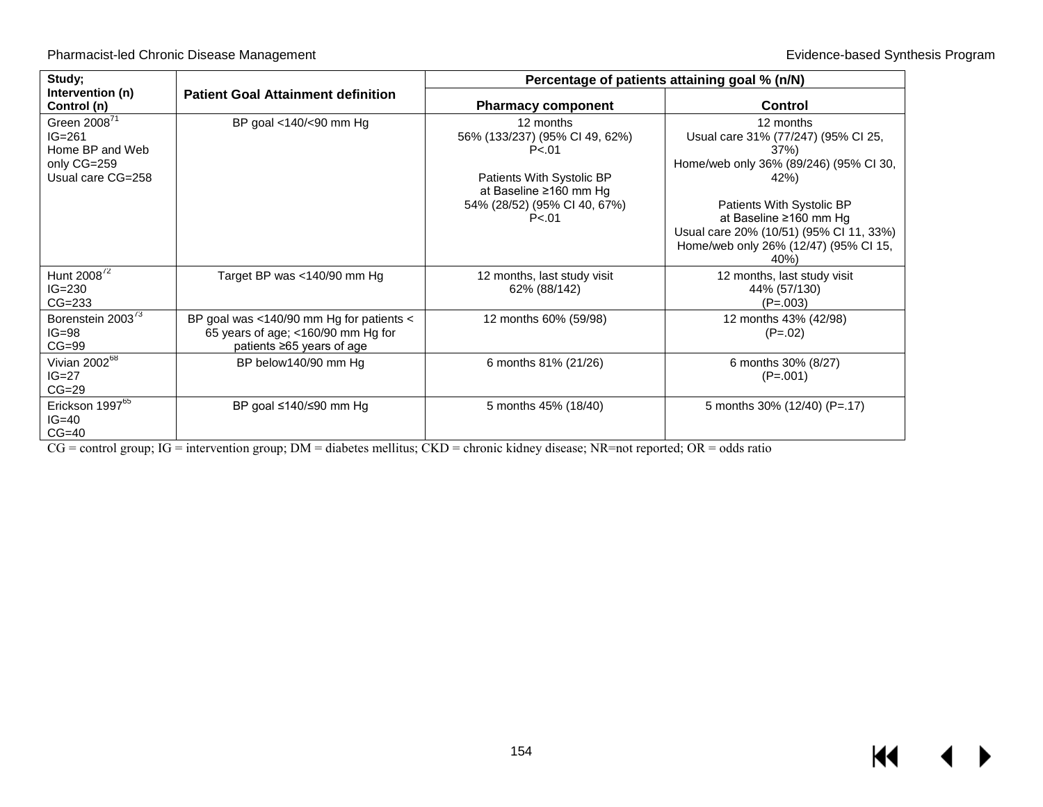| Study;                                                                 |                                                                                                             |                                                       | Percentage of patients attaining goal % (n/N)                                                                                                  |
|------------------------------------------------------------------------|-------------------------------------------------------------------------------------------------------------|-------------------------------------------------------|------------------------------------------------------------------------------------------------------------------------------------------------|
| Intervention (n)<br>Control (n)                                        | <b>Patient Goal Attainment definition</b>                                                                   | <b>Pharmacy component</b>                             | <b>Control</b>                                                                                                                                 |
| Green 2008 <sup>71</sup><br>$IG=261$<br>Home BP and Web<br>only CG=259 | BP goal <140/<90 mm Hg                                                                                      | 12 months<br>56% (133/237) (95% CI 49, 62%)<br>P < 01 | 12 months<br>Usual care 31% (77/247) (95% Cl 25,<br>37%)<br>Home/web only 36% (89/246) (95% CI 30,                                             |
| Usual care CG=258                                                      |                                                                                                             | Patients With Systolic BP<br>at Baseline ≥160 mm Hg   | 42%                                                                                                                                            |
|                                                                        |                                                                                                             | 54% (28/52) (95% CI 40, 67%)<br>P < 01                | Patients With Systolic BP<br>at Baseline ≥160 mm Hg<br>Usual care 20% (10/51) (95% Cl 11, 33%)<br>Home/web only 26% (12/47) (95% CI 15,<br>40% |
| Hunt 2008 <sup>72</sup><br>$IG=230$<br>$CG=233$                        | Target BP was <140/90 mm Hg                                                                                 | 12 months, last study visit<br>62% (88/142)           | 12 months, last study visit<br>44% (57/130)<br>$(P=.003)$                                                                                      |
| Borenstein 2003 <sup>73</sup><br>$IG=98$<br>$CG=99$                    | BP goal was <140/90 mm Hg for patients <<br>65 years of age; <160/90 mm Hg for<br>patients ≥65 years of age | 12 months 60% (59/98)                                 | 12 months 43% (42/98)<br>$(P=.02)$                                                                                                             |
| Vivian 2002 <sup>68</sup><br>$IG=27$<br>$CG=29$                        | BP below140/90 mm Hg                                                                                        | 6 months 81% (21/26)                                  | 6 months 30% (8/27)<br>$(P=.001)$                                                                                                              |
| Erickson 1997 <sup>65</sup><br>$IG=40$<br>$CG=40$                      | BP goal ≤140/≤90 mm Hg                                                                                      | 5 months 45% (18/40)                                  | 5 months 30% (12/40) (P=.17)                                                                                                                   |

CG = control group; IG = intervention group; DM = diabetes mellitus; CKD = chronic kidney disease; NR=not reported; OR = odds ratio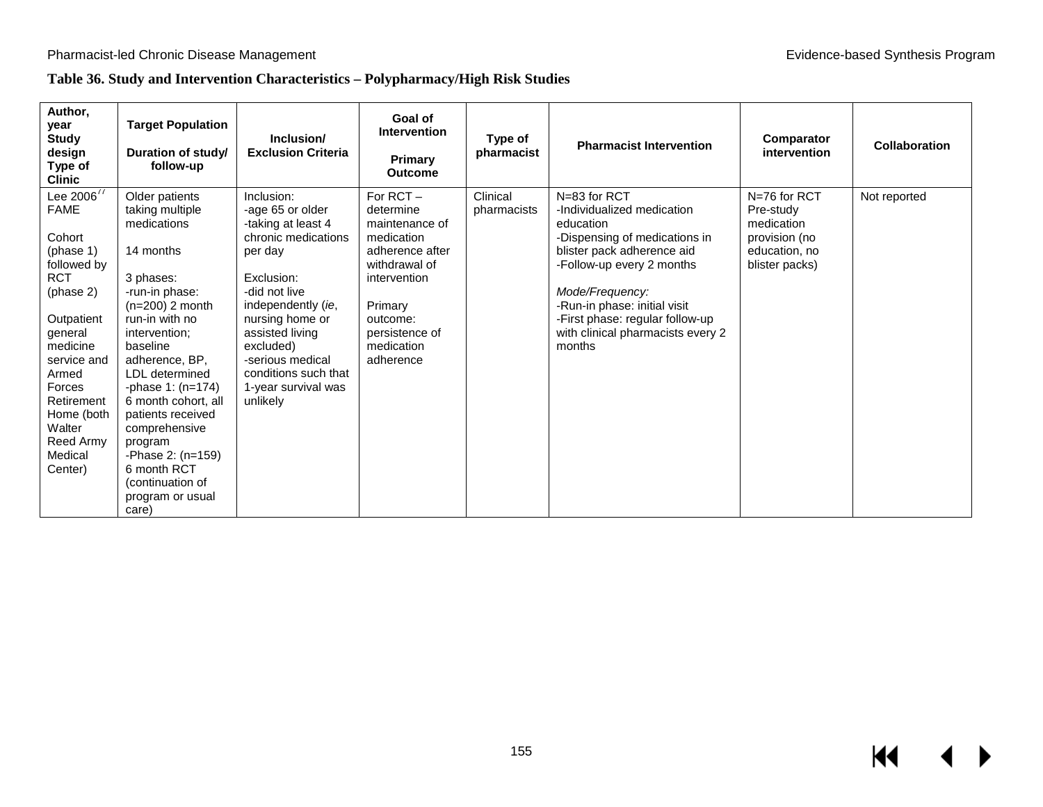# **Table 36. Study and Intervention Characteristics – Polypharmacy/High Risk Studies**

| Author,<br>year<br><b>Study</b><br>design<br>Type of<br><b>Clinic</b>                                                                                                                                                                           | <b>Target Population</b><br>Duration of study/<br>follow-up                                                                                                                                                                                                                                                                                                                              | Inclusion/<br><b>Exclusion Criteria</b>                                                                                                                                                                                                                                       | Goal of<br><b>Intervention</b><br>Primary<br><b>Outcome</b>                                                                                                                      | Type of<br>pharmacist   | <b>Pharmacist Intervention</b>                                                                                                                                                                                                                                                           | Comparator<br>intervention                                                                  | Collaboration |
|-------------------------------------------------------------------------------------------------------------------------------------------------------------------------------------------------------------------------------------------------|------------------------------------------------------------------------------------------------------------------------------------------------------------------------------------------------------------------------------------------------------------------------------------------------------------------------------------------------------------------------------------------|-------------------------------------------------------------------------------------------------------------------------------------------------------------------------------------------------------------------------------------------------------------------------------|----------------------------------------------------------------------------------------------------------------------------------------------------------------------------------|-------------------------|------------------------------------------------------------------------------------------------------------------------------------------------------------------------------------------------------------------------------------------------------------------------------------------|---------------------------------------------------------------------------------------------|---------------|
| Lee $2006^{77}$<br><b>FAME</b><br>Cohort<br>(phase 1)<br>followed by<br><b>RCT</b><br>(phase 2)<br>Outpatient<br>general<br>medicine<br>service and<br>Armed<br>Forces<br>Retirement<br>Home (both<br>Walter<br>Reed Army<br>Medical<br>Center) | Older patients<br>taking multiple<br>medications<br>14 months<br>3 phases:<br>-run-in phase:<br>$(n=200)$ 2 month<br>run-in with no<br>intervention;<br>baseline<br>adherence, BP,<br>LDL determined<br>-phase $1: (n=174)$<br>6 month cohort, all<br>patients received<br>comprehensive<br>program<br>-Phase 2: (n=159)<br>6 month RCT<br>(continuation of<br>program or usual<br>care) | Inclusion:<br>-age 65 or older<br>-taking at least 4<br>chronic medications<br>per day<br>Exclusion:<br>-did not live<br>independently (ie,<br>nursing home or<br>assisted living<br>excluded)<br>-serious medical<br>conditions such that<br>1-year survival was<br>unlikely | For $RCT -$<br>determine<br>maintenance of<br>medication<br>adherence after<br>withdrawal of<br>intervention<br>Primary<br>outcome:<br>persistence of<br>medication<br>adherence | Clinical<br>pharmacists | N=83 for RCT<br>-Individualized medication<br>education<br>-Dispensing of medications in<br>blister pack adherence aid<br>-Follow-up every 2 months<br>Mode/Frequency:<br>-Run-in phase: initial visit<br>-First phase: regular follow-up<br>with clinical pharmacists every 2<br>months | N=76 for RCT<br>Pre-study<br>medication<br>provision (no<br>education, no<br>blister packs) | Not reported  |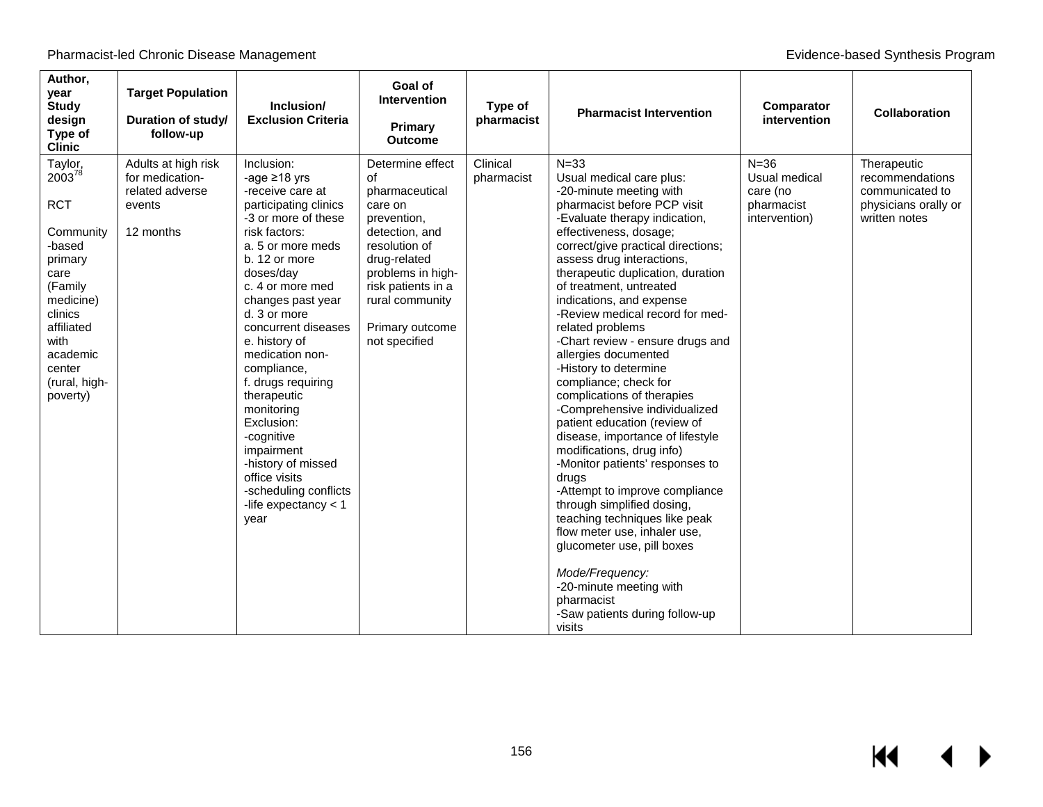| Author,<br>year<br><b>Study</b><br>design<br>Type of<br><b>Clinic</b>                                                                                                                             | <b>Target Population</b><br>Duration of study/<br>follow-up                      | Inclusion/<br><b>Exclusion Criteria</b>                                                                                                                                                                                                                                                                                                                                                                                                                                                                    | Goal of<br><b>Intervention</b><br><b>Primary</b><br><b>Outcome</b>                                                                                                                                                      | Type of<br>pharmacist  | <b>Pharmacist Intervention</b>                                                                                                                                                                                                                                                                                                                                                                                                                                                                                                                                                                                                                                                                                                                                                                                                                                                                                                                                                   | Comparator<br>intervention                                           | <b>Collaboration</b>                                                                       |
|---------------------------------------------------------------------------------------------------------------------------------------------------------------------------------------------------|----------------------------------------------------------------------------------|------------------------------------------------------------------------------------------------------------------------------------------------------------------------------------------------------------------------------------------------------------------------------------------------------------------------------------------------------------------------------------------------------------------------------------------------------------------------------------------------------------|-------------------------------------------------------------------------------------------------------------------------------------------------------------------------------------------------------------------------|------------------------|----------------------------------------------------------------------------------------------------------------------------------------------------------------------------------------------------------------------------------------------------------------------------------------------------------------------------------------------------------------------------------------------------------------------------------------------------------------------------------------------------------------------------------------------------------------------------------------------------------------------------------------------------------------------------------------------------------------------------------------------------------------------------------------------------------------------------------------------------------------------------------------------------------------------------------------------------------------------------------|----------------------------------------------------------------------|--------------------------------------------------------------------------------------------|
| Taylor,<br>2003 <sup>78</sup><br><b>RCT</b><br>Community<br>-based<br>primary<br>care<br>(Family<br>medicine)<br>clinics<br>affiliated<br>with<br>academic<br>center<br>(rural, high-<br>poverty) | Adults at high risk<br>for medication-<br>related adverse<br>events<br>12 months | Inclusion:<br>-age $\geq$ 18 yrs<br>-receive care at<br>participating clinics<br>-3 or more of these<br>risk factors:<br>a. 5 or more meds<br>b. 12 or more<br>doses/day<br>c. 4 or more med<br>changes past year<br>d. 3 or more<br>concurrent diseases<br>e. history of<br>medication non-<br>compliance,<br>f. drugs requiring<br>therapeutic<br>monitoring<br>Exclusion:<br>-cognitive<br>impairment<br>-history of missed<br>office visits<br>-scheduling conflicts<br>-life expectancy $<$ 1<br>year | Determine effect<br>of<br>pharmaceutical<br>care on<br>prevention,<br>detection, and<br>resolution of<br>drug-related<br>problems in high-<br>risk patients in a<br>rural community<br>Primary outcome<br>not specified | Clinical<br>pharmacist | $N = 33$<br>Usual medical care plus:<br>-20-minute meeting with<br>pharmacist before PCP visit<br>-Evaluate therapy indication,<br>effectiveness, dosage;<br>correct/give practical directions;<br>assess drug interactions,<br>therapeutic duplication, duration<br>of treatment, untreated<br>indications, and expense<br>-Review medical record for med-<br>related problems<br>-Chart review - ensure drugs and<br>allergies documented<br>-History to determine<br>compliance; check for<br>complications of therapies<br>-Comprehensive individualized<br>patient education (review of<br>disease, importance of lifestyle<br>modifications, drug info)<br>-Monitor patients' responses to<br>drugs<br>-Attempt to improve compliance<br>through simplified dosing,<br>teaching techniques like peak<br>flow meter use, inhaler use,<br>glucometer use, pill boxes<br>Mode/Frequency:<br>-20-minute meeting with<br>pharmacist<br>-Saw patients during follow-up<br>visits | $N = 36$<br>Usual medical<br>care (no<br>pharmacist<br>intervention) | Therapeutic<br>recommendations<br>communicated to<br>physicians orally or<br>written notes |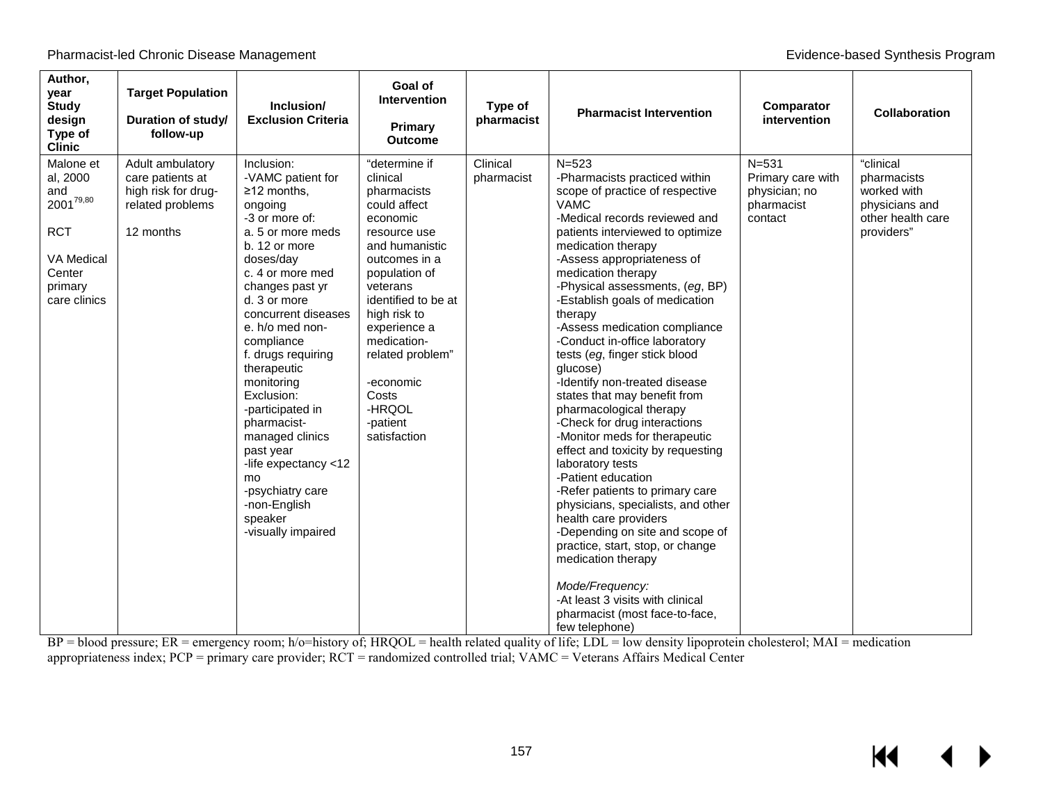| Author,<br>year<br><b>Study</b><br>design<br>Type of<br><b>Clinic</b>                                           | <b>Target Population</b><br>Duration of study/<br>follow-up                                  | Inclusion/<br><b>Exclusion Criteria</b>                                                                                                                                                                                                                                                                                                                                                                                                                                                    | Goal of<br><b>Intervention</b><br>Primary<br><b>Outcome</b>                                                                                                                                                                                                                                                | Type of<br>pharmacist  | <b>Pharmacist Intervention</b>                                                                                                                                                                                                                                                                                                                                                                                                                                                                                                                                                                                                                                                                                                                                                                                                                                                                                                                                                                   | Comparator<br>intervention                                               | <b>Collaboration</b>                                                                         |
|-----------------------------------------------------------------------------------------------------------------|----------------------------------------------------------------------------------------------|--------------------------------------------------------------------------------------------------------------------------------------------------------------------------------------------------------------------------------------------------------------------------------------------------------------------------------------------------------------------------------------------------------------------------------------------------------------------------------------------|------------------------------------------------------------------------------------------------------------------------------------------------------------------------------------------------------------------------------------------------------------------------------------------------------------|------------------------|--------------------------------------------------------------------------------------------------------------------------------------------------------------------------------------------------------------------------------------------------------------------------------------------------------------------------------------------------------------------------------------------------------------------------------------------------------------------------------------------------------------------------------------------------------------------------------------------------------------------------------------------------------------------------------------------------------------------------------------------------------------------------------------------------------------------------------------------------------------------------------------------------------------------------------------------------------------------------------------------------|--------------------------------------------------------------------------|----------------------------------------------------------------------------------------------|
| Malone et<br>al, 2000<br>and<br>$2001^{79,80}$<br><b>RCT</b><br>VA Medical<br>Center<br>primary<br>care clinics | Adult ambulatory<br>care patients at<br>high risk for drug-<br>related problems<br>12 months | Inclusion:<br>-VAMC patient for<br>$\geq$ 12 months,<br>ongoing<br>-3 or more of:<br>a. 5 or more meds<br>b. 12 or more<br>doses/dav<br>c. 4 or more med<br>changes past yr<br>d. 3 or more<br>concurrent diseases<br>e. h/o med non-<br>compliance<br>f. drugs requiring<br>therapeutic<br>monitoring<br>Exclusion:<br>-participated in<br>pharmacist-<br>managed clinics<br>past year<br>-life expectancy <12<br>mo<br>-psychiatry care<br>-non-English<br>speaker<br>-visually impaired | "determine if<br>clinical<br>pharmacists<br>could affect<br>economic<br>resource use<br>and humanistic<br>outcomes in a<br>population of<br>veterans<br>identified to be at<br>high risk to<br>experience a<br>medication-<br>related problem"<br>-economic<br>Costs<br>-HRQOL<br>-patient<br>satisfaction | Clinical<br>pharmacist | $N = 523$<br>-Pharmacists practiced within<br>scope of practice of respective<br><b>VAMC</b><br>-Medical records reviewed and<br>patients interviewed to optimize<br>medication therapy<br>-Assess appropriateness of<br>medication therapy<br>-Physical assessments, (eg, BP)<br>-Establish goals of medication<br>therapy<br>-Assess medication compliance<br>-Conduct in-office laboratory<br>tests (eg, finger stick blood<br>glucose)<br>-Identify non-treated disease<br>states that may benefit from<br>pharmacological therapy<br>-Check for drug interactions<br>-Monitor meds for therapeutic<br>effect and toxicity by requesting<br>laboratory tests<br>-Patient education<br>-Refer patients to primary care<br>physicians, specialists, and other<br>health care providers<br>-Depending on site and scope of<br>practice, start, stop, or change<br>medication therapy<br>Mode/Frequency:<br>-At least 3 visits with clinical<br>pharmacist (most face-to-face,<br>few telephone) | $N = 531$<br>Primary care with<br>physician; no<br>pharmacist<br>contact | "clinical<br>pharmacists<br>worked with<br>physicians and<br>other health care<br>providers" |

BP = blood pressure; ER = emergency room; h/o=history of; HRQOL = health related quality of life; LDL = low density lipoprotein cholesterol; MAI = medication appropriateness index; PCP = primary care provider; RCT = randomized controlled trial; VAMC = Veterans Affairs Medical Center

 $\blacktriangleright$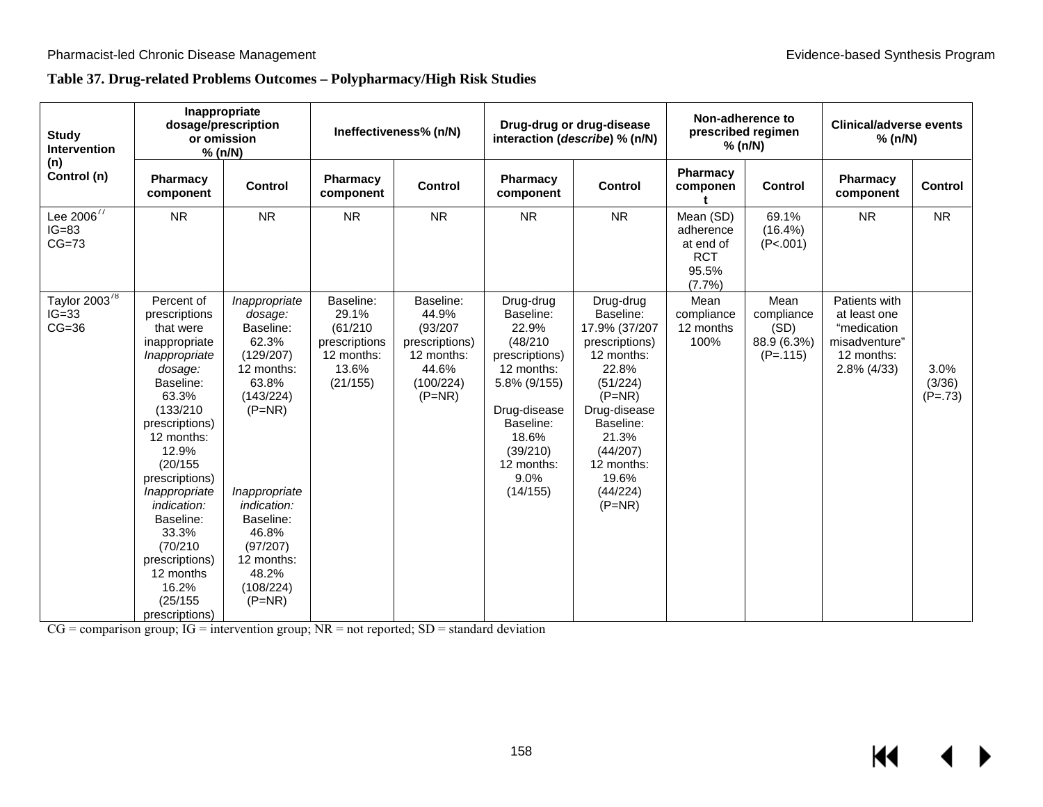## **Table 37. Drug-related Problems Outcomes – Polypharmacy/High Risk Studies**

| <b>Study</b><br><b>Intervention</b>             | Inappropriate<br>dosage/prescription<br>or omission<br>% (n/N)                                                                                                                                                                                                                                                                          |                                                                                                                                                                                                                               | Ineffectiveness% (n/N)                                                             |                                                                                                  |                                                                                                                                                                                 | Drug-drug or drug-disease<br>interaction (describe) % (n/N)                                                                                                                                               |                                                                      | Non-adherence to<br>prescribed regimen<br>% (n/N)       | <b>Clinical/adverse events</b><br>% (n/N)                                                  |                             |
|-------------------------------------------------|-----------------------------------------------------------------------------------------------------------------------------------------------------------------------------------------------------------------------------------------------------------------------------------------------------------------------------------------|-------------------------------------------------------------------------------------------------------------------------------------------------------------------------------------------------------------------------------|------------------------------------------------------------------------------------|--------------------------------------------------------------------------------------------------|---------------------------------------------------------------------------------------------------------------------------------------------------------------------------------|-----------------------------------------------------------------------------------------------------------------------------------------------------------------------------------------------------------|----------------------------------------------------------------------|---------------------------------------------------------|--------------------------------------------------------------------------------------------|-----------------------------|
| (n)<br>Control (n)                              | Pharmacy<br>component                                                                                                                                                                                                                                                                                                                   | Control                                                                                                                                                                                                                       | Pharmacy<br>component                                                              | <b>Control</b>                                                                                   | <b>Pharmacy</b><br>component                                                                                                                                                    | <b>Control</b>                                                                                                                                                                                            | Pharmacy<br>componen                                                 | <b>Control</b>                                          | Pharmacy<br>component                                                                      | <b>Control</b>              |
| Lee $2006^{77}$<br>$IG=83$<br>$CG=73$           | <b>NR</b>                                                                                                                                                                                                                                                                                                                               | <b>NR</b>                                                                                                                                                                                                                     | <b>NR</b>                                                                          | <b>NR</b>                                                                                        | <b>NR</b>                                                                                                                                                                       | <b>NR</b>                                                                                                                                                                                                 | Mean (SD)<br>adherence<br>at end of<br><b>RCT</b><br>95.5%<br>(7.7%) | 69.1%<br>$(16.4\%)$<br>(P<.001)                         | <b>NR</b>                                                                                  | <b>NR</b>                   |
| Taylor 2003 <sup>78</sup><br>$IG=33$<br>$CG=36$ | Percent of<br>prescriptions<br>that were<br>inappropriate<br>Inappropriate<br>dosage:<br>Baseline:<br>63.3%<br>(133/210)<br>prescriptions)<br>12 months:<br>12.9%<br>(20/155)<br>prescriptions)<br>Inappropriate<br>indication:<br>Baseline:<br>33.3%<br>(70/210)<br>prescriptions)<br>12 months<br>16.2%<br>(25/155)<br>prescriptions) | Inappropriate<br>dosage:<br>Baseline:<br>62.3%<br>(129/207)<br>12 months:<br>63.8%<br>(143/224)<br>$(P=NR)$<br>Inappropriate<br>indication:<br>Baseline:<br>46.8%<br>(97/207)<br>12 months:<br>48.2%<br>(108/224)<br>$(P=NR)$ | Baseline:<br>29.1%<br>(61/210)<br>prescriptions<br>12 months:<br>13.6%<br>(21/155) | Baseline:<br>44.9%<br>(93/207)<br>prescriptions)<br>12 months:<br>44.6%<br>(100/224)<br>$(P=NR)$ | Drug-drug<br>Baseline:<br>22.9%<br>(48/210)<br>prescriptions)<br>12 months:<br>5.8% (9/155)<br>Drug-disease<br>Baseline:<br>18.6%<br>(39/210)<br>12 months:<br>9.0%<br>(14/155) | Drug-drug<br>Baseline:<br>17.9% (37/207<br>prescriptions)<br>12 months:<br>22.8%<br>(51/224)<br>$(P=NR)$<br>Drug-disease<br>Baseline:<br>21.3%<br>(44/207)<br>12 months:<br>19.6%<br>(44/224)<br>$(P=NR)$ | Mean<br>compliance<br>12 months<br>100%                              | Mean<br>compliance<br>(SD)<br>88.9 (6.3%)<br>$(P=.115)$ | Patients with<br>at least one<br>"medication<br>misadventure"<br>12 months:<br>2.8% (4/33) | 3.0%<br>(3/36)<br>$(P=.73)$ |

 $CG = comparison group$ ;  $IG = intervention group$ ;  $NR = not reported$ ;  $SD = standard deviation$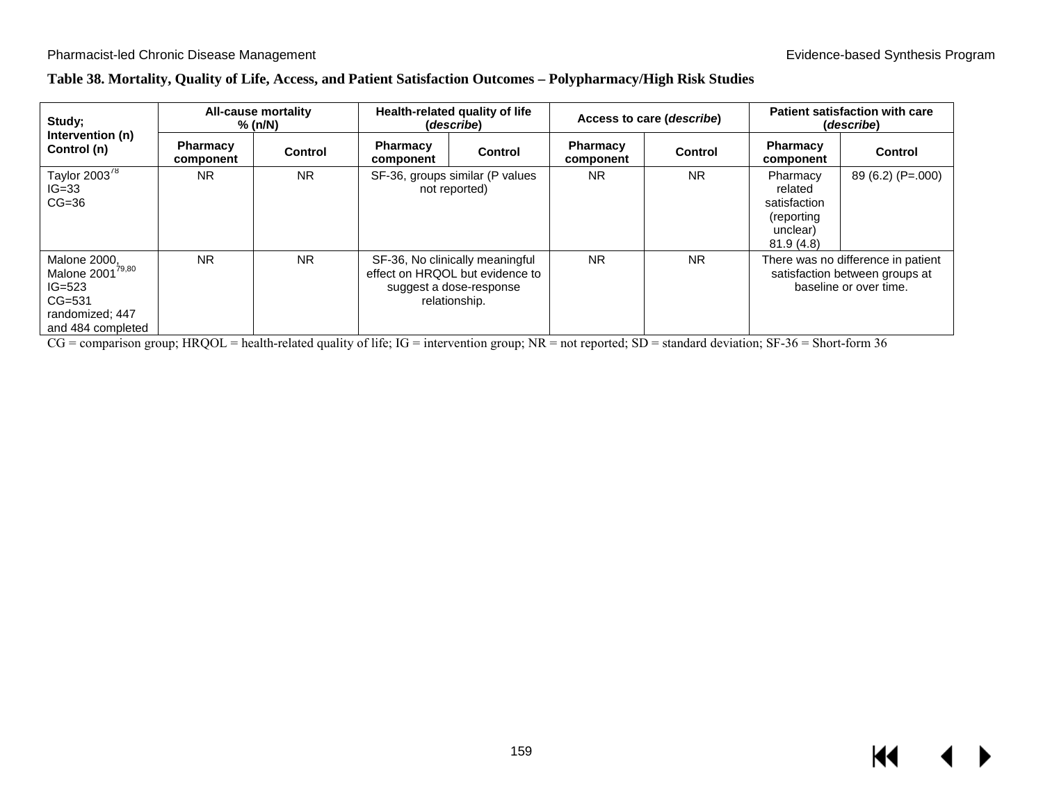### **Table 38. Mortality, Quality of Life, Access, and Patient Satisfaction Outcomes – Polypharmacy/High Risk Studies**

| Study;<br>Intervention (n)                                                                                              | All-cause mortality<br>% (n/N) |                | Health-related quality of life<br>(describe) |                                                                                                                |                              | Access to care ( <i>describe</i> ) | <b>Patient satisfaction with care</b><br>(describe)                        |                                                                                                |  |
|-------------------------------------------------------------------------------------------------------------------------|--------------------------------|----------------|----------------------------------------------|----------------------------------------------------------------------------------------------------------------|------------------------------|------------------------------------|----------------------------------------------------------------------------|------------------------------------------------------------------------------------------------|--|
| Control (n)                                                                                                             | <b>Pharmacy</b><br>component   | <b>Control</b> | <b>Pharmacy</b><br>component                 | Control                                                                                                        | <b>Pharmacy</b><br>component | Control                            | <b>Pharmacy</b><br>component                                               | <b>Control</b>                                                                                 |  |
| Taylor 2003 <sup>78</sup><br>$IG=33$<br>$CG=36$                                                                         | <b>NR</b>                      | <b>NR</b>      |                                              | SF-36, groups similar (P values<br>not reported)                                                               | <b>NR</b>                    | <b>NR</b>                          | Pharmacy<br>related<br>satisfaction<br>(reporting<br>unclear)<br>81.9(4.8) | 89 (6.2) (P=.000)                                                                              |  |
| <b>Malone 2000,</b><br>Malone 2001 <sup>79,80</sup><br>$IG = 523$<br>$CG = 531$<br>randomized; 447<br>and 484 completed | <b>NR</b>                      | <b>NR</b>      |                                              | SF-36, No clinically meaningful<br>effect on HRQOL but evidence to<br>suggest a dose-response<br>relationship. | <b>NR</b>                    | <b>NR</b>                          |                                                                            | There was no difference in patient<br>satisfaction between groups at<br>baseline or over time. |  |

CG = comparison group; HRQOL = health-related quality of life; IG = intervention group; NR = not reported; SD = standard deviation; SF-36 = Short-form 36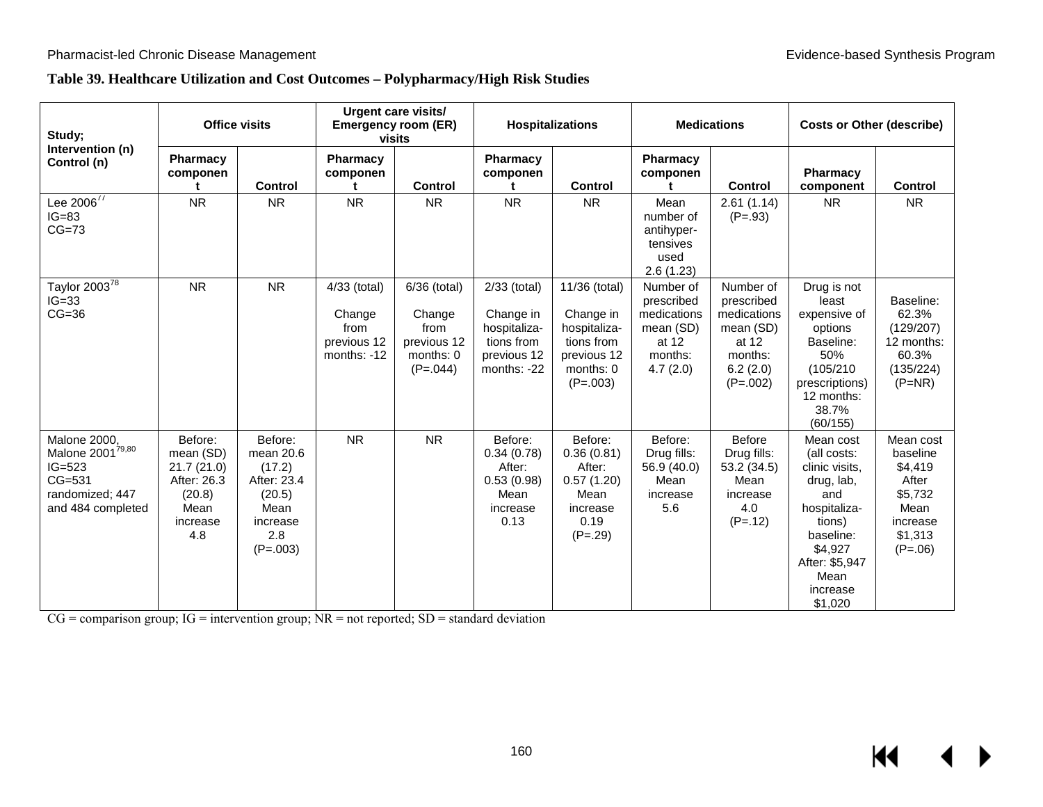## **Table 39. Healthcare Utilization and Cost Outcomes – Polypharmacy/High Risk Studies**

| Study;<br>Intervention (n)<br>Control (n)                                                                      | <b>Office visits</b>                                                                   |                                                                                                  | <b>Urgent care visits/</b><br><b>Emergency room (ER)</b><br>visits |                                                                          | Hospitalizations                                                                      |                                                                                                    | <b>Medications</b>                                                                  |                                                                                                   | <b>Costs or Other (describe)</b>                                                                                                                                   |                                                                                                  |
|----------------------------------------------------------------------------------------------------------------|----------------------------------------------------------------------------------------|--------------------------------------------------------------------------------------------------|--------------------------------------------------------------------|--------------------------------------------------------------------------|---------------------------------------------------------------------------------------|----------------------------------------------------------------------------------------------------|-------------------------------------------------------------------------------------|---------------------------------------------------------------------------------------------------|--------------------------------------------------------------------------------------------------------------------------------------------------------------------|--------------------------------------------------------------------------------------------------|
|                                                                                                                | <b>Pharmacy</b><br>componen                                                            | <b>Control</b>                                                                                   | Pharmacy<br>componen                                               | <b>Control</b>                                                           | Pharmacy<br>componen<br>t                                                             | <b>Control</b>                                                                                     | Pharmacy<br>componen                                                                | <b>Control</b>                                                                                    | Pharmacy<br>component                                                                                                                                              | <b>Control</b>                                                                                   |
| Lee $2006^{77}$<br>$IG=83$<br>$CG=73$                                                                          | <b>NR</b>                                                                              | <b>NR</b>                                                                                        | <b>NR</b>                                                          | <b>NR</b>                                                                | <b>NR</b>                                                                             | <b>NR</b>                                                                                          | Mean<br>number of<br>antihyper-<br>tensives<br>used<br>2.6(1.23)                    | 2.61(1.14)<br>$(P=.93)$                                                                           | <b>NR</b>                                                                                                                                                          | <b>NR</b>                                                                                        |
| Taylor $2003^{\overline{78}}$<br>$IG=33$<br>$CG=36$                                                            | <b>NR</b>                                                                              | <b>NR</b>                                                                                        | 4/33 (total)<br>Change<br>from<br>previous 12<br>months: -12       | 6/36 (total)<br>Change<br>from<br>previous 12<br>months: 0<br>$(P=.044)$ | 2/33 (total)<br>Change in<br>hospitaliza-<br>tions from<br>previous 12<br>months: -22 | 11/36 (total)<br>Change in<br>hospitaliza-<br>tions from<br>previous 12<br>months: 0<br>$(P=.003)$ | Number of<br>prescribed<br>medications<br>mean (SD)<br>at 12<br>months:<br>4.7(2.0) | Number of<br>prescribed<br>medications<br>mean (SD)<br>at 12<br>months:<br>6.2(2.0)<br>$(P=.002)$ | Drug is not<br>least<br>expensive of<br>options<br>Baseline:<br>50%<br>(105/210)<br>prescriptions)<br>12 months:<br>38.7%<br>(60/155)                              | Baseline:<br>62.3%<br>(129/207)<br>12 months:<br>60.3%<br>(135/224)<br>$(P=NR)$                  |
| Malone 2000,<br>Malone 2001 <sup>79,80</sup><br>$IG = 523$<br>$CG=531$<br>randomized; 447<br>and 484 completed | Before:<br>mean (SD)<br>21.7(21.0)<br>After: 26.3<br>(20.8)<br>Mean<br>increase<br>4.8 | Before:<br>mean 20.6<br>(17.2)<br>After: 23.4<br>(20.5)<br>Mean<br>increase<br>2.8<br>$(P=.003)$ | <b>NR</b>                                                          | <b>NR</b>                                                                | Before:<br>0.34(0.78)<br>After:<br>0.53(0.98)<br>Mean<br>increase<br>0.13             | Before:<br>0.36(0.81)<br>After:<br>0.57(1.20)<br>Mean<br>increase<br>0.19<br>$(P=.29)$             | Before:<br>Drug fills:<br>56.9 (40.0)<br>Mean<br>increase<br>5.6                    | <b>Before</b><br>Drug fills:<br>53.2 (34.5)<br>Mean<br>increase<br>4.0<br>$(P=.12)$               | Mean cost<br>(all costs:<br>clinic visits,<br>drug, lab,<br>and<br>hospitaliza-<br>tions)<br>baseline:<br>\$4,927<br>After: \$5,947<br>Mean<br>increase<br>\$1,020 | Mean cost<br>baseline<br>\$4,419<br>After<br>\$5,732<br>Mean<br>increase<br>\$1,313<br>$(P=.06)$ |

 $CG = comparison group$ ;  $IG = intervention group$ ;  $NR = not reported$ ;  $SD = standard deviation$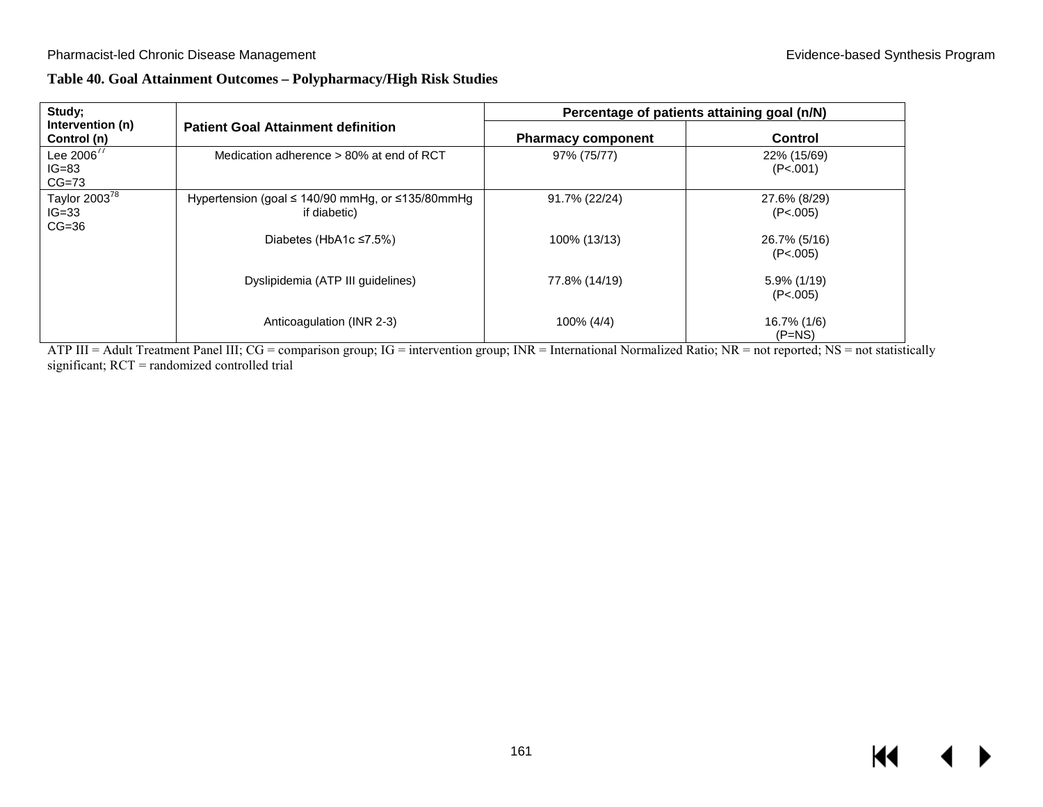# **Table 40. Goal Attainment Outcomes – Polypharmacy/High Risk Studies**

| Study;                                          |                                                                             | Percentage of patients attaining goal (n/N) |                            |  |  |
|-------------------------------------------------|-----------------------------------------------------------------------------|---------------------------------------------|----------------------------|--|--|
| Intervention (n)<br>Control (n)                 | <b>Patient Goal Attainment definition</b>                                   | <b>Pharmacy component</b>                   | <b>Control</b>             |  |  |
| Lee $2006^{77}$<br>$IG=83$<br>$CG=73$           | Medication adherence > 80% at end of RCT                                    | 97% (75/77)                                 | 22% (15/69)<br>(P<.001)    |  |  |
| Taylor 2003 <sup>78</sup><br>$IG=33$<br>$CG=36$ | Hypertension (goal $\leq$ 140/90 mmHg, or $\leq$ 135/80mmHg<br>if diabetic) | 91.7% (22/24)                               | 27.6% (8/29)<br>(P<.005)   |  |  |
|                                                 | Diabetes (HbA1c $\leq$ 7.5%)                                                | 100% (13/13)                                | 26.7% (5/16)<br>(P<.005)   |  |  |
|                                                 | Dyslipidemia (ATP III quidelines)                                           | 77.8% (14/19)                               | $5.9\%$ (1/19)<br>(P<.005) |  |  |
|                                                 | Anticoagulation (INR 2-3)                                                   | 100% (4/4)                                  | 16.7% (1/6)<br>$(P=NS)$    |  |  |

ATP III = Adult Treatment Panel III; CG = comparison group; IG = intervention group; INR = International Normalized Ratio; NR = not reported; NS = not statistically significant; RCT = randomized controlled trial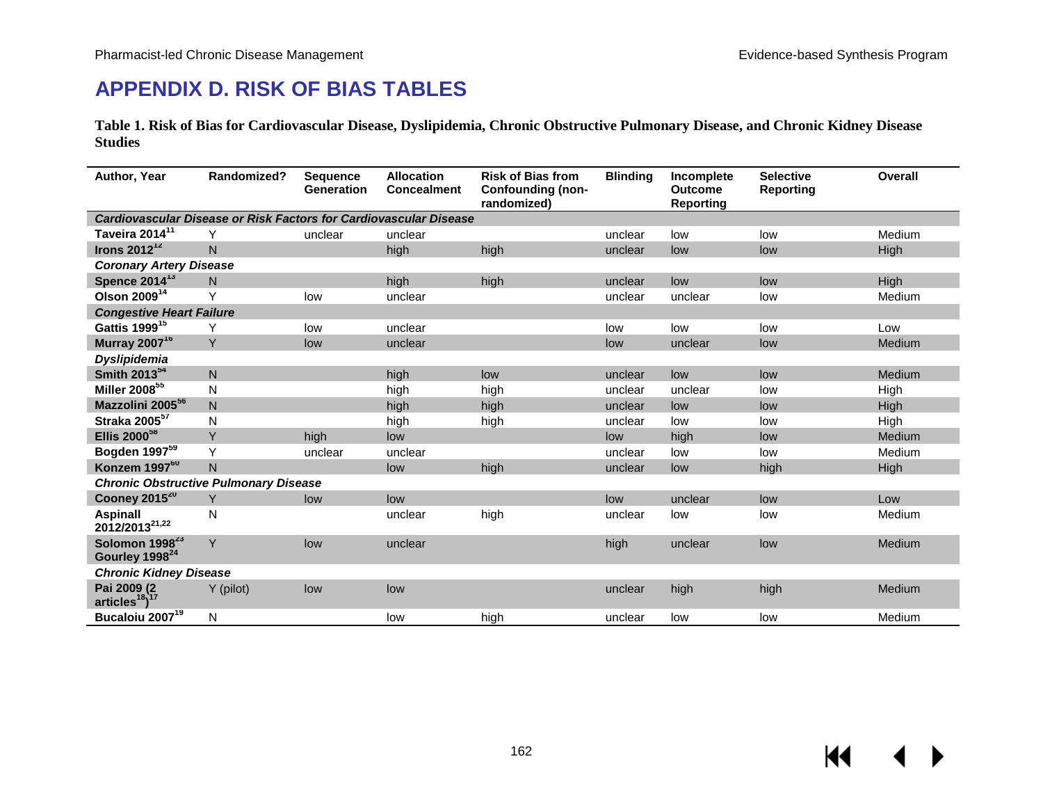# **APPENDIX D. RISK OF BIAS TABLES**

**Table 1. Risk of Bias for Cardiovascular Disease, Dyslipidemia, Chronic Obstructive Pulmonary Disease, and Chronic Kidney Disease Studies** 

| Author, Year                                                      | Randomized?    | <b>Sequence</b><br><b>Generation</b> | <b>Allocation</b><br><b>Concealment</b> | <b>Risk of Bias from</b><br><b>Confounding (non-</b><br>randomized) | <b>Blinding</b> | Incomplete<br>Outcome<br><b>Reporting</b> | <b>Selective</b><br><b>Reporting</b> | Overall     |  |  |
|-------------------------------------------------------------------|----------------|--------------------------------------|-----------------------------------------|---------------------------------------------------------------------|-----------------|-------------------------------------------|--------------------------------------|-------------|--|--|
| Cardiovascular Disease or Risk Factors for Cardiovascular Disease |                |                                      |                                         |                                                                     |                 |                                           |                                      |             |  |  |
| Taveira 2014 <sup>11</sup>                                        | Υ              | unclear                              | unclear                                 |                                                                     | unclear         | low                                       | low                                  | Medium      |  |  |
| Irons $2012^{12}$                                                 | N              |                                      | high                                    | high                                                                | unclear         | low                                       | low                                  | <b>High</b> |  |  |
| <b>Coronary Artery Disease</b>                                    |                |                                      |                                         |                                                                     |                 |                                           |                                      |             |  |  |
| Spence 2014 <sup>13</sup>                                         | N              |                                      | high                                    | high                                                                | unclear         | low                                       | low                                  | High        |  |  |
| Olson 2009 <sup>14</sup>                                          | Y              | low                                  | unclear                                 |                                                                     | unclear         | unclear                                   | low                                  | Medium      |  |  |
| <b>Congestive Heart Failure</b>                                   |                |                                      |                                         |                                                                     |                 |                                           |                                      |             |  |  |
| Gattis 1999 <sup>15</sup>                                         | Υ              | low                                  | unclear                                 |                                                                     | low             | low                                       | low                                  | Low         |  |  |
| <b>Murray 2007<sup>16</sup></b>                                   | Y              | low                                  | unclear                                 |                                                                     | low             | unclear                                   | low                                  | Medium      |  |  |
| <b>Dyslipidemia</b>                                               |                |                                      |                                         |                                                                     |                 |                                           |                                      |             |  |  |
| Smith 2013 <sup>54</sup>                                          | ${\sf N}$      |                                      | high                                    | low                                                                 | unclear         | low                                       | low                                  | Medium      |  |  |
| Miller 2008 <sup>55</sup>                                         | N              |                                      | high                                    | high                                                                | unclear         | unclear                                   | low                                  | High        |  |  |
| Mazzolini 2005 <sup>56</sup>                                      | N              |                                      | high                                    | high                                                                | unclear         | low                                       | low                                  | <b>High</b> |  |  |
| Straka 2005 <sup>57</sup>                                         | N              |                                      | high                                    | high                                                                | unclear         | low                                       | low                                  | High        |  |  |
| Ellis 2000 <sup>58</sup>                                          | Y              | high                                 | low                                     |                                                                     | low             | high                                      | low                                  | Medium      |  |  |
| Bogden 1997 <sup>59</sup>                                         | Υ              | unclear                              | unclear                                 |                                                                     | unclear         | low                                       | low                                  | Medium      |  |  |
| Konzem 1997 <sup>60</sup>                                         | $\overline{N}$ |                                      | low                                     | high                                                                | unclear         | low                                       | high                                 | High        |  |  |
| <b>Chronic Obstructive Pulmonary Disease</b>                      |                |                                      |                                         |                                                                     |                 |                                           |                                      |             |  |  |
| Cooney 2015 <sup>20</sup>                                         | Y              | low                                  | low                                     |                                                                     | low             | unclear                                   | low                                  | Low         |  |  |
| <b>Aspinall</b><br>2012/2013 <sup>21,22</sup>                     | N              |                                      | unclear                                 | high                                                                | unclear         | low                                       | low                                  | Medium      |  |  |
| Solomon 1998 <sup>23</sup><br>Gourley 1998 <sup>24</sup>          | Y              | low                                  | unclear                                 |                                                                     | high            | unclear                                   | low                                  | Medium      |  |  |
| <b>Chronic Kidney Disease</b>                                     |                |                                      |                                         |                                                                     |                 |                                           |                                      |             |  |  |
| Pai 2009 (2<br>$articles^{18})^{17}$                              | Y (pilot)      | low                                  | low                                     |                                                                     | unclear         | high                                      | high                                 | Medium      |  |  |
| Bucaloiu 2007 <sup>19</sup>                                       | N              |                                      | low                                     | high                                                                | unclear         | low                                       | low                                  | Medium      |  |  |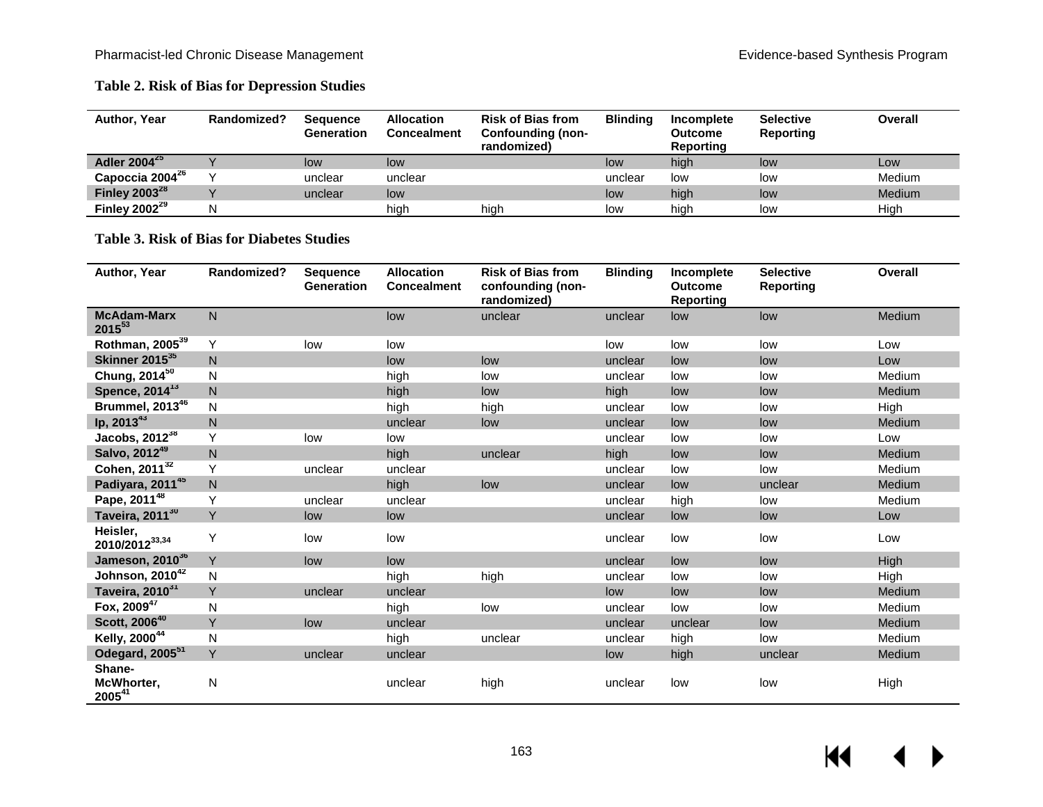## **Table 2. Risk of Bias for Depression Studies**

| <b>Author, Year</b>         | Randomized? | <b>Sequence</b><br><b>Generation</b> | <b>Allocation</b><br><b>Concealment</b> | <b>Risk of Bias from</b><br><b>Confounding (non-</b><br>randomized) | <b>Blinding</b> | Incomplete<br><b>Outcome</b><br>Reporting | <b>Selective</b><br><b>Reporting</b> | <b>Overall</b> |
|-----------------------------|-------------|--------------------------------------|-----------------------------------------|---------------------------------------------------------------------|-----------------|-------------------------------------------|--------------------------------------|----------------|
| Adler 2004 <sup>25</sup>    |             | low                                  | low                                     |                                                                     | low             | high                                      | low                                  | Low            |
| Capoccia 2004 <sup>26</sup> |             | unclear                              | unclear                                 |                                                                     | unclear         | low                                       | low                                  | Medium         |
| Finley $2003^{28}$          |             | unclear                              | low                                     |                                                                     | low             | high                                      | low                                  | Medium         |
| Finley $2002^{29}$          | N           |                                      | high                                    | high                                                                | low             | high                                      | low                                  | High           |

## **Table 3. Risk of Bias for Diabetes Studies**

| Author, Year                      | Randomized?  | <b>Sequence</b><br><b>Generation</b> | <b>Allocation</b><br><b>Concealment</b> | <b>Risk of Bias from</b><br>confounding (non-<br>randomized) | <b>Blinding</b> | Incomplete<br><b>Outcome</b><br><b>Reporting</b> | <b>Selective</b><br><b>Reporting</b> | <b>Overall</b> |
|-----------------------------------|--------------|--------------------------------------|-----------------------------------------|--------------------------------------------------------------|-----------------|--------------------------------------------------|--------------------------------------|----------------|
| <b>McAdam-Marx</b><br>$2015^{53}$ | N            |                                      | low                                     | unclear                                                      | unclear         | low                                              | low                                  | Medium         |
| Rothman, 2005 <sup>39</sup>       | Y            | low                                  | low                                     |                                                              | low             | low                                              | low                                  | Low            |
| Skinner 2015 <sup>35</sup>        | N            |                                      | low                                     | low                                                          | unclear         | low                                              | low                                  | Low            |
| Chung, 2014 <sup>50</sup>         | N            |                                      | high                                    | low                                                          | unclear         | low                                              | low                                  | Medium         |
| Spence, 2014 <sup>13</sup>        | N            |                                      | high                                    | low                                                          | high            | low                                              | low                                  | <b>Medium</b>  |
| Brummel, 2013 <sup>46</sup>       | N            |                                      | high                                    | high                                                         | unclear         | low                                              | low                                  | High           |
| lp, 201343                        | $\mathsf{N}$ |                                      | unclear                                 | low                                                          | unclear         | low                                              | low                                  | <b>Medium</b>  |
| Jacobs, $2012^{38}$               | Υ            | low                                  | low                                     |                                                              | unclear         | low                                              | low                                  | Low            |
| Salvo, 2012 <sup>49</sup>         | N            |                                      | high                                    | unclear                                                      | high            | low                                              | low                                  | <b>Medium</b>  |
| Cohen, 2011 <sup>32</sup>         | Υ            | unclear                              | unclear                                 |                                                              | unclear         | low                                              | low                                  | Medium         |
| Padiyara, 201145                  | $\mathsf{N}$ |                                      | high                                    | low                                                          | unclear         | low                                              | unclear                              | Medium         |
| Pape, 201148                      | Y            | unclear                              | unclear                                 |                                                              | unclear         | high                                             | low                                  | Medium         |
| Taveira, 2011 <sup>30</sup>       | Y            | low                                  | low                                     |                                                              | unclear         | low                                              | low                                  | Low            |
| Heisler,<br>2010/201233,34        | Υ            | low                                  | low                                     |                                                              | unclear         | low                                              | low                                  | Low            |
| Jameson, 2010 <sup>36</sup>       | Y            | low                                  | low                                     |                                                              | unclear         | low                                              | low                                  | <b>High</b>    |
| Johnson, 2010 <sup>42</sup>       | N            |                                      | high                                    | high                                                         | unclear         | low                                              | low                                  | High           |
| Taveira, 201031                   | Y            | unclear                              | unclear                                 |                                                              | low             | low                                              | low                                  | <b>Medium</b>  |
| Fox, $2009^{47}$                  | N            |                                      | high                                    | low                                                          | unclear         | low                                              | low                                  | Medium         |
| Scott, 2006 <sup>40</sup>         | Y            | low                                  | unclear                                 |                                                              | unclear         | unclear                                          | low                                  | Medium         |
| Kelly, 2000 <sup>44</sup>         | $\mathsf{N}$ |                                      | high                                    | unclear                                                      | unclear         | high                                             | low                                  | Medium         |
| Odegard, 2005 <sup>51</sup>       | Y            | unclear                              | unclear                                 |                                                              | low             | high                                             | unclear                              | Medium         |
| Shane-<br>McWhorter,<br>200541    | N            |                                      | unclear                                 | high                                                         | unclear         | low                                              | low                                  | High           |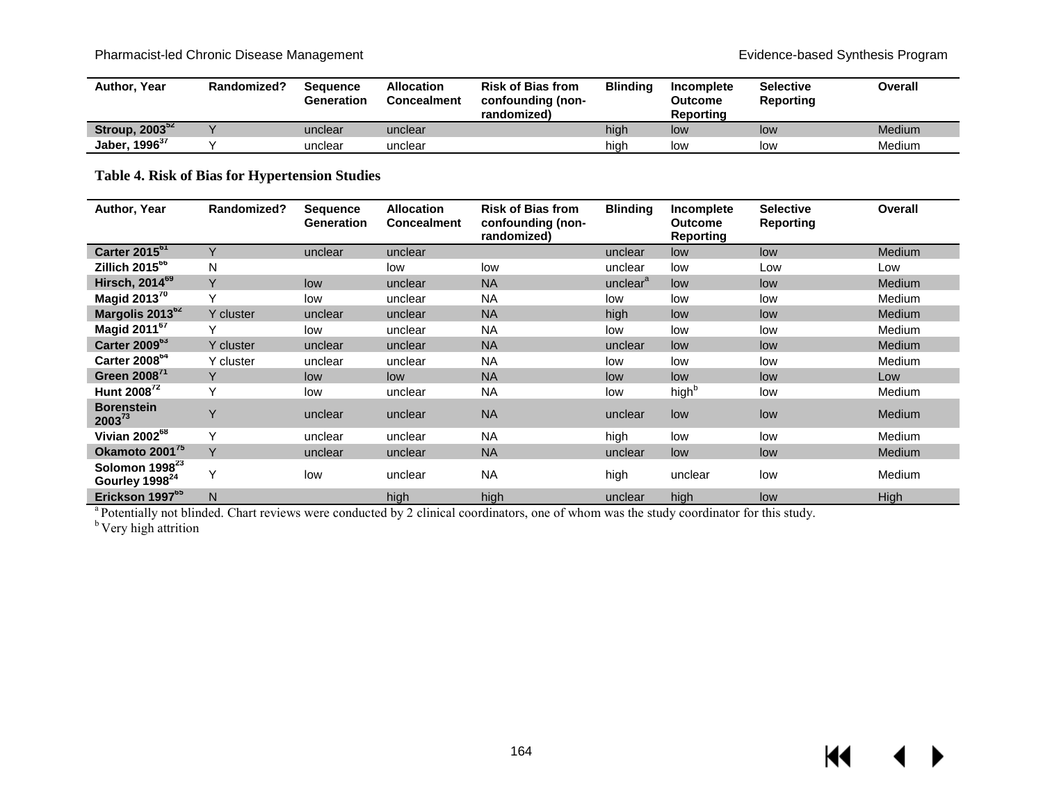## Pharmacist-led Chronic Disease Management **Evidence-based Synthesis Program**

| Author, Year               | Randomized? | <b>Sequence</b><br>Generation | <b>Allocation</b><br><b>Concealment</b> | <b>Risk of Bias from</b><br>confounding (non-<br>randomized) | <b>Blinding</b> | Incomplete<br><b>Outcome</b><br><b>Reporting</b> | <b>Selective</b><br>Reporting | Overall |
|----------------------------|-------------|-------------------------------|-----------------------------------------|--------------------------------------------------------------|-----------------|--------------------------------------------------|-------------------------------|---------|
| Stroup, 2003 <sup>52</sup> |             | unclear                       | unclear                                 |                                                              | high            | low                                              | low                           | Medium  |
| Jaber, 1996 <sup>37</sup>  |             | unclear                       | unclear                                 |                                                              | hiah            | low                                              | low                           | Medium  |

**Table 4. Risk of Bias for Hypertension Studies**

| Author, Year                                             | Randomized?  | <b>Sequence</b><br><b>Generation</b> | <b>Allocation</b><br><b>Concealment</b> | <b>Risk of Bias from</b><br>confounding (non-<br>randomized) | <b>Blinding</b>      | Incomplete<br><b>Outcome</b><br><b>Reporting</b> | <b>Selective</b><br>Reporting | <b>Overall</b> |
|----------------------------------------------------------|--------------|--------------------------------------|-----------------------------------------|--------------------------------------------------------------|----------------------|--------------------------------------------------|-------------------------------|----------------|
| Carter 2015 <sup>61</sup>                                | Y            | unclear                              | unclear                                 |                                                              | unclear              | low                                              | low                           | <b>Medium</b>  |
| Zillich 2015 <sup>66</sup>                               | N            |                                      | low                                     | low                                                          | unclear              | low                                              | Low                           | Low            |
| Hirsch, 2014 <sup>69</sup>                               | Y            | low                                  | unclear                                 | <b>NA</b>                                                    | unclear <sup>a</sup> | low                                              | low                           | <b>Medium</b>  |
| Magid 2013 $^{70}$                                       | $\checkmark$ | low                                  | unclear                                 | <b>NA</b>                                                    | low                  | low                                              | low                           | Medium         |
| Margolis 2013 <sup>62</sup>                              | Y cluster    | unclear                              | unclear                                 | <b>NA</b>                                                    | high                 | low                                              | low                           | <b>Medium</b>  |
| Magid 2011 <sup>67</sup>                                 | Y            | low                                  | unclear                                 | <b>NA</b>                                                    | low                  | low                                              | low                           | <b>Medium</b>  |
| Carter 2009 <sup>63</sup>                                | Y cluster    | unclear                              | unclear                                 | <b>NA</b>                                                    | unclear              | low                                              | low                           | <b>Medium</b>  |
| Carter 2008 <sup>64</sup>                                | Y cluster    | unclear                              | unclear                                 | <b>NA</b>                                                    | low                  | low                                              | low                           | Medium         |
| Green 2008 <sup>71</sup>                                 | Y            | low                                  | low                                     | <b>NA</b>                                                    | low                  | low                                              | low                           | Low            |
| Hunt 2008 <sup>72</sup>                                  | Υ            | low                                  | unclear                                 | <b>NA</b>                                                    | low                  | high <sup>b</sup>                                | low                           | <b>Medium</b>  |
| <b>Borenstein</b><br>$2003^{73}$                         | $\vee$       | unclear                              | unclear                                 | <b>NA</b>                                                    | unclear              | low                                              | low                           | Medium         |
| Vivian 2002 <sup>68</sup>                                | Υ            | unclear                              | unclear                                 | <b>NA</b>                                                    | high                 | low                                              | low                           | <b>Medium</b>  |
| Okamoto 2001 <sup>'5</sup>                               | Y            | unclear                              | unclear                                 | <b>NA</b>                                                    | unclear              | low                                              | low                           | <b>Medium</b>  |
| Solomon 1998 <sup>23</sup><br>Gourley 1998 <sup>24</sup> | Y            | low                                  | unclear                                 | <b>NA</b>                                                    | high                 | unclear                                          | low                           | <b>Medium</b>  |
| Erickson 1997 <sup>65</sup>                              | N            |                                      | high                                    | high                                                         | unclear              | high                                             | low                           | High           |

<sup>a</sup> Potentially not blinded. Chart reviews were conducted by 2 clinical coordinators, one of whom was the study coordinator for this study.

<sup>b</sup> Very high attrition